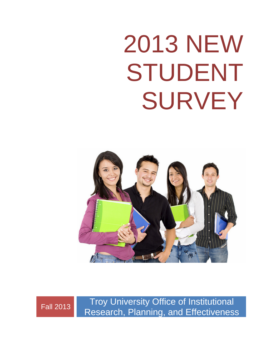# 2013 NEW STUDENT SURVEY





Fall 2013 Troy University Office of Institutional Research, Planning, and Effectiveness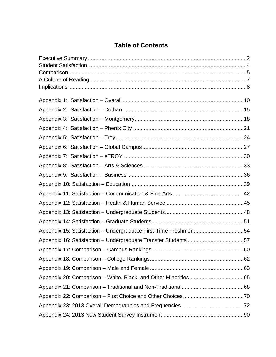# **Table of Contents**

| Appendix 15: Satisfaction - Undergraduate First-Time Freshmen54 |  |
|-----------------------------------------------------------------|--|
|                                                                 |  |
|                                                                 |  |
|                                                                 |  |
|                                                                 |  |
|                                                                 |  |
|                                                                 |  |
|                                                                 |  |
|                                                                 |  |
|                                                                 |  |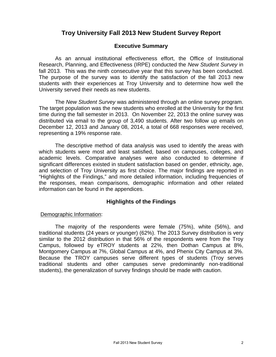# **Troy University Fall 2013 New Student Survey Report**

## **Executive Summary**

 As an annual institutional effectiveness effort, the Office of Institutional Research, Planning, and Effectiveness (IRPE) conducted the *New Student Survey* in fall 2013. This was the ninth consecutive year that this survey has been conducted. The purpose of the survey was to identify the satisfaction of the fall 2013 new students with their experiences at Troy University and to determine how well the University served their needs as new students.

The *New Student Survey* was administered through an online survey program. The target population was the new students who enrolled at the University for the first time during the fall semester in 2013. On November 22, 2013 the online survey was distributed via email to the group of 3,490 students. After two follow up emails on December 12, 2013 and January 08, 2014, a total of 668 responses were received, representing a 19% response rate.

The descriptive method of data analysis was used to identify the areas with which students were most and least satisfied, based on campuses, colleges, and academic levels. Comparative analyses were also conducted to determine if significant differences existed in student satisfaction based on gender, ethnicity, age, and selection of Troy University as first choice. The major findings are reported in "Highlights of the Findings," and more detailed information, including frequencies of the responses, mean comparisons, demographic information and other related information can be found in the appendices.

## **Highlights of the Findings**

#### Demographic Information:

 The majority of the respondents were female (75%), white (56%), and traditional students (24 years or younger) (62%). The 2013 Survey distribution is very similar to the 2012 distribution in that 56% of the respondents were from the Troy Campus, followed by eTROY students at 22%, then Dothan Campus at 8%, Montgomery Campus at 7%, Global Campus at 4%, and Phenix City Campus at 3%. Because the TROY campuses serve different types of students (Troy serves traditional students and other campuses serve predominantly non-traditional students), the generalization of survey findings should be made with caution.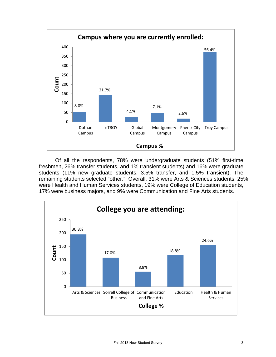

 Of all the respondents, 78% were undergraduate students (51% first-time freshmen, 26% transfer students, and 1% transient students) and 16% were graduate students (11% new graduate students, 3.5% transfer, and 1.5% transient). The remaining students selected "other." Overall, 31% were Arts & Sciences students, 25% were Health and Human Services students, 19% were College of Education students, 17% were business majors, and 9% were Communication and Fine Arts students.

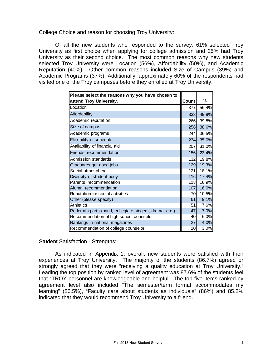### College Choice and reason for choosing Troy University:

 Of all the new students who responded to the survey, 61% selected Troy University as first choice when applying for college admission and 25% had Troy University as their second choice. The most common reasons why new students selected Troy University were Location (56%), Affordability (50%), and Academic Reputation (40%). Other common reasons included Size of Campus (39%) and Academic Programs (37%). Additionally, approximately 60% of the respondents had visited one of the Troy campuses before they enrolled at Troy University.

| Please select the reasons why you have chosen to        |              |       |
|---------------------------------------------------------|--------------|-------|
| attend Troy University.                                 | <b>Count</b> | %     |
| Location                                                | 377          | 56.4% |
| Affordability                                           | 333          | 49.9% |
| Academic reputation                                     | 266          | 39.8% |
| Size of campus                                          | 258          | 38.6% |
| Academic programs                                       | 244          | 36.5% |
| Flexibility of schedule                                 | 234          | 35.0% |
| Availability of financial aid                           | 207          | 31.0% |
| Friends' recommendation                                 | 156          | 23.4% |
| Admission standards                                     | 132          | 19.8% |
| Graduates get good jobs                                 | 129          | 19.3% |
| Social atmosphere                                       | 121          | 18.1% |
| Diversity of student body                               | 116          | 17.4% |
| Parents' recommendation                                 | 113          | 16.9% |
| Alumni recommendation                                   | 107          | 16.0% |
| Reputation for social activities                        | 70           | 10.5% |
| Other (please specify)                                  | 61           | 9.1%  |
| <b>Athletics</b>                                        | 51           | 7.6%  |
| Performing arts (band, collegiate singers, drama, etc.) | 47           | 7.0%  |
| Recommendation of high school counselor                 | 40           | 6.0%  |
| Rankings in national magazines                          | 27           | 4.0%  |
| Recommendation of college counselor                     | 20           | 3.0%  |

## Student Satisfaction - Strengths:

As indicated in Appendix 1, overall, new students were satisfied with their experiences at Troy University. The majority of the students (86.7%) agreed or strongly agreed that they were "receiving a quality education at Troy University." Leading the top position by ranked level of agreement was 87.6% of the students feel that "TROY personnel are knowledgeable and helpful". The top five items ranked by agreement level also included "The semester/term format accommodates my learning" (86.5%), "Faculty care about students as individuals" (86%) and 85.2% indicated that they would recommend Troy University to a friend.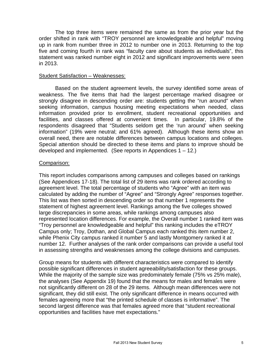The top three items were remained the same as from the prior year but the order shifted in rank with "TROY personnel are knowledgeable and helpful" moving up in rank from number three in 2012 to number one in 2013. Returning to the top five and coming fourth in rank was "faculty care about students as individuals", this statement was ranked number eight in 2012 and significant improvements were seen in 2013.

#### Student Satisfaction – Weaknesses:

 Based on the student agreement levels, the survey identified some areas of weakness. The five items that had the largest percentage marked disagree or strongly disagree in descending order are: students getting the "run around" when seeking information, campus housing meeting expectations when needed, class information provided prior to enrollment, student recreational opportunities and facilities, and classes offered at convenient times. In particular, 19.8% of the respondents disagreed that "Students seldom get the 'run around' when seeking information" (19% were neutral; and 61% agreed). Although these items show an overall need, there are notable differences between campus locations and colleges. Special attention should be directed to these items and plans to improve should be developed and implemented. (See reports in Appendices 1 – 12.)

#### Comparison:

This report includes comparisons among campuses and colleges based on rankings (See Appendices 17-18). The total list of 29 items was rank ordered according to agreement level. The total percentage of students who "Agree" with an item was calculated by adding the number of "Agree" and "Strongly Agree" responses together. This list was then sorted in descending order so that number 1 represents the statement of highest agreement level. Rankings among the five colleges showed large discrepancies in some areas, while rankings among campuses also represented location differences. For example, the Overall number 1 ranked item was "Troy personnel are knowledgeable and helpful" this ranking includes the eTROY Campus only; Troy, Dothan, and Global Campus each ranked this item number 2, while Phenix City campus ranked it number 5 and lastly Montgomery ranked it at number 12. Further analyses of the rank order comparisons can provide a useful tool in assessing strengths and weaknesses among the college divisions and campuses.

Group means for students with different characteristics were compared to identify possible significant differences in student agreeability/satisfaction for these groups. While the majority of the sample size was predominately female (75% vs 25% male), the analyses (See Appendix 19) found that the means for males and females were not significantly different on 28 of the 29 items. Although mean differences were not significant, they did still exist. The only significant difference in means occurred with females agreeing more that "the printed schedule of classes is informative". The second largest difference was that females agreed more that "student recreational opportunities and facilities have met expectations."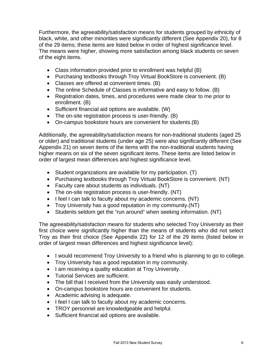Furthermore, the agreeability/satisfaction means for students grouped by ethnicity of black, white, and other minorities were significantly different (See Appendix 20), for 8 of the 29 items; these items are listed below in order of highest significance level. The means were higher, showing more satisfaction among black students on seven of the eight items.

- Class information provided prior to enrollment was helpful (B)
- Purchasing textbooks through Troy Virtual BookStore is convenient. (B)
- Classes are offered at convenient times. (B)
- The online Schedule of Classes is informative and easy to follow. (B)
- Registration dates, times, and procedures were made clear to me prior to enrollment. (B)
- Sufficient financial aid options are available. (W)
- The on-site registration process is user-friendly. (B)
- On-campus bookstore hours are convenient for students.(B)

Additionally, the agreeability/satisfaction means for non-traditional students (aged 25 or older) and traditional students (under age 25) were also significantly different (See Appendix 21) on seven items of the items with the non-traditional students having higher means on six of the seven significant items. These items are listed below in order of largest mean differences and highest significance level.

- $\bullet$  Student organizations are available for my participation. (T)
- Purchasing textbooks through Troy Virtual BookStore is convenient. (NT)
- Faculty care about students as individuals. (NT)
- The on-site registration process is user-friendly. (NT)
- I feel I can talk to faculty about my academic concerns. (NT)
- Troy University has a good reputation in my community.(NT)
- Students seldom get the "run around" when seeking information. (NT)

The agreeability/satisfaction means for students who selected Troy University as their first choice were significantly higher than the means of students who did not select Troy as their first choice (See Appendix 22) for 12 of the 29 items (listed below in order of largest mean differences and highest significance level):

- I would recommend Troy University to a friend who is planning to go to college.
- Troy University has a good reputation in my community.
- I am receiving a quality education at Troy University.
- Tutorial Services are sufficient.
- The bill that I received from the University was easily understood.
- On-campus bookstore hours are convenient for students.
- Academic advising is adequate.
- I feel I can talk to faculty about my academic concerns.
- TROY personnel are knowledgeable and helpful.
- Sufficient financial aid options are available.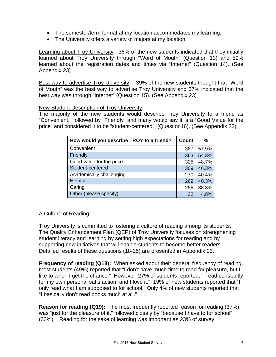- The semester/term format at my location accommodates my learning.
- The University offers a variety of majors at my location.

Learning about Troy University: 36% of the new students indicated that they initially learned about Troy University through "Word of Mouth" (Question 13) and 59% learned about the registration dates and times via "Internet" (Question 14). (See Appendix 23)

Best way to advertise Troy University: 39% of the new students thought that "Word of Mouth" was the best way to advertise Troy University and 37% indicated that the best way was through "Internet" (Question 15). (See Appendix 23)

#### New Student Description of Troy University:

The majority of the new students would describe Troy University to a friend as "Convenient," followed by "Friendly" and many would say it is a "Good Value for the price" and considered it to be "student-centered". (Question16). (See Appendix 23)

| How would you describe TROY to a friend? | <b>Count</b> | %     |
|------------------------------------------|--------------|-------|
| Convenient                               | 387          | 57.9% |
| Friendly                                 | 363          | 54.3% |
| Good value for the price                 | 325          | 48.7% |
| Student-centered                         | 309          | 46.3% |
| Academically challenging                 | 270          | 40.4% |
| Helpful                                  | 269          | 40.3% |
| Caring                                   | 256          | 38.3% |
| Other (please specify)                   | 32           | 4.8%  |

## A Culture of Reading:

Troy University is committed to fostering a culture of reading among its students. The Quality Enhancement Plan (QEP) of Troy University focuses on strengthening student literacy and learning by setting high expectations for reading and by supporting new initiatives that will enable students to become better readers. Detailed results of these questions (18-25) are presented in Appendix 23.

**Frequency of reading (Q18):** When asked about their general frequency of reading, most students (49%) reported that "I don't have much time to read for pleasure, but I like to when I get the chance." However, 27% of students reported, "I read constantly for my own personal satisfaction, and I love it." 19% of new students reported that "I only read what I am supposed to for school." Only 4% of new students reported that "I basically don't read books much at all."

**Reason for reading (Q19):** The most frequently reported reason for reading (37%) was "just for the pleasure of it," followed closely by "because I have to for school" (33%). Reading for the sake of learning was important as 23% of survey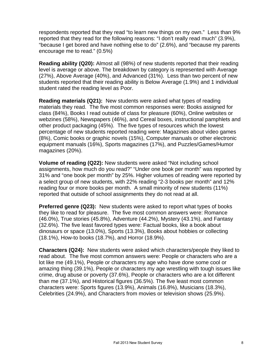respondents reported that they read "to learn new things on my own." Less than 9% reported that they read for the following reasons: "I don't really read much" (3.9%), "because I get bored and have nothing else to do" (2.6%), and "because my parents encourage me to read." (0.5%)

**Reading ability (Q20):** Almost all (98%) of new students reported that their reading level is average or above. The breakdown by category is represented with Average (27%), Above Average (40%), and Advanced (31%). Less than two percent of new students reported that their reading ability is Below Average (1.9%) and 1 individual student rated the reading level as Poor.

**Reading materials (Q21):** New students were asked what types of reading materials they read. The five most common responses were: Books assigned for class (84%), Books I read outside of class for pleasure (60%), Online websites or webzines (58%), Newspapers (46%), and Cereal boxes, instructional pamphlets and other product packaging (45%). The five types of resources which the lowest percentage of new students reported reading were: Magazines about video games (8%), Comic books or graphic novels (15%), Computer manuals or other electronic equipment manuals (16%), Sports magazines (17%), and Puzzles/Games/Humor magazines (20%).

**Volume of reading (Q22):** New students were asked "Not including school assignments, how much do you read?" "Under one book per month" was reported by 31% and "one book per month" by 25%. Higher volumes of reading were reported by a select group of new students, with 22% reading "2-3 books per month" and 12% reading four or more books per month. A small minority of new students (11%) reported that outside of school assignments they do not read at all.

**Preferred genre (Q23):** New students were asked to report what types of books they like to read for pleasure. The five most common answers were: Romance (46.0%), True stories (45.8%), Adventure (44.2%), Mystery (43.1%), and Fantasy (32.6%). The five least favored types were: Factual books, like a book about dinosaurs or space (13.0%), Sports (13.3%), Books about hobbies or collecting (18.1%), How-to books (18.7%), and Horror (18.9%).

**Characters (Q24):** New students were asked which characters/people they liked to read about. The five most common answers were: People or characters who are a lot like me (49.1%), People or characters my age who have done some cool or amazing thing (39.1%), People or characters my age wrestling with tough issues like crime, drug abuse or poverty (37.6%), People or characters who are a lot different than me (37.1%), and Historical figures (36.5%). The five least most common characters were: Sports figures (13.9%), Animals (16.8%), Musicians (18.3%), Celebrities (24.9%), and Characters from movies or television shows (25.9%).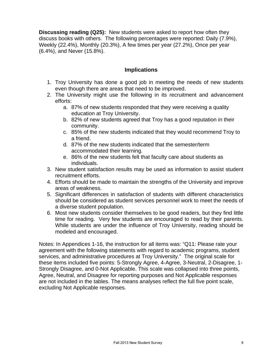**Discussing reading (Q25):** New students were asked to report how often they discuss books with others. The following percentages were reported: Daily (7.9%), Weekly (22.4%), Monthly (20.3%), A few times per year (27.2%), Once per year (6.4%), and Never (15.8%).

## **Implications**

- 1. Troy University has done a good job in meeting the needs of new students even though there are areas that need to be improved.
- 2. The University might use the following in its recruitment and advancement efforts:
	- a. 87% of new students responded that they were receiving a quality education at Troy University.
	- b. 82% of new students agreed that Troy has a good reputation in their community.
	- c. 85% of the new students indicated that they would recommend Troy to a friend.
	- d. 87% of the new students indicated that the semester/term accommodated their learning.
	- e. 86% of the new students felt that faculty care about students as individuals.
- 3. New student satisfaction results may be used as information to assist student recruitment efforts.
- 4. Efforts should be made to maintain the strengths of the University and improve areas of weakness.
- 5. Significant differences in satisfaction of students with different characteristics should be considered as student services personnel work to meet the needs of a diverse student population.
- 6. Most new students consider themselves to be good readers, but they find little time for reading. Very few students are encouraged to read by their parents. While students are under the influence of Troy University, reading should be modeled and encouraged.

Notes: In Appendices 1-16, the instruction for all items was: "Q11: Please rate your agreement with the following statements with regard to academic programs, student services, and administrative procedures at Troy University." The original scale for these items included five points: 5-Strongly Agree, 4-Agree, 3-Neutral, 2-Disagree, 1- Strongly Disagree, and 0-Not Applicable. This scale was collapsed into three points, Agree, Neutral, and Disagree for reporting purposes and Not Applicable responses are not included in the tables. The means analyses reflect the full five point scale, excluding Not Applicable responses.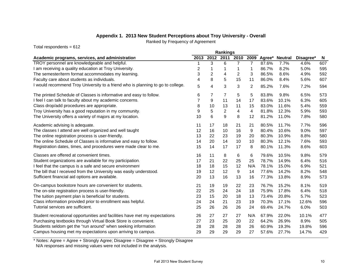## **Appendix 1. 2013 New Student Perceptions about Troy University - Overall**

Ranked by Frequency of Agreement

Total respondents = 612

|                                                                                 | Rankings |                |                |                |                |        |                |           |     |
|---------------------------------------------------------------------------------|----------|----------------|----------------|----------------|----------------|--------|----------------|-----------|-----|
| Academic programs, services, and administration                                 | 2013     | 2012           | 2011           | 2010           | 2009           | Agree* | <b>Neutral</b> | Disagree* | N   |
| TROY personnel are knowledgeable and helpful.                                   |          | 3              | 6              | $\overline{7}$ | $\overline{7}$ | 87.6%  | 7.7%           | 4.6%      | 607 |
| I am receiving a quality education at Troy University.                          | 2        | 1              | 1              | 1              | 1              | 86.7%  | 8.2%           | 5.0%      | 595 |
| The semester/term format accommodates my learning.                              | 3        | $\overline{c}$ | 4              | 2              | 3              | 86.5%  | 8.6%           | 4.9%      | 592 |
| Faculty care about students as individuals.                                     | 4        | 8              | 5              | 15             | 11             | 86.0%  | 8.4%           | 5.6%      | 607 |
| I would recommend Troy University to a friend who is planning to go to college. | 5        | 4              | 3              | 3              | 2              | 85.2%  | 7.6%           | 7.2%      | 594 |
| The printed Schedule of Classes is informative and easy to follow.              | 6        | 7              | 7              | 5              | 5              | 83.8%  | 9.8%           | 6.5%      | 573 |
| I feel I can talk to faculty about my academic concerns.                        | 7        | 9              | 11             | 14             | 17             | 83.6%  | 10.1%          | 6.3%      | 605 |
| Class drop/add procedures are appropriate.                                      | 8        | 10             | 13             | 11             | 15             | 83.0%  | 11.6%          | 5.4%      | 559 |
| Troy University has a good reputation in my community.                          | 9        | 5              | $\overline{2}$ | 4              | 4              | 81.8%  | 12.3%          | 5.9%      | 593 |
| The University offers a variety of majors at my location.                       | 10       | 6              | 9              | 8              | 12             | 81.2%  | 11.0%          | 7.8%      | 580 |
| Academic advising is adequate.                                                  | 11       | 17             | 18             | 21             | 21             | 80.5%  | 11.7%          | 7.7%      | 596 |
| The classes I attend are well organized and well taught                         | 12       | 16             | 10             | 16             | 9              | 80.4%  | 10.6%          | 9.0%      | 597 |
| The online registration process is user-friendly.                               | 13       | 22             | 23             | 19             | 20             | 80.3%  | 10.9%          | 8.8%      | 580 |
| The online Schedule of Classes is informative and easy to follow.               | 14       | 20             | 14             | 10             | 10             | 80.3%  | 12.1%          | 7.6%      | 593 |
| Registration dates, times, and procedures were made clear to me.                | 15       | 14             | 17             | 17             | 8              | 80.1%  | 11.3%          | 8.6%      | 603 |
| Classes are offered at convenient times.                                        | 16       | 11             | 8              | 6              | 6              | 79.6%  | 10.5%          | 9.8%      | 579 |
| Student organizations are available for my participation.                       | 17       | 21             | 22             | 25             | 25             | 78.7%  | 14.9%          | 6.4%      | 516 |
| I feel that the campus is a safe and secure environment                         | 18       | 18             | 15             | 12             | N/A            | 78.1%  | 15.0%          | 6.9%      | 521 |
| The bill that I received from the University was easily understood.             | 19       | 12             | 12             | 9              | 14             | 77.6%  | 14.2%          | 8.2%      | 548 |
| Sufficient financial aid options are available.                                 | 20       | 13             | 16             | 13             | 16             | 77.3%  | 13.8%          | 8.9%      | 573 |
| On-campus bookstore hours are convenient for students.                          | 21       | 19             | 19             | 22             | 23             | 76.7%  | 15.2%          | 8.1%      | 519 |
| The on-site registration process is user-friendly.                              | 22       | 25             | 24             | 24             | 18             | 75.9%  | 17.8%          | 6.4%      | 518 |
| The tuition payment plan is beneficial for students.                            | 23       | 15             | 20             | 18             | 13             | 73.4%  | 20.8%          | 5.7%      | 523 |
| Class information provided prior to enrollment was helpful.                     | 24       | 24             | 21             | 23             | 19             | 70.3%  | 17.1%          | 12.6%     | 596 |
| Tutorial services are sufficient.                                               | 25       | 26             | 26             | 26             | 24             | 69.4%  | 24.7%          | 6.0%      | 503 |
| Student recreational opportunities and facilities have met my expectations.     | 26       | 27             | 27             | 27             | N/A            | 67.9%  | 22.0%          | 10.1%     | 477 |
| Purchasing textbooks through Virtual Book Store is convenient.                  | 27       | 23             | 25             | 20             | 22             | 64.2%  | 26.9%          | 8.9%      | 505 |
| Students seldom get the "run around" when seeking information.                  | 28       | 28             | 28             | 28             | 26             | 60.9%  | 19.3%          | 19.8%     | 596 |
| Campus housing met my expectations upon arriving to campus.                     | 29       | 29             | 29             | 29             | 27             | 57.6%  | 27.7%          | 14.7%     | 429 |

\* Notes: Agree = Agree + Strongly Agree; Disagree = Disagree + Strongly Disagree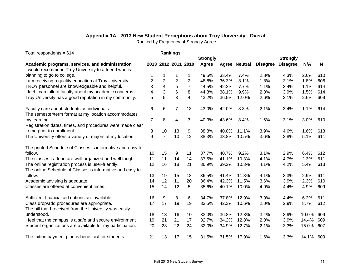## **Appendix 1A. 2013 New Student Perceptions about Troy University - Overall**

Ranked by Frequency of Strongly Agree

| Total respondents = $614$                                  | <b>Rankings</b> |                  |                |                     |                 |       |                      |                 |                 |       |     |
|------------------------------------------------------------|-----------------|------------------|----------------|---------------------|-----------------|-------|----------------------|-----------------|-----------------|-------|-----|
|                                                            |                 |                  |                |                     | <b>Strongly</b> |       |                      |                 | <b>Strongly</b> |       |     |
| Academic programs, services, and administration            |                 |                  |                | 2013 2012 2011 2010 | Agree           |       | <b>Agree Neutral</b> | <b>Disagree</b> | <b>Disagree</b> | N/A   | N   |
| I would recommend Troy University to a friend who is       |                 |                  |                |                     |                 |       |                      |                 |                 |       |     |
| planning to go to college.                                 |                 | 1                | 1              | 1                   | 49.5%           | 33.4% | 7.4%                 | 2.8%            | 4.3%            | 2.6%  | 610 |
| I am receiving a quality education at Troy University.     | $\overline{c}$  | $\boldsymbol{2}$ | $\overline{2}$ | $\overline{c}$      | 48.8%           | 36.3% | 8.1%                 | 1.8%            | 3.1%            | 1.8%  | 606 |
| TROY personnel are knowledgeable and helpful.              | 3               | 4                | 5              | $\overline{7}$      | 44.5%           | 42.2% | 7.7%                 | 1.1%            | 3.4%            | 1.1%  | 614 |
| I feel I can talk to faculty about my academic concerns.   | 4               | 3                | 6              | 8                   | 44.3%           | 38.1% | 9.9%                 | 2.3%            | 3.9%            | 1.5%  | 614 |
| Troy University has a good reputation in my community.     | 5               | 5                | 3              | 4                   | 43.2%           | 36.5% | 12.0%                | 2.6%            | 3.1%            | 2.6%  | 609 |
| Faculty care about students as individuals.                | 6               | 6                | $\overline{7}$ | 13                  | 43.0%           | 42.0% | 8.3%                 | 2.1%            | 3.4%            | 1.1%  | 614 |
| The semester/term format at my location accommodates       |                 |                  |                |                     |                 |       |                      |                 |                 |       |     |
| my learning.                                               | $\overline{7}$  | 8                | 4              | 3                   | 40.3%           | 43.6% | 8.4%                 | 1.6%            | 3.1%            | 3.0%  | 610 |
| Registration dates, times, and procedures were made clear  |                 |                  |                |                     |                 |       |                      |                 |                 |       |     |
| to me prior to enrollment.                                 | 8               | 10               | 13             | 9                   | 38.8%           | 40.0% | 11.1%                | 3.9%            | 4.6%            | 1.6%  | 613 |
| The University offers a variety of majors at my location.  | 9               | 7                | 10             | 12                  | 38.3%           | 38.8% | 10.5%                | 3.6%            | 3.8%            | 5.1%  | 611 |
| The printed Schedule of Classes is informative and easy to |                 |                  |                |                     |                 |       |                      |                 |                 |       |     |
| follow.                                                    | 10              | 15               | 9              | 11                  | 37.7%           | 40.7% | 9.2%                 | 3.1%            | 2.9%            | 6.4%  | 612 |
| The classes I attend are well organized and well taught.   | 11              | 11               | 14             | 14                  | 37.5%           | 41.1% | 10.3%                | 4.1%            | 4.7%            | 2.3%  | 611 |
| The online registration process is user-friendly.          | 12              | 16               | 18             | 21                  | 36.9%           | 39.2% | 10.3%                | 4.1%            | 4.2%            | 5.4%  | 613 |
| The online Schedule of Classes is informative and easy to  |                 |                  |                |                     |                 |       |                      |                 |                 |       |     |
| follow.                                                    | 13              | 19               | 15             | 18                  | 36.5%           | 41.4% | 11.8%                | 4.1%            | 3.3%            | 2.9%  | 611 |
| Academic advising is adequate.                             | 14              | 12               | 11             | 20                  | 36.4%           | 42.3% | 11.5%                | 3.6%            | 3.9%            | 2.3%  | 610 |
| Classes are offered at convenient times.                   | 15              | 14               | 12             | 5                   | 35.6%           | 40.1% | 10.0%                | 4.9%            | 4.4%            | 4.9%  | 609 |
| Sufficient financial aid options are available.            | 16              | 9                | 8              | 6                   | 34.7%           | 37.8% | 12.9%                | 3.9%            | 4.4%            | 6.2%  | 611 |
| Class drop/add procedures are appropriate.                 | 17              | 17               | 19             | 19                  | 33.5%           | 42.3% | 10.6%                | 2.0%            | 2.9%            | 8.7%  | 612 |
| The bill that I received from the University was easily    |                 |                  |                |                     |                 |       |                      |                 |                 |       |     |
| understood.                                                | 18              | 18               | 16             | 10                  | 33.0%           | 36.8% | 12.8%                | 3.4%            | 3.9%            | 10.0% | 609 |
| I feel that the campus is a safe and secure environment    | 19              | 21               | 21             | 17                  | 32.7%           | 34.2% | 12.8%                | 2.0%            | 3.9%            | 14.4% | 609 |
| Student organizations are available for my participation.  | 20              | 23               | 22             | 24                  | 32.0%           | 34.9% | 12.7%                | 2.1%            | 3.3%            | 15.0% | 607 |
| The tuition payment plan is beneficial for students.       | 21              | 13               | 17             | 15                  | 31.5%           | 31.5% | 17.9%                | 1.6%            | 3.3%            | 14.1% | 609 |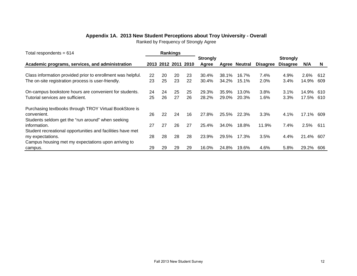#### **Appendix 1A. 2013 New Student Perceptions about Troy University - Overall**

Ranked by Frequency of Strongly Agree

| Total respondents = $614$                                   |    |    | <b>Rankings</b> |      |                 |       |                      |                 |                 |         |          |
|-------------------------------------------------------------|----|----|-----------------|------|-----------------|-------|----------------------|-----------------|-----------------|---------|----------|
|                                                             |    |    |                 |      | <b>Strongly</b> |       |                      |                 | <b>Strongly</b> |         |          |
| Academic programs, services, and administration             |    |    | 2013 2012 2011  | 2010 | Agree           |       | <b>Agree Neutral</b> | <b>Disagree</b> | <b>Disagree</b> | N/A     | <b>N</b> |
|                                                             |    |    |                 |      |                 |       |                      |                 |                 |         |          |
| Class information provided prior to enrollment was helpful. | 22 | 20 | 20              | 23   | 30.4%           | 38.1% | 16.7%                | 7.4%            | 4.9%            | 2.6%    | 612      |
| The on-site registration process is user-friendly.          | 23 | 25 | 23              | 22   | 30.4%           | 34.2% | 15.1%                | 2.0%            | 3.4%            | 14.9%   | 609      |
| On-campus bookstore hours are convenient for students.      | 24 | 24 | 25              | 25   | 29.3%           | 35.9% | 13.0%                | 3.8%            | 3.1%            | 14.9%   | 610      |
| Tutorial services are sufficient.                           | 25 | 26 | 27              | 26   | 28.2%           | 29.0% | 20.3%                | 1.6%            | 3.3%            | 17.5%   | 610      |
| Purchasing textbooks through TROY Virtual BookStore is      |    |    |                 |      |                 |       |                      |                 |                 |         |          |
| convenient.                                                 | 26 | 22 | 24              | 16   | 27.8%           | 25.5% | 22.3%                | 3.3%            | 4.1%            | 17.1%   | 609      |
| Students seldom get the "run around" when seeking           |    |    |                 |      |                 |       |                      |                 |                 |         |          |
| information.                                                | 27 | 27 | 26              | 27   | 25.4%           | 34.0% | 18.8%                | 11.9%           | 7.4%            | $2.5\%$ | -611     |
| Student recreational opportunities and facilities have met  |    |    |                 |      |                 |       |                      |                 |                 |         |          |
| my expectations.                                            | 28 | 28 | 28              | 28   | 23.9%           | 29.5% | 17.3%                | 3.5%            | 4.4%            | 21.4%   | 607      |
| Campus housing met my expectations upon arriving to         |    |    |                 |      |                 |       |                      |                 |                 |         |          |
| campus.                                                     | 29 | 29 | 29              | 29   | 16.0%           | 24.8% | 19.6%                | 4.6%            | 5.8%            | 29.2%   | 606      |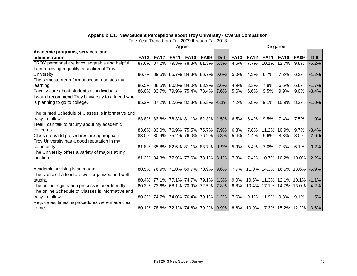#### **Appendix 1.1. New Student Perceptions about Troy University - Overall Comparison**

|                                                    |             |             | Agree       |             |                                                                 |             | <b>Disgaree</b> |             |                              |             |             |             |  |  |
|----------------------------------------------------|-------------|-------------|-------------|-------------|-----------------------------------------------------------------|-------------|-----------------|-------------|------------------------------|-------------|-------------|-------------|--|--|
| Academic programs, services, and                   |             |             |             |             |                                                                 |             |                 |             |                              |             |             |             |  |  |
| administration                                     | <b>FA13</b> | <b>FA12</b> | <b>FA11</b> | <b>FA10</b> | <b>FA09</b>                                                     | <b>Diff</b> | <b>FA13</b>     | <b>FA12</b> | <b>FA11</b>                  | <b>FA10</b> | <b>FA09</b> | <b>Diff</b> |  |  |
| TROY personnel are knowledgeable and helpful.      |             |             |             |             | 87.6% 87.2% 79.3% 78.3% 81.3%                                   | 6.3%        | 4.6%            | 7.7%        |                              | 10.1% 12.7% | 9.8%        | $-5.2%$     |  |  |
| I am receiving a quality education at Troy         |             |             |             |             |                                                                 |             |                 |             |                              |             |             |             |  |  |
| University.                                        |             |             |             |             | 86.7% 89.5% 85.7% 84.3% 86.7%                                   | $0.0\%$     | 5.0%            | 4.3%        | 6.7%                         | 7.2%        | $6.2\%$     | $-1.2%$     |  |  |
| The semester/term format accommodates my           |             |             |             |             |                                                                 |             |                 |             |                              |             |             |             |  |  |
| learning.                                          |             |             |             |             | 86.5% 88.5% 80.8% 84.0% 83.9%                                   | 2.6%        | 4.9%            | 3.3%        | 7.8%                         | 6.5%        | 6.6%        | $-1.7%$     |  |  |
| Faculty care about students as individuals.        |             |             |             |             | 86.0% 83.7% 79.9% 75.4% 78.4%                                   | 7.6%        | 5.6%            | 6.6%        | 9.5%                         | 9.9%        | $9.0\%$     | $-3.4%$     |  |  |
| I would recommend Troy University to a friend who  |             |             |             |             |                                                                 |             |                 |             |                              |             |             |             |  |  |
| is planning to go to college.                      |             |             |             |             | 85.2% 87.2% 82.6% 82.3% 85.3% -0.1%                             |             | 7.2%            | 5.8%        | $9.1\%$                      | 10.9% 8.2%  |             | $-1.0%$     |  |  |
|                                                    |             |             |             |             |                                                                 |             |                 |             |                              |             |             |             |  |  |
| The printed Schedule of Classes is informative and |             |             |             |             |                                                                 |             |                 |             |                              |             |             |             |  |  |
| easy to follow.                                    |             |             |             |             | 83.8% 83.8% 78.3% 81.1% 82.3%                                   | 1.5%        | 6.5%            | 6.4%        | $9.5\%$                      | 7.4%        | 7.5%        | $-1.0%$     |  |  |
| I feel I can talk to faculty about my academic     |             |             |             |             |                                                                 |             |                 |             |                              |             |             |             |  |  |
| concerns.                                          |             |             |             |             | 83.6% 83.0% 76.9% 75.5% 75.7%                                   | 7.9%        | 6.3%            | 7.8%        |                              | 11.2% 10.9% | 9.7%        | $-3.4%$     |  |  |
| Class drop/add procedures are appropriate.         |             |             |             |             | 83.0% 80.9% 75.2% 76.0% 76.2%                                   | 6.8%        | 5.4%            | 4.4%        | 9.6%                         | 8.3%        | $8.0\%$     | $-2.6%$     |  |  |
| Troy University has a good reputation in my        |             |             |             |             |                                                                 |             |                 |             |                              |             |             |             |  |  |
| community.                                         |             |             |             |             | 81.8% 85.8% 82.6% 81.1% 83.7% -1.9%                             |             | 5.9%            | 5.4%        | 7.0%                         | 7.8%        | $6.1\%$     | $-0.2%$     |  |  |
| The University offers a variety of majors at my    |             |             |             |             |                                                                 |             |                 |             |                              |             |             |             |  |  |
| location.                                          |             |             |             |             | 81.2% 84.3% 77.9% 77.6% 78.1%                                   | 3.1%        | 7.8%            |             | 7.4% 10.7% 10.2% 10.0%       |             |             | $-2.2%$     |  |  |
|                                                    |             |             |             |             |                                                                 |             |                 |             |                              |             |             |             |  |  |
| Academic advising is adequate.                     |             |             |             |             | 80.5% 76.9% 71.0% 69.7% 70.9%                                   | 9.6%        |                 |             | 7.7% 11.0% 14.3% 16.5% 13.6% |             |             | $-5.9%$     |  |  |
| The classes I attend are well organized and well   |             |             |             |             |                                                                 |             |                 |             |                              |             |             |             |  |  |
| taught.                                            |             |             |             |             | 80.4% 77.1% 77.1% 74.7% 79.1%                                   | 1.3%        | $9.0\%$         |             | 10.5% 11.3% 12.1% 10.1%      |             |             | $-1.1\%$    |  |  |
| The online registration process is user-friendly.  |             |             |             |             | 80.3% 73.6% 68.1% 70.9% 72.5%                                   | 7.8%        | 8.8%            |             | 10.4% 17.1% 14.7% 13.0%      |             |             | $-4.2%$     |  |  |
| The online Schedule of Classes is informative and  |             |             |             |             |                                                                 |             |                 |             |                              |             |             |             |  |  |
| easy to follow.                                    |             |             |             |             | 80.3% 74.7% 74.0% 76.4% 79.1%                                   | 1.2%        | 7.6%            | $9.1\%$     | 11.9% 9.8%                   |             | $9.1\%$     | $-1.5%$     |  |  |
| Reg. dates, times, & procedures were made clear    |             |             |             |             |                                                                 |             |                 |             |                              |             |             |             |  |  |
| to me.                                             |             |             |             |             | 80.1% 78.6% 72.1% 74.6% 79.2% 0.9% 8.6% 10.9% 17.3% 15.2% 12.2% |             |                 |             |                              |             |             | $-3.6\%$    |  |  |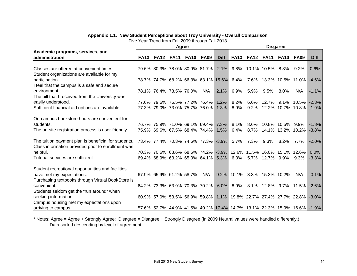#### **Appendix 1.1. New Student Perceptions about Troy University - Overall Comparison**

Five Year Trend from Fall 2009 through Fall 2013

|                                                      |             |                         | Agree |             |                                                                   |             | <b>Disgaree</b> |             |                                     |                   |             |             |  |  |
|------------------------------------------------------|-------------|-------------------------|-------|-------------|-------------------------------------------------------------------|-------------|-----------------|-------------|-------------------------------------|-------------------|-------------|-------------|--|--|
| Academic programs, services, and                     |             |                         |       |             |                                                                   |             |                 |             |                                     |                   |             |             |  |  |
| administration                                       | <b>FA13</b> | <b>FA12 FA11</b>        |       | <b>FA10</b> | <b>FA09</b>                                                       | <b>Diff</b> | <b>FA13</b>     | <b>FA12</b> | <b>FA11</b>                         | <b>FA10</b>       | <b>FA09</b> | <b>Diff</b> |  |  |
|                                                      |             |                         |       |             |                                                                   |             |                 |             |                                     |                   |             |             |  |  |
| Classes are offered at convenient times.             |             |                         |       |             | 79.6% 80.3% 78.0% 80.9% 81.7% -2.1%                               |             |                 |             | 9.8% 10.1% 10.5% 8.8%               |                   | 9.2%        | 0.6%        |  |  |
| Student organizations are available for my           |             |                         |       |             |                                                                   |             |                 |             |                                     |                   |             |             |  |  |
| participation.                                       |             |                         |       |             | 78.7% 74.7% 68.2% 66.3% 63.1% 15.6%                               |             | 6.4%            |             | 7.6% 13.3% 10.5% 11.0%              |                   |             | $-4.6%$     |  |  |
| I feel that the campus is a safe and secure          |             |                         |       |             |                                                                   |             |                 |             |                                     |                   |             |             |  |  |
| environment.                                         |             | 78.1% 76.4% 73.5% 76.0% |       |             | N/A                                                               | 2.1%        | 6.9%            | 5.9%        | $9.5\%$                             | $8.0\%$           | N/A         | $-1.1%$     |  |  |
| The bill that I received from the University was     |             |                         |       |             |                                                                   |             |                 |             |                                     |                   |             |             |  |  |
| easily understood.                                   |             |                         |       |             | 77.6% 79.6% 76.5% 77.2% 76.4%                                     | 1.2%        | 8.2%            | 6.6%        | 12.7%                               | $9.1\%$           | $10.5\%$    | $-2.3%$     |  |  |
| Sufficient financial aid options are available.      |             |                         |       |             | 77.3% 79.0% 73.0% 75.7% 76.0%                                     | 1.3%        | 8.9%            | 9.2%        |                                     | 12.2% 10.7% 10.8% |             | $-1.9%$     |  |  |
|                                                      |             |                         |       |             |                                                                   |             |                 |             |                                     |                   |             |             |  |  |
| On-campus bookstore hours are convenient for         |             |                         |       |             |                                                                   |             |                 |             |                                     |                   |             |             |  |  |
| students.                                            |             |                         |       |             | 76.7% 75.9% 71.0% 69.1% 69.4%                                     | 7.3%        | 8.1%            | 8.6%        |                                     | 10.8% 10.5% 9.9%  |             | $-1.8%$     |  |  |
| The on-site registration process is user-friendly.   |             |                         |       |             | 75.9% 69.6% 67.5% 68.4% 74.4%                                     | 1.5%        | 6.4%            | $8.7\%$     | 14.1% 13.2% 10.2%                   |                   |             | $-3.8%$     |  |  |
|                                                      |             |                         |       |             |                                                                   |             |                 |             |                                     |                   |             |             |  |  |
| The tuition payment plan is beneficial for students. |             |                         |       |             | 73.4% 77.4% 70.3% 74.6% 77.3%                                     | $-3.9\%$    | $5.7\%$         | 7.3%        | 9.3%                                | 8.2%              | 7.7%        | $-2.0%$     |  |  |
| Class information provided prior to enrollment was   |             |                         |       |             |                                                                   |             |                 |             |                                     |                   |             |             |  |  |
| helpful.                                             |             |                         |       |             | 70.3% 70.6% 68.6% 68.6% 74.2%                                     | $-3.9\%$    |                 |             | 12.6% 11.5% 16.0% 15.1% 12.6%       |                   |             | 0.0%        |  |  |
| Tutorial services are sufficient.                    |             |                         |       |             | 69.4% 68.9% 63.2% 65.0% 64.1%                                     | 5.3%        | 6.0%            |             | 5.7% 12.7% 9.9%                     |                   | 9.3%        | $-3.3%$     |  |  |
|                                                      |             |                         |       |             |                                                                   |             |                 |             |                                     |                   |             |             |  |  |
| Student recreational opportunities and facilities    |             |                         |       |             |                                                                   |             |                 |             |                                     |                   |             |             |  |  |
| have met my expectations.                            |             | 67.9% 65.9% 61.2% 58.7% |       |             | N/A                                                               | 9.2%        |                 |             | 10.1% 8.3% 15.3% 10.2%              |                   | N/A         | $-0.1%$     |  |  |
| Purchasing textbooks through Virtual BookStore is    |             |                         |       |             |                                                                   |             |                 |             |                                     |                   |             |             |  |  |
| convenient.                                          |             |                         |       |             | 64.2% 73.3% 63.9% 70.3% 70.2%                                     |             |                 |             | $-6.0\%$ 8.9% 8.1% 12.8% 9.7% 11.5% |                   |             | $-2.6%$     |  |  |
| Students seldom get the "run around" when            |             |                         |       |             |                                                                   |             |                 |             |                                     |                   |             |             |  |  |
| seeking information.                                 |             |                         |       |             | 60.9% 57.0% 53.5% 56.9% 59.8%                                     | 1.1%        |                 |             | 19.8% 22.7% 27.4% 27.7% 22.8%       |                   |             | $-3.0\%$    |  |  |
| Campus housing met my expectations upon              |             |                         |       |             |                                                                   |             |                 |             |                                     |                   |             |             |  |  |
| arriving to campus.                                  |             |                         |       |             | 57.6% 52.7% 44.9% 41.5% 40.2% 17.4% 14.7% 13.1% 22.3% 15.9% 16.6% |             |                 |             |                                     |                   |             | -1.9%       |  |  |

\* Notes: Agree = Agree + Strongly Agree; Disagree = Disagree + Strongly Disagree (in 2009 Neutral values were handled differently.) Data sorted descending by level of agreement.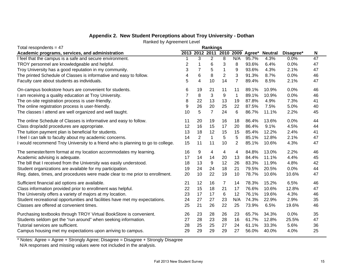## **Appendix 2. New Student Perceptions about Troy University - Dothan**

| Ranked by Agreement Level |
|---------------------------|
|---------------------------|

| Total resopndents = $47$                                                        |                |                | <b>Rankings</b> |                  |                |             |                |           |    |
|---------------------------------------------------------------------------------|----------------|----------------|-----------------|------------------|----------------|-------------|----------------|-----------|----|
| Academic programs, services, and administration                                 |                | 2013 2012 2011 |                 | 2010             |                | 2009 Agree* | <b>Neutral</b> | Disagree* | N  |
| I feel that the campus is a safe and secure environment.                        |                | 3              | $\overline{c}$  | 8                | N/A            | 95.7%       | 4.3%           | 0.0%      | 47 |
| TROY personnel are knowledgeable and helpful.                                   | $\overline{2}$ | 1              | 6               | 3                | 8              | 93.6%       | 6.4%           | 0.0%      | 47 |
| Troy University has a good reputation in my community.                          | 3              | $\overline{7}$ | 5               | $\mathbf 1$      | 9              | 93.6%       | 4.3%           | 2.1%      | 47 |
| The printed Schedule of Classes is informative and easy to follow.              | 4              | 6              | 8               | $\overline{2}$   | 3              | 91.3%       | 8.7%           | 0.0%      | 46 |
| Faculty care about students as individuals.                                     | 5              | $\overline{4}$ | 10              | 14               | $\overline{7}$ | 89.4%       | 8.5%           | 2.1%      | 47 |
| On-campus bookstore hours are convenient for students.                          | 6              | 19             | 21              | 11               | 11             | 89.1%       | 10.9%          | 0.0%      | 46 |
| I am receiving a quality education at Troy University.                          | $\overline{7}$ | 8              | 3               | $\boldsymbol{9}$ | $\mathbf{1}$   | 89.1%       | 10.9%          | 0.0%      | 46 |
| The on-site registration process is user-friendly.                              | 8              | 22             | 13              | 13               | 19             | 87.8%       | 4.9%           | 7.3%      | 41 |
| The online registration process is user-friendly.                               | 9              | 26             | 20              | 25               | 22             | 87.5%       | 7.5%           | 5.0%      | 40 |
| The classes I attend are well organized and well taught.                        | 10             | 5              | $\overline{7}$  | 24               | 6              | 86.7%       | 11.1%          | 2.2%      | 45 |
| The online Schedule of Classes is informative and easy to follow.               | 11             | 20             | 19              | 16               | 18             | 86.4%       | 13.6%          | 0.0%      | 44 |
| Class drop/add procedures are appropriate.                                      | 12             | 16             | 15              | 17               | 20             | 86.4%       | 9.1%           | 4.5%      | 44 |
| The tuition payment plan is beneficial for students.                            | 13             | 18             | 12              | 15               | 15             | 85.4%       | 12.2%          | 2.4%      | 41 |
| I feel I can talk to faculty about my academic concerns.                        | 14             | $\overline{2}$ | $\mathbf{1}$    | 5                | 5              | 85.1%       | 12.8%          | 2.1%      | 47 |
| I would recommend Troy University to a friend who is planning to go to college. | 15             | 11             | 11              | 10               | $\overline{2}$ | 85.1%       | 10.6%          | 4.3%      | 47 |
| The semester/term format at my location accommodates my learning.               | 16             | 9              | 4               | 4                | 4              | 84.8%       | 13.0%          | 2.2%      | 46 |
| Academic advising is adequate.                                                  | 17             | 14             | 14              | 20               | 13             | 84.4%       | 11.1%          | 4.4%      | 45 |
| The bill that I received from the University was easily understood.             | 18             | 13             | 9               | 12               | 26             | 83.3%       | 11.9%          | 4.8%      | 42 |
| Student organizations are available for my participation.                       | 19             | 24             | 24              | 18               | 21             | 79.5%       | 20.5%          | 0.0%      | 44 |
| Reg. dates, times, and procedures were made clear to me prior to enrollment.    | 20             | 10             | 22              | 19               | 10             | 78.7%       | 10.6%          | 10.6%     | 47 |
| Sufficient financial aid options are available.                                 | 21             | 12             | 16              | 7                | 14             | 78.3%       | 15.2%          | 6.5%      | 46 |
| Class information provided prior to enrollment was helpful.                     | 22             | 15             | 18              | 21               | 17             | 76.6%       | 10.6%          | 12.8%     | 47 |
| The University offers a variety of majors at my location.                       | 23             | 17             | 17              | 6                | 12             | 76.1%       | 19.6%          | 4.3%      | 46 |
| Student recreational opportunities and facilities have met my expectations.     | 24             | 27             | 27              | 23               | N/A            | 74.3%       | 22.9%          | 2.9%      | 35 |
| Classes are offered at convenient times.                                        | 25             | 21             | 26              | 22               | 25             | 73.9%       | 6.5%           | 19.6%     | 46 |
| Purchasing textbooks through TROY Virtual BookStore is convenient.              | 26             | 23             | 28              | 26               | 23             | 65.7%       | 34.3%          | 0.0%      | 35 |
| Students seldom get the "run around" when seeking information.                  | 27             | 28             | 23              | 28               | 16             | 61.7%       | 12.8%          | 25.5%     | 47 |
| Tutorial services are sufficient.                                               | 28             | 25             | 25              | 27               | 24             | 61.1%       | 33.3%          | 5.6%      | 36 |
| Campus housing met my expectations upon arriving to campus.                     | 29             | 29             | 29              | 29               | 27             | 56.0%       | 40.0%          | 4.0%      | 25 |

\* Notes: Agree = Agree + Strongly Agree; Disagree = Disagree + Strongly Disagree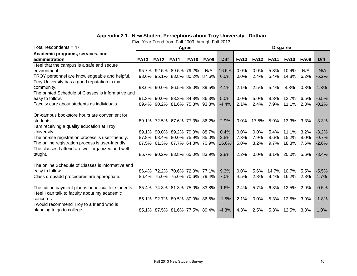## **Appendix 2.1. New Student Perceptions about Troy University - Dothan**

| Total resopndents = $47$                             |             |             |                               | Agree       |             | <b>Disgaree</b> |             |             |             |                 |             |             |  |
|------------------------------------------------------|-------------|-------------|-------------------------------|-------------|-------------|-----------------|-------------|-------------|-------------|-----------------|-------------|-------------|--|
| Academic programs, services, and                     |             |             |                               |             |             |                 |             |             |             |                 |             |             |  |
| administration                                       | <b>FA13</b> | <b>FA12</b> | <b>FA11</b>                   | <b>FA10</b> | <b>FA09</b> | <b>Diff</b>     | <b>FA13</b> | <b>FA12</b> | <b>FA11</b> | <b>FA10</b>     | <b>FA09</b> | <b>Diff</b> |  |
| I feel that the campus is a safe and secure          |             |             |                               |             |             |                 |             |             |             |                 |             |             |  |
| environment.                                         |             |             | 95.7% 92.5% 89.5% 79.2%       |             | N/A         | 16.5%           | 0.0%        | 0.0%        | 5.3%        | 10.4%           | N/A         | N/A         |  |
| TROY personnel are knowledgeable and helpful.        |             |             | 93.6% 95.1% 83.8% 80.2% 87.6% |             |             | 6.0%            | 0.0%        | 2.4%        | 5.4%        | 14.8%           | 6.2%        | $-6.2%$     |  |
| Troy University has a good reputation in my          |             |             |                               |             |             |                 |             |             |             |                 |             |             |  |
| community.                                           |             |             | 93.6% 90.0% 86.5% 85.0% 89.5% |             |             | 4.1%            | 2.1%        | 2.5%        | 5.4%        | $8.8\%$         | 0.8%        | 1.3%        |  |
| The printed Schedule of Classes is informative and   |             |             |                               |             |             |                 |             |             |             |                 |             |             |  |
| easy to follow.                                      |             |             | 91.3% 90.0% 83.3% 84.8% 86.3% |             |             | 5.0%            | 0.0%        | 5.0%        | 8.3%        | 12.7%           | 6.5%        | $-6.5%$     |  |
| Faculty care about students as individuals.          |             |             | 89.4% 90.2% 81.6% 75.3% 93.8% |             |             | $-4.4%$         | 2.1%        | 2.4%        | 7.9%        | 11.1%           | 2.3%        | $-0.2%$     |  |
|                                                      |             |             |                               |             |             |                 |             |             |             |                 |             |             |  |
| On-campus bookstore hours are convenient for         |             |             |                               |             |             |                 |             |             |             |                 |             |             |  |
| students.                                            |             |             | 89.1% 72.5% 67.6% 77.3% 86.2% |             |             | 2.9%            | 0.0%        | 17.5%       | 5.9%        | 13.3% 3.3%      |             | $-3.3%$     |  |
| I am receiving a quality education at Troy           |             |             |                               |             |             |                 |             |             |             |                 |             |             |  |
| University.                                          |             |             | 89.1% 90.0% 89.2% 79.0% 88.7% |             |             | 0.4%            | 0.0%        | 0.0%        | 5.4%        | 11.1%           | 3.2%        | $-3.2%$     |  |
| The on-site registration process is user-friendly.   | 87.8%       |             | 68.4% 80.0% 75.9% 85.0%       |             |             | 2.8%            | 7.3%        | 7.9%        | 8.6%        | 15.2%           | $8.0\%$     | $-0.7%$     |  |
| The online registration process is user-friendly.    |             |             | 87.5% 61.3% 67.7% 64.8% 70.9% |             |             | 16.6%           | 5.0%        | 3.2%        | 9.7%        | 18.3% 7.6%      |             | $-2.6%$     |  |
| The classes I attend are well organized and well     |             |             |                               |             |             |                 |             |             |             |                 |             |             |  |
| taught.                                              |             |             | 86.7% 90.2% 83.8% 65.0% 83.9% |             |             | 2.8%            | 2.2%        | $0.0\%$     |             | 8.1% 20.0% 5.6% |             | $-3.4%$     |  |
|                                                      |             |             |                               |             |             |                 |             |             |             |                 |             |             |  |
| The online Schedule of Classes is informative and    |             |             |                               |             |             |                 |             |             |             |                 |             |             |  |
| easy to follow.                                      |             |             | 86.4% 72.2% 70.6% 72.0% 77.1% |             |             | 9.3%            | 0.0%        | 5.6%        | 14.7%       | 10.7%           | 5.5%        | $-5.5%$     |  |
| Class drop/add procedures are appropriate.           |             |             | 86.4% 75.0% 75.0% 70.6% 79.4% |             |             | 7.0%            | 4.5%        | 2.8%        | $9.4\%$     | 16.2%           | 2.8%        | 1.7%        |  |
| The tuition payment plan is beneficial for students. |             |             | 85.4% 74.3% 81.3% 75.0% 83.8% |             |             | 1.6%            | 2.4%        | 5.7%        | 6.3%        | 12.5% 2.9%      |             | $-0.5%$     |  |
| I feel I can talk to faculty about my academic       |             |             |                               |             |             |                 |             |             |             |                 |             |             |  |
| concerns.                                            |             |             | 85.1% 92.7% 89.5% 80.0% 86.6% |             |             | $-1.5%$         | 2.1%        | 0.0%        | 5.3%        | 12.5% 3.9%      |             | $-1.8%$     |  |
| I would recommend Troy to a friend who is            |             |             |                               |             |             |                 |             |             |             |                 |             |             |  |
| planning to go to college.                           |             |             | 85.1% 87.5% 81.6% 77.5% 89.4% |             |             | $-4.3%$         | 4.3%        | 2.5%        | 5.3%        | 12.5% 3.3%      |             | 1.0%        |  |
|                                                      |             |             |                               |             |             |                 |             |             |             |                 |             |             |  |
|                                                      |             |             |                               |             |             |                 |             |             |             |                 |             |             |  |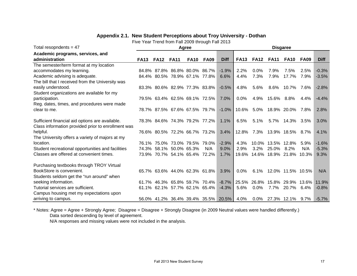| Total resopndents = $47$                           |             |             |                               | Agree       |             |             |             | <b>Disgaree</b> |                       |                   |       |             |  |  |
|----------------------------------------------------|-------------|-------------|-------------------------------|-------------|-------------|-------------|-------------|-----------------|-----------------------|-------------------|-------|-------------|--|--|
| Academic programs, services, and                   |             |             |                               |             |             |             |             |                 |                       |                   |       |             |  |  |
| administration                                     | <b>FA13</b> | <b>FA12</b> | <b>FA11</b>                   | <b>FA10</b> | <b>FA09</b> | <b>Diff</b> | <b>FA13</b> | <b>FA12</b>     | <b>FA11</b>           | FA10              | FA09  | <b>Diff</b> |  |  |
| The semester/term format at my location            |             |             |                               |             |             |             |             |                 |                       |                   |       |             |  |  |
| accommodates my learning.                          |             |             | 84.8% 87.8% 86.8% 80.0% 86.7% |             |             | $-1.9%$     | 2.2%        | 0.0%            | 7.9%                  | 7.5%              | 2.5%  | $-0.3%$     |  |  |
| Academic advising is adequate.                     |             |             | 84.4% 80.5% 78.9% 67.1% 77.8% |             |             | 6.6%        | 4.4%        | 7.3%            | 7.9%                  | 17.7%             | 7.9%  | $-3.5%$     |  |  |
| The bill that I received from the University was   |             |             |                               |             |             |             |             |                 |                       |                   |       |             |  |  |
| easily understood.                                 |             |             | 83.3% 80.6% 82.9% 77.3% 83.8% |             |             | $-0.5%$     | 4.8%        | 5.6%            | 8.6%                  | 10.7%             | 7.6%  | $-2.8%$     |  |  |
| Student organizations are available for my         |             |             |                               |             |             |             |             |                 |                       |                   |       |             |  |  |
| participation.                                     |             |             | 79.5% 63.4% 62.5% 69.1% 72.5% |             |             | 7.0%        | 0.0%        | 4.9%            | 15.6%                 | $8.8\%$           | 4.4%  | $-4.4%$     |  |  |
| Reg. dates, times, and procedures were made        |             |             |                               |             |             |             |             |                 |                       |                   |       |             |  |  |
| clear to me.                                       |             |             | 78.7% 87.5% 67.6% 67.5% 79.7% |             |             | $-1.0\%$    |             | 10.6% 5.0%      |                       | 18.9% 20.0%       | 7.8%  | 2.8%        |  |  |
|                                                    |             |             |                               |             |             |             |             |                 |                       |                   |       |             |  |  |
| Sufficient financial aid options are available.    |             |             | 78.3% 84.6% 74.3% 79.2% 77.2% |             |             | 1.1%        | 6.5%        | 5.1%            | 5.7%                  | 14.3%             | 3.5%  | 3.0%        |  |  |
| Class information provided prior to enrollment was |             |             |                               |             |             |             |             |                 |                       |                   |       |             |  |  |
| helpful.                                           |             |             | 76.6% 80.5% 72.2% 66.7% 73.2% |             |             | 3.4%        | 12.8%       | 7.3%            |                       | 13.9% 18.5% 8.7%  |       | 4.1%        |  |  |
| The University offers a variety of majors at my    |             |             |                               |             |             |             |             |                 |                       |                   |       |             |  |  |
| location.                                          |             |             | 76.1% 75.0% 73.0% 79.5% 79.0% |             |             | $-2.9%$     | 4.3%        | 10.0%           | 13.5%                 | 12.8%             | 5.9%  | $-1.6%$     |  |  |
| Student recreational opportunities and facilities  |             |             | 74.3% 58.1% 50.0% 65.3%       |             | N/A         | 9.0%        | 2.9%        | 3.2%            | 25.0%                 | 8.2%              | N/A   | $-5.3%$     |  |  |
| Classes are offered at convenient times.           |             |             | 73.9% 70.7% 54.1% 65.4% 72.2% |             |             | 1.7%        | 19.6%       |                 | 14.6% 18.9% 21.8%     |                   | 10.3% | 9.3%        |  |  |
|                                                    |             |             |                               |             |             |             |             |                 |                       |                   |       |             |  |  |
| Purchasing textbooks through TROY Virtual          |             |             |                               |             |             |             |             |                 |                       |                   |       |             |  |  |
| BookStore is convenient.                           |             |             | 65.7% 63.6% 44.0% 62.3% 61.8% |             |             | 3.9%        | 0.0%        | 6.1%            |                       | 12.0% 11.5% 10.5% |       | N/A         |  |  |
| Students seldom get the "run around" when          |             |             |                               |             |             |             |             |                 |                       |                   |       |             |  |  |
| seeking information.                               |             |             | 61.7% 46.3% 65.8% 59.7% 70.4% |             |             | $-8.7\%$    | 25.5%       | 26.8%           | 15.8%                 | 29.9%             | 13.6% | 11.9%       |  |  |
| Tutorial services are sufficient.                  |             |             | 61.1% 62.1% 57.7% 62.1% 65.4% |             |             | $-4.3%$     | 5.6%        | $0.0\%$         | $7.7\%$               | 20.7%             | 6.4%  | $-0.8%$     |  |  |
| Campus housing met my expectations upon            |             |             |                               |             |             |             |             |                 |                       |                   |       |             |  |  |
| arriving to campus.                                |             |             | 56.0% 41.2% 36.4% 39.4% 35.5% |             |             | $20.5\%$    | 4.0%        |                 | 0.0% 27.3% 12.1% 9.7% |                   |       | $-5.7%$     |  |  |

#### **Appendix 2.1. New Student Perceptions about Troy University - Dothan**

Five Year Trend from Fall 2009 through Fall 2013

\* Notes: Agree = Agree + Strongly Agree; Disagree = Disagree + Strongly Disagree (in 2009 Neutral values were handled differently.) Data sorted descending by level of agreement.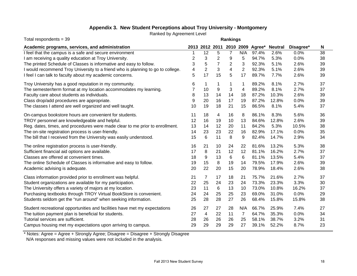## **Appendix 3. New Student Perceptions about Troy University - Montgomery**

Ranked by Agreement Level

| Total respondents = 39                                                          | <b>Rankings</b> |                 |                |                |     |                                 |                |           |    |  |
|---------------------------------------------------------------------------------|-----------------|-----------------|----------------|----------------|-----|---------------------------------|----------------|-----------|----|--|
| Academic programs, services, and administration                                 |                 |                 |                |                |     | 2013 2012 2011 2010 2009 Agree* | <b>Neutral</b> | Disagree* | N  |  |
| I feel that the campus is a safe and secure environment                         |                 | 12              | 5              | $\overline{7}$ | N/A | 97.4%                           | 2.6%           | 0.0%      | 38 |  |
| I am receiving a quality education at Troy University.                          | 2               | 3               | $\overline{c}$ | 9              | 5   | 94.7%                           | 5.3%           | 0.0%      | 38 |  |
| The printed Schedule of Classes is informative and easy to follow.              | 3               | 5               | $\overline{7}$ | 2              | 3   | 92.3%                           | 5.1%           | 2.6%      | 39 |  |
| I would recommend Troy University to a friend who is planning to go to college. | 4               | $\overline{2}$  | 3              | 4              | 2   | 92.3%                           | 5.1%           | 2.6%      | 39 |  |
| I feel I can talk to faculty about my academic concerns.                        | 5               | 17              | 15             | 5              | 17  | 89.7%                           | 7.7%           | 2.6%      | 39 |  |
| Troy University has a good reputation in my community.                          | 6               | 1               | 1              | 1              | 1   | 89.2%                           | 8.1%           | 2.7%      | 37 |  |
| The semester/term format at my location accommodates my learning.               |                 | 10              | 9              | 3              | 4   | 89.2%                           | 8.1%           | 2.7%      | 37 |  |
| Faculty care about students as individuals.                                     | 8               | 13              | 14             | 14             | 18  | 87.2%                           | 10.3%          | 2.6%      | 39 |  |
| Class drop/add procedures are appropriate.                                      | 9               | 20              | 16             | 17             | 19  | 87.2%                           | 12.8%          | 0.0%      | 39 |  |
| The classes I attend are well organized and well taught.                        | 10              | 19              | 18             | 21             | 15  | 86.5%                           | 8.1%           | 5.4%      | 37 |  |
| On-campus bookstore hours are convenient for students.                          | 11              | 18              | 4              | 16             | 8   | 86.1%                           | 8.3%           | 5.6%      | 36 |  |
| TROY personnel are knowledgeable and helpful.                                   | 12              | 16              | 19             | 10             | 13  | 84.6%                           | 12.8%          | 2.6%      | 39 |  |
| Reg. dates, times, and procedures were made clear to me prior to enrollment.    | 13              | 14              | 12             | 20             | 11  | 84.2%                           | 5.3%           | 10.5%     | 38 |  |
| The on-site registration process is user-friendly.                              | 14              | 23              | 23             | 22             | 16  | 82.9%                           | 17.1%          | 0.0%      | 35 |  |
| The bill that I received from the University was easily understood.             | 15              | $6\phantom{1}6$ | 11             | 8              | 9   | 82.4%                           | 14.7%          | 2.9%      | 34 |  |
| The online registration process is user-friendly.                               | 16              | 21              | 10             | 24             | 22  | 81.6%                           | 13.2%          | 5.3%      | 38 |  |
| Sufficient financial aid options are available.                                 | 17              | 8               | 21             | 12             | 12  | 81.1%                           | 16.2%          | 2.7%      | 37 |  |
| Classes are offered at convenient times.                                        | 18              | 9               | 13             | 6              | 6   | 81.1%                           | 13.5%          | 5.4%      | 37 |  |
| The online Schedule of Classes is informative and easy to follow.               | 19              | 15              | 8              | 19             | 14  | 79.5%                           | 17.9%          | 2.6%      | 39 |  |
| Academic advising is adequate.                                                  | 20              | 22              | 20             | 15             | 20  | 78.9%                           | 18.4%          | 2.6%      | 38 |  |
| Class information provided prior to enrollment was helpful.                     | 21              | $\overline{7}$  | 17             | 18             | 21  | 75.7%                           | 21.6%          | 2.7%      | 37 |  |
| Student organizations are available for my participation.                       | 22              | 25              | 24             | 23             | 24  | 73.3%                           | 23.3%          | 3.3%      | 30 |  |
| The University offers a variety of majors at my location.                       | 23              | 11              | 6              | 13             | 10  | 73.0%                           | 10.8%          | 16.2%     | 37 |  |
| Purchasing textbooks through TROY Virtual BookStore is convenient.              | 24              | 24              | 25             | 25             | 23  | 69.0%                           | 31.0%          | 0.0%      | 29 |  |
| Students seldom get the "run around" when seeking information.                  | 25              | 28              | 28             | 27             | 26  | 68.4%                           | 15.8%          | 15.8%     | 38 |  |
| Student recreational opportunities and facilities have met my expectations      | 26              | 27              | 27             | 28             | N/A | 66.7%                           | 25.9%          | 7.4%      | 27 |  |
| The tuition payment plan is beneficial for students.                            | 27              | 4               | 22             | 11             | 7   | 64.7%                           | 35.3%          | 0.0%      | 34 |  |
| Tutorial services are sufficient.                                               | 28              | 26              | 26             | 26             | 25  | 58.1%                           | 38.7%          | 3.2%      | 31 |  |
| Campus housing met my expectations upon arriving to campus.                     | 29              | 29              | 29             | 29             | 27  | 39.1%                           | 52.2%          | 8.7%      | 23 |  |

\* Notes: Agree = Agree + Strongly Agree; Disagree = Disagree + Strongly Disagree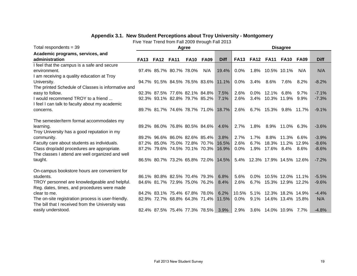| Total respondents = $39$                           | Agree       |                  |                               |             |             |             |             |             |                              | <b>Disagree</b> |             |             |
|----------------------------------------------------|-------------|------------------|-------------------------------|-------------|-------------|-------------|-------------|-------------|------------------------------|-----------------|-------------|-------------|
| Academic programs, services, and                   |             |                  |                               |             |             |             |             |             |                              |                 |             |             |
| administration                                     | <b>FA13</b> | <b>FA12 FA11</b> |                               | <b>FA10</b> | <b>FA09</b> | <b>Diff</b> | <b>FA13</b> | <b>FA12</b> | <b>FA11</b>                  | <b>FA10</b>     | <b>FA09</b> | <b>Diff</b> |
| I feel that the campus is a safe and secure        |             |                  |                               |             |             |             |             |             |                              |                 |             |             |
| environment.                                       |             |                  | 97.4% 85.7% 80.7% 78.0%       |             | N/A         | 19.4%       | $0.0\%$     |             | 1.8% 10.5% 10.1%             |                 | N/A         | N/A         |
| I am receiving a quality education at Troy         |             |                  |                               |             |             |             |             |             |                              |                 |             |             |
| University.                                        |             |                  | 94.7% 91.5% 84.5% 76.5% 83.6% |             |             | 11.1%       | $0.0\%$     | 3.4%        | 8.6%                         | 7.6%            | 8.2%        | $-8.2%$     |
| The printed Schedule of Classes is informative and |             |                  |                               |             |             |             |             |             |                              |                 |             |             |
| easy to follow.                                    |             |                  | 92.3% 87.5% 77.6% 82.1% 84.8% |             |             | 7.5%        | 2.6%        |             | $0.0\%$ 12.1% 6.8%           |                 | $9.7\%$     | $-7.1%$     |
| I would recommend TROY to a friend                 |             |                  | 92.3% 93.1% 82.8% 79.7% 85.2% |             |             | 7.1%        | 2.6%        | 3.4%        | 10.3% 11.9%                  |                 | 9.9%        | $-7.3%$     |
| I feel I can talk to faculty about my academic     |             |                  |                               |             |             |             |             |             |                              |                 |             |             |
| concerns.                                          |             |                  | 89.7% 81.7% 74.6% 78.7% 71.0% |             |             | 18.7%       | 2.6%        | $6.7\%$     | 15.3% 9.8%                   |                 | 11.7%       | $-9.1%$     |
|                                                    |             |                  |                               |             |             |             |             |             |                              |                 |             |             |
| The semester/term format accommodates my           |             |                  |                               |             |             |             |             |             |                              |                 |             |             |
| learning.                                          |             |                  | 89.2% 86.0% 76.8% 80.5% 84.6% |             |             | 4.6%        | 2.7%        | 1.8%        |                              | 8.9% 11.0% 6.3% |             | $-3.6%$     |
| Troy University has a good reputation in my        |             |                  |                               |             |             |             |             |             |                              |                 |             |             |
| community.                                         |             |                  | 89.2% 96.6% 86.0% 82.6% 85.4% |             |             | 3.8%        | 2.7%        | 1.7%        | 8.8%                         | 11.3%           | 6.6%        | $-3.9%$     |
| Faculty care about students as individuals.        |             |                  | 87.2% 85.0% 75.0% 72.8% 70.7% |             |             | 16.5%       | 2.6%        | 6.7%        | 18.3% 11.2% 12.9%            |                 |             | $-8.6%$     |
| Class drop/add procedures are appropriate.         |             |                  | 87.2% 79.6% 74.5% 70.1% 70.3% |             |             | 16.9%       | 0.0%        | 1.9%        | 17.6% 8.4%                   |                 | 8.6%        | $-8.6%$     |
| The classes I attend are well organized and well   |             |                  |                               |             |             |             |             |             |                              |                 |             |             |
| taught.                                            |             |                  | 86.5% 80.7% 73.2% 65.8% 72.0% |             |             | 14.5%       |             |             | 5.4% 12.3% 17.9% 14.5% 12.6% |                 |             | $-7.2%$     |
|                                                    |             |                  |                               |             |             |             |             |             |                              |                 |             |             |
| On-campus bookstore hours are convenient for       |             |                  |                               |             |             |             |             |             |                              |                 |             |             |
| students.                                          |             |                  | 86.1% 80.8% 82.5% 70.4% 79.3% |             |             | 6.8%        | 5.6%        | $0.0\%$     | 10.5% 12.0% 11.1%            |                 |             | $-5.5%$     |
| TROY personnel are knowledgeable and helpful.      |             |                  | 84.6% 81.7% 72.9% 75.0% 76.2% |             |             | 8.4%        | 2.6%        |             | 6.7% 15.3% 12.9% 12.2%       |                 |             | $-9.6%$     |
| Reg. dates, times, and procedures were made        |             |                  |                               |             |             |             |             |             |                              |                 |             |             |
| clear to me.                                       |             |                  | 84.2% 83.1% 75.4% 67.8% 78.0% |             |             | 6.2%        | 10.5%       |             | 5.1% 12.3% 18.2% 14.9%       |                 |             | $-4.4%$     |
| The on-site registration process is user-friendly. |             |                  | 82.9% 72.7% 68.8% 64.3% 71.4% |             |             | 11.5%       | $0.0\%$     |             | 9.1% 14.6% 13.4% 15.8%       |                 |             | N/A         |
| The bill that I received from the University was   |             |                  |                               |             |             |             |             |             |                              |                 |             |             |
| easily understood.                                 |             |                  | 82.4% 87.5% 75.4% 77.3% 78.5% |             |             | $3.9\%$     |             |             | 2.9% 3.6% 14.0% 10.9% 7.7%   |                 |             | $-4.8%$     |

#### **Appendix 3.1. New Student Perceptions about Troy University - Montgomery**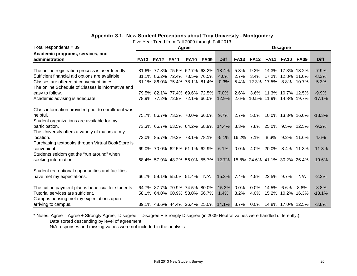## **Appendix 3.1. New Student Perceptions about Troy University - Montgomery**

Five Year Trend from Fall 2009 through Fall 2013

| <b>FA13</b> | <b>FA12</b>                                                                                                                                                                                                          | <b>FA10</b> | <b>FA09</b>                      | <b>Diff</b>                                                                                                                                                              | <b>FA13</b>                                                                                                                                                                                                                                  | <b>FA12</b>                                                                          | <b>FA11</b>                            | <b>FA10</b>  | FA09                                                | <b>Diff</b>                                                                                                                                                                                                                                                                                                                                              |
|-------------|----------------------------------------------------------------------------------------------------------------------------------------------------------------------------------------------------------------------|-------------|----------------------------------|--------------------------------------------------------------------------------------------------------------------------------------------------------------------------|----------------------------------------------------------------------------------------------------------------------------------------------------------------------------------------------------------------------------------------------|--------------------------------------------------------------------------------------|----------------------------------------|--------------|-----------------------------------------------------|----------------------------------------------------------------------------------------------------------------------------------------------------------------------------------------------------------------------------------------------------------------------------------------------------------------------------------------------------------|
|             |                                                                                                                                                                                                                      |             |                                  |                                                                                                                                                                          |                                                                                                                                                                                                                                              |                                                                                      |                                        |              |                                                     |                                                                                                                                                                                                                                                                                                                                                          |
|             |                                                                                                                                                                                                                      |             |                                  | 18.4%                                                                                                                                                                    | 5.3%                                                                                                                                                                                                                                         | $9.3\%$                                                                              |                                        |              |                                                     | $-7.9%$                                                                                                                                                                                                                                                                                                                                                  |
|             |                                                                                                                                                                                                                      |             |                                  | 4.6%                                                                                                                                                                     | 2.7%                                                                                                                                                                                                                                         | $3.4\%$                                                                              |                                        |              |                                                     | $-8.3%$                                                                                                                                                                                                                                                                                                                                                  |
|             |                                                                                                                                                                                                                      |             |                                  | $-0.3%$                                                                                                                                                                  | 5.4%                                                                                                                                                                                                                                         |                                                                                      |                                        |              |                                                     | $-5.3%$                                                                                                                                                                                                                                                                                                                                                  |
|             |                                                                                                                                                                                                                      |             |                                  |                                                                                                                                                                          |                                                                                                                                                                                                                                              |                                                                                      |                                        |              |                                                     |                                                                                                                                                                                                                                                                                                                                                          |
|             |                                                                                                                                                                                                                      |             |                                  | 7.0%                                                                                                                                                                     | 2.6%                                                                                                                                                                                                                                         |                                                                                      |                                        |              |                                                     | $-9.9%$                                                                                                                                                                                                                                                                                                                                                  |
|             |                                                                                                                                                                                                                      |             |                                  | 12.9%                                                                                                                                                                    | 2.6%                                                                                                                                                                                                                                         |                                                                                      |                                        |              |                                                     | $-17.1%$                                                                                                                                                                                                                                                                                                                                                 |
|             |                                                                                                                                                                                                                      |             |                                  |                                                                                                                                                                          |                                                                                                                                                                                                                                              |                                                                                      |                                        |              |                                                     |                                                                                                                                                                                                                                                                                                                                                          |
|             |                                                                                                                                                                                                                      |             |                                  |                                                                                                                                                                          |                                                                                                                                                                                                                                              |                                                                                      |                                        |              |                                                     | $-13.3%$                                                                                                                                                                                                                                                                                                                                                 |
|             |                                                                                                                                                                                                                      |             |                                  |                                                                                                                                                                          |                                                                                                                                                                                                                                              |                                                                                      |                                        |              |                                                     |                                                                                                                                                                                                                                                                                                                                                          |
|             |                                                                                                                                                                                                                      |             |                                  |                                                                                                                                                                          |                                                                                                                                                                                                                                              |                                                                                      |                                        |              |                                                     | $-9.2%$                                                                                                                                                                                                                                                                                                                                                  |
|             |                                                                                                                                                                                                                      |             |                                  |                                                                                                                                                                          |                                                                                                                                                                                                                                              |                                                                                      |                                        |              |                                                     |                                                                                                                                                                                                                                                                                                                                                          |
|             |                                                                                                                                                                                                                      |             |                                  |                                                                                                                                                                          |                                                                                                                                                                                                                                              |                                                                                      |                                        |              |                                                     | 4.6%                                                                                                                                                                                                                                                                                                                                                     |
|             |                                                                                                                                                                                                                      |             |                                  |                                                                                                                                                                          |                                                                                                                                                                                                                                              |                                                                                      |                                        |              |                                                     |                                                                                                                                                                                                                                                                                                                                                          |
|             |                                                                                                                                                                                                                      |             |                                  |                                                                                                                                                                          |                                                                                                                                                                                                                                              |                                                                                      |                                        |              |                                                     | $-11.3%$                                                                                                                                                                                                                                                                                                                                                 |
|             |                                                                                                                                                                                                                      |             |                                  |                                                                                                                                                                          |                                                                                                                                                                                                                                              |                                                                                      |                                        |              |                                                     |                                                                                                                                                                                                                                                                                                                                                          |
|             |                                                                                                                                                                                                                      |             |                                  |                                                                                                                                                                          |                                                                                                                                                                                                                                              |                                                                                      |                                        |              |                                                     | $-10.6%$                                                                                                                                                                                                                                                                                                                                                 |
|             |                                                                                                                                                                                                                      |             |                                  |                                                                                                                                                                          |                                                                                                                                                                                                                                              |                                                                                      |                                        |              |                                                     |                                                                                                                                                                                                                                                                                                                                                          |
|             |                                                                                                                                                                                                                      |             |                                  |                                                                                                                                                                          |                                                                                                                                                                                                                                              |                                                                                      |                                        |              |                                                     |                                                                                                                                                                                                                                                                                                                                                          |
|             |                                                                                                                                                                                                                      |             |                                  |                                                                                                                                                                          |                                                                                                                                                                                                                                              |                                                                                      |                                        |              |                                                     | $-2.3%$                                                                                                                                                                                                                                                                                                                                                  |
|             |                                                                                                                                                                                                                      |             |                                  |                                                                                                                                                                          |                                                                                                                                                                                                                                              |                                                                                      |                                        |              |                                                     |                                                                                                                                                                                                                                                                                                                                                          |
|             |                                                                                                                                                                                                                      |             |                                  |                                                                                                                                                                          |                                                                                                                                                                                                                                              |                                                                                      |                                        |              |                                                     | $-8.8%$                                                                                                                                                                                                                                                                                                                                                  |
|             |                                                                                                                                                                                                                      |             |                                  |                                                                                                                                                                          |                                                                                                                                                                                                                                              |                                                                                      |                                        |              |                                                     | $-13.1%$                                                                                                                                                                                                                                                                                                                                                 |
|             |                                                                                                                                                                                                                      |             |                                  |                                                                                                                                                                          |                                                                                                                                                                                                                                              |                                                                                      |                                        |              |                                                     |                                                                                                                                                                                                                                                                                                                                                          |
|             |                                                                                                                                                                                                                      |             |                                  |                                                                                                                                                                          |                                                                                                                                                                                                                                              |                                                                                      |                                        |              |                                                     | $-3.8%$                                                                                                                                                                                                                                                                                                                                                  |
|             | The online Schedule of Classes is informative and<br>Class information provided prior to enrollment was<br>Purchasing textbooks through Virtual BookStore is<br>The tuition payment plan is beneficial for students. | <b>FA11</b> | Agree<br>66.7% 59.1% 55.0% 51.4% | 81.6% 77.8% 75.5% 62.7% 63.2%<br>81.1% 86.2% 72.4% 73.5% 76.5%<br>81.1% 86.0% 75.4% 78.1% 81.4%<br>79.5% 82.1% 77.4% 69.6% 72.5%<br>78.9% 77.2% 72.9% 72.1% 66.0%<br>N/A | 75.7% 86.7% 73.3% 70.0% 66.0%<br>9.7%<br>14.4%<br>73.3% 66.7% 63.5% 64.2% 58.9%<br>73.0% 85.7% 79.3% 73.1% 78.1%<br>6.1%<br>69.0% 70.0% 62.5% 61.1% 62.9%<br>68.4% 57.9% 48.2% 56.0% 55.7%<br>15.3%<br>58.1% 64.0% 60.9% 58.0% 56.7%<br>1.4% | 2.7%<br>3.3%<br>0.0%<br>7.4%<br>64.7% 87.7% 70.9% 74.5% 80.0% -15.3%<br>0.0%<br>3.2% | $-5.1\%$ 16.2% 7.1%<br>$0.0\%$<br>4.0% | 3.6%<br>8.6% | <b>Disagree</b><br>4.5% 22.5% 9.7%<br>14.5%<br>6.6% | 14.3% 17.3% 13.2%<br>17.2% 12.8% 11.0%<br>12.3% 17.5% 8.8% 10.7%<br>11.3% 10.7% 12.5%<br>10.5% 11.9% 14.8% 19.7%<br>5.0% 10.0% 13.3% 16.0%<br>7.8% 25.0% 9.5% 12.5%<br>9.2% 11.6%<br>4.0% 20.0% 8.4% 11.3%<br>12.7% 15.8% 24.6% 41.1% 30.2% 26.4%<br>N/A<br>8.8%<br>15.2% 10.2% 16.3%<br>39.1% 48.6% 44.4% 26.4% 25.0% 14.1% 8.7% 0.0% 14.8% 17.0% 12.5% |

\* Notes: Agree = Agree + Strongly Agree; Disagree = Disagree + Strongly Disagree (in 2009 Neutral values were handled differently.) Data sorted descending by level of agreement.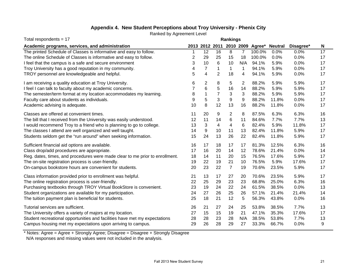## **Appendix 4. New Student Perceptions about Troy University - Phenix City**

Ranked by Agreement Level

| Total respondents = $17$                                                     | Rankings       |                         |                |                |                |                  |                |           |    |  |
|------------------------------------------------------------------------------|----------------|-------------------------|----------------|----------------|----------------|------------------|----------------|-----------|----|--|
| Academic programs, services, and administration                              |                | 2013 2012 2011          |                |                |                | 2010 2009 Agree* | <b>Neutral</b> | Disagree* | N  |  |
| The printed Schedule of Classes is informative and easy to follow.           |                | 12                      | 16             | 8              | $\overline{7}$ | 100.0%           | 0.0%           | 0.0%      | 17 |  |
| The online Schedule of Classes is informative and easy to follow.            | $\overline{2}$ | 29                      | 25             | 15             | 18             | 100.0%           | 0.0%           | 0.0%      | 17 |  |
| I feel that the campus is a safe and secure environment                      | 3              | 10                      | 6              | 10             | N/A            | 94.1%            | 5.9%           | 0.0%      | 17 |  |
| Troy University has a good reputation in my community.                       | 4              | $\overline{7}$          | 1              | $\mathbf 1$    | $\mathbf 1$    | 94.1%            | 5.9%           | 0.0%      | 17 |  |
| TROY personnel are knowledgeable and helpful.                                | 5              | $\overline{\mathbf{4}}$ | $\overline{2}$ | 18             | 4              | 94.1%            | 5.9%           | 0.0%      | 17 |  |
| I am receiving a quality education at Troy University.                       | 6              | $\overline{2}$          | 8              | 5              | 2              | 88.2%            | 5.9%           | 5.9%      | 17 |  |
| I feel I can talk to faculty about my academic concerns.                     |                | $\,6$                   | 5              | 16             | 14             | 88.2%            | 5.9%           | 5.9%      | 17 |  |
| The semester/term format at my location accommodates my learning.            | 8              | $\mathbf 1$             | $\overline{7}$ | 3              | 3              | 88.2%            | 5.9%           | 5.9%      | 17 |  |
| Faculty care about students as individuals.                                  | 9              | 5                       | 3              | 9              | 9              | 88.2%            | 11.8%          | 0.0%      | 17 |  |
| Academic advising is adequate.                                               | 10             | 8                       | 12             | 13             | 16             | 88.2%            | 11.8%          | 0.0%      | 17 |  |
| Classes are offered at convenient times.                                     | 11             | 20                      | 9              | 2              | 8              | 87.5%            | 6.3%           | 6.3%      | 16 |  |
| The bill that I received from the University was easily understood.          | 12             | 11                      | 14             | 6              | 11             | 84.6%            | 7.7%           | 7.7%      | 13 |  |
| I would recommend Troy to a friend who is planning to go to college.         | 13             | 3                       | 4              | 4              | 6              | 82.4%            | 5.9%           | 11.8%     | 17 |  |
| The classes I attend are well organized and well taught.                     | 14             | 9                       | 10             | 11             | 13             | 82.4%            | 11.8%          | 5.9%      | 17 |  |
| Students seldom get the "run around" when seeking information.               | 15             | 24                      | 13             | 26             | 22             | 82.4%            | 11.8%          | 5.9%      | 17 |  |
| Sufficient financial aid options are available.                              | 16             | 17                      | 18             | 17             | 17             | 81.3%            | 12.5%          | 6.3%      | 16 |  |
| Class drop/add procedures are appropriate.                                   | 17             | 16                      | 20             | 14             | 12             | 78.6%            | 21.4%          | 0.0%      | 14 |  |
| Reg. dates, times, and procedures were made clear to me prior to enrollment. | 18             | 14                      | 11             | 20             | 15             | 76.5%            | 17.6%          | 5.9%      | 17 |  |
| The on-site registration process is user-friendly.                           | 19             | 22                      | 19             | 21             | 10             | 76.5%            | 5.9%           | 17.6%     | 17 |  |
| On-campus bookstore hours are convenient for students.                       | 20             | 23                      | 22             | $\overline{7}$ | 19             | 70.6%            | 23.5%          | 5.9%      | 17 |  |
| Class information provided prior to enrollment was helpful.                  | 21             | 13                      | 17             | 27             | 20             | 70.6%            | 23.5%          | 5.9%      | 17 |  |
| The online registration process is user-friendly.                            | 22             | 25                      | 29             | 23             | 23             | 68.8%            | 25.0%          | 6.3%      | 16 |  |
| Purchasing textbooks through TROY Virtual BookStore is convenient.           | 23             | 19                      | 24             | 22             | 24             | 61.5%            | 38.5%          | 0.0%      | 13 |  |
| Student organizations are available for my participation.                    | 24             | 27                      | 26             | 25             | 26             | 57.1%            | 21.4%          | 21.4%     | 14 |  |
| The tuition payment plan is beneficial for students.                         | 25             | 18                      | 21             | 12             | 5              | 56.3%            | 43.8%          | 0.0%      | 16 |  |
| Tutorial services are sufficient.                                            | 26             | 21                      | 27             | 24             | 25             | 53.8%            | 38.5%          | 7.7%      | 13 |  |
| The University offers a variety of majors at my location.                    | 27             | 15                      | 15             | 19             | 21             | 47.1%            | 35.3%          | 17.6%     | 17 |  |
| Student recreational opportunities and facilities have met my expectations   | 28             | 28                      | 23             | 28             | N/A            | 38.5%            | 53.8%          | 7.7%      | 13 |  |
| Campus housing met my expectations upon arriving to campus.                  | 29             | 26                      | 28             | 29             | 27             | 33.3%            | 66.7%          | 0.0%      | 9  |  |

\* Notes: Agree = Agree + Strongly Agree; Disagree = Disagree + Strongly Disagree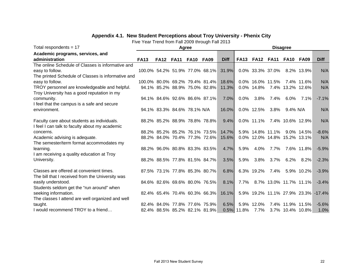## **Appendix 4.1. New Student Perceptions about Troy University - Phenix City**

| Total respondents $= 17$                           |             |                               | Agree       |             |                                |             |             |                  |                  | <b>Disagree</b>              |               |                                     |
|----------------------------------------------------|-------------|-------------------------------|-------------|-------------|--------------------------------|-------------|-------------|------------------|------------------|------------------------------|---------------|-------------------------------------|
| Academic programs, services, and                   |             |                               |             |             |                                |             |             |                  |                  |                              |               |                                     |
| administration                                     | <b>FA13</b> | <b>FA12</b>                   | <b>FA11</b> | <b>FA10</b> | <b>FA09</b>                    | <b>Diff</b> | <b>FA13</b> | <b>FA12</b>      | <b>FA11</b>      | <b>FA10</b>                  | <b>FA09</b>   | <b>Diff</b>                         |
| The online Schedule of Classes is informative and  |             |                               |             |             |                                |             |             |                  |                  |                              |               |                                     |
| easy to follow.                                    |             |                               |             |             | 100.0% 54.2% 51.9% 77.0% 68.1% | 31.9%       |             |                  | 0.0% 33.3% 37.0% |                              | 8.2% 13.9%    | N/A                                 |
| The printed Schedule of Classes is informative and |             |                               |             |             |                                |             |             |                  |                  |                              |               |                                     |
| easy to follow.                                    |             |                               |             |             | 100.0% 80.0% 69.2% 79.4% 81.4% | 18.6%       |             | 0.0% 16.0% 11.5% |                  |                              | 7.4% 11.6%    | N/A                                 |
| TROY personnel are knowledgeable and helpful.      |             |                               |             |             | 94.1% 85.2% 88.9% 75.0% 82.8%  | 11.3%       |             | 0.0% 14.8%       |                  | 7.4% 13.2% 12.6%             |               | N/A                                 |
| Troy University has a good reputation in my        |             |                               |             |             |                                |             |             |                  |                  |                              |               |                                     |
| community.                                         |             | 94.1% 84.6% 92.6% 86.6% 87.1% |             |             |                                | $7.0\%$     | $0.0\%$     | 3.8%             | 7.4%             | $6.0\%$                      | 7.1%          | $-7.1%$                             |
| I feel that the campus is a safe and secure        |             |                               |             |             |                                |             |             |                  |                  |                              |               |                                     |
| environment.                                       |             | 94.1% 83.3% 84.6% 78.1% N/A   |             |             |                                | 16.0%       |             | 0.0% 12.5%       | 3.8%             | 9.4% N/A                     |               | N/A                                 |
|                                                    |             |                               |             |             |                                |             |             |                  |                  |                              |               |                                     |
| Faculty care about students as individuals.        |             | 88.2% 85.2% 88.9% 78.8% 78.8% |             |             |                                | 9.4%        |             | 0.0% 11.1%       |                  | 7.4% 10.6% 12.9%             |               | N/A                                 |
| I feel I can talk to faculty about my academic     |             |                               |             |             |                                |             |             |                  |                  |                              |               |                                     |
| concerns.                                          |             | 88.2% 85.2% 85.2% 76.1% 73.5% |             |             |                                | 14.7%       |             | 5.9% 14.8% 11.1% |                  |                              | $9.0\%$ 14.5% | $-8.6%$                             |
| Academic advising is adequate.                     |             |                               |             |             | 88.2% 84.0% 70.4% 77.3% 72.6%  | 15.6%       |             |                  |                  | 0.0% 12.0% 14.8% 15.2% 13.1% |               | N/A                                 |
| The semester/term format accommodates my           |             |                               |             |             |                                |             |             |                  |                  |                              |               |                                     |
| learning.                                          |             | 88.2% 96.0% 80.8% 83.3% 83.5% |             |             |                                | 4.7%        | 5.9%        | 4.0%             | 7.7%             |                              | 7.6% 11.8%    | $-5.9%$                             |
| I am receiving a quality education at Troy         |             |                               |             |             |                                |             |             |                  |                  |                              |               |                                     |
| University.                                        |             | 88.2% 88.5% 77.8% 81.5% 84.7% |             |             |                                | 3.5%        | 5.9%        | 3.8%             | 3.7%             | 6.2%                         | 8.2%          | $-2.3%$                             |
|                                                    |             |                               |             |             |                                |             |             |                  |                  |                              |               |                                     |
| Classes are offered at convenient times.           |             | 87.5% 73.1% 77.8% 85.3% 80.7% |             |             |                                | 6.8%        |             | 6.3% 19.2%       | 7.4%             |                              | 5.9% 10.2%    | $-3.9%$                             |
| The bill that I received from the University was   |             |                               |             |             |                                |             |             |                  |                  |                              |               |                                     |
| easily understood.                                 |             | 84.6% 82.6% 69.6% 80.0% 76.5% |             |             |                                | 8.1%        | 7.7%        |                  |                  | 8.7% 13.0% 11.7% 11.1%       |               | $-3.4%$                             |
| Students seldom get the "run around" when          |             |                               |             |             |                                |             |             |                  |                  |                              |               |                                     |
| seeking information.                               |             |                               |             |             | 82.4% 65.4% 70.4% 60.3% 66.3%  | 16.1%       |             |                  |                  |                              |               | 5.9% 19.2% 11.1% 27.9% 23.3% -17.4% |
| The classes I attend are well organized and well   |             |                               |             |             |                                |             |             |                  |                  |                              |               |                                     |
| taught.                                            |             | 82.4% 84.0% 77.8% 77.6% 75.9% |             |             |                                | 6.5%        | $5.9\%$     | 12.0%            |                  | 7.4% 11.9% 11.5%             |               | $-5.6%$                             |
| I would recommend TROY to a friend                 |             | 82.4% 88.5% 85.2% 82.1% 81.9% |             |             |                                |             | 0.5% 11.8%  | 7.7%             |                  | 3.7% 10.4% 10.8%             |               | 1.0%                                |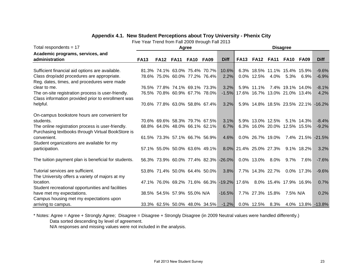| Total respondents = $17$                             |             |                             |             | Agree       |                               |                                                                   |                        |             |                  | <b>Disagree</b>               |               |                                     |
|------------------------------------------------------|-------------|-----------------------------|-------------|-------------|-------------------------------|-------------------------------------------------------------------|------------------------|-------------|------------------|-------------------------------|---------------|-------------------------------------|
| Academic programs, services, and                     |             |                             |             |             |                               |                                                                   |                        |             |                  |                               |               |                                     |
| administration                                       | <b>FA13</b> | <b>FA12</b>                 | <b>FA11</b> | <b>FA10</b> | <b>FA09</b>                   | <b>Diff</b>                                                       | <b>FA13</b>            | <b>FA12</b> | <b>FA11</b>      | FA <sub>10</sub>              | FA09          | <b>Diff</b>                         |
|                                                      |             |                             |             |             |                               |                                                                   |                        |             |                  |                               |               |                                     |
| Sufficient financial aid options are available.      |             |                             |             |             | 81.3% 74.1% 63.0% 75.4% 70.7% | 10.6%                                                             |                        |             |                  | 6.3% 18.5% 11.1% 15.4% 15.9%  |               | $-9.6%$                             |
| Class drop/add procedures are appropriate.           |             |                             |             |             | 78.6% 75.0% 60.0% 77.2% 76.4% | 2.2%                                                              |                        | 0.0% 12.5%  | 4.0%             |                               | 5.3% 6.9%     | $-6.9%$                             |
| Reg. dates, times, and procedures were made          |             |                             |             |             |                               |                                                                   |                        |             |                  |                               |               |                                     |
| clear to me.                                         |             |                             |             |             | 76.5% 77.8% 74.1% 69.1% 73.3% | 3.2%                                                              |                        | 5.9% 11.1%  |                  | 7.4% 19.1% 14.0%              |               | $-8.1%$                             |
| The on-site registration process is user-friendly.   |             |                             |             |             | 76.5% 70.8% 60.9% 67.7% 78.0% | $-1.5%$                                                           |                        |             |                  | 17.6% 16.7% 13.0% 21.0% 13.4% |               | 4.2%                                |
| Class information provided prior to enrollment was   |             |                             |             |             |                               |                                                                   |                        |             |                  |                               |               |                                     |
| helpful.                                             |             |                             |             |             | 70.6% 77.8% 63.0% 58.8% 67.4% | 3.2%                                                              |                        |             |                  |                               |               | 5.9% 14.8% 18.5% 23.5% 22.1% -16.2% |
|                                                      |             |                             |             |             |                               |                                                                   |                        |             |                  |                               |               |                                     |
| On-campus bookstore hours are convenient for         |             |                             |             |             |                               |                                                                   |                        |             |                  |                               |               |                                     |
| students.                                            |             |                             |             |             | 70.6% 69.6% 58.3% 79.7% 67.5% | 3.1%                                                              |                        |             | 5.9% 13.0% 12.5% |                               | 5.1% 14.3%    | $-8.4%$                             |
| The online registration process is user-friendly.    |             |                             |             |             | 68.8% 64.0% 48.0% 66.1% 62.1% | 6.7%                                                              |                        |             |                  | 6.3% 16.0% 20.0% 12.5% 15.5%  |               | $-9.2%$                             |
| Purchasing textbooks through Virtual BookStore is    |             |                             |             |             |                               |                                                                   |                        |             |                  |                               |               |                                     |
| convenient.                                          |             |                             |             |             | 61.5% 73.3% 57.1% 66.7% 56.9% | 4.6%                                                              |                        |             | 0.0% 26.7% 19.0% |                               | 7.4% 21.5%    | $-21.5%$                            |
| Student organizations are available for my           |             |                             |             |             |                               |                                                                   |                        |             |                  |                               |               |                                     |
| participation.                                       |             |                             |             |             | 57.1% 55.0% 50.0% 63.6% 49.1% |                                                                   | 8.0% 21.4% 25.0% 27.3% |             |                  |                               | 9.1% 18.2%    | 3.2%                                |
|                                                      |             |                             |             |             |                               |                                                                   |                        |             |                  |                               |               |                                     |
| The tuition payment plan is beneficial for students. |             |                             |             |             |                               | 56.3% 73.9% 60.0% 77.4% 82.3% -26.0%                              |                        | 0.0% 13.0%  | $8.0\%$          | $9.7\%$                       | 7.6%          | $-7.6%$                             |
|                                                      |             |                             |             |             |                               |                                                                   |                        |             |                  |                               |               |                                     |
| Tutorial services are sufficient.                    |             |                             |             |             | 53.8% 71.4% 50.0% 64.4% 50.0% | 3.8%                                                              |                        |             | 7.7% 14.3% 22.7% |                               | $0.0\%$ 17.3% | $-9.6%$                             |
| The University offers a variety of majors at my      |             |                             |             |             |                               |                                                                   |                        |             |                  |                               |               |                                     |
| location.                                            |             |                             |             |             |                               | 47.1% 76.0% 69.2% 71.6% 66.3% -19.2% 17.6% 8.0% 15.4% 17.9% 16.9% |                        |             |                  |                               |               | 0.7%                                |
| Student recreational opportunities and facilities    |             |                             |             |             |                               |                                                                   |                        |             |                  |                               |               |                                     |
| have met my expectations.                            |             | 38.5% 54.5% 57.9% 55.0% N/A |             |             |                               | $-16.5%$                                                          |                        |             | 7.7% 27.3% 15.8% | 7.5% N/A                      |               | 0.2%                                |
| Campus housing met my expectations upon              |             |                             |             |             |                               |                                                                   |                        |             |                  |                               |               |                                     |
| arriving to campus.                                  |             |                             |             |             | 33.3% 62.5% 50.0% 48.0% 34.5% | $-1.2\%$                                                          |                        |             | 0.0% 12.5% 8.3%  |                               |               | 4.0% 13.8% -13.8%                   |

#### **Appendix 4.1. New Student Perceptions about Troy University - Phenix City**

Five Year Trend from Fall 2009 through Fall 2013

\* Notes: Agree = Agree + Strongly Agree; Disagree = Disagree + Strongly Disagree (in 2009 Neutral values were handled differently.) Data sorted descending by level of agreement.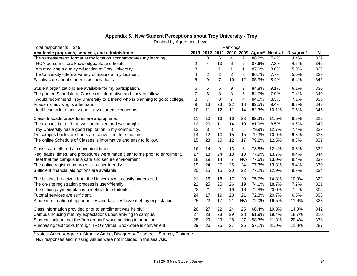#### **Appendix 5. New Student Perceptions about Troy University - Troy**

Ranked by Agreement Level

| Total respondents = 346                                                         |    |                |                | Rankings       |                |       |                                         |           |     |  |
|---------------------------------------------------------------------------------|----|----------------|----------------|----------------|----------------|-------|-----------------------------------------|-----------|-----|--|
| Academic programs, services, and administration                                 |    |                |                |                |                |       | 2013 2012 2011 2010 2009 Agree* Neutral | Disagree* | N   |  |
| The semester/term format at my location accommodates my learning.               |    | 3              | 6              | 4              | $\overline{7}$ | 88.2% | 7.4%                                    | 4.4%      | 339 |  |
| TROY personnel are knowledgeable and helpful.                                   | 2  | 4              | 13             | 6              | 2              | 87.6% | 7.8%                                    | 4.6%      | 346 |  |
| I am receiving a quality education at Troy University.                          | 3  | 1              | 1              | 1              | 1              | 87.0% | 8.0%                                    | 5.0%      | 339 |  |
| The University offers a variety of majors at my location.                       | 4  | $\overline{2}$ | $\overline{c}$ | $\overline{c}$ | 3              | 86.7% | 7.7%                                    | 5.6%      | 339 |  |
| Faculty care about students as individuals.                                     | 5  | 9              | $\overline{7}$ | 10             | 12             | 85.3% | 8.4%                                    | 6.4%      | 346 |  |
| Student organizations are available for my participation.                       | 6  | 5              | 5              | 9              | 9              | 84.8% | 9.1%                                    | 6.1%      | 330 |  |
| The printed Schedule of Classes is informative and easy to follow.              | 7  | $\,6$          | 8              | 3              | 6              | 84.7% | 7.9%                                    | 7.4%      | 340 |  |
| I would recommend Troy University to a friend who is planning to go to college. | 8  | 7              | 3              | $\overline{7}$ | 4              | 84.5% | 8.3%                                    | 7.1%      | 336 |  |
| Academic advising is adequate.                                                  | 9  | 13             | 23             | 22             | 18             | 82.5% | 9.4%                                    | 8.2%      | 342 |  |
| I feel I can talk to faculty about my academic concerns.                        | 10 | 11             | 12             | 11             | 14             | 82.3% | 10.1%                                   | 7.5%      | 345 |  |
| Class drop/add procedures are appropriate.                                      | 11 | 10             | 16             | 16             | 23             | 82.3% | 11.5%                                   | 6.2%      | 322 |  |
| The classes I attend are well organized and well taught.                        | 12 | 20             | 11             | 14             | 10             | 81.9% | 8.5%                                    | 9.6%      | 343 |  |
| Troy University has a good reputation in my community.                          | 13 | 8              | 4              | 8              | 5              | 79.9% | 12.7%                                   | 7.4%      | 339 |  |
| On-campus bookstore hours are convenient for students.                          | 14 | 12             | 10             | 15             | 15             | 79.3% | 10.9%                                   | 9.8%      | 338 |  |
| The online Schedule of Classes is informative and easy to follow.               | 15 | 23             | 20             | 12             | 17             | 79.2% | 12.5%                                   | 8.3%      | 337 |  |
| Classes are offered at convenient times.                                        | 16 | 14             | 9              | 13             | 8              | 78.8% | 12.4%                                   | 8.8%      | 339 |  |
| Reg. dates, times, and procedures were made clear to me prior to enrollment.    | 17 | 18             | 24             | 18             | 13             | 77.9% | 13.7%                                   | 8.4%      | 344 |  |
| I feel that the campus is a safe and secure environment                         | 18 | 19             | 14             | 5              | N/A            | 77.6% | 13.0%                                   | 9.4%      | 339 |  |
| The online registration process is user-friendly.                               | 19 | 24             | 27             | 25             | 24             | 77.3% | 13.3%                                   | 9.4%      | 330 |  |
| Sufficient financial aid options are available.                                 | 20 | 15             | 15             | 20             | 22             | 77.2% | 12.9%                                   | 9.9%      | 334 |  |
| The bill that I received from the University was easily understood.             | 21 | 16             | 18             | 17             | 20             | 75.7% | 14.3%                                   | 10.0%     | 329 |  |
| The on-site registration process is user-friendly.                              | 22 | 25             | 25             | 26             | 19             | 74.1% | 18.7%                                   | 7.2%      | 321 |  |
| The tuition payment plan is beneficial for students.                            | 23 | 21             | 21             | 19             | 16             | 72.8% | 20.0%                                   | 7.2%      | 305 |  |
| Tutorial services are sufficient.                                               | 24 | 17             | 19             | 23             | 21             | 72.8% | 20.7%                                   | 6.6%      | 305 |  |
| Student recreational opportunities and facilities have met my expectations      | 25 | 22             | 17             | 21             | N/A            | 72.0% | 16.5%                                   | 11.6%     | 328 |  |
| Class information provided prior to enrollment was helpful.                     | 26 | 27             | 22             | 24             | 25             | 66.4% | 19.3%                                   | 14.3%     | 342 |  |
| Campus housing met my expectations upon arriving to campus.                     | 27 | 28             | 28             | 29             | 28             | 61.9% | 19.4%                                   | 18.7%     | 310 |  |
| Students seldom get the "run around" when seeking information.                  | 28 | 29             | 29             | 28             | 27             | 58.3% | 21.3%                                   | 20.4%     | 338 |  |
| Purchasing textbooks through TROY Virtual BookStore is convenient.              | 29 | 26             | 26             | 27             | 26             | 57.1% | 31.0%                                   | 11.8%     | 287 |  |

\* Notes: Agree = Agree + Strongly Agree; Disagree = Disagree + Strongly Disagree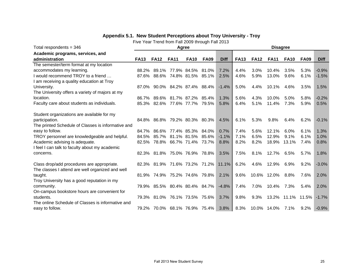## **Appendix 5.1. New Student Perceptions about Troy University - Troy**

| Total respondents = $346$                                                                      |             |             | Agree                         |                   |             |             |             |             | <b>Disagree</b> |             |             |             |
|------------------------------------------------------------------------------------------------|-------------|-------------|-------------------------------|-------------------|-------------|-------------|-------------|-------------|-----------------|-------------|-------------|-------------|
| Academic programs, services, and                                                               |             |             |                               |                   |             |             |             |             |                 |             |             |             |
| administration                                                                                 | <b>FA13</b> | <b>FA12</b> | <b>FA11</b>                   | <b>FA10</b>       | <b>FA09</b> | <b>Diff</b> | <b>FA13</b> | <b>FA12</b> | <b>FA11</b>     | <b>FA10</b> | <b>FA09</b> | <b>Diff</b> |
| The semester/term format at my location                                                        |             |             |                               |                   |             |             |             |             |                 |             |             |             |
| accommodates my learning.                                                                      | 88.2%       | 89.1%       |                               | 77.9% 84.5%       | 81.0%       | 7.2%        | 4.4%        | 3.0%        | 10.4%           | 3.5%        | 5.3%        | $-0.9%$     |
| I would recommend TROY to a friend                                                             | 87.6%       | 88.6%       |                               | 74.8% 81.5%       | 85.1%       | 2.5%        | 4.6%        | 5.9%        | 13.0%           | 9.6%        | 6.1%        | $-1.5%$     |
| I am receiving a quality education at Troy                                                     |             |             |                               |                   |             |             |             |             |                 |             |             |             |
| University.                                                                                    | 87.0%       |             | 90.0% 84.2% 87.4% 88.4%       |                   |             | $-1.4%$     | 5.0%        | 4.4%        | 10.1%           | 4.6%        | 3.5%        | 1.5%        |
| The University offers a variety of majors at my                                                |             |             |                               |                   |             |             |             |             |                 |             |             |             |
| location.                                                                                      | 86.7%       | 89.6%       |                               | 81.7% 87.2%       | 85.4%       | 1.3%        | 5.6%        | 4.3%        | 10.0%           | 5.0%        | 5.8%        | $-0.2%$     |
| Faculty care about students as individuals.                                                    | 85.3%       | 82.6%       |                               | 77.6% 77.7%       | 79.5%       | 5.8%        | 6.4%        | 5.1%        | 11.4%           | 7.3%        | 5.9%        | 0.5%        |
|                                                                                                |             |             |                               |                   |             |             |             |             |                 |             |             |             |
| Student organizations are available for my                                                     |             |             |                               |                   |             |             |             |             |                 |             |             |             |
| participation.                                                                                 | 84.8%       | 86.8%       |                               | 79.2% 80.3% 80.3% |             | 4.5%        | 6.1%        | 5.3%        | 9.8%            | 6.4%        | 6.2%        | $-0.1%$     |
| The printed Schedule of Classes is informative and                                             |             |             |                               |                   |             |             |             |             |                 |             |             |             |
| easy to follow.                                                                                | 84.7%       | 86.6%       |                               | 77.4% 85.3%       | 84.0%       | 0.7%        | 7.4%        | 5.6%        | 12.1%           | 6.0%        | 6.1%        | 1.3%        |
| TROY personnel are knowledgeable and helpful.                                                  | 84.5%       | 85.7%       |                               | 81.1% 81.5%       | 85.6%       | $-1.1%$     | 7.1%        | 6.5%        | 12.9%           | 9.1%        | 6.1%        | 1.0%        |
| Academic advising is adequate.                                                                 | 82.5%       | 78.8%       |                               | 66.7% 71.4%       | 73.7%       | 8.8%        | 8.2%        | 8.2%        | 18.9%           | 13.1%       | 7.4%        | 0.8%        |
| I feel I can talk to faculty about my academic                                                 |             |             |                               |                   |             |             |             |             |                 |             |             |             |
| concerns.                                                                                      |             | 82.3% 81.8% |                               | 75.0% 76.9%       | 78.8%       | 3.5%        | 7.5%        | 8.1%        | 12.7%           | 6.5%        | 5.7%        | 1.8%        |
|                                                                                                |             |             |                               |                   |             |             |             |             |                 |             |             |             |
| Class drop/add procedures are appropriate.<br>The classes I attend are well organized and well |             |             | 82.3% 81.9% 71.6% 73.2% 71.2% |                   |             | 11.1%       | 6.2%        | 4.6%        | 12.9%           | 6.9%        | 9.2%        | $-3.0%$     |
| taught.                                                                                        | 81.9%       | 74.9%       |                               | 75.2% 74.6%       | 79.8%       | 2.1%        | 9.6%        | 10.6%       | 12.0%           | 8.8%        | 7.6%        | 2.0%        |
| Troy University has a good reputation in my                                                    |             |             |                               |                   |             |             |             |             |                 |             |             |             |
| community.                                                                                     | 79.9%       |             | 85.5% 80.4% 80.4% 84.7%       |                   |             | $-4.8%$     | 7.4%        | 7.0%        | 10.4%           | 7.3%        | 5.4%        | 2.0%        |
| On-campus bookstore hours are convenient for                                                   |             |             |                               |                   |             |             |             |             |                 |             |             |             |
| students.                                                                                      | 79.3%       | 81.0%       |                               | 76.1% 73.5%       | 75.6%       | 3.7%        | 9.8%        | 9.3%        | 13.2%           | 11.1%       | 11.5%       | $-1.7%$     |
| The online Schedule of Classes is informative and                                              |             |             |                               |                   |             |             |             |             |                 |             |             |             |
| easy to follow.                                                                                | 79.2%       |             | 70.0% 68.1% 76.9% 75.4%       |                   |             |             | 8.3%        |             | 10.0% 14.0%     | 7.1%        | $9.2\%$     | $-0.9%$     |
|                                                                                                |             |             |                               |                   |             | 3.8%        |             |             |                 |             |             |             |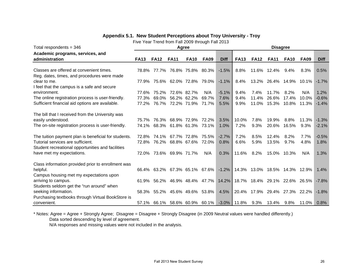#### **Appendix 5.1. New Student Perceptions about Troy University - Troy**

Five Year Trend from Fall 2009 through Fall 2013

| Total respondents = $346$                                                                                   |                |                | Agree                         |                            |                   |                 |                     |                               | <b>Disagree</b>            |              |                |                    |
|-------------------------------------------------------------------------------------------------------------|----------------|----------------|-------------------------------|----------------------------|-------------------|-----------------|---------------------|-------------------------------|----------------------------|--------------|----------------|--------------------|
| Academic programs, services, and<br>administration                                                          | <b>FA13</b>    | <b>FA12</b>    | <b>FA11</b>                   | <b>FA10</b>                | <b>FA09</b>       | <b>Diff</b>     | <b>FA13</b>         | <b>FA12</b>                   | <b>FA11</b>                | <b>FA10</b>  | <b>FA09</b>    | <b>Diff</b>        |
| Classes are offered at convenient times.                                                                    | 78.8%          | 77.7%          |                               | 76.8% 75.8%                | 80.3%             | $-1.5%$         | 8.8%                |                               | 11.6% 12.4%                | $9.4\%$      | 8.3%           | 0.5%               |
| Reg. dates, times, and procedures were made<br>clear to me.<br>I feel that the campus is a safe and secure  | 77.9%          |                | 75.6% 62.0% 72.8%             |                            | 79.0%             | $-1.1%$         | 8.4%                |                               | 13.2% 26.4% 14.9%          |              | 10.1%          | $-1.7%$            |
| environment.                                                                                                | 77.6%          | 75.2%          |                               | 72.6% 82.7%                | N/A               | $-5.1%$         | 9.4%                | 7.4%                          | 11.7%                      | 8.2%         | N/A            | 1.2%               |
| The online registration process is user-friendly.<br>Sufficient financial aid options are available.        | 77.3%<br>77.2% | 69.0%<br>76.7% |                               | 56.2% 62.2%<br>72.2% 71.9% | 69.7%<br>71.7%    | 7.6%<br>5.5%    | 9.4%<br>9.9%        | 11.4%                         | 26.6%<br>11.0% 15.3% 10.8% | 17.4%        | 10.0%<br>11.3% | $-0.6%$<br>$-1.4%$ |
| The bill that I received from the University was<br>easily understood.                                      | 75.7%          | 76.3%          |                               | 68.9% 72.9%                | 72.2%             | 3.5%            | 10.0%               | 7.8%                          | 19.9%                      | 8.8%         | 11.3%          | $-1.3%$            |
| The on-site registration process is user-friendly.                                                          | 74.1%          | 68.3%          |                               | 61.8% 61.3%                | 73.1%             | 1.0%            | 7.2%                | 9.3%                          | 20.6%                      | 16.5%        | 9.3%           | $-2.1%$            |
| The tuition payment plan is beneficial for students.<br>Tutorial services are sufficient.                   | 72.8%<br>72.8% | 74.1%<br>76.2% |                               | 67.7% 72.8%<br>68.8% 67.6% | 75.5%<br>72.0%    | $-2.7%$<br>0.8% | 7.2%<br>6.6%        | 8.5%<br>5.9%                  | 12.4%<br>13.5%             | 8.2%<br>9.7% | 7.7%<br>4.8%   | $-0.5%$<br>1.8%    |
| Student recreational opportunities and facilities                                                           |                |                |                               |                            |                   |                 |                     |                               |                            |              |                |                    |
| have met my expectations.                                                                                   | 72.0%          |                | 73.6% 69.9% 71.7%             |                            | N/A               | 0.3%            | 11.6%               | 8.2%                          |                            | 15.0% 10.3%  | N/A            | 1.3%               |
| Class information provided prior to enrollment was<br>helpful.                                              | 66.4%          | 63.2%          |                               | 67.3% 65.1% 67.6%          |                   | $-1.2%$         |                     | 14.3% 13.0% 18.5% 14.3%       |                            |              | 12.9%          | 1.4%               |
| Campus housing met my expectations upon<br>arriving to campus.<br>Students seldom get the "run around" when | 61.9%          | 56.2%          |                               |                            | 46.9% 48.4% 47.7% | 14.2%           |                     | 18.7% 18.4% 29.1% 22.6% 26.5% |                            |              |                | $-7.8%$            |
| seeking information.<br>Purchasing textbooks through Virtual BookStore is                                   | 58.3%          | 55.2%          |                               | 45.6% 49.6%                | 53.8%             | 4.5%            |                     | 20.4% 17.9% 29.4% 27.3% 22.2% |                            |              |                | $-1.8%$            |
| convenient.                                                                                                 |                |                | 57.1% 66.1% 58.6% 60.9% 60.1% |                            |                   |                 | $-3.0\%$ 11.8% 9.3% |                               | 13.4%                      | $9.8\%$      | 11.0%          | 0.8%               |

\* Notes: Agree = Agree + Strongly Agree; Disagree = Disagree + Strongly Disagree (in 2009 Neutral values were handled differently.) Data sorted descending by level of agreement.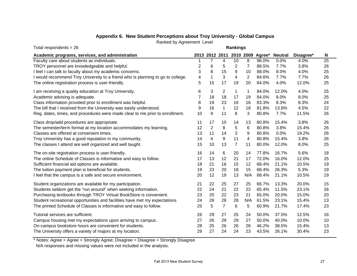## **Appendix 6. New Student Perceptions about Troy University - Global Campus**

Ranked by Agreement Level

| Total respondents = $26$                                                        | <b>Rankings</b> |                         |                |                |     |                                 |                |           |    |  |
|---------------------------------------------------------------------------------|-----------------|-------------------------|----------------|----------------|-----|---------------------------------|----------------|-----------|----|--|
| Academic programs, services, and administration                                 |                 |                         |                |                |     | 2013 2012 2011 2010 2009 Agree* | <b>Neutral</b> | Disagree* | N  |  |
| Faculty care about students as individuals.                                     |                 | 7                       | 4              | 10             | 8   | 96.0%                           | 0.0%           | 4.0%      | 25 |  |
| TROY personnel are knowledgeable and helpful.                                   | $\overline{c}$  | 6                       | 5              | 2              | 7   | 88.5%                           | 7.7%           | 3.8%      | 26 |  |
| I feel I can talk to faculty about my academic concerns.                        | 3               | 8                       | 15             | 9              | 10  | 88.0%                           | 8.0%           | 4.0%      | 25 |  |
| I would recommend Troy University to a friend who is planning to go to college. | 4               | 1                       | 3              | 4              | 2   | 84.6%                           | 7.7%           | 7.7%      | 26 |  |
| The online registration process is user-friendly.                               | 5               | 15                      | 17             | 19             | 20  | 84.0%                           | 4.0%           | 12.0%     | 25 |  |
| I am receiving a quality education at Troy University.                          | 6               | 3                       | $\overline{c}$ | 1              | 1   | 84.0%                           | 12.0%          | 4.0%      | 25 |  |
| Academic advising is adequate.                                                  | 7               | 18                      | 18             | 17             | 19  | 84.0%                           | 8.0%           | 8.0%      | 25 |  |
| Class information provided prior to enrollment was helpful.                     | 8               | 19                      | 23             | 16             | 16  | 83.3%                           | 8.3%           | 8.3%      | 24 |  |
| The bill that I received from the University was easily understood.             | 9               | 16                      | $\mathbf{1}$   | 12             | 18  | 81.8%                           | 13.6%          | 4.5%      | 22 |  |
| Reg. dates, times, and procedures were made clear to me prior to enrollment.    | 10              | 9                       | 11             | 8              | 3   | 80.8%                           | 7.7%           | 11.5%     | 26 |  |
| Class drop/add procedures are appropriate.                                      | 11              | 17                      | 10             | 14             | 13  | 80.8%                           | 15.4%          | 3.8%      | 26 |  |
| The semester/term format at my location accommodates my learning.               | 12              | 2                       | 8              | 5              | 6   | 80.8%                           | 3.8%           | 15.4%     | 26 |  |
| Classes are offered at convenient times.                                        | 13              | 11                      | 14             | 3              | 9   | 80.8%                           | 0.0%           | 19.2%     | 26 |  |
| Troy University has a good reputation in my community.                          | 14              | $\overline{\mathbf{4}}$ | 9              | 11             | 4   | 80.8%                           | 15.4%          | 3.8%      | 26 |  |
| The classes I attend are well organized and well taught.                        | 15              | 10                      | 13             | $\overline{7}$ | 11  | 80.0%                           | 12.0%          | 8.0%      | 25 |  |
| The on-site registration process is user-friendly.                              | 16              | 14                      | 6              | 20             | 14  | 77.8%                           | 16.7%          | 5.6%      | 18 |  |
| The online Schedule of Classes is informative and easy to follow.               | 17              | 13                      | 12             | 21             | 17  | 72.0%                           | 16.0%          | 12.0%     | 25 |  |
| Sufficient financial aid options are available.                                 | 18              | 21                      | 16             | 15             | 12  | 68.4%                           | 21.1%          | 10.5%     | 19 |  |
| The tuition payment plan is beneficial for students.                            | 19              | 23                      | 20             | 18             | 15  | 68.4%                           | 26.3%          | 5.3%      | 19 |  |
| I feel that the campus is a safe and secure environment.                        | 20              | 12                      | 19             | 13             | N/A | 68.4%                           | 21.1%          | 10.5%     | 19 |  |
| Student organizations are available for my participation.                       | 21              | 22                      | 25             | 27             | 25  | 66.7%                           | 13.3%          | 20.0%     | 15 |  |
| Students seldom get the "run around" when seeking information.                  | 22              | 24                      | 21             | 22             | 22  | 65.4%                           | 11.5%          | 23.1%     | 26 |  |
| Purchasing textbooks through TROY Virtual BookStore is convenient.              | 23              | 20                      | 22             | 23             | 21  | 65.0%                           | 20.0%          | 15.0%     | 20 |  |
| Student recreational opportunities and facilities have met my expectations      | 24              | 28                      | 28             | 28             | N/A | 61.5%                           | 23.1%          | 15.4%     | 13 |  |
| The printed Schedule of Classes is informative and easy to follow.              | 25              | 5                       | $\overline{7}$ | 6              | 5   | 60.9%                           | 21.7%          | 17.4%     | 23 |  |
| Tutorial services are sufficient.                                               | 26              | 29                      | 27             | 25             | 24  | 50.0%                           | 37.5%          | 12.5%     | 16 |  |
| Campus housing met my expectations upon arriving to campus.                     | 27              | 26                      | 29             | 29             | 27  | 50.0%                           | 40.0%          | 10.0%     | 10 |  |
| On-campus bookstore hours are convenient for students.                          | 28              | 25                      | 26             | 26             | 26  | 46.2%                           | 38.5%          | 15.4%     | 13 |  |
| The University offers a variety of majors at my location.                       | 29              | 27                      | 24             | 24             | 23  | 43.5%                           | 26.1%          | 30.4%     | 23 |  |

\* Notes: Agree = Agree + Strongly Agree; Disagree = Disagree + Strongly Disagree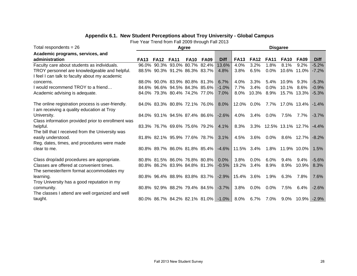### **Appendix 6.1. New Student Perceptions about Troy University - Global Campus**

| Total respondents = $26$                                          |             |             |                                    | Agree       |             |                                     |             |             |             | <b>Disgaree</b>   |             |             |
|-------------------------------------------------------------------|-------------|-------------|------------------------------------|-------------|-------------|-------------------------------------|-------------|-------------|-------------|-------------------|-------------|-------------|
| Academic programs, services, and                                  |             |             |                                    |             |             |                                     |             |             |             |                   |             |             |
| administration                                                    | <b>FA13</b> | <b>FA12</b> | <b>FA11</b>                        | <b>FA10</b> | <b>FA09</b> | <b>Diff</b>                         | <b>FA13</b> | <b>FA12</b> | <b>FA11</b> | <b>FA10</b>       | <b>FA09</b> | <b>Diff</b> |
| Faculty care about students as individuals.                       |             |             | 96.0% 90.3% 93.0% 80.7% 82.4%      |             |             | 13.6%                               | 4.0%        | 3.2%        | 1.8%        | 8.1%              | 9.2%        | $-5.2%$     |
| TROY personnel are knowledgeable and helpful.                     |             |             | 88.5% 90.3% 91.2% 86.3% 83.7%      |             |             | 4.8%                                | 3.8%        | 6.5%        | $0.0\%$     |                   | 10.6% 11.0% | $-7.2%$     |
| I feel I can talk to faculty about my academic                    |             |             |                                    |             |             |                                     |             |             |             |                   |             |             |
| concerns.                                                         |             |             | 88.0% 90.0% 83.9% 80.8% 81.3%      |             |             | 6.7%                                | 4.0%        | 3.3%        | $5.4\%$     | 10.9%             | 9.3%        | $-5.3%$     |
| I would recommend TROY to a friend                                |             |             | 84.6% 96.6% 94.5% 84.3% 85.6%      |             |             | $-1.0%$                             | 7.7%        | 3.4%        | 0.0%        | 10.1% 8.6%        |             | $-0.9%$     |
| Academic advising is adequate.                                    |             |             | 84.0% 79.3% 80.4% 74.2% 77.0%      |             |             | 7.0%                                | $8.0\%$     | 10.3%       | 8.9%        |                   | 15.7% 13.3% | $-5.3%$     |
|                                                                   |             |             |                                    |             |             |                                     |             |             |             |                   |             |             |
| The online registration process is user-friendly.                 |             |             | 84.0% 83.3% 80.8% 72.1% 76.0%      |             |             | 8.0%                                |             | 12.0% 0.0%  | 7.7%        |                   | 17.0% 13.4% | $-1.4%$     |
| I am receiving a quality education at Troy                        |             |             | 84.0% 93.1% 94.5% 87.4% 86.6%      |             |             | $-2.6%$                             | $4.0\%$     |             | $0.0\%$     |                   |             | $-3.7%$     |
| University.<br>Class information provided prior to enrollment was |             |             |                                    |             |             |                                     |             | $3.4\%$     |             | 7.5%              | 7.7%        |             |
| helpful.                                                          |             |             | 83.3% 76.7% 69.6% 75.6% 79.2% 4.1% |             |             |                                     | 8.3%        | $3.3\%$     |             | 12.5% 13.1% 12.7% |             | $-4.4%$     |
| The bill that I received from the University was                  |             |             |                                    |             |             |                                     |             |             |             |                   |             |             |
| easily understood.                                                |             |             | 81.8% 82.1% 95.9% 77.6% 78.7%      |             |             | $3.1\%$                             | 4.5%        | 3.6%        | $0.0\%$     |                   | 8.6% 12.7%  | $-8.2%$     |
| Reg. dates, times, and procedures were made                       |             |             |                                    |             |             |                                     |             |             |             |                   |             |             |
| clear to me.                                                      |             |             | 80.8% 89.7% 86.0% 81.8% 85.4%      |             |             | $-4.6\%$                            | 11.5% 3.4%  |             |             | 1.8% 11.9% 10.0%  |             | 1.5%        |
|                                                                   |             |             |                                    |             |             |                                     |             |             |             |                   |             |             |
| Class drop/add procedures are appropriate.                        |             |             | 80.8% 81.5% 86.0% 76.8% 80.8%      |             |             | $0.0\%$                             | 3.8%        | $0.0\%$     | 6.0%        | $9.4\%$           | 9.4%        | $-5.6%$     |
| Classes are offered at convenient times.                          |             |             | 80.8% 86.2% 83.9% 84.8% 81.3%      |             |             | $-0.5%$                             | 19.2%       | $3.4\%$     | 8.9%        | 8.9%              | $10.9\%$    | 8.3%        |
| The semester/term format accommodates my                          |             |             |                                    |             |             |                                     |             |             |             |                   |             |             |
| learning.                                                         |             |             | 80.8% 96.4% 88.9% 83.8% 83.7%      |             |             | $-2.9%$                             | 15.4% 3.6%  |             | 1.9%        | 6.3%              | 7.8%        | 7.6%        |
| Troy University has a good reputation in my                       |             |             |                                    |             |             |                                     |             |             |             |                   |             |             |
| community.                                                        |             |             | 80.8% 92.9% 88.2% 79.4% 84.5%      |             |             | $-3.7\%$                            | 3.8%        | $0.0\%$     | $0.0\%$     | 7.5%              | 6.4%        | $-2.6%$     |
| The classes I attend are well organized and well                  |             |             |                                    |             |             |                                     |             |             |             |                   |             |             |
| taught.                                                           |             |             |                                    |             |             | 80.0% 86.7% 84.2% 82.1% 81.0% -1.0% | 8.0%        | $6.7\%$     | 7.0%        | 9.0%              | $10.9\%$    | $-2.9%$     |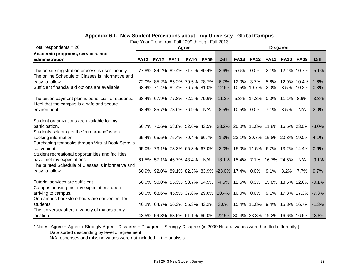#### **Appendix 6.1. New Student Perceptions about Troy University - Global Campus**

Five Year Trend from Fall 2009 through Fall 2013

| Total respondents = $26$                                       |             |             |                               | Agree       |             |                                                                          |                              |                            |             | <b>Disgaree</b> |                                     |             |
|----------------------------------------------------------------|-------------|-------------|-------------------------------|-------------|-------------|--------------------------------------------------------------------------|------------------------------|----------------------------|-------------|-----------------|-------------------------------------|-------------|
| Academic programs, services, and                               |             |             |                               |             |             |                                                                          |                              |                            |             |                 |                                     |             |
| administration                                                 | <b>FA13</b> | <b>FA12</b> | <b>FA11</b>                   | <b>FA10</b> | <b>FA09</b> | <b>Diff</b>                                                              | <b>FA13</b>                  | <b>FA12</b>                | <b>FA11</b> | <b>FA10</b>     | <b>FA09</b>                         | <b>Diff</b> |
|                                                                |             |             |                               |             |             |                                                                          |                              |                            |             |                 |                                     |             |
| The on-site registration process is user-friendly.             |             |             | 77.8% 84.2% 89.4% 71.6% 80.4% |             |             | $-2.6\%$                                                                 | 5.6%                         | $0.0\%$                    |             |                 | 2.1% 12.1% 10.7%                    | $-5.1%$     |
| The online Schedule of Classes is informative and              |             |             |                               |             |             |                                                                          |                              |                            |             |                 |                                     |             |
| easy to follow.                                                |             |             | 72.0% 85.2% 85.2% 70.5% 78.7% |             |             | $-6.7\%$                                                                 | 12.0%                        | 3.7%                       | 5.6%        |                 | 12.9% 10.4%                         | 1.6%        |
| Sufficient financial aid options are available.                |             |             |                               |             |             | 68.4% 71.4% 82.4% 76.7% 81.0% -12.6% 10.5% 10.7%                         |                              |                            | $2.0\%$     |                 | 8.5% 10.2%                          | 0.3%        |
|                                                                |             |             |                               |             |             |                                                                          |                              |                            |             |                 |                                     |             |
| The tuition payment plan is beneficial for students.           |             |             |                               |             |             | 68.4% 67.9% 77.8% 72.2% 79.6% -11.2%                                     |                              | 5.3% 14.3% 0.0% 11.1% 8.6% |             |                 |                                     | $-3.3%$     |
| I feel that the campus is a safe and secure<br>environment.    |             |             | 68.4% 85.7% 78.6% 76.9%       |             | N/A         | $-8.5%$                                                                  | 10.5% 0.0%                   |                            | 7.1%        | 8.5%            | N/A                                 | 2.0%        |
|                                                                |             |             |                               |             |             |                                                                          |                              |                            |             |                 |                                     |             |
| Student organizations are available for my                     |             |             |                               |             |             |                                                                          |                              |                            |             |                 |                                     |             |
| participation.                                                 |             |             |                               |             |             | 66.7% 70.6% 58.8% 52.6% 43.5% 23.2% 20.0% 11.8% 11.8% 16.5% 23.0%        |                              |                            |             |                 |                                     | $-3.0%$     |
| Students seldom get the "run around" when                      |             |             |                               |             |             |                                                                          |                              |                            |             |                 |                                     |             |
| seeking information.                                           |             |             | 65.4% 65.5% 75.4% 70.4% 66.7% |             |             |                                                                          |                              |                            |             |                 | -1.3% 23.1% 20.7% 15.8% 20.8% 19.0% | 4.1%        |
| Purchasing textbooks through Virtual Book Store is             |             |             |                               |             |             |                                                                          |                              |                            |             |                 |                                     |             |
| convenient.                                                    |             |             | 65.0% 73.1% 73.3% 65.3% 67.0% |             |             |                                                                          |                              |                            |             |                 | -2.0% 15.0% 11.5% 6.7% 13.2% 14.4%  | 0.6%        |
| Student recreational opportunities and facilities              |             |             |                               |             |             |                                                                          |                              |                            |             |                 |                                     |             |
| have met my expectations.                                      |             |             | 61.5% 57.1% 46.7% 43.4%       |             | N/A         |                                                                          | 18.1% 15.4% 7.1% 16.7% 24.5% |                            |             |                 | N/A                                 | $-9.1%$     |
| The printed Schedule of Classes is informative and             |             |             |                               |             |             |                                                                          |                              |                            |             |                 |                                     |             |
| easy to follow.                                                |             |             |                               |             |             | 60.9% 92.0% 89.1% 82.3% 83.9% -23.0% 17.4% 0.0%                          |                              |                            | $9.1\%$     | $8.2\%$         | 7.7%                                | 9.7%        |
|                                                                |             |             |                               |             |             |                                                                          |                              |                            |             |                 |                                     |             |
| Tutorial services are sufficient.                              |             |             | 50.0% 50.0% 55.3% 58.7% 54.5% |             |             |                                                                          |                              |                            |             |                 | -4.5% 12.5% 8.3% 15.8% 13.5% 12.6%  | $-0.1%$     |
| Campus housing met my expectations upon<br>arriving to campus. |             |             |                               |             |             | 50.0% 63.6% 45.5% 37.8% 29.6% 20.4%                                      |                              | 10.0% 0.0%                 | 9.1%        |                 | 17.8% 17.3%                         | $-7.3%$     |
| On-campus bookstore hours are convenient for                   |             |             |                               |             |             |                                                                          |                              |                            |             |                 |                                     |             |
| students.                                                      |             |             | 46.2% 64.7% 56.3% 55.3% 43.2% |             |             | 3.0%                                                                     |                              |                            |             |                 | 15.4% 11.8% 9.4% 15.8% 16.7%        | $-1.3%$     |
| The University offers a variety of majors at my                |             |             |                               |             |             |                                                                          |                              |                            |             |                 |                                     |             |
| location.                                                      |             |             |                               |             |             | 43.5% 59.3% 63.5% 61.1% 66.0% -22.5% 30.4% 33.3% 19.2% 16.6% 16.6% 13.8% |                              |                            |             |                 |                                     |             |

\* Notes: Agree = Agree + Strongly Agree; Disagree = Disagree + Strongly Disagree (in 2009 Neutral values were handled differently.) Data sorted descending by level of agreement.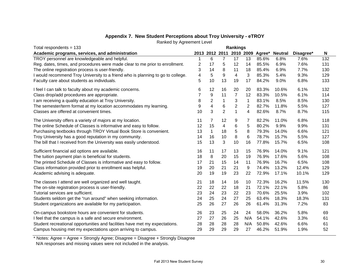| Total respondents = 133                                                         | <b>Rankings</b> |             |                |                   |                |                                 |                |           |     |  |
|---------------------------------------------------------------------------------|-----------------|-------------|----------------|-------------------|----------------|---------------------------------|----------------|-----------|-----|--|
| Academic programs, services, and administration                                 |                 |             |                |                   |                | 2013 2012 2011 2010 2009 Agree* | <b>Neutral</b> | Disagree* | N   |  |
| TROY personnel are knowledgeable and helpful.                                   | 1               | 6           | $\overline{7}$ | 17                | 13             | 85.6%                           | 6.8%           | 7.6%      | 132 |  |
| Reg. dates, times, and procedures were made clear to me prior to enrollment.    | 2               | 17          | 5              | $12 \overline{ }$ | 14             | 85.5%                           | 6.9%           | 7.6%      | 131 |  |
| The online registration process is user-friendly.                               | 3               | 14          | 8              | 11                | 18             | 85.4%                           | 6.9%           | 7.7%      | 130 |  |
| I would recommend Troy University to a friend who is planning to go to college. | 4               | 5           | 9              | 4                 | 3              | 85.3%                           | 5.4%           | 9.3%      | 129 |  |
| Faculty care about students as individuals.                                     | 5               | 10          | 13             | 19                | 17             | 84.2%                           | 9.0%           | 6.8%      | 133 |  |
| I feel I can talk to faculty about my academic concerns.                        | 6               | 12          | 16             | 20                | 20             | 83.3%                           | 10.6%          | 6.1%      | 132 |  |
| Class drop/add procedures are appropriate.                                      | 7               | 9           | 11             | $\overline{7}$    | 12             | 83.3%                           | 10.5%          | 6.1%      | 114 |  |
| I am receiving a quality education at Troy University.                          | 8               | 2           | $\mathbf{1}$   | 3                 | $\mathbf{1}$   | 83.1%                           | 8.5%           | 8.5%      | 130 |  |
| The semester/term format at my location accommodates my learning.               | 9               | 4           | 6              | $\overline{2}$    | $\overline{2}$ | 82.7%                           | 11.8%          | 5.5%      | 127 |  |
| Classes are offered at convenient times.                                        | 10              | 3           | $\overline{2}$ | $\mathbf{1}$      | 4              | 82.6%                           | 8.7%           | 8.7%      | 115 |  |
| The University offers a variety of majors at my location.                       | 11              | 7           | 12             | 9                 | 7              | 82.2%                           | 11.0%          | 6.8%      | 118 |  |
| The online Schedule of Classes is informative and easy to follow.               | 12              | 15          | 4              | 6                 | 5              | 80.2%                           | 9.9%           | 9.9%      | 131 |  |
| Purchasing textbooks through TROY Virtual Book Store is convenient.             | 13              | $\mathbf 1$ | 18             | 5                 | 8              | 79.3%                           | 14.0%          | 6.6%      | 121 |  |
| Troy University has a good reputation in my community.                          | 14              | 16          | 10             | 8                 | 6              | 78.7%                           | 15.7%          | 5.5%      | 127 |  |
| The bill that I received from the University was easily understood.             | 15              | 13          | 3              | 10                | 16             | 77.8%                           | 15.7%          | 6.5%      | 108 |  |
| Sufficient financial aid options are available.                                 | 16              | 11          | 17             | 13                | 15             | 76.9%                           | 14.0%          | 9.1%      | 121 |  |
| The tuition payment plan is beneficial for students.                            | 18              | 8           | 20             | 15                | 19             | 76.9%                           | 17.6%          | 5.6%      | 108 |  |
| The printed Schedule of Classes is informative and easy to follow.              | 17              | 21          | 15             | 14                | 11             | 76.9%                           | 16.7%          | 6.5%      | 108 |  |
| Class information provided prior to enrollment was helpful.                     | 19              | 20          | 21             | 21                | 9              | 74.4%                           | 13.2%          | 12.4%     | 129 |  |
| Academic advising is adequate.                                                  | 20              | 19          | 19             | 23                | 22             | 72.9%                           | 17.1%          | 10.1%     | 129 |  |
| The classes I attend are well organized and well taught.                        | 21              | 18          | 14             | 16                | 10             | 72.3%                           | 16.2%          | 11.5%     | 130 |  |
| The on-site registration process is user-friendly.                              | 22              | 22          | 22             | 18                | 21             | 72.1%                           | 22.1%          | 5.8%      | 86  |  |
| Tutorial services are sufficient.                                               | 23              | 24          | 23             | 22                | 23             | 70.6%                           | 25.5%          | 3.9%      | 102 |  |
| Students seldom get the "run around" when seeking information.                  | 24              | 25          | 24             | 27                | 25             | 63.4%                           | 18.3%          | 18.3%     | 131 |  |
| Student organizations are available for my participation.                       | 25              | 26          | 27             | 26                | 26             | 61.4%                           | 31.3%          | 7.2%      | 83  |  |
| On-campus bookstore hours are convenient for students.                          | 26              | 23          | 25             | 24                | 24             | 58.0%                           | 36.2%          | 5.8%      | 69  |  |
| I feel that the campus is a safe and secure environment.                        | 27              | 27          | 26             | 25                | N/A            | 54.1%                           | 42.6%          | 3.3%      | 61  |  |
| Student recreational opportunities and facilities have met my expectations.     | 28              | 28          | 28             | 28                | N/A            | 50.8%                           | 42.6%          | 6.6%      | 61  |  |
| Campus housing met my expectations upon arriving to campus.                     | 29              | 29          | 29             | 29                | 27             | 46.2%                           | 51.9%          | 1.9%      | 52  |  |

## **Appendix 7. New Student Perceptions about Troy University - eTROY**

Ranked by Agreement Level

\* Notes: Agree = Agree + Strongly Agree; Disagree = Disagree + Strongly Disagree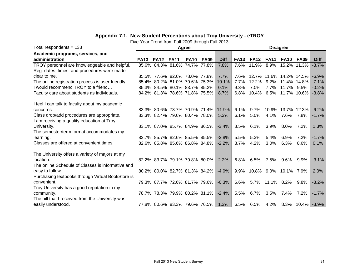## **Appendix 7.1. New Student Perceptions about Troy University - eTROY**

| Total respondents = 133                           | Agree       |             |                                     |             |             |             |             | <b>Disagree</b> |                 |                         |                  |             |  |  |
|---------------------------------------------------|-------------|-------------|-------------------------------------|-------------|-------------|-------------|-------------|-----------------|-----------------|-------------------------|------------------|-------------|--|--|
| Academic programs, services, and                  |             |             |                                     |             |             |             |             |                 |                 |                         |                  |             |  |  |
| administration                                    | <b>FA13</b> | <b>FA12</b> | <b>FA11</b>                         | <b>FA10</b> | <b>FA09</b> | <b>Diff</b> | <b>FA13</b> | <b>FA12</b>     | <b>FA11</b>     | <b>FA10</b>             | <b>FA09</b>      | <b>Diff</b> |  |  |
| TROY personnel are knowledgeable and helpful.     |             |             | 85.6% 84.3% 81.6% 74.7% 77.8%       |             |             | 7.8%        | 7.6%        | 11.9%           | 8.9%            |                         | 15.2% 11.3%      | $-3.7%$     |  |  |
| Reg. dates, times, and procedures were made       |             |             |                                     |             |             |             |             |                 |                 |                         |                  |             |  |  |
| clear to me.                                      |             |             | 85.5% 77.6% 82.6% 78.0% 77.8%       |             |             | 7.7%        | 7.6%        |                 |                 | 12.7% 11.6% 14.2% 14.5% |                  | $-6.9%$     |  |  |
| The online registration process is user-friendly. |             |             | 85.4% 80.2% 81.0% 79.6% 75.3%       |             |             | 10.1%       | 7.7%        | 12.2%           | $9.2\%$         |                         | 11.4% 14.8%      | $-7.1%$     |  |  |
| I would recommend TROY to a friend                |             |             | 85.3% 84.5% 80.1% 83.7% 85.2%       |             |             | 0.1%        | 9.3%        | 7.0%            | 7.7%            | 11.7% 9.5%              |                  | $-0.2%$     |  |  |
| Faculty care about students as individuals.       |             |             | 84.2% 81.3% 78.6% 71.8% 75.5%       |             |             | 8.7%        | 6.8%        | 10.4% 6.5%      |                 |                         | 11.7% 10.6%      | $-3.8%$     |  |  |
|                                                   |             |             |                                     |             |             |             |             |                 |                 |                         |                  |             |  |  |
| I feel I can talk to faculty about my academic    |             |             |                                     |             |             |             |             |                 |                 |                         |                  |             |  |  |
| concerns.                                         |             |             | 83.3% 80.6% 73.7% 70.9% 71.4%       |             |             | 11.9%       | 6.1%        | $9.7\%$         |                 | 10.9% 13.7% 12.3%       |                  | $-6.2%$     |  |  |
| Class drop/add procedures are appropriate.        |             |             | 83.3% 82.4% 79.6% 80.4% 78.0%       |             |             | 5.3%        | 6.1%        | 5.0%            | $4.1\%$         | 7.6%                    | 7.8%             | $-1.7%$     |  |  |
| I am receiving a quality education at Troy        |             |             |                                     |             |             |             |             |                 |                 |                         |                  |             |  |  |
| University.                                       |             |             | 83.1% 87.0% 85.7% 84.9% 86.5%       |             |             | $-3.4%$     | 8.5%        | 6.1%            | 3.9%            | 8.0%                    | 7.2%             | 1.3%        |  |  |
| The semester/term format accommodates my          |             |             |                                     |             |             |             |             |                 |                 |                         |                  |             |  |  |
| learning.                                         |             |             | 82.7% 85.7% 82.6% 85.5% 85.5%       |             |             | $-2.8%$     | 5.5%        | 5.3%            | 5.4%            | 6.9%                    | 7.2%             | $-1.7%$     |  |  |
| Classes are offered at convenient times.          |             |             | 82.6% 85.8% 85.6% 86.8% 84.8%       |             |             | $-2.2%$     | 8.7%        | 4.2%            | 3.0%            | 6.3%                    | 8.6%             | 0.1%        |  |  |
| The University offers a variety of majors at my   |             |             |                                     |             |             |             |             |                 |                 |                         |                  |             |  |  |
| location.                                         |             |             | 82.2% 83.7% 79.1% 79.8% 80.0%       |             |             | 2.2%        | 6.8%        | 6.5%            | 7.5%            | $9.6\%$                 | 9.9%             | $-3.1%$     |  |  |
| The online Schedule of Classes is informative and |             |             |                                     |             |             |             |             |                 |                 |                         |                  |             |  |  |
| easy to follow.                                   |             |             | 80.2% 80.0% 82.7% 81.3% 84.2%       |             |             | $-4.0%$     | $9.9\%$     |                 |                 | 10.8% 9.0% 10.1% 7.9%   |                  | 2.0%        |  |  |
| Purchasing textbooks through Virtual BookStore is |             |             |                                     |             |             |             |             |                 |                 |                         |                  |             |  |  |
| convenient.                                       |             |             | 79.3% 87.7% 72.6% 81.7% 79.6% -0.3% |             |             |             | 6.6%        |                 | 5.7% 11.1% 8.2% |                         | 9.8%             | $-3.2%$     |  |  |
| Troy University has a good reputation in my       |             |             |                                     |             |             |             |             |                 |                 |                         |                  |             |  |  |
| community.                                        |             |             | 78.7% 78.3% 79.9% 80.2% 81.1%       |             |             | $-2.4%$     | 5.5%        | 6.7%            | 3.5%            | 7.4%                    | 7.2%             | $-1.7%$     |  |  |
| The bill that I received from the University was  |             |             |                                     |             |             |             |             |                 |                 |                         |                  |             |  |  |
| easily understood.                                |             |             | 77.8% 80.6% 83.3% 79.6% 76.5% 1.3%  |             |             |             | 6.5%        | 6.5%            | 4.2%            |                         | 8.3% 10.4% -3.9% |             |  |  |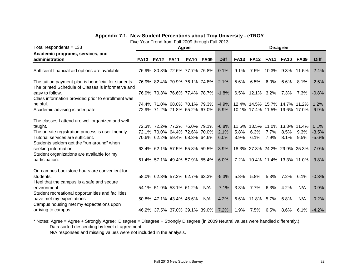## **Appendix 7.1. New Student Perceptions about Troy University - eTROY**

Five Year Trend from Fall 2009 through Fall 2013

| Total respondents = $133$                            | Agree       |             |                               |             |             |             |             | <b>Disagree</b> |                               |           |                               |             |  |  |  |
|------------------------------------------------------|-------------|-------------|-------------------------------|-------------|-------------|-------------|-------------|-----------------|-------------------------------|-----------|-------------------------------|-------------|--|--|--|
| Academic programs, services, and                     |             |             |                               |             |             |             |             |                 |                               |           |                               |             |  |  |  |
| administration                                       | <b>FA13</b> | <b>FA12</b> | <b>FA11</b>                   | <b>FA10</b> | <b>FA09</b> | <b>Diff</b> | <b>FA13</b> | <b>FA12</b>     | <b>FA11</b>                   | FA10      | FA09                          | <b>Diff</b> |  |  |  |
|                                                      |             |             |                               |             |             |             |             |                 |                               |           |                               |             |  |  |  |
| Sufficient financial aid options are available.      |             |             | 76.9% 80.8% 72.6% 77.7% 76.8% |             |             | 0.1%        | 9.1%        | 7.5%            |                               |           | 10.3% 9.3% 11.5%              | $-2.4%$     |  |  |  |
| The tuition payment plan is beneficial for students. |             |             | 76.9% 82.4% 70.9% 76.1% 74.8% |             |             | 2.1%        | 5.6%        | 6.5%            | 6.0%                          | 6.6%      | $8.1\%$                       | $-2.5%$     |  |  |  |
| The printed Schedule of Classes is informative and   |             |             |                               |             |             |             |             |                 |                               |           |                               |             |  |  |  |
| easy to follow.                                      |             |             | 76.9% 70.3% 76.6% 77.4% 78.7% |             |             | $-1.8%$     |             | 6.5% 12.1% 3.2% |                               | 7.3%      | 7.3%                          | $-0.8%$     |  |  |  |
| Class information provided prior to enrollment was   |             |             |                               |             |             |             |             |                 |                               |           |                               |             |  |  |  |
| helpful.                                             |             |             | 74.4% 71.0% 68.0% 70.1% 79.3% |             |             | $-4.9\%$    |             |                 | 12.4% 14.5% 15.7% 14.7% 11.2% |           |                               | 1.2%        |  |  |  |
| Academic advising is adequate.                       |             |             | 72.9% 71.2% 71.8% 65.2% 67.0% |             |             | 5.9%        |             |                 |                               |           | 10.1% 17.4% 11.5% 19.6% 17.0% | $-6.9%$     |  |  |  |
| The classes I attend are well organized and well     |             |             |                               |             |             |             |             |                 |                               |           |                               |             |  |  |  |
| taught.                                              |             |             | 72.3% 72.2% 77.2% 76.0% 79.1% |             |             | $-6.8%$     |             |                 | 11.5% 13.5% 11.0% 13.3% 11.4% |           |                               | 0.1%        |  |  |  |
| The on-site registration process is user-friendly.   |             |             | 72.1% 70.0% 64.4% 72.6% 70.0% |             |             | 2.1%        | 5.8%        | 6.3%            | 7.7%                          | 8.5%      | $9.3\%$                       | $-3.5%$     |  |  |  |
| Tutorial services are sufficient.                    |             |             | 70.6% 62.2% 59.4% 68.3% 64.6% |             |             | 6.0%        | 3.9%        | 6.1%            | 7.9%                          | 8.1%      | 9.5%                          | $-5.6%$     |  |  |  |
| Students seldom get the "run around" when            |             |             |                               |             |             |             |             |                 |                               |           |                               |             |  |  |  |
| seeking information.                                 |             |             | 63.4% 62.1% 57.5% 55.8% 59.5% |             |             | 3.9%        |             |                 |                               |           | 18.3% 27.3% 24.2% 29.9% 25.3% | $-7.0%$     |  |  |  |
| Student organizations are available for my           |             |             |                               |             |             |             |             |                 |                               |           |                               |             |  |  |  |
| participation.                                       |             |             | 61.4% 57.1% 49.4% 57.9% 55.4% |             |             | 6.0%        |             |                 |                               |           | 7.2% 10.4% 11.4% 13.3% 11.0%  | $-3.8%$     |  |  |  |
| On-campus bookstore hours are convenient for         |             |             |                               |             |             |             |             |                 |                               |           |                               |             |  |  |  |
| students.                                            |             |             | 58.0% 62.3% 57.3% 62.7% 63.3% |             |             | $-5.3%$     | 5.8%        | 5.8%            | 5.3%                          | $7.2\%$   | 6.1%                          | $-0.3%$     |  |  |  |
| I feel that the campus is a safe and secure          |             |             |                               |             |             |             |             |                 |                               |           |                               |             |  |  |  |
| environment                                          |             |             | 54.1% 51.9% 53.1% 61.2%       |             | N/A         | $-7.1%$     | 3.3%        | 7.7%            | 6.3%                          | 4.2%      | N/A                           | $-0.9%$     |  |  |  |
| Student recreational opportunities and facilities    |             |             |                               |             |             |             |             |                 |                               |           |                               |             |  |  |  |
| have met my expectations.                            |             |             | 50.8% 47.1% 43.4% 46.6%       |             | N/A         | 4.2%        |             | 6.6% 11.8% 5.7% |                               | 6.8%      | N/A                           | $-0.2%$     |  |  |  |
| Campus housing met my expectations upon              |             |             |                               |             |             |             |             |                 |                               |           |                               |             |  |  |  |
| arriving to campus.                                  |             |             | 46.2% 37.5% 37.0% 39.1% 39.0% |             |             | 7.2%        | 1.9%        | 7.5%            |                               | 6.5% 8.6% | 6.1%                          | $-4.2%$     |  |  |  |

\* Notes: Agree = Agree + Strongly Agree; Disagree = Disagree + Strongly Disagree (in 2009 Neutral values were handled differently.) Data sorted descending by level of agreement.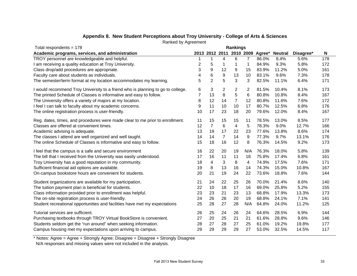| Total respondents = 178                                                         |    |                |                | Rankings       |                |                                 |                |           |     |
|---------------------------------------------------------------------------------|----|----------------|----------------|----------------|----------------|---------------------------------|----------------|-----------|-----|
| Academic programs, services, and administration                                 |    |                |                |                |                | 2013 2012 2011 2010 2009 Agree* | <b>Neutral</b> | Disagree* | N   |
| TROY personnel are knowledgeable and helpful.                                   | 1  | 1              | 4              | 6              | 7              | 86.0%                           | 8.4%           | 5.6%      | 178 |
| I am receiving a quality education at Troy University.                          | 2  | 5              | 1              | 1              | 1              | 84.9%                           | 9.3%           | 5.8%      | 172 |
| Class drop/add procedures are appropriate.                                      | 3  | 9              | 12             | 9              | 15             | 83.9%                           | 11.2%          | 5.0%      | 161 |
| Faculty care about students as individuals.                                     | 4  | 6              | 9              | 13             | 10             | 83.1%                           | 9.6%           | 7.3%      | 178 |
| The semester/term format at my location accommodates my learning.               | 5  | $\overline{2}$ | 5              | 3              | 3              | 82.5%                           | 11.1%          | 6.4%      | 171 |
| I would recommend Troy University to a friend who is planning to go to college. | 6  | 3              | 2              | 2              | 2              | 81.5%                           | 10.4%          | 8.1%      | 173 |
| The printed Schedule of Classes is informative and easy to follow.              | 7  | 13             | 8              | 5              | $6\phantom{1}$ | 80.8%                           | 10.8%          | 8.4%      | 167 |
| The University offers a variety of majors at my location.                       | 8  | 12             | 14             | $\overline{7}$ | 12             | 80.8%                           | 11.6%          | 7.6%      | 172 |
| I feel I can talk to faculty about my academic concerns.                        | 9  | 11             | 10             | 10             | 17             | 80.7%                           | 12.5%          | 6.8%      | 176 |
| The online registration process is user-friendly.                               | 10 | 17             | 23             | 18             | 20             | 79.6%                           | 12.0%          | 8.4%      | 167 |
| Reg. dates, times, and procedures were made clear to me prior to enrollment.    | 11 | 15             | 15             | 15             | 11             | 78.5%                           | 13.0%          | 8.5%      | 177 |
| Classes are offered at convenient times.                                        | 12 | 7              | 6              | 4              | 5              | 78.3%                           | 9.0%           | 12.7%     | 166 |
| Academic advising is adequate.                                                  | 13 | 19             | 17             | 22             | 23             | 77.6%                           | 13.8%          | 8.6%      | 174 |
| The classes I attend are well organized and well taught.                        | 14 | 14             | $\overline{7}$ | 14             | 9              | 77.3%                           | 9.7%           | 13.1%     | 176 |
| The online Schedule of Classes is informative and easy to follow.               | 15 | 18             | 16             | 12             | 8              | 76.3%                           | 14.5%          | 9.2%      | 173 |
| I feel that the campus is a safe and secure environment                         | 16 | 22             | 20             | 19             | N/A            | 76.3%                           | 18.0%          | 5.8%      | 139 |
| The bill that I received from the University was easily understood.             | 17 | 16             | 11             | 11             | 18             | 75.8%                           | 17.4%          | 6.8%      | 161 |
| Troy University has a good reputation in my community.                          | 18 | 4              | 3              | 8              | 4              | 74.9%                           | 17.5%          | 7.6%      | 171 |
| Sufficient financial aid options are available.                                 | 19 | 8              | 13             | 16             | 14             | 74.3%                           | 15.0%          | 10.8%     | 167 |
| On-campus bookstore hours are convenient for students.                          | 20 | 21             | 19             | 24             | 22             | 73.6%                           | 18.8%          | 7.6%      | 144 |
| Student organizations are available for my participation.                       | 21 | 24             | 22             | 25             | 26             | 70.0%                           | 21.4%          | 8.6%      | 140 |
| The tuition payment plan is beneficial for students.                            | 22 | 10             | 18             | 17             | 16             | 69.0%                           | 25.8%          | 5.2%      | 155 |
| Class information provided prior to enrollment was helpful.                     | 23 | 23             | 21             | 23             | 13             | 68.8%                           | 17.9%          | 13.3%     | 173 |
| The on-site registration process is user-friendly.                              | 24 | 26             | 26             | 20             | 19             | 68.8%                           | 24.1%          | 7.1%      | 141 |
| Student recreational opportunities and facilities have met my expectations      | 25 | 28             | 27             | 28             | N/A            | 64.8%                           | 24.0%          | 11.2%     | 125 |
| Tutorial services are sufficient.                                               | 26 | 25             | 24             | 26             | 24             | 64.6%                           | 28.5%          | 6.9%      | 144 |
| Purchasing textbooks through TROY Virtual BookStore is convenient.              | 27 | 20             | 25             | 21             | 21             | 61.6%                           | 28.8%          | 9.6%      | 146 |
| Students seldom get the "run around" when seeking information.                  | 28 | 27             | 28             | 27             | 25             | 61.0%                           | 19.2%          | 19.8%     | 177 |
| Campus housing met my expectations upon arriving to campus.                     | 29 | 29             | 29             | 29             | 27             | 53.0%                           | 32.5%          | 14.5%     | 117 |

# **Appendix 8. New Student Perceptions about Troy University - College of Arts & Sciences**

Ranked by Agreement

\* Notes: Agree = Agree + Strongly Agree; Disagree = Disagree + Strongly Disagree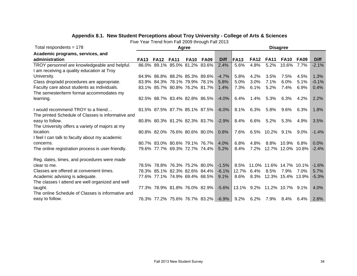| Total respondents = $178$                          | Agree       |                               |             |             |                               |                                               |             | <b>Disagree</b> |                 |                              |             |             |  |  |  |
|----------------------------------------------------|-------------|-------------------------------|-------------|-------------|-------------------------------|-----------------------------------------------|-------------|-----------------|-----------------|------------------------------|-------------|-------------|--|--|--|
| Academic programs, services, and                   |             |                               |             |             |                               |                                               |             |                 |                 |                              |             |             |  |  |  |
| administration                                     | <b>FA13</b> | <b>FA12</b>                   | <b>FA11</b> | <b>FA10</b> | <b>FA09</b>                   | <b>Diff</b>                                   | <b>FA13</b> | <b>FA12</b>     | <b>FA11</b>     | <b>FA10</b>                  | <b>FA09</b> | <b>Diff</b> |  |  |  |
| TROY personnel are knowledgeable and helpful.      |             | 86.0% 89.1% 85.0% 81.2% 83.6% |             |             |                               | 2.4%                                          | 5.6%        | 4.8%            | 5.2%            | 10.6%                        | 7.7%        | $-2.1%$     |  |  |  |
| I am receiving a quality education at Troy         |             |                               |             |             |                               |                                               |             |                 |                 |                              |             |             |  |  |  |
| University.                                        |             | 84.9% 86.8% 88.2% 85.3% 89.6% |             |             |                               | $-4.7\%$                                      | 5.8%        | 4.2%            | 3.5%            | 7.5%                         | 4.5%        | 1.3%        |  |  |  |
| Class drop/add procedures are appropriate.         |             | 83.9% 84.3% 78.1% 79.9% 78.1% |             |             |                               | 5.8%                                          | 5.0%        | 3.0%            | 7.1%            | $6.0\%$                      | 5.1%        | $-0.1%$     |  |  |  |
| Faculty care about students as individuals.        |             | 83.1% 85.7% 80.8% 76.2% 81.7% |             |             |                               | 1.4%                                          | 7.3%        | 6.1%            | 5.2%            | 7.4%                         | 6.9%        | 0.4%        |  |  |  |
| The semester/term format accommodates my           |             |                               |             |             |                               |                                               |             |                 |                 |                              |             |             |  |  |  |
| learning.                                          |             |                               |             |             | 82.5% 88.7% 83.4% 82.8% 86.5% | $-4.0\%$                                      | 6.4%        | $1.4\%$         | 5.3%            | 6.3%                         | 4.2%        | 2.2%        |  |  |  |
|                                                    |             |                               |             |             |                               |                                               |             |                 |                 |                              |             |             |  |  |  |
| I would recommend TROY to a friend                 |             |                               |             |             | 81.5% 87.5% 87.7% 85.1% 87.5% | $-6.0\%$                                      | $8.1\%$     | 6.3%            | 5.8%            | 9.6%                         | 6.3%        | 1.8%        |  |  |  |
| The printed Schedule of Classes is informative and |             |                               |             |             |                               |                                               |             |                 |                 |                              |             |             |  |  |  |
| easy to follow.                                    |             |                               |             |             | 80.8% 80.3% 81.2% 82.3% 83.7% | $-2.9%$                                       | 8.4%        | 6.6%            | 5.2%            | 5.3%                         | 4.9%        | 3.5%        |  |  |  |
| The University offers a variety of majors at my    |             |                               |             |             |                               |                                               |             |                 |                 |                              |             |             |  |  |  |
| location.                                          |             |                               |             |             | 80.8% 82.0% 76.6% 80.6% 80.0% | 0.8%                                          | 7.6%        |                 | 6.5% 10.2% 9.1% |                              | 9.0%        | $-1.4%$     |  |  |  |
| I feel I can talk to faculty about my academic     |             |                               |             |             |                               |                                               |             |                 |                 |                              |             |             |  |  |  |
| concerns.                                          |             | 80.7% 83.0% 80.6% 79.1% 76.7% |             |             |                               | 4.0%                                          | 6.8%        | 4.8%            | $8.8\%$         | 10.9%                        | $6.8\%$     | $0.0\%$     |  |  |  |
| The online registration process is user-friendly.  |             | 79.6% 77.7% 69.3% 72.7% 74.4% |             |             |                               | 5.2%                                          | 8.4%        | 7.2%            |                 | 12.7% 12.0% 10.8%            |             | $-2.4%$     |  |  |  |
|                                                    |             |                               |             |             |                               |                                               |             |                 |                 |                              |             |             |  |  |  |
| Reg. dates, times, and procedures were made        |             |                               |             |             |                               |                                               |             |                 |                 |                              |             |             |  |  |  |
| clear to me.                                       |             |                               |             |             | 78.5% 78.8% 76.3% 75.2% 80.0% | $-1.5\%$                                      |             |                 |                 | 8.5% 11.0% 11.6% 14.7% 10.1% |             | $-1.6%$     |  |  |  |
| Classes are offered at convenient times.           |             |                               |             |             | 78.3% 85.1% 82.3% 82.6% 84.4% | $-6.1%$                                       | 12.7%       | 6.4%            | 8.5%            | 7.9%                         | 7.0%        | 5.7%        |  |  |  |
| Academic advising is adequate.                     |             |                               |             |             | 77.6% 77.1% 74.9% 69.4% 68.5% | 9.1%                                          | 8.6%        | 8.3%            |                 | 12.3% 15.4% 13.9%            |             | $-5.3%$     |  |  |  |
| The classes I attend are well organized and well   |             |                               |             |             |                               |                                               |             |                 |                 |                              |             |             |  |  |  |
| taught.                                            |             |                               |             |             | 77.3% 78.9% 81.8% 76.0% 82.9% | $-5.6\%$                                      |             |                 |                 | 13.1% 9.2% 11.2% 10.7% 9.1%  |             | 4.0%        |  |  |  |
| The online Schedule of Classes is informative and  |             |                               |             |             |                               |                                               |             |                 |                 |                              |             |             |  |  |  |
| easy to follow.                                    |             |                               |             |             |                               | 76.3% 77.2% 75.6% 76.7% 83.2% -6.9% 9.2% 6.2% |             |                 | 7.9%            | 8.4%                         | 6.4%        | 2.8%        |  |  |  |

#### **Appendix 8.1. New Student Perceptions about Troy University - College of Arts & Sciences**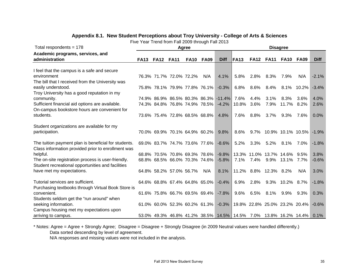| Total respondents = 178                              | Agree       |                  |                                     |             |             |                                                                  |              | <b>Disagree</b> |                               |                 |               |             |  |  |  |
|------------------------------------------------------|-------------|------------------|-------------------------------------|-------------|-------------|------------------------------------------------------------------|--------------|-----------------|-------------------------------|-----------------|---------------|-------------|--|--|--|
| Academic programs, services, and                     |             |                  |                                     |             |             |                                                                  |              |                 |                               |                 |               |             |  |  |  |
| administration                                       | <b>FA13</b> | <b>FA12 FA11</b> |                                     | <b>FA10</b> | <b>FA09</b> | <b>Diff</b>                                                      | <b>IFA13</b> |                 | <b>FA12 FA11</b>              | <b>FA10</b>     | <b>FA09</b>   | <b>Diff</b> |  |  |  |
| I feel that the campus is a safe and secure          |             |                  |                                     |             |             |                                                                  |              |                 |                               |                 |               |             |  |  |  |
| environment                                          |             |                  | 76.3% 71.7% 72.0% 72.2%             |             | N/A         | 4.1%                                                             | 5.8%         | 2.8%            | 8.3%                          | 7.9%            | N/A           | $-2.1%$     |  |  |  |
| The bill that I received from the University was     |             |                  |                                     |             |             |                                                                  |              |                 |                               |                 |               |             |  |  |  |
| easily understood.                                   |             |                  | 75.8% 78.1% 79.9% 77.8% 76.1%       |             |             | $-0.3\%$                                                         | 6.8%         | $8.6\%$         | $8.4\%$                       |                 | $8.1\%$ 10.2% | $-3.4%$     |  |  |  |
| Troy University has a good reputation in my          |             |                  |                                     |             |             |                                                                  |              |                 |                               |                 |               |             |  |  |  |
| community.                                           |             |                  |                                     |             |             | 74.9% 86.9% 86.5% 80.3% 86.3% -11.4%                             | 7.6%         | 4.4%            | 3.1%                          | $8.3\%$         | 3.6%          | 4.0%        |  |  |  |
| Sufficient financial aid options are available.      |             |                  | 74.3% 84.8% 76.8% 74.9% 78.5%       |             |             | $-4.2%$                                                          | 10.8%        | 3.6%            | 7.9%                          | 11.7% 8.2%      |               | 2.6%        |  |  |  |
| On-campus bookstore hours are convenient for         |             |                  |                                     |             |             |                                                                  |              |                 |                               |                 |               |             |  |  |  |
| students.                                            |             |                  | 73.6% 75.4% 72.8% 68.5% 68.8%       |             |             | 4.8%                                                             | 7.6%         | 8.8%            | 3.7%                          | $9.3\%$         | 7.6%          | 0.0%        |  |  |  |
|                                                      |             |                  |                                     |             |             |                                                                  |              |                 |                               |                 |               |             |  |  |  |
| Student organizations are available for my           |             |                  |                                     |             |             |                                                                  |              |                 |                               |                 |               |             |  |  |  |
| participation.                                       |             |                  | 70.0% 69.9% 70.1% 64.9% 60.2%       |             |             | $9.8\%$                                                          | $8.6\%$      |                 | 9.7% 10.9% 10.1% 10.5%        |                 |               | $-1.9%$     |  |  |  |
|                                                      |             |                  |                                     |             |             |                                                                  |              |                 |                               |                 |               |             |  |  |  |
| The tuition payment plan is beneficial for students. |             |                  | 69.0% 83.7% 74.7% 73.6% 77.6%       |             |             | $-8.6%$                                                          | 5.2%         | 3.3%            | 5.2%                          | 8.1%            | 7.0%          | $-1.8%$     |  |  |  |
| Class information provided prior to enrollment was   |             |                  |                                     |             |             |                                                                  |              |                 |                               |                 |               |             |  |  |  |
| helpful.                                             |             |                  | 68.8% 70.5% 70.8% 69.3% 78.6%       |             |             | $-9.8%$                                                          |              |                 | 13.3% 11.0% 13.7% 14.6%       |                 | 9.5%          | 3.8%        |  |  |  |
| The on-site registration process is user-friendly.   |             |                  | 68.8% 68.5% 66.0% 70.3% 74.6%       |             |             | $-5.8%$                                                          | 7.1%         | 7.4%            |                               | 9.9% 13.1% 7.7% |               | $-0.6%$     |  |  |  |
| Student recreational opportunities and facilities    |             |                  |                                     |             |             |                                                                  |              |                 |                               |                 |               |             |  |  |  |
| have met my expectations.                            |             |                  | 64.8% 58.2% 57.0% 56.7%             |             | N/A         | 8.1%                                                             |              |                 | 11.2% 8.8% 12.3% 8.2%         |                 | N/A           | 3.0%        |  |  |  |
| Tutorial services are sufficient.                    |             |                  | 64.6% 68.8% 67.4% 64.8% 65.0% -0.4% |             |             |                                                                  | 6.9%         | 2.8%            |                               | 9.3% 10.2% 8.7% |               | $-1.8%$     |  |  |  |
| Purchasing textbooks through Virtual Book Store is   |             |                  |                                     |             |             |                                                                  |              |                 |                               |                 |               |             |  |  |  |
| convenient.                                          |             |                  | 61.6% 75.8% 66.7% 69.5% 69.4%       |             |             | $-7.8\%$                                                         | 9.6%         | 6.5%            | 8.1%                          | 9.9%            | $9.3\%$       | 0.3%        |  |  |  |
| Students seldom get the "run around" when            |             |                  |                                     |             |             |                                                                  |              |                 |                               |                 |               |             |  |  |  |
| seeking information.                                 |             |                  | 61.0% 60.0% 52.3% 60.2% 61.3% -0.3% |             |             |                                                                  |              |                 | 19.8% 22.8% 25.0% 23.2% 20.4% |                 |               | $-0.6%$     |  |  |  |
| Campus housing met my expectations upon              |             |                  |                                     |             |             |                                                                  |              |                 |                               |                 |               |             |  |  |  |
| arriving to campus.                                  |             |                  |                                     |             |             | 53.0% 49.3% 46.8% 41.2% 38.5% 14.5% 14.5% 7.0% 13.8% 16.2% 14.4% |              |                 |                               |                 |               | 0.1%        |  |  |  |

#### **Appendix 8.1. New Student Perceptions about Troy University - College of Arts & Sciences**

Five Year Trend from Fall 2009 through Fall 2013

\* Notes: Agree = Agree + Strongly Agree; Disagree = Disagree + Strongly Disagree (in 2009 Neutral values were handled differently.) Data sorted descending by level of agreement.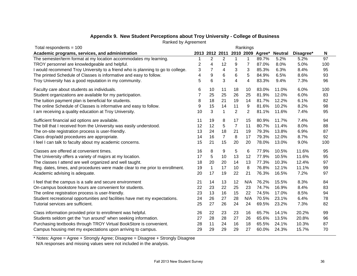| Total respondents = $100$                                                       | Rankings       |                  |                |                |                |       |                          |           |     |
|---------------------------------------------------------------------------------|----------------|------------------|----------------|----------------|----------------|-------|--------------------------|-----------|-----|
| Academic programs, services, and administration                                 |                | 2013 2012 2011   |                |                |                |       | 2010 2009 Agree* Neutral | Disagree* | N   |
| The semester/term format at my location accommodates my learning.               |                | $\overline{2}$   | $\overline{2}$ | 1              | $\mathbf 1$    | 89.7% | 5.2%                     | 5.2%      | 97  |
| TROY personnel are knowledgeable and helpful.                                   | 2              | 4                | 12             | 9              | 7              | 87.0% | 8.0%                     | 5.0%      | 100 |
| I would recommend Troy University to a friend who is planning to go to college. | 3              | $\overline{7}$   | 4              | 3              | 3              | 85.3% | 6.3%                     | 8.4%      | 95  |
| The printed Schedule of Classes is informative and easy to follow.              | 4              | $\boldsymbol{9}$ | 6              | 6              | 5              | 84.9% | 6.5%                     | 8.6%      | 93  |
| Troy University has a good reputation in my community.                          | 5              | 6                | 3              | 4              | 4              | 83.3% | 9.4%                     | 7.3%      | 96  |
| Faculty care about students as individuals.                                     | 6              | 10               | 11             | 18             | 10             | 83.0% | 11.0%                    | 6.0%      | 100 |
| Student organizations are available for my participation.                       | $\overline{7}$ | 25               | 25             | 26             | 25             | 81.9% | 12.0%                    | 6.0%      | 83  |
| The tuition payment plan is beneficial for students.                            | 8              | 18               | 21             | 19             | 14             | 81.7% | 12.2%                    | 6.1%      | 82  |
| The online Schedule of Classes is informative and easy to follow.               | 9              | 15               | 14             | 11             | 9              | 81.6% | 10.2%                    | 8.2%      | 98  |
| I am receiving a quality education at Troy University.                          | 10             | 3                | $\mathbf{1}$   | $\overline{2}$ | $\overline{2}$ | 81.1% | 11.6%                    | 7.4%      | 95  |
| Sufficient financial aid options are available.                                 | 11             | 19               | 8              | 17             | 15             | 80.9% | 11.7%                    | 7.4%      | 94  |
| The bill that I received from the University was easily understood.             | 12             | 12               | 5              | $\overline{7}$ | 11             | 80.7% | 11.4%                    | 8.0%      | 88  |
| The on-site registration process is user-friendly.                              | 13             | 24               | 18             | 21             | 19             | 79.3% | 13.8%                    | 6.9%      | 87  |
| Class drop/add procedures are appropriate.                                      | 14             | 16               | $\overline{7}$ | 8              | 17             | 79.3% | 12.0%                    | 8.7%      | 92  |
| I feel I can talk to faculty about my academic concerns.                        | 15             | 21               | 15             | 20             | 20             | 78.0% | 13.0%                    | 9.0%      | 100 |
| Classes are offered at convenient times.                                        | 16             | 8                | 9              | 5              | 6              | 77.9% | 10.5%                    | 11.6%     | 95  |
| The University offers a variety of majors at my location.                       | 17             | 5                | 10             | 13             | 12             | 77.9% | 10.5%                    | 11.6%     | 95  |
| The classes I attend are well organized and well taught.                        | 18             | 20               | 20             | 14             | 13             | 77.3% | 10.3%                    | 12.4%     | 97  |
| Reg. dates, times, and procedures were made clear to me prior to enrollment.    | 19             | $\mathbf{1}$     | 17             | 10             | 8              | 76.8% | 12.1%                    | 11.1%     | 99  |
| Academic advising is adequate.                                                  | 20             | 17               | 19             | 22             | 21             | 76.3% | 16.5%                    | 7.2%      | 97  |
| I feel that the campus is a safe and secure environment                         | 21             | 14               | 13             | 12             | N/A            | 76.2% | 15.5%                    | 8.3%      | 84  |
| On-campus bookstore hours are convenient for students.                          | 22             | 23               | 22             | 25             | 23             | 74.7% | 16.9%                    | 8.4%      | 83  |
| The online registration process is user-friendly.                               | 23             | 13               | 16             | 15             | 22             | 74.5% | 17.0%                    | 8.5%      | 94  |
| Student recreational opportunities and facilities have met my expectations.     | 24             | 26               | 27             | 28             | N/A            | 70.5% | 23.1%                    | 6.4%      | 78  |
| Tutorial services are sufficient.                                               | 25             | 27               | 26             | 24             | 24             | 69.5% | 23.2%                    | 7.3%      | 82  |
| Class information provided prior to enrollment was helpful.                     | 26             | 22               | 23             | 23             | 16             | 65.7% | 14.1%                    | 20.2%     | 99  |
| Students seldom get the "run around" when seeking information.                  | 27             | 28               | 28             | 27             | 26             | 65.6% | 13.5%                    | 20.8%     | 96  |
| Purchasing textbooks through TROY Virtual BookStore is convenient.              | 28             | 11               | 24             | 16             | 18             | 65.5% | 24.1%                    | 10.3%     | 87  |
| Campus housing met my expectations upon arriving to campus.                     | 29             | 29               | 29             | 29             | 27             | 60.0% | 24.3%                    | 15.7%     | 70  |

# **Appendix 9. New Student Perceptions about Troy University - College of Business**

Ranked by Agreement

\* Notes: Agree = Agree + Strongly Agree; Disagree = Disagree + Strongly Disagree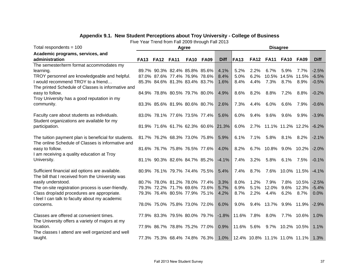# **Appendix 9.1. New Student Perceptions about Troy University - College of Business**

Five Year Trend from Fall 2009 through Fall 2013

| Total respondents = $100$                            |                |                                     | Agree       |             |             | <b>Disagree</b>               |            |                        |                  |                |             |  |
|------------------------------------------------------|----------------|-------------------------------------|-------------|-------------|-------------|-------------------------------|------------|------------------------|------------------|----------------|-------------|--|
| Academic programs, services, and                     |                |                                     |             |             |             |                               |            |                        |                  |                |             |  |
| administration                                       | FA13 FA12 FA11 |                                     | <b>FA10</b> | <b>FA09</b> | <b>Diff</b> | <b>FA13</b>                   |            | <b>FA12 FA11</b>       | <b>FA10 FA09</b> |                | <b>Diff</b> |  |
| The semester/term format accommodates my             |                |                                     |             |             |             |                               |            |                        |                  |                |             |  |
| learning.                                            |                | 89.7% 90.3% 82.4% 85.8% 85.6%       |             |             | 4.1%        | 5.2%                          | 2.2%       | 6.7%                   | 5.9%             | 7.7%           | $-2.5%$     |  |
| TROY personnel are knowledgeable and helpful.        |                | 87.0% 87.6% 77.4% 76.9% 78.6%       |             |             | 8.4%        | 5.0%                          | 6.2%       | 10.5%                  | 14.5% 11.5%      |                | $-6.5%$     |  |
| I would recommend TROY to a friend                   |                | 85.3% 84.6% 81.3% 83.4% 83.7%       |             |             | 1.6%        | 8.4%                          | 4.4%       | 7.3%                   | 8.7%             | 8.9%           | $-0.5%$     |  |
| The printed Schedule of Classes is informative and   |                |                                     |             |             |             |                               |            |                        |                  |                |             |  |
| easy to follow.                                      |                | 84.9% 78.8% 80.5% 79.7% 80.0%       |             |             | 4.9%        | 8.6%                          | 8.2%       | 8.8%                   | 7.2%             | 8.8%           | $-0.2%$     |  |
| Troy University has a good reputation in my          |                |                                     |             |             |             |                               |            |                        |                  |                |             |  |
| community.                                           |                | 83.3% 85.6% 81.9% 80.6% 80.7%       |             |             | 2.6%        | 7.3%                          | 4.4%       | 6.0%                   | 6.6%             | 7.9%           | $-0.6%$     |  |
| Faculty care about students as individuals.          |                | 83.0% 78.1% 77.6% 73.5% 77.4%       |             |             | 5.6%        | 6.0%                          | 9.4%       | 9.6%                   | 9.6%             | $9.9\%$        | $-3.9%$     |  |
| Student organizations are available for my           |                |                                     |             |             |             |                               |            |                        |                  |                |             |  |
| participation.                                       |                | 81.9% 71.6% 61.7% 62.3% 60.6% 21.3% |             |             |             | 6.0%                          |            | 2.7% 11.1% 11.2% 12.2% |                  |                | $-6.2%$     |  |
|                                                      |                |                                     |             |             |             |                               |            |                        |                  |                |             |  |
| The tuition payment plan is beneficial for students. |                | 81.7% 76.2% 68.3% 73.0% 75.8%       |             |             | 5.9%        | 6.1%                          | 7.1%       | $5.8\%$                | 8.1% 8.2%        |                | $-2.1%$     |  |
| The online Schedule of Classes is informative and    |                |                                     |             |             |             |                               |            |                        |                  |                |             |  |
| easy to follow.                                      |                | 81.6% 76.7% 75.8% 76.5% 77.6%       |             |             | 4.0%        | 8.2%                          |            | 6.7% 10.8% 9.0% 10.2%  |                  |                | $-2.0%$     |  |
| I am receiving a quality education at Troy           |                |                                     |             |             |             |                               |            |                        |                  |                |             |  |
| University.                                          |                | 81.1% 90.3% 82.6% 84.7% 85.2%       |             |             | $-4.1%$     | 7.4%                          | 3.2%       | 5.8%                   | 6.1%             | 7.5%           | $-0.1%$     |  |
|                                                      |                |                                     |             |             |             |                               |            |                        |                  |                |             |  |
| Sufficient financial aid options are available.      |                | 80.9% 76.1% 79.7% 74.4% 75.5%       |             |             | 5.4%        | 7.4%                          | 8.7%       | 7.6%                   |                  | $10.0\%$ 11.5% | $-4.1%$     |  |
| The bill that I received from the University was     |                |                                     |             |             |             |                               |            |                        |                  |                |             |  |
| easily understood.                                   |                | 80.7% 78.0% 81.2% 78.0% 77.4%       |             |             | 3.3%        | 8.0%                          | 1.2%       | 7.9%                   | 7.8%             | 10.5%          | $-2.5%$     |  |
| The on-site registration process is user-friendly.   |                | 79.3% 72.2% 71.7% 69.6% 73.6%       |             |             | 5.7%        | 6.9%                          | 5.1%       | 12.0%                  | 9.6%             | 12.3%          | $-5.4%$     |  |
| Class drop/add procedures are appropriate.           |                | 79.3% 76.4% 80.5% 77.9% 75.1%       |             |             | 4.2%        | 8.7%                          | 2.2%       | 4.4%                   | 6.2%             | $8.7\%$        | 0.0%        |  |
| I feel I can talk to faculty about my academic       |                |                                     |             |             |             |                               |            |                        |                  |                |             |  |
| concerns.                                            |                | 78.0% 75.0% 75.8% 73.0% 72.0%       |             |             | 6.0%        | 9.0%                          | 9.4%       | 13.7%                  |                  | $9.9\%$ 11.9%  | $-2.9%$     |  |
| Classes are offered at convenient times.             |                | 77.9% 83.3% 79.5% 80.0% 79.7%       |             |             | $-1.8%$     | 11.6% 7.8%                    |            | $8.0\%$                |                  | 7.7% 10.6%     | 1.0%        |  |
| The University offers a variety of majors at my      |                |                                     |             |             |             |                               |            |                        |                  |                |             |  |
| location.                                            |                | 77.9% 86.7% 78.8% 75.2% 77.0%       |             |             | 0.9%        |                               | 11.6% 5.6% |                        | 9.7% 10.2% 10.5% |                | 1.1%        |  |
| The classes I attend are well organized and well     |                |                                     |             |             |             |                               |            |                        |                  |                |             |  |
| taught.                                              |                | 77.3% 75.3% 68.4% 74.8% 76.3%       |             |             | 1.0%        | 12.4% 10.8% 11.1% 11.0% 11.1% |            |                        |                  |                | 1.3%        |  |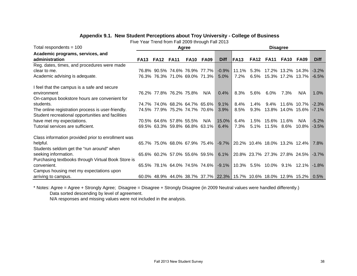# **Appendix 9.1. New Student Perceptions about Troy University - College of Business**

Five Year Trend from Fall 2009 through Fall 2013

| Total respondents $= 100$                          |             |             |                         | Agree       |                                    |                                                                   | <b>Disagree</b>                     |             |             |             |                             |             |  |
|----------------------------------------------------|-------------|-------------|-------------------------|-------------|------------------------------------|-------------------------------------------------------------------|-------------------------------------|-------------|-------------|-------------|-----------------------------|-------------|--|
| Academic programs, services, and                   |             |             |                         |             |                                    |                                                                   |                                     |             |             |             |                             |             |  |
| administration                                     | <b>FA13</b> | <b>FA12</b> | <b>FA11</b>             | <b>FA10</b> | <b>FA09</b>                        | <b>Diff</b>                                                       | <b>IFA13</b>                        | <b>FA12</b> | <b>FA11</b> | <b>FA10</b> | <b>FA09</b>                 | <b>Diff</b> |  |
| Reg. dates, times, and procedures were made        |             |             |                         |             |                                    |                                                                   |                                     |             |             |             |                             |             |  |
| clear to me.                                       |             |             |                         |             | 76.8% 90.5% 74.6% 76.9% 77.7%      | $-0.9\%$                                                          | 11.1%                               | $5.3\%$     |             |             | 17.2% 13.2% 14.3%           | $-3.2\%$    |  |
| Academic advising is adequate.                     |             |             |                         |             | 76.3% 76.3% 71.0% 69.0% 71.3%      | 5.0%                                                              | 7.2%                                | 6.5%        |             |             | 15.3% 17.2% 13.7%           | $-6.5%$     |  |
| I feel that the campus is a safe and secure        |             |             |                         |             |                                    |                                                                   |                                     |             |             |             |                             |             |  |
| environment                                        |             |             | 76.2% 77.8% 76.2% 75.8% |             | N/A                                | 0.4%                                                              | 8.3%                                | 5.6%        | 6.0%        | $7.3\%$     | N/A                         | 1.0%        |  |
| On-campus bookstore hours are convenient for       |             |             |                         |             |                                    |                                                                   |                                     |             |             |             |                             |             |  |
| students.                                          |             |             |                         |             | 74.7% 74.0% 68.2% 64.7% 65.6%      | 9.1%                                                              | $8.4\%$                             | 1.4%        | 9.4%        |             | $11.6\%$ 10.7%              | $-2.3%$     |  |
| The online registration process is user-friendly.  |             |             |                         |             | 74.5% 77.9% 75.2% 74.7% 70.6%      | 3.9%                                                              | 8.5%                                | 9.3%        |             |             | 13.8% 14.0% 15.6%           | $-7.1\%$    |  |
| Student recreational opportunities and facilities  |             |             |                         |             |                                    |                                                                   |                                     |             |             |             |                             |             |  |
| have met my expectations.                          |             |             | 70.5% 64.6% 57.8% 55.5% |             | N/A                                | $15.0\%$                                                          | 6.4%                                | 1.5%        | 15.6% 11.6% |             | N/A                         | $-5.2%$     |  |
| Tutorial services are sufficient.                  |             |             |                         |             | 69.5% 63.3% 59.8% 66.8% 63.1%      | 6.4%                                                              | 7.3%                                | 5.1%        |             | 11.5% 8.6%  | $10.8\%$                    | $-3.5%$     |  |
| Class information provided prior to enrollment was |             |             |                         |             |                                    |                                                                   |                                     |             |             |             |                             |             |  |
| helpful.                                           |             |             |                         |             | 65.7% 75.0% 68.0% 67.9% 75.4%      |                                                                   | -9.7% 20.2% 10.4% 18.0% 13.2% 12.4% |             |             |             |                             | 7.8%        |  |
| Students seldom get the "run around" when          |             |             |                         |             |                                    |                                                                   |                                     |             |             |             |                             |             |  |
| seeking information.                               |             |             |                         |             | 65.6% 60.2% 57.0% 55.6% 59.5% 6.1% |                                                                   | 20.8% 23.7% 27.3% 27.8% 24.5%       |             |             |             |                             | $-3.7\%$    |  |
| Purchasing textbooks through Virtual Book Store is |             |             |                         |             |                                    |                                                                   |                                     |             |             |             |                             |             |  |
| convenient.                                        |             |             |                         |             | 65.5% 78.1% 64.0% 74.5% 74.6%      | $-9.1\%$                                                          |                                     |             |             |             | 10.3% 5.5% 10.0% 9.1% 12.1% | $-1.8\%$    |  |
| Campus housing met my expectations upon            |             |             |                         |             |                                    |                                                                   |                                     |             |             |             |                             |             |  |
| arriving to campus.                                |             |             |                         |             |                                    | 60.0% 48.9% 44.0% 38.7% 37.7% 22.3% 15.7% 10.6% 18.0% 12.9% 15.2% |                                     |             |             |             |                             | $0.5\%$     |  |

\* Notes: Agree = Agree + Strongly Agree; Disagree = Disagree + Strongly Disagree (in 2009 Neutral values were handled differently.)

Data sorted descending by level of agreement.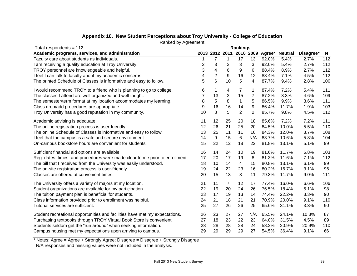| Total respondents = $112$                                                    | <b>Rankings</b> |                         |                 |                |                |       |                                         |           |     |
|------------------------------------------------------------------------------|-----------------|-------------------------|-----------------|----------------|----------------|-------|-----------------------------------------|-----------|-----|
| Academic programs, services, and administration                              |                 |                         |                 |                |                |       | 2013 2012 2011 2010 2009 Agree* Neutral | Disagree* | N,  |
| Faculty care about students as individuals.                                  |                 | 7                       | 1               | 17             | 13             | 92.0% | 5.4%                                    | 2.7%      | 112 |
| I am receiving a quality education at Troy University.                       | 2               | 3                       | $\overline{2}$  | 3              | 3              | 92.0% | 5.4%                                    | 2.7%      | 112 |
| TROY personnel are knowledgeable and helpful.                                | 3               | $\overline{\mathbf{4}}$ | $6\phantom{1}6$ | 9              | 6              | 88.4% | 8.9%                                    | 2.7%      | 112 |
| I feel I can talk to faculty about my academic concerns.                     | 4               | $\overline{2}$          | 9               | 16             | 12             | 88.4% | 7.1%                                    | 4.5%      | 112 |
| The printed Schedule of Classes is informative and easy to follow.           | 5               | 6                       | 10              | 5              | 4              | 87.7% | 9.4%                                    | 2.8%      | 106 |
| I would recommend TROY to a friend who is planning to go to college.         | 6               | 1                       | 4               | 7              | 1              | 87.4% | 7.2%                                    | 5.4%      | 111 |
| The classes I attend are well organized and well taught.                     |                 | 13                      | 3               | 15             | 7              | 87.2% | 8.3%                                    | 4.6%      | 109 |
| The semester/term format at my location accommodates my learning.            | 8               | 5                       | 8               | $\mathbf{1}$   | 5              | 86.5% | 9.9%                                    | 3.6%      | 111 |
| Class drop/add procedures are appropriate.                                   | 9               | 16                      | 16              | 14             | 9              | 86.4% | 11.7%                                   | 1.9%      | 103 |
| Troy University has a good reputation in my community.                       | 10              | 8                       | 5               | $\overline{2}$ | $\overline{2}$ | 85.7% | 9.8%                                    | 4.5%      | 112 |
| Academic advising is adequate.                                               | 11              | 12                      | 25              | 20             | 18             | 85.6% | 7.2%                                    | 7.2%      | 111 |
| The online registration process is user-friendly.                            | 12              | 26                      | 21              | 25             | 20             | 84.5% | 10.0%                                   | 5.5%      | 110 |
| The online Schedule of Classes is informative and easy to follow.            | 13              | 25                      | 11              | 11             | 10             | 84.3% | 12.0%                                   | 3.7%      | 108 |
| I feel that the campus is a safe and secure environment                      | 14              | 9                       | 15              | 6              | N/A            | 83.7% | 10.6%                                   | 5.8%      | 104 |
| On-campus bookstore hours are convenient for students.                       | 15              | 22                      | 12              | 18             | 22             | 81.8% | 13.1%                                   | 5.1%      | 99  |
| Sufficient financial aid options are available.                              | 16              | 14                      | 24              | 10             | 19             | 81.6% | 11.7%                                   | 6.8%      | 103 |
| Reg. dates, times, and procedures were made clear to me prior to enrollment. | 17              | 20                      | 17              | 19             | 8              | 81.3% | 11.6%                                   | 7.1%      | 112 |
| The bill that I received from the University was easily understood.          | 18              | 10                      | 14              | 4              | 15             | 80.8% | 13.1%                                   | 6.1%      | 99  |
| The on-site registration process is user-friendly.                           | 19              | 24                      | 22              | 23             | 16             | 80.2% | 16.7%                                   | 3.1%      | 96  |
| Classes are offered at convenient times.                                     | 20              | 15                      | 13              | 8              | 11             | 79.3% | 11.7%                                   | 9.0%      | 111 |
| The University offers a variety of majors at my location.                    | 21              | 11                      | 7               | 12             | 17             | 77.4% | 16.0%                                   | 6.6%      | 106 |
| Student organizations are available for my participation.                    | 22              | 19                      | 20              | 24             | 26             | 76.5% | 18.4%                                   | 5.1%      | 98  |
| The tuition payment plan is beneficial for students.                         | 23              | 17                      | 19              | 13             | 14             | 74.4% | 22.2%                                   | 3.3%      | 90  |
| Class information provided prior to enrollment was helpful.                  | 24              | 21                      | 18              | 21             | 21             | 70.9% | 20.0%                                   | 9.1%      | 110 |
| Tutorial services are sufficient.                                            | 25              | 27                      | 26              | 26             | 25             | 65.6% | 31.1%                                   | 3.3%      | 90  |
| Student recreational opportunities and facilities have met my expectations.  | 26              | 23                      | 27              | 27             | N/A            | 65.5% | 24.1%                                   | 10.3%     | 87  |
| Purchasing textbooks through TROY Virtual Book Store is convenient.          | 27              | 18                      | 23              | 22             | 23             | 64.0% | 31.5%                                   | 4.5%      | 89  |
| Students seldom get the "run around" when seeking information.               | 28              | 28                      | 28              | 28             | 24             | 58.2% | 20.9%                                   | 20.9%     | 110 |
| Campus housing met my expectations upon arriving to campus.                  | 29              | 29                      | 29              | 29             | 27             | 54.5% | 36.4%                                   | 9.1%      | 66  |

# **Appendix 10. New Student Perceptions about Troy University - College of Education**

Ranked by Agreement

\* Notes: Agree = Agree + Strongly Agree; Disagree = Disagree + Strongly Disagree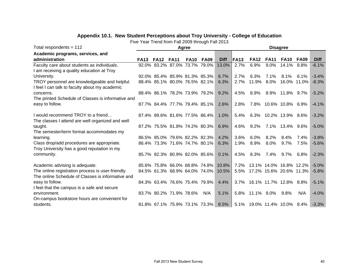# **Appendix 10.1. New Student Perceptions about Troy University - College of Education**

Five Year Trend from Fall 2009 through Fall 2013

| Total respondents = $112$                          |             |             |                               | Agree       |                               |             | <b>Disagree</b> |                             |             |                       |                         |             |  |
|----------------------------------------------------|-------------|-------------|-------------------------------|-------------|-------------------------------|-------------|-----------------|-----------------------------|-------------|-----------------------|-------------------------|-------------|--|
| Academic programs, services, and                   |             |             |                               |             |                               |             |                 |                             |             |                       |                         |             |  |
| administration                                     | <b>FA13</b> | <b>FA12</b> | <b>FA11</b>                   | <b>FA10</b> | <b>FA09</b>                   | <b>Diff</b> | <b>FA13</b>     | <b>FA12</b>                 | <b>FA11</b> | <b>FA10</b>           | FA09                    | <b>Diff</b> |  |
| Faculty care about students as individuals.        |             |             |                               |             | 92.0% 83.2% 87.0% 73.7% 79.0% | 13.0%       | 2.7%            | 6.9%                        | $9.0\%$     | 14.1% 8.8%            |                         | $-6.1%$     |  |
| I am receiving a quality education at Troy         |             |             |                               |             |                               |             |                 |                             |             |                       |                         |             |  |
| University.                                        |             |             | 92.0% 85.4% 85.9% 81.3% 85.3% |             |                               | 6.7%        | 2.7%            | 6.3%                        | 7.1%        | $8.1\%$               | 6.1%                    | $-3.4%$     |  |
| TROY personnel are knowledgeable and helpful.      |             |             | 88.4% 85.1% 80.0% 76.5% 82.1% |             |                               | 6.3%        | 2.7%            | 11.9%                       | $8.0\%$     |                       | 16.0% 11.0%             | $-8.3%$     |  |
| I feel I can talk to faculty about my academic     |             |             |                               |             |                               |             |                 |                             |             |                       |                         |             |  |
| concerns.                                          |             |             |                               |             | 88.4% 86.1% 78.2% 73.9% 79.2% | 9.2%        | 4.5%            | $8.9\%$                     |             | 8.9% 11.8% 9.7%       |                         | $-5.2%$     |  |
| The printed Schedule of Classes is informative and |             |             |                               |             |                               |             |                 |                             |             |                       |                         |             |  |
| easy to follow.                                    |             |             |                               |             | 87.7% 84.4% 77.7% 79.4% 85.1% | 2.6%        | 2.8%            |                             |             | 7.8% 10.6% 10.8% 6.9% |                         | $-4.1%$     |  |
|                                                    |             |             |                               |             |                               |             |                 |                             |             |                       |                         |             |  |
| I would recommend TROY to a friend                 |             |             | 87.4% 89.6% 81.6% 77.5% 86.4% |             |                               | 1.0%        | 5.4%            |                             |             | 6.3% 10.2% 13.9% 8.6% |                         | $-3.2%$     |  |
| The classes I attend are well organized and well   |             |             |                               |             |                               |             |                 |                             |             |                       |                         |             |  |
| taught.                                            |             |             |                               |             | 87.2% 75.5% 81.8% 74.2% 80.3% | $6.9\%$     | 4.6%            | $9.2\%$                     |             | 7.1% 13.4% 9.6%       |                         | $-5.0%$     |  |
| The semester/term format accommodates my           |             |             |                               |             |                               |             |                 |                             |             |                       |                         |             |  |
| learning.                                          |             |             | 86.5% 85.0% 79.6% 82.2% 82.3% |             |                               | 4.2%        | 3.6%            | $6.0\%$                     | 8.2%        | $8.4\%$               | 7.4%                    | $-3.8%$     |  |
| Class drop/add procedures are appropriate.         |             |             | 86.4% 73.3% 71.6% 74.7% 80.1% |             |                               | 6.3%        | 1.9%            | 8.9%                        | $8.0\%$     | $9.7\%$               | 7.5%                    | $-5.6%$     |  |
| Troy University has a good reputation in my        |             |             |                               |             |                               |             |                 |                             |             |                       |                         |             |  |
| community.                                         |             |             |                               |             | 85.7% 82.3% 80.9% 82.0% 85.6% | 0.1%        | 4.5%            | 8.3%                        | 7.4%        | $9.7\%$               | $6.8\%$                 | $-2.3%$     |  |
| Academic advising is adequate.                     |             |             |                               |             | 85.6% 75.8% 66.0% 68.8% 74.8% | $10.8\%$    | 7.2%            |                             |             |                       | 13.1% 14.0% 16.8% 12.2% | $-5.0%$     |  |
| The online registration process is user-friendly.  |             |             |                               |             | 84.5% 61.3% 68.9% 64.0% 74.0% | 10.5%       | 5.5%            |                             |             |                       | 17.2% 15.6% 20.6% 11.3% | $-5.8%$     |  |
| The online Schedule of Classes is informative and  |             |             |                               |             |                               |             |                 |                             |             |                       |                         |             |  |
| easy to follow.                                    |             |             |                               |             | 84.3% 63.4% 76.6% 75.4% 79.9% | 4.4%        |                 | 3.7% 16.1% 11.7% 12.8% 8.8% |             |                       |                         | $-5.1%$     |  |
| I feel that the campus is a safe and secure        |             |             |                               |             |                               |             |                 |                             |             |                       |                         |             |  |
| environment.                                       |             |             | 83.7% 80.2% 71.9% 78.6%       |             | N/A                           | 5.1%        | 5.8%            | 11.1% 9.0%                  |             | 9.8%                  | N/A                     | $-4.0%$     |  |
| On-campus bookstore hours are convenient for       |             |             |                               |             |                               |             |                 |                             |             |                       |                         |             |  |
| students.                                          |             |             |                               |             | 81.8% 67.1% 75.9% 73.1% 73.3% | 8.5%        |                 | 5.1% 19.0% 11.4% 10.0% 8.4% |             |                       |                         | $-3.3%$     |  |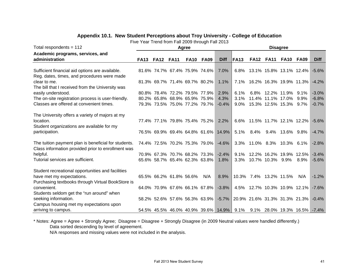# **Appendix 10.1. New Student Perceptions about Troy University - College of Education**

Five Year Trend from Fall 2009 through Fall 2013

| Total respondents = $112$                                                                                                                                                                                                                                                                                                                                                                                                                                                                                                                                                                |             |             |                                                                                                                                                                                                                               | Agree       |             |                                                                                                                                                                        | <b>Disagree</b>      |                                                                                                                                                                        |                          |                                       |             |                                                     |  |
|------------------------------------------------------------------------------------------------------------------------------------------------------------------------------------------------------------------------------------------------------------------------------------------------------------------------------------------------------------------------------------------------------------------------------------------------------------------------------------------------------------------------------------------------------------------------------------------|-------------|-------------|-------------------------------------------------------------------------------------------------------------------------------------------------------------------------------------------------------------------------------|-------------|-------------|------------------------------------------------------------------------------------------------------------------------------------------------------------------------|----------------------|------------------------------------------------------------------------------------------------------------------------------------------------------------------------|--------------------------|---------------------------------------|-------------|-----------------------------------------------------|--|
| Academic programs, services, and                                                                                                                                                                                                                                                                                                                                                                                                                                                                                                                                                         |             |             |                                                                                                                                                                                                                               |             |             |                                                                                                                                                                        |                      |                                                                                                                                                                        |                          |                                       |             |                                                     |  |
| administration                                                                                                                                                                                                                                                                                                                                                                                                                                                                                                                                                                           | <b>FA13</b> | <b>FA12</b> | <b>FA11</b>                                                                                                                                                                                                                   | <b>FA10</b> | <b>FA09</b> | <b>Diff</b>                                                                                                                                                            | <b>FA13</b>          | <b>FA12</b>                                                                                                                                                            | <b>FA11</b>              | FA <sub>10</sub>                      | <b>FA09</b> | <b>Diff</b>                                         |  |
|                                                                                                                                                                                                                                                                                                                                                                                                                                                                                                                                                                                          |             |             |                                                                                                                                                                                                                               |             |             |                                                                                                                                                                        |                      |                                                                                                                                                                        |                          |                                       |             |                                                     |  |
| Sufficient financial aid options are available.                                                                                                                                                                                                                                                                                                                                                                                                                                                                                                                                          |             |             | 81.6% 74.7% 67.4% 75.9% 74.6%                                                                                                                                                                                                 |             |             | 7.0%                                                                                                                                                                   |                      | 6.8% 13.1% 15.8% 13.1% 12.4%                                                                                                                                           |                          |                                       |             | $-5.6%$                                             |  |
| Reg. dates, times, and procedures were made                                                                                                                                                                                                                                                                                                                                                                                                                                                                                                                                              |             |             |                                                                                                                                                                                                                               |             |             |                                                                                                                                                                        |                      |                                                                                                                                                                        |                          |                                       |             |                                                     |  |
| clear to me.                                                                                                                                                                                                                                                                                                                                                                                                                                                                                                                                                                             |             |             | 81.3% 69.7% 71.4% 69.7% 80.2%                                                                                                                                                                                                 |             |             | 1.1%                                                                                                                                                                   | 7.1%                 |                                                                                                                                                                        |                          | 16.2% 16.3% 19.9% 11.3%               |             | $-4.2\%$                                            |  |
| The bill that I received from the University was                                                                                                                                                                                                                                                                                                                                                                                                                                                                                                                                         |             |             |                                                                                                                                                                                                                               |             |             |                                                                                                                                                                        |                      |                                                                                                                                                                        |                          |                                       |             |                                                     |  |
| easily understood.                                                                                                                                                                                                                                                                                                                                                                                                                                                                                                                                                                       |             |             | 80.8% 78.4% 72.2% 79.5% 77.9%                                                                                                                                                                                                 |             |             | 2.9%                                                                                                                                                                   | 6.1%                 |                                                                                                                                                                        |                          | 6.8% 12.2% 11.9% 9.1%                 |             | $-3.0%$                                             |  |
| The on-site registration process is user-friendly.                                                                                                                                                                                                                                                                                                                                                                                                                                                                                                                                       |             |             | 80.2% 65.8% 68.9% 65.9% 75.9%                                                                                                                                                                                                 |             |             | 4.3%                                                                                                                                                                   | 3.1%                 |                                                                                                                                                                        |                          | 11.4% 11.1% 17.0% 9.9%                |             | $-6.8%$                                             |  |
| Classes are offered at convenient times.                                                                                                                                                                                                                                                                                                                                                                                                                                                                                                                                                 |             |             | 79.3% 73.5% 75.0% 77.2% 79.7%                                                                                                                                                                                                 |             |             | $-0.4%$                                                                                                                                                                | $9.0\%$              |                                                                                                                                                                        |                          | 15.3% 12.5% 15.3% 9.7%                |             | $-0.7%$                                             |  |
|                                                                                                                                                                                                                                                                                                                                                                                                                                                                                                                                                                                          |             |             |                                                                                                                                                                                                                               |             |             |                                                                                                                                                                        |                      |                                                                                                                                                                        |                          |                                       |             |                                                     |  |
|                                                                                                                                                                                                                                                                                                                                                                                                                                                                                                                                                                                          |             |             |                                                                                                                                                                                                                               |             |             |                                                                                                                                                                        |                      |                                                                                                                                                                        |                          |                                       |             |                                                     |  |
|                                                                                                                                                                                                                                                                                                                                                                                                                                                                                                                                                                                          |             |             |                                                                                                                                                                                                                               |             |             |                                                                                                                                                                        |                      |                                                                                                                                                                        |                          |                                       |             | $-5.6%$                                             |  |
|                                                                                                                                                                                                                                                                                                                                                                                                                                                                                                                                                                                          |             |             |                                                                                                                                                                                                                               |             |             |                                                                                                                                                                        |                      |                                                                                                                                                                        |                          |                                       |             |                                                     |  |
|                                                                                                                                                                                                                                                                                                                                                                                                                                                                                                                                                                                          |             |             |                                                                                                                                                                                                                               |             |             |                                                                                                                                                                        |                      |                                                                                                                                                                        |                          |                                       |             | $-4.7%$                                             |  |
|                                                                                                                                                                                                                                                                                                                                                                                                                                                                                                                                                                                          |             |             |                                                                                                                                                                                                                               |             |             |                                                                                                                                                                        |                      |                                                                                                                                                                        |                          |                                       |             |                                                     |  |
|                                                                                                                                                                                                                                                                                                                                                                                                                                                                                                                                                                                          |             |             |                                                                                                                                                                                                                               |             |             |                                                                                                                                                                        |                      |                                                                                                                                                                        |                          |                                       |             | $-2.8%$                                             |  |
|                                                                                                                                                                                                                                                                                                                                                                                                                                                                                                                                                                                          |             |             |                                                                                                                                                                                                                               |             |             |                                                                                                                                                                        |                      |                                                                                                                                                                        |                          |                                       |             |                                                     |  |
|                                                                                                                                                                                                                                                                                                                                                                                                                                                                                                                                                                                          |             |             |                                                                                                                                                                                                                               |             |             |                                                                                                                                                                        |                      |                                                                                                                                                                        |                          |                                       |             |                                                     |  |
|                                                                                                                                                                                                                                                                                                                                                                                                                                                                                                                                                                                          |             |             |                                                                                                                                                                                                                               |             |             |                                                                                                                                                                        |                      |                                                                                                                                                                        |                          |                                       |             |                                                     |  |
|                                                                                                                                                                                                                                                                                                                                                                                                                                                                                                                                                                                          |             |             |                                                                                                                                                                                                                               |             |             |                                                                                                                                                                        |                      |                                                                                                                                                                        |                          |                                       |             |                                                     |  |
|                                                                                                                                                                                                                                                                                                                                                                                                                                                                                                                                                                                          |             |             |                                                                                                                                                                                                                               |             |             |                                                                                                                                                                        |                      |                                                                                                                                                                        |                          |                                       |             |                                                     |  |
|                                                                                                                                                                                                                                                                                                                                                                                                                                                                                                                                                                                          |             |             |                                                                                                                                                                                                                               |             |             |                                                                                                                                                                        |                      |                                                                                                                                                                        |                          |                                       |             |                                                     |  |
|                                                                                                                                                                                                                                                                                                                                                                                                                                                                                                                                                                                          |             |             |                                                                                                                                                                                                                               |             |             |                                                                                                                                                                        |                      |                                                                                                                                                                        |                          |                                       |             |                                                     |  |
|                                                                                                                                                                                                                                                                                                                                                                                                                                                                                                                                                                                          |             |             |                                                                                                                                                                                                                               |             |             |                                                                                                                                                                        |                      |                                                                                                                                                                        |                          |                                       |             |                                                     |  |
|                                                                                                                                                                                                                                                                                                                                                                                                                                                                                                                                                                                          |             |             |                                                                                                                                                                                                                               |             |             |                                                                                                                                                                        |                      |                                                                                                                                                                        |                          |                                       |             |                                                     |  |
|                                                                                                                                                                                                                                                                                                                                                                                                                                                                                                                                                                                          |             |             |                                                                                                                                                                                                                               |             |             |                                                                                                                                                                        |                      |                                                                                                                                                                        |                          |                                       |             |                                                     |  |
|                                                                                                                                                                                                                                                                                                                                                                                                                                                                                                                                                                                          |             |             |                                                                                                                                                                                                                               |             |             |                                                                                                                                                                        |                      |                                                                                                                                                                        |                          |                                       |             |                                                     |  |
| The University offers a variety of majors at my<br>location.<br>Student organizations are available for my<br>participation.<br>The tuition payment plan is beneficial for students.<br>Class information provided prior to enrollment was<br>helpful.<br>Tutorial services are sufficient.<br>Student recreational opportunities and facilities<br>have met my expectations.<br>Purchasing textbooks through Virtual BookStore is<br>convenient.<br>Students seldom get the "run around" when<br>seeking information.<br>Campus housing met my expectations upon<br>arriving to campus. |             |             | 77.4% 77.1% 79.8% 75.4% 75.2%<br>74.4% 72.5% 70.2% 75.3% 79.0%<br>70.9% 67.3% 70.7% 68.2% 73.3%<br>65.6% 58.7% 65.4% 62.3% 63.8%<br>65.5% 66.2% 61.8% 56.6%<br>64.0% 70.9% 67.6% 66.1% 67.8%<br>58.2% 52.6% 57.6% 56.3% 63.9% |             | N/A         | 2.2%<br>76.5% 69.9% 69.4% 64.8% 61.6% 14.9%<br>$-4.6%$<br>$-2.4%$<br>1.8%<br>8.9%<br>$-3.8\%$<br>54.5% 45.5% 46.0% 40.9% 39.6% 14.9% 9.1% 9.1% 28.0% 19.3% 16.5% -7.4% | 5.1%<br>9.1%<br>3.3% | 6.6% 11.5% 11.7% 12.1% 12.2%<br>$8.4\%$<br>3.3% 11.0% 8.3% 10.3% 6.1%<br>10.3% 7.4% 13.2% 11.5%<br>4.5% 12.7% 10.3% 10.9% 12.1%<br>-5.7% 20.9% 21.6% 31.3% 31.3% 21.3% | 9.4%<br>10.7% 10.3% 9.9% | 13.6% 9.8%<br>12.2% 16.2% 19.9% 12.5% | 8.9%<br>N/A | $-3.4%$<br>$-5.6%$<br>$-1.2%$<br>$-7.6%$<br>$-0.4%$ |  |

\* Notes: Agree = Agree + Strongly Agree; Disagree = Disagree + Strongly Disagree (in 2009 Neutral values were handled differently.) Data sorted descending by level of agreement.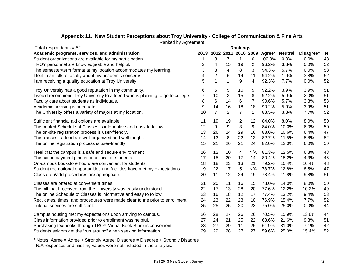| Total respondents = $52$                                                        | <b>Rankings</b> |                |                |                |     |                            |                |           |    |
|---------------------------------------------------------------------------------|-----------------|----------------|----------------|----------------|-----|----------------------------|----------------|-----------|----|
| Academic programs, services, and administration                                 | 2013            |                |                |                |     | 2012 2011 2010 2009 Agree* | <b>Neutral</b> | Disagree* | N  |
| Student organizations are available for my participation.                       |                 | 8              | 7              | 1              | 6   | 100.0%                     | 0.0%           | 0.0%      | 48 |
| TROY personnel are knowledgeable and helpful.                                   | 2               | 4              | 15             | 19             | 2   | 96.2%                      | 3.8%           | 0.0%      | 52 |
| The semester/term format at my location accommodates my learning.               | 3               | 3              | 4              | 8              | 3   | 94.3%                      | 5.7%           | 0.0%      | 53 |
| I feel I can talk to faculty about my academic concerns.                        | 4               | $\overline{c}$ | 6              | 14             | 11  | 94.2%                      | 1.9%           | 3.8%      | 52 |
| I am receiving a quality education at Troy University.                          | 5               | 1              | 1              | 9              | 4   | 92.3%                      | 7.7%           | 0.0%      | 52 |
| Troy University has a good reputation in my community.                          | 6               | 5              | 5              | 10             | 5   | 92.2%                      | 3.9%           | 3.9%      | 51 |
| I would recommend Troy University to a friend who is planning to go to college. | 7               | 10             | 3              | 15             | 8   | 92.2%                      | 5.9%           | 2.0%      | 51 |
| Faculty care about students as individuals.                                     | 8               | 6              | 14             | 6              | 7   | 90.6%                      | 5.7%           | 3.8%      | 53 |
| Academic advising is adequate.                                                  | 9               | 14             | 16             | 18             | 18  | 90.2%                      | 5.9%           | 3.9%      | 51 |
| The University offers a variety of majors at my location.                       | 10              | $\overline{7}$ | $\overline{2}$ | $\overline{7}$ | 1   | 88.5%                      | 3.8%           | 7.7%      | 52 |
| Sufficient financial aid options are available.                                 | 11              | 19             | 19             | 2              | 12  | 84.0%                      | 8.0%           | 8.0%      | 50 |
| The printed Schedule of Classes is informative and easy to follow.              | 12              | 9              | 9              | 3              | 9   | 84.0%                      | 10.0%          | 6.0%      | 50 |
| The on-site registration process is user-friendly.                              | 13              | 26             | 24             | 29             | 16  | 83.0%                      | 10.6%          | 6.4%      | 47 |
| The classes I attend are well organized and well taught.                        | 14              | 13             | 8              | 22             | 13  | 82.7%                      | 11.5%          | 5.8%      | 52 |
| The online registration process is user-friendly.                               | 15              | 21             | 26             | 21             | 24  | 82.0%                      | 12.0%          | 6.0%      | 50 |
| I feel that the campus is a safe and secure environment                         | 16              | 12             | 10             | 4              | N/A | 81.3%                      | 12.5%          | 6.3%      | 48 |
| The tuition payment plan is beneficial for students.                            | 17              | 15             | 20             | 17             | 14  | 80.4%                      | 15.2%          | 4.3%      | 46 |
| On-campus bookstore hours are convenient for students.                          | 18              | 18             | 23             | 13             | 21  | 79.2%                      | 10.4%          | 10.4%     | 48 |
| Student recreational opportunities and facilities have met my expectations.     | 19              | 22             | 17             | 5              | N/A | 78.7%                      | 12.8%          | 8.5%      | 47 |
| Class drop/add procedures are appropriate.                                      | 20              | 11             | 12             | 24             | 19  | 78.4%                      | 11.8%          | 9.8%      | 51 |
| Classes are offered at convenient times.                                        | 21              | 20             | 11             | 16             | 15  | 78.0%                      | 14.0%          | 8.0%      | 50 |
| The bill that I received from the University was easily understood.             | 22              | 17             | 13             | 28             | 20  | 77.6%                      | 12.2%          | 10.2%     | 49 |
| The online Schedule of Classes is informative and easy to follow.               | 23              | 16             | 18             | 12             | 17  | 77.4%                      | 13.2%          | 9.4%      | 53 |
| Reg. dates, times, and procedures were made clear to me prior to enrollment.    | 24              | 23             | 22             | 23             | 10  | 76.9%                      | 15.4%          | 7.7%      | 52 |
| Tutorial services are sufficient.                                               | 25              | 25             | 25             | 20             | 23  | 75.0%                      | 25.0%          | 0.0%      | 44 |
| Campus housing met my expectations upon arriving to campus.                     | 26              | 28             | 27             | 26             | 26  | 70.5%                      | 15.9%          | 13.6%     | 44 |
| Class information provided prior to enrollment was helpful.                     | 27              | 24             | 21             | 25             | 22  | 68.6%                      | 21.6%          | 9.8%      | 51 |
| Purchasing textbooks through TROY Virtual Book Store is convenient.             | 28              | 27             | 29             | 11             | 25  | 61.9%                      | 31.0%          | 7.1%      | 42 |
| Students seldom get the "run around" when seeking information.                  | 29              | 29             | 28             | 27             | 27  | 59.6%                      | 25.0%          | 15.4%     | 52 |

# **Appendix 11. New Student Perceptions about Troy University - College of Communication & Fine Arts**

Ranked by Agreement

\* Notes: Agree = Agree + Strongly Agree; Disagree = Disagree + Strongly Disagree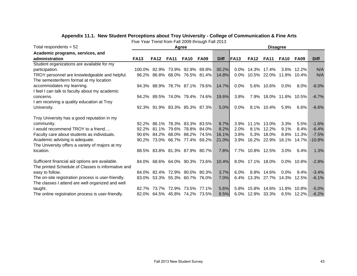| Total respondents $= 52$                           |             |             | Agree                         |             |                               | <b>Disagree</b> |             |                     |                        |             |               |             |  |
|----------------------------------------------------|-------------|-------------|-------------------------------|-------------|-------------------------------|-----------------|-------------|---------------------|------------------------|-------------|---------------|-------------|--|
| Academic programs, services, and                   |             |             |                               |             |                               |                 |             |                     |                        |             |               |             |  |
| administration                                     | <b>FA13</b> | <b>FA12</b> | <b>FA11</b>                   | <b>FA10</b> | <b>FA09</b>                   | <b>Diff</b>     | <b>FA13</b> | <b>FA12</b>         | <b>FA11</b>            | <b>FA10</b> | <b>FA09</b>   | <b>Diff</b> |  |
| Student organizations are available for my         |             |             |                               |             |                               |                 |             |                     |                        |             |               |             |  |
| participation.                                     | 100.0%      | 82.9%       |                               |             | 73.9% 92.9% 69.8%             | 30.2%           |             | $0.0\%$ 14.3% 17.4% |                        |             | 3.6% 12.2%    | N/A         |  |
| TROY personnel are knowledgeable and helpful.      |             |             | 96.2% 86.8% 68.0% 76.5% 81.4% |             |                               | 14.8%           |             |                     | $0.0\%$ 10.5% 22.0%    | 11.8% 10.4% |               | N/A         |  |
| The semester/term format at my location            |             |             |                               |             |                               |                 |             |                     |                        |             |               |             |  |
| accommodates my learning.                          |             |             |                               |             | 94.3% 88.9% 78.7% 87.1% 79.6% | 14.7%           | $0.0\%$     |                     | 5.6% 10.6%             | $0.0\%$     | 8.0%          | $-8.0%$     |  |
| I feel I can talk to faculty about my academic     |             |             |                               |             |                               |                 |             |                     |                        |             |               |             |  |
| concerns.                                          |             |             |                               |             | 94.2% 89.5% 74.0% 79.4% 74.6% | 19.6%           | 3.8%        |                     | 7.9% 18.0% 11.8% 10.5% |             |               | $-6.7%$     |  |
| I am receiving a quality education at Troy         |             |             |                               |             |                               |                 |             |                     |                        |             |               |             |  |
| University.                                        |             |             | 92.3% 91.9% 83.3% 85.3% 87.3% |             |                               | 5.0%            | $0.0\%$     |                     | 8.1% 10.4%             | 5.9%        | 6.6%          | $-6.6%$     |  |
| Troy University has a good reputation in my        |             |             |                               |             |                               |                 |             |                     |                        |             |               |             |  |
| community.                                         | $92.2\%$    | 86.1%       |                               |             | 78.3% 83.3% 83.5%             | 8.7%            | 3.9%        |                     | 11.1% 13.0%            | 3.3%        | 5.5%          | $-1.6%$     |  |
| I would recommend TROY to a friend                 | 92.2%       |             | 81.1% 79.6% 78.8% 84.0%       |             |                               | 8.2%            | 2.0%        |                     | 8.1% 12.2%             | 9.1%        | 8.4%          | $-6.4%$     |  |
| Faculty care about students as individuals.        | 90.6%       |             | 84.2% 68.0% 88.2%             |             | 74.5%                         | 16.1%           | 3.8%        | 5.3%                | 18.0%                  | 8.8%        | 11.3%         | $-7.5%$     |  |
| Academic advising is adequate.                     | 90.2%       |             | 73.0% 66.7% 77.4% 69.2%       |             |                               | 21.0%           |             |                     | 3.9% 16.2% 22.9%       | 16.1% 14.7% |               | $-10.8%$    |  |
| The University offers a variety of majors at my    |             |             |                               |             |                               |                 |             |                     |                        |             |               |             |  |
| location.                                          |             |             |                               |             | 88.5% 83.8% 81.3% 87.9% 80.7% | 7.8%            |             | 7.7% 10.8% 12.5%    |                        | $3.0\%$     | $6.4\%$       | 1.3%        |  |
| Sufficient financial aid options are available.    |             |             |                               |             | 84.0% 68.6% 64.0% 90.3% 73.6% | 10.4%           |             | 8.0% 17.1% 18.0%    |                        |             | $0.0\%$ 10.8% | $-2.8%$     |  |
| The printed Schedule of Classes is informative and |             |             |                               |             |                               |                 |             |                     |                        |             |               |             |  |
| easy to follow.                                    |             |             | 84.0% 82.4% 72.9% 90.0% 80.3% |             |                               | 3.7%            | $6.0\%$     |                     | 8.8% 14.6%             | $0.0\%$     | 9.4%          | $-3.4%$     |  |
| The on-site registration process is user-friendly. |             |             | 83.0% 53.3% 55.3% 60.7% 76.0% |             |                               | 7.0%            |             |                     | 6.4% 13.3% 27.7%       | 14.3% 12.5% |               | $-6.1%$     |  |
| The classes I attend are well organized and well   |             |             |                               |             |                               |                 |             |                     |                        |             |               |             |  |
| taught.                                            | 82.7%       | 73.7%       | 72.9%                         | 73.5%       | 77.1%                         | 5.6%            | 5.8%        |                     | 15.8% 14.6%            | 11.8% 10.8% |               | $-5.0%$     |  |
| The online registration process is user-friendly.  |             |             | 82.0% 64.5% 45.8% 74.2%       |             | 73.5%                         | 8.5%            |             | 6.0% 12.9% 33.3%    |                        |             | 6.5% 12.2%    | $-6.2%$     |  |

# **Appendix 11.1. New Student Perceptions about Troy University - College of Communication & Fine Arts**

Five Year Trend from Fall 2009 through Fall 2013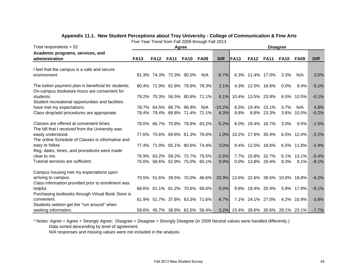| Total respondents $= 52$                                                                                                    |             |             | Agree                                                          |             |                               | <b>Disagree</b>  |                                     |                                      |                   |                 |                    |                    |
|-----------------------------------------------------------------------------------------------------------------------------|-------------|-------------|----------------------------------------------------------------|-------------|-------------------------------|------------------|-------------------------------------|--------------------------------------|-------------------|-----------------|--------------------|--------------------|
| Academic programs, services, and                                                                                            |             |             |                                                                |             |                               |                  |                                     |                                      |                   |                 |                    |                    |
| administration                                                                                                              | <b>FA13</b> | <b>FA12</b> | <b>FA11</b>                                                    | <b>FA10</b> | <b>FA09</b>                   | <b>Diff</b>      | <b>FA13</b>                         | <b>FA12</b>                          | <b>FA11</b>       | <b>FA10</b>     | <b>FA09</b>        | <b>Diff</b>        |
| I feel that the campus is a safe and secure                                                                                 |             |             |                                                                |             |                               |                  |                                     |                                      |                   |                 |                    |                    |
| environment                                                                                                                 |             |             | 81.3% 74.3% 72.3% 90.0%                                        |             | N/A                           | $-8.7%$          |                                     |                                      | 6.3% 11.4% 17.0%  | 3.3%            | N/A                | 3.0%               |
| The tuition payment plan is beneficial for students.<br>On-campus bookstore hours are convenient for                        |             |             | 80.4% 71.9% 62.8% 78.6% 78.3%                                  |             |                               | 2.1%             |                                     | 4.3% 12.5% 18.6%                     |                   | $0.0\%$         | $9.4\%$            | $-5.1%$            |
| students.<br>Student recreational opportunities and facilities                                                              |             |             | 79.2% 70.3% 56.5% 80.6% 71.1%                                  |             |                               | 8.1%             |                                     |                                      | 10.4% 13.5% 23.9% |                 | 6.5% 10.5%         | $-0.1%$            |
| have met my expectations.<br>Class drop/add procedures are appropriate.                                                     |             |             | 78.7% 64.5% 66.7% 88.9%<br>78.4% 79.4% 69.8% 71.4%             |             | N/A<br>72.1%                  | $-10.2%$<br>6.3% | 9.8%                                | 8.5% 19.4% 23.1%                     | 8.8% 23.3%        | 3.7%<br>$3.6\%$ | N/A<br>10.0%       | 4.8%<br>$-0.2%$    |
| Classes are offered at convenient times.                                                                                    |             |             | 78.0% 66.7% 70.8% 78.8% 83.2%                                  |             |                               | $-5.2%$          |                                     |                                      | 8.0% 19.4% 16.7%  | $3.0\%$         | 9.5%               | $-1.5%$            |
| The bill that I received from the University was<br>easily understood.<br>The online Schedule of Classes is informative and |             |             | 77.6% 70.6% 69.6% 61.3% 76.6%                                  |             |                               | 1.0%             |                                     |                                      | 10.2% 17.6% 30.4% |                 | 6.5% 12.4%         | $-2.2%$            |
| easy to follow.<br>Reg. dates, times, and procedures were made                                                              |             |             | 77.4% 71.9% 65.1% 80.6% 74.4%                                  |             |                               | 3.0%             |                                     |                                      | 9.4% 12.5% 18.6%  |                 | 6.5% 11.8%         | $-2.4%$            |
| clear to me.<br>Tutorial services are sufficient.                                                                           |             |             | 76.9% 63.2% 59.2% 72.7% 79.5%<br>75.0% 58.6% 52.9% 75.0% 65.1% |             |                               | $-2.6%$<br>9.9%  |                                     | 7.7% 15.8% 32.7%<br>0.0% 13.8% 29.4% |                   | 8.3%            | 6.1% 13.1%<br>8.1% | $-5.4%$<br>$-8.1%$ |
| Campus housing met my expectations upon                                                                                     |             |             |                                                                |             |                               |                  |                                     |                                      |                   |                 |                    |                    |
| arriving to campus.<br>Class information provided prior to enrollment was                                                   |             |             |                                                                |             | 70.5% 51.6% 39.5% 70.0% 46.6% |                  | 23.9% 13.6% 22.6% 39.5% 10.0% 19.8% |                                      |                   |                 |                    | $-6.2%$            |
| helpful.<br>Purchasing textbooks through Virtual Book Store is                                                              |             |             | 68.6% 61.1% 61.2% 70.6% 68.6%                                  |             |                               | 0.0%             |                                     |                                      | 9.8% 19.4% 20.4%  |                 | 5.9% 17.9%         | $-8.1%$            |
| convenient.<br>Students seldom get the "run around" when                                                                    |             |             | 61.9% 51.7% 37.8% 83.3% 71.6%                                  |             |                               | $-9.7%$          |                                     |                                      | 7.1% 24.1% 27.0%  |                 | 4.2% 10.9%         | $-3.8%$            |
| seeking information.                                                                                                        |             |             | 59.6% 45.7% 38.8% 62.5% 56.4%                                  |             |                               |                  | 3.2% 15.4% 28.6% 30.6% 28.1% 23.1%  |                                      |                   |                 |                    | $-7.7%$            |

#### **Appendix 11.1. New Student Perceptions about Troy University - College of Communication & Fine Arts**

Five Year Trend from Fall 2009 through Fall 2013

\* Notes: Agree = Agree + Strongly Agree; Disagree = Disagree + Strongly Disagree (in 2009 Neutral values were handled differently.) Data sorted descending by level of agreement.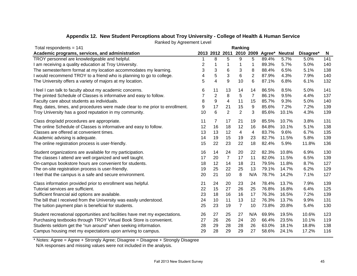| Total respondents = $141$                                                    | Ranking |                  |                |                |                |       |                          |           |          |
|------------------------------------------------------------------------------|---------|------------------|----------------|----------------|----------------|-------|--------------------------|-----------|----------|
| Academic programs, services, and administration                              |         |                  | 2013 2012 2011 |                |                |       | 2010 2009 Agree* Neutral | Disagree* | <b>N</b> |
| TROY personnel are knowledgeable and helpful.                                |         | 8                | 5              | 9              | 5              | 89.4% | 5.7%                     | 5.0%      | 141      |
| I am receiving a quality education at Troy University.                       | 2       | 1                | 1              | 1              | 1              | 89.3% | 5.7%                     | 5.0%      | 140      |
| The semester/term format at my location accommodates my learning.            | 3       | 3                | 6              | 3              | 8              | 88.4% | 6.5%                     | 5.1%      | 138      |
| I would recommend TROY to a friend who is planning to go to college.         | 4       | 5                | 3              | $\,6$          | $\overline{2}$ | 87.9% | 4.3%                     | 7.9%      | 140      |
| The University offers a variety of majors at my location.                    | 5       | 4                | 9              | 10             | 6              | 87.1% | 6.8%                     | 6.1%      | 132      |
| I feel I can talk to faculty about my academic concerns.                     | 6       | 11               | 13             | 14             | 14             | 86.5% | 8.5%                     | 5.0%      | 141      |
| The printed Schedule of Classes is informative and easy to follow.           | 7       | $\mathbf{2}$     | 8              | 5              | $\overline{7}$ | 86.1% | 9.5%                     | 4.4%      | 137      |
| Faculty care about students as individuals.                                  | 8       | $\boldsymbol{9}$ | 4              | 11             | 15             | 85.7% | 9.3%                     | 5.0%      | 140      |
| Reg. dates, times, and procedures were made clear to me prior to enrollment. | 9       | 17               | 21             | 15             | 9              | 85.6% | 7.2%                     | 7.2%      | 139      |
| Troy University has a good reputation in my community.                       | 10      | 6                | $\overline{2}$ | $\overline{2}$ | 3              | 85.6% | 10.1%                    | 4.3%      | 139      |
| Class drop/add procedures are appropriate.                                   | 11      | 7                | 17             | 21             | 19             | 85.5% | 10.7%                    | 3.8%      | 131      |
| The online Schedule of Classes is informative and easy to follow.            | 12      | 16               | 18             | 12             | 16             | 84.8% | 10.1%                    | 5.1%      | 138      |
| Classes are offered at convenient times.                                     | 13      | 13               | 12             | $\overline{4}$ | 4              | 83.7% | 9.6%                     | 6.7%      | 135      |
| Academic advising is adequate.                                               | 14      | 19               | 15             | 19             | 23             | 82.7% | 11.5%                    | 5.8%      | 139      |
| The online registration process is user-friendly.                            | 15      | 22               | 23             | 22             | 18             | 82.4% | 5.9%                     | 11.8%     | 136      |
| Student organizations are available for my participation.                    | 16      | 14               | 24             | 20             | 22             | 82.3% | 10.8%                    | 6.9%      | 130      |
| The classes I attend are well organized and well taught.                     | 17      | 20               | $\overline{7}$ | 17             | 11             | 82.0% | 11.5%                    | 6.5%      | 139      |
| On-campus bookstore hours are convenient for students.                       | 18      | 12               | 14             | 18             | 21             | 79.5% | 11.8%                    | 8.7%      | 127      |
| The on-site registration process is user-friendly.                           | 19      | 25               | 22             | 25             | 13             | 79.1% | 14.7%                    | 6.2%      | 129      |
| I feel that the campus is a safe and secure environment.                     | 20      | 21               | 10             | 8              | N/A            | 78.7% | 14.2%                    | 7.1%      | 127      |
| Class information provided prior to enrollment was helpful.                  | 21      | 24               | 20             | 23             | 24             | 78.4% | 13.7%                    | 7.9%      | 139      |
| Tutorial services are sufficient.                                            | 22      | 15               | 27             | 26             | 25             | 76.8% | 16.8%                    | 6.4%      | 125      |
| Sufficient financial aid options are available.                              | 23      | 18               | 16             | 16             | 17             | 76.3% | 16.5%                    | 7.2%      | 139      |
| The bill that I received from the University was easily understood.          | 24      | 10               | 11             | 13             | 12             | 76.3% | 13.7%                    | 9.9%      | 131      |
| The tuition payment plan is beneficial for students.                         | 25      | 23               | 19             | $\overline{7}$ | 10             | 73.8% | 20.8%                    | 5.4%      | 130      |
| Student recreational opportunities and facilities have met my expectations.  | 26      | 27               | 25             | 27             | N/A            | 69.9% | 19.5%                    | 10.6%     | 123      |
| Purchasing textbooks through TROY Virtual Book Store is convenient.          | 27      | 26               | 26             | 24             | 20             | 66.4% | 23.5%                    | 10.1%     | 119      |
| Students seldom get the "run around" when seeking information.               | 28      | 29               | 28             | 28             | 26             | 63.0% | 18.1%                    | 18.8%     | 138      |
| Campus housing met my expectations upon arriving to campus.                  | 29      | 28               | 29             | 29             | 27             | 58.6% | 24.1%                    | 17.2%     | 116      |

# **Appendix 12. New Student Perceptions about Troy University - College of Health & Human Service**

Ranked by Agreement Level

\* Notes: Agree = Agree + Strongly Agree; Disagree = Disagree + Strongly Disagree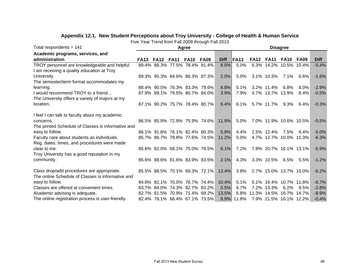| Total respondents = 141                            | Agree       |                               |             |             |                               |             |             | <b>Disagree</b> |                  |                              |              |             |  |  |
|----------------------------------------------------|-------------|-------------------------------|-------------|-------------|-------------------------------|-------------|-------------|-----------------|------------------|------------------------------|--------------|-------------|--|--|
| Academic programs, services, and                   |             |                               |             |             |                               |             |             |                 |                  |                              |              |             |  |  |
| administration                                     | <b>FA13</b> | <b>FA12</b>                   | <b>FA11</b> | <b>FA10</b> | <b>FA09</b>                   | <b>Diff</b> | <b>FA13</b> | <b>FA12</b>     | <b>FA11</b>      | <b>FA10</b>                  | <b>FA09</b>  | <b>Diff</b> |  |  |
| TROY personnel are knowledgeable and helpful.      |             | 89.4% 88.3% 77.5% 78.4% 81.4% |             |             |                               | 8.0%        | 5.0%        |                 |                  | 6.3% 14.2% 10.5% 10.4%       |              | $-5.4%$     |  |  |
| I am receiving a quality education at Troy         |             |                               |             |             |                               |             |             |                 |                  |                              |              |             |  |  |
| University.                                        |             | 89.3% 95.3% 84.6% 86.3% 87.3% |             |             |                               | 2.0%        | 5.0%        |                 | 3.1% 10.3%       | 7.1%                         | 6.6%         | $-1.6%$     |  |  |
| The semester/term format accommodates my           |             |                               |             |             |                               |             |             |                 |                  |                              |              |             |  |  |
| learning.                                          |             | 88.4% 90.5% 76.3% 83.3% 79.6% |             |             |                               | 8.8%        | 5.1%        |                 | 3.2% 11.4%       | 6.8%                         | $8.0\%$      | $-2.9%$     |  |  |
| I would recommend TROY to a friend                 |             | 87.9% 89.1% 79.5% 80.7% 84.0% |             |             |                               | 3.9%        | 7.9%        |                 | 4.7% 13.7% 13.9% |                              | $8.4\%$      | $-0.5%$     |  |  |
| The University offers a variety of majors at my    |             |                               |             |             |                               |             |             |                 |                  |                              |              |             |  |  |
| location.                                          |             | 87.1% 90.2% 75.7% 78.4% 80.7% |             |             |                               | 6.4%        | 6.1%        |                 | 5.7% 11.7%       | 9.3%                         | 6.4%         | $-0.3%$     |  |  |
| I feel I can talk to faculty about my academic     |             |                               |             |             |                               |             |             |                 |                  |                              |              |             |  |  |
| concerns.                                          |             |                               |             |             | 86.5% 85.9% 72.9% 75.9% 74.6% | 11.9%       | 5.0%        |                 |                  | 7.0% 11.9% 10.6% 10.5%       |              | $-5.5%$     |  |  |
| The printed Schedule of Classes is informative and |             |                               |             |             |                               |             |             |                 |                  |                              |              |             |  |  |
| easy to follow.                                    |             | 86.1% 91.8% 76.1% 82.4% 80.3% |             |             |                               | 5.8%        | 4.4%        |                 | 2.5% 12.4%       | 7.5%                         | $9.4\%$      | $-5.0%$     |  |  |
| Faculty care about students as individuals.        |             | 85.7% 86.7% 78.8% 77.6% 74.5% |             |             |                               | 11.2%       | 5.0%        |                 |                  | 4.7% 12.7% 10.0% 11.3%       |              | $-6.3%$     |  |  |
| Reg. dates, times, and procedures were made        |             |                               |             |             |                               |             |             |                 |                  |                              |              |             |  |  |
| clear to me.                                       |             | 85.6% 82.0% 68.1% 75.0% 79.5% |             |             |                               | 6.1%        | $7.2\%$     |                 |                  | 7.8% 20.7% 16.1% 13.1%       |              | $-5.9%$     |  |  |
| Troy University has a good reputation in my        |             |                               |             |             |                               |             |             |                 |                  |                              |              |             |  |  |
| community.                                         |             | 85.6% 88.6% 81.6% 83.9% 83.5% |             |             |                               | 2.1%        | 4.3%        |                 | 3.3% 10.5%       |                              | $6.5\%$ 5.5% | $-1.2%$     |  |  |
| Class drop/add procedures are appropriate.         |             |                               |             |             | 85.5% 88.5% 70.1% 69.3% 72.1% | 13.4%       | 3.8%        |                 |                  | 2.7% 15.0% 13.7% 10.0%       |              | $-6.2%$     |  |  |
| The online Schedule of Classes is informative and  |             |                               |             |             |                               |             |             |                 |                  |                              |              |             |  |  |
| easy to follow.                                    |             | 84.8% 82.1% 70.0% 76.7% 74.4% |             |             |                               | 10.4%       | 5.1%        |                 |                  | 5.1% 16.4% 10.7% 11.8%       |              | $-6.7%$     |  |  |
| Classes are offered at convenient times.           |             | 83.7% 84.0% 74.3% 82.7% 83.2% |             |             |                               | 0.5%        | 6.7%        |                 | 7.2% 13.3%       | 6.2%                         | 9.5%         | $-2.8%$     |  |  |
| Academic advising is adequate.                     |             |                               |             |             | 82.7% 81.5% 70.9% 71.4% 69.2% | 13.5%       |             |                 |                  | 5.8% 11.3% 14.5% 16.7% 14.7% |              | $-8.9%$     |  |  |
| The online registration process is user-friendly.  |             | 82.4% 78.1% 66.4% 67.1% 73.5% |             |             |                               |             | 8.9% 11.8%  |                 |                  | 7.9% 21.5% 16.1% 12.2%       |              | $-0.4%$     |  |  |

#### Five Year Trend from Fall 2009 through Fall 2013 **Appendix 12.1. New Student Perceptions about Troy University - College of Health & Human Service**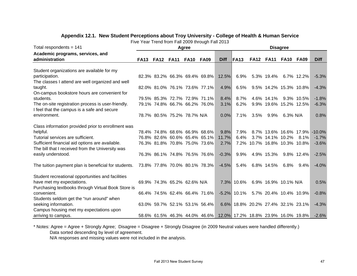| Total respondents = $141$                            |                  |                             |             | Agree       |                               |                                                                   | <b>Disagree</b>                    |                              |                        |             |                        |                               |  |
|------------------------------------------------------|------------------|-----------------------------|-------------|-------------|-------------------------------|-------------------------------------------------------------------|------------------------------------|------------------------------|------------------------|-------------|------------------------|-------------------------------|--|
| Academic programs, services, and                     |                  |                             |             |             |                               |                                                                   |                                    |                              |                        |             |                        |                               |  |
| administration                                       | <b>FA13 FA12</b> |                             | <b>FA11</b> | <b>FA10</b> | <b>FA09</b>                   | <b>Diff</b>                                                       | <b>FA13</b>                        | <b>FA12</b>                  | <b>FA11</b>            | <b>FA10</b> | <b>FA09</b>            | <b>Diff</b>                   |  |
| Student organizations are available for my           |                  |                             |             |             |                               |                                                                   |                                    |                              |                        |             |                        |                               |  |
| participation.                                       |                  |                             |             |             | 82.3% 83.2% 66.3% 69.4% 69.8% | 12.5%                                                             | 6.9%                               |                              | 5.3% 19.4%             |             | 6.7% 12.2%             | $-5.3%$                       |  |
| The classes I attend are well organized and well     |                  |                             |             |             |                               |                                                                   |                                    |                              |                        |             |                        |                               |  |
| taught.                                              |                  |                             |             |             | 82.0% 81.0% 76.1% 73.6% 77.1% | 4.9%                                                              | 6.5%                               |                              |                        |             | 9.5% 14.2% 15.3% 10.8% | $-4.3%$                       |  |
| On-campus bookstore hours are convenient for         |                  |                             |             |             |                               |                                                                   |                                    |                              |                        |             |                        |                               |  |
| students.                                            |                  |                             |             |             | 79.5% 85.3% 72.7% 72.9% 71.1% | 8.4%                                                              | 8.7%                               |                              | 4.6% 14.1%             |             | 9.3% 10.5%             | $-1.8%$                       |  |
| The on-site registration process is user-friendly.   |                  |                             |             |             | 79.1% 74.8% 66.7% 66.2% 76.0% | 3.1%                                                              | 6.2%                               |                              | 9.9% 19.6% 15.2% 12.5% |             |                        | $-6.3%$                       |  |
| I feel that the campus is a safe and secure          |                  |                             |             |             |                               |                                                                   |                                    |                              |                        |             |                        |                               |  |
| environment.                                         |                  | 78.7% 80.5% 75.2% 78.7% N/A |             |             |                               | 0.0%                                                              | 7.1%                               | 3.5%                         | 9.9%                   | 6.3% N/A    |                        | 0.8%                          |  |
| Class information provided prior to enrollment was   |                  |                             |             |             |                               |                                                                   |                                    |                              |                        |             |                        |                               |  |
| helpful.                                             |                  |                             |             |             | 78.4% 74.8% 68.6% 66.9% 68.6% | 9.8%                                                              | 7.9%                               |                              |                        |             |                        | 8.7% 13.6% 16.6% 17.9% -10.0% |  |
| Tutorial services are sufficient.                    |                  |                             |             |             | 76.8% 82.6% 60.6% 65.4% 65.1% | 11.7%                                                             | 6.4%                               |                              | 3.7% 14.1% 10.2%       |             | 8.1%                   | $-1.7%$                       |  |
| Sufficient financial aid options are available.      |                  |                             |             |             | 76.3% 81.8% 70.8% 75.0% 73.6% | 2.7%                                                              |                                    | 7.2% 10.7% 16.8% 10.3% 10.8% |                        |             |                        | $-3.6%$                       |  |
| The bill that I received from the University was     |                  |                             |             |             |                               |                                                                   |                                    |                              |                        |             |                        |                               |  |
| easily understood.                                   |                  |                             |             |             | 76.3% 86.1% 74.8% 76.5% 76.6% | $-0.3%$                                                           | 9.9%                               |                              | 4.9% 15.3%             |             | 9.8% 12.4%             | $-2.5%$                       |  |
| The tuition payment plan is beneficial for students. |                  |                             |             |             | 73.8% 77.8% 70.0% 80.1% 78.3% | $-4.5%$                                                           | 5.4%                               |                              | 6.8% 14.5%             | 6.8%        | $9.4\%$                | $-4.0%$                       |  |
|                                                      |                  |                             |             |             |                               |                                                                   |                                    |                              |                        |             |                        |                               |  |
| Student recreational opportunities and facilities    |                  |                             |             |             |                               |                                                                   |                                    |                              |                        |             |                        |                               |  |
| have met my expectations.                            |                  | 69.9% 74.3% 65.2% 62.6% N/A |             |             |                               |                                                                   | 7.3% 10.6%                         |                              | 6.9% 16.9% 10.1% N/A   |             |                        | 0.5%                          |  |
| Purchasing textbooks through Virtual Book Store is   |                  |                             |             |             |                               |                                                                   |                                    |                              |                        |             |                        |                               |  |
| convenient.                                          |                  |                             |             |             | 66.4% 74.5% 62.4% 66.4% 71.6% |                                                                   | $-5.2\%$ 10.1%                     |                              |                        |             | 5.7% 20.4% 10.4% 10.9% | $-0.8%$                       |  |
| Students seldom get the "run around" when            |                  |                             |             |             |                               |                                                                   |                                    |                              |                        |             |                        |                               |  |
| seeking information.                                 |                  |                             |             |             | 63.0% 59.7% 52.1% 53.1% 56.4% |                                                                   | 6.6% 18.8% 20.2% 27.4% 32.1% 23.1% |                              |                        |             |                        | $-4.3%$                       |  |
| Campus housing met my expectations upon              |                  |                             |             |             |                               |                                                                   |                                    |                              |                        |             |                        |                               |  |
| arriving to campus.                                  |                  |                             |             |             |                               | 58.6% 61.5% 46.3% 44.0% 46.6% 12.0% 17.2% 18.8% 23.9% 16.0% 19.8% |                                    |                              |                        |             |                        | $-2.6%$                       |  |

# **Appendix 12.1. New Student Perceptions about Troy University - College of Health & Human Service**

Five Year Trend from Fall 2009 through Fall 2013

\* Notes: Agree = Agree + Strongly Agree; Disagree = Disagree + Strongly Disagree (in 2009 Neutral values were handled differently.) Data sorted descending by level of agreement.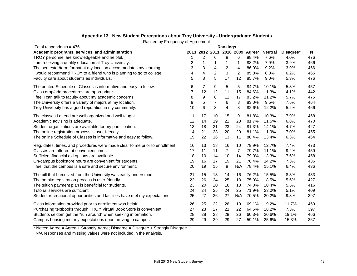| Total respondents = $476$                                                    | Rankings |    |                |                          |                |        |                |           |     |  |
|------------------------------------------------------------------------------|----------|----|----------------|--------------------------|----------------|--------|----------------|-----------|-----|--|
| Academic programs, services, and administration                              |          |    |                | 2013 2012 2011 2010 2009 |                | Agree* | <b>Neutral</b> | Disagree* | N   |  |
| TROY personnel are knowledgeable and helpful.                                |          | 2  | 6              | 8                        | 6              | 88.4%  | 7.6%           | 4.0%      | 476 |  |
| I am receiving a quality education at Troy University.                       | 2        | 1  | 1              | 1                        | 1              | 88.2%  | 7.9%           | 3.9%      | 466 |  |
| The semester/term format at my location accommodates my learning.            | 3        | 3  | 4              | 2                        | 4              | 86.9%  | 9.2%           | 3.9%      | 466 |  |
| I would recommend TROY to a friend who is planning to go to college.         | 4        | 4  | $\overline{c}$ | 3                        | $\overline{2}$ | 85.8%  | 8.0%           | 6.2%      | 465 |  |
| Faculty care about students as individuals.                                  | 5        | 8  | 5              | 17                       | 12             | 85.7%  | 9.0%           | 5.3%      | 476 |  |
| The printed Schedule of Classes is informative and easy to follow.           | 6        | 7  | 9              | 5                        | 5              | 84.7%  | 10.1%          | 5.3%      | 457 |  |
| Class drop/add procedures are appropriate.                                   | 7        | 12 | 12             | 11                       | 15             | 84.6%  | 11.3%          | 4.1%      | 442 |  |
| I feel I can talk to faculty about my academic concerns.                     | 8        | 9  | 8              | 12                       | 17             | 83.2%  | 11.2%          | 5.7%      | 475 |  |
| The University offers a variety of majors at my location.                    | 9        | 5  | $\overline{7}$ | 6                        | 8              | 83.0%  | 9.5%           | 7.5%      | 464 |  |
| Troy University has a good reputation in my community.                       | 10       | 6  | 3              | $\overline{\mathbf{4}}$  | 3              | 82.6%  | 12.2%          | 5.2%      | 466 |  |
| The classes I attend are well organized and well taught.                     | 11       | 17 | 10             | 15                       | 9              | 81.8%  | 10.3%          | 7.9%      | 468 |  |
| Academic advising is adequate.                                               | 12       | 14 | 19             | 22                       | 23             | 81.7%  | 11.5%          | 6.8%      | 470 |  |
| Student organizations are available for my participation.                    | 13       | 18 | 21             | 23                       | 24             | 81.3%  | 14.1%          | 4.7%      | 427 |  |
| The online registration process is user-friendly.                            | 14       | 21 | 23             | 20                       | 20             | 81.1%  | 11.9%          | 7.0%      | 455 |  |
| The online Schedule of Classes is informative and easy to follow.            | 15       | 22 | 16             | 13                       | 11             | 80.4%  | 13.4%          | 6.3%      | 464 |  |
| Reg. dates, times, and procedures were made clear to me prior to enrollment. | 16       | 13 | 18             | 16                       | 10             | 79.9%  | 12.7%          | 7.4%      | 473 |  |
| Classes are offered at convenient times.                                     | 17       | 11 | 11             | $\overline{7}$           | 7              | 79.7%  | 11.1%          | 9.2%      | 459 |  |
| Sufficient financial aid options are available.                              | 18       | 10 | 14             | 10                       | 14             | 79.0%  | 13.3%          | 7.6%      | 458 |  |
| On-campus bookstore hours are convenient for students.                       | 19       | 16 | 17             | 19                       | 21             | 78.4%  | 14.2%          | 7.3%      | 436 |  |
| I feel that the campus is a safe and secure environment.                     | 20       | 19 | 15             | 9                        | N/A            | 78.4%  | 15.1%          | 6.4%      | 436 |  |
| The bill that I received from the University was easily understood.          | 21       | 15 | 13             | 14                       | 16             | 76.2%  | 15.5%          | 8.3%      | 433 |  |
| The on-site registration process is user-friendly.                           | 22       | 26 | 24             | 25                       | 18             | 75.9%  | 18.5%          | 5.6%      | 427 |  |
| The tuition payment plan is beneficial for students.                         | 23       | 20 | 20             | 18                       | 13             | 74.0%  | 20.4%          | 5.5%      | 416 |  |
| Tutorial services are sufficient.                                            | 24       | 24 | 25             | 24                       | 25             | 71.9%  | 23.0%          | 5.1%      | 409 |  |
| Student recreational opportunities and facilities have met my expectations.  | 25       | 27 | 26             | 27                       | N/A            | 70.5%  | 20.2%          | 9.3%      | 397 |  |
| Class information provided prior to enrollment was helpful.                  | 26       | 25 | 22             | 26                       | 19             | 69.1%  | 19.2%          | 11.7%     | 469 |  |
| Purchasing textbooks through TROY Virtual Book Store is convenient.          | 27       | 23 | 27             | 21                       | 22             | 64.5%  | 28.2%          | 7.3%      | 397 |  |
| Students seldom get the "run around" when seeking information.               | 28       | 28 | 28             | 28                       | 26             | 60.3%  | 20.6%          | 19.1%     | 466 |  |
| Campus housing met my expectations upon arriving to campus.                  | 29       | 29 | 29             | 29                       | 27             | 59.1%  | 25.6%          | 15.3%     | 367 |  |

#### **Appendix 13. New Student Perceptions about Troy University - Undergraduate Students**

Ranked by Frequency of Agreement

\* Notes: Agree = Agree + Strongly Agree; Disagree = Disagree + Strongly Disagree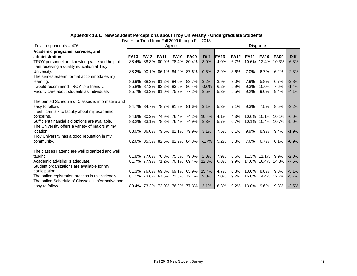| Five Year Trend from Fall 2009 through Fall 2013   |             |             |                               |             |                               |             |                 |             |                 |                   |             |             |  |  |  |  |
|----------------------------------------------------|-------------|-------------|-------------------------------|-------------|-------------------------------|-------------|-----------------|-------------|-----------------|-------------------|-------------|-------------|--|--|--|--|
| Total respondents = $476$                          |             |             |                               | Agree       |                               |             | <b>Disgaree</b> |             |                 |                   |             |             |  |  |  |  |
| Academic programs, services, and                   |             |             |                               |             |                               |             |                 |             |                 |                   |             |             |  |  |  |  |
| administration                                     | <b>FA13</b> | <b>FA12</b> | <b>FA11</b>                   | <b>FA10</b> | <b>FA09</b>                   | <b>Diff</b> | IFA13           | <b>FA12</b> | <b>FA11</b>     | <b>FA10</b>       | <b>FA09</b> | <b>Diff</b> |  |  |  |  |
| TROY personnel are knowledgeable and helpful.      |             |             | 88.4% 88.3% 80.0% 78.4% 80.4% |             |                               | 8.0%        | 4.0%            | 6.7%        | 10.6%           | 12.4%             | 10.3%       | $-6.3%$     |  |  |  |  |
| I am receiving a quality education at Troy         |             |             |                               |             |                               |             |                 |             |                 |                   |             |             |  |  |  |  |
| University.                                        |             |             | 88.2% 90.1% 86.1% 84.9% 87.6% |             |                               | 0.6%        | 3.9%            | 3.6%        | 7.0%            | 6.7%              | 6.2%        | $-2.3%$     |  |  |  |  |
| The semester/term format accommodates my           |             |             |                               |             |                               |             |                 |             |                 |                   |             |             |  |  |  |  |
| learning.                                          |             |             | 86.9% 88.3% 81.2% 84.0% 83.7% |             |                               | 3.2%        | 3.9%            | 3.0%        | 7.9%            | 5.8%              | 6.7%        | $-2.8%$     |  |  |  |  |
| I would recommend TROY to a friend                 |             |             | 85.8% 87.2% 83.2% 83.5% 86.4% |             |                               | $-0.6%$     | 6.2%            | 5.9%        | 9.3%            | 10.0%             | 7.6%        | $-1.4%$     |  |  |  |  |
| Faculty care about students as individuals.        |             |             | 85.7% 83.3% 81.0% 75.2% 77.2% |             |                               | 8.5%        | 5.3%            | 5.5%        | 9.2%            | 9.0%              | 9.4%        | $-4.1%$     |  |  |  |  |
| The printed Schedule of Classes is informative and |             |             |                               |             |                               |             |                 |             |                 |                   |             |             |  |  |  |  |
| easy to follow.                                    |             |             |                               |             | 84.7% 84.7% 78.7% 81.9% 81.6% | 3.1%        | 5.3%            | 7.1%        | $9.3\%$         | 7.5%              | 8.5%        | $-3.2%$     |  |  |  |  |
| I feel I can talk to faculty about my academic     |             |             |                               |             |                               |             |                 |             |                 |                   |             |             |  |  |  |  |
| concerns.                                          |             |             | 84.6% 80.2% 74.9% 76.4% 74.2% |             |                               | 10.4%       | 4.1%            | 4.3%        |                 | 10.6% 10.1% 10.1% |             | $-6.0%$     |  |  |  |  |
| Sufficient financial aid options are available.    |             |             | 83.2% 83.1% 78.8% 76.4% 74.9% |             |                               | 8.3%        | 5.7%            | 6.7%        |                 | 10.1% 10.4% 10.7% |             | $-5.0%$     |  |  |  |  |
| The University offers a variety of majors at my    |             |             |                               |             |                               |             |                 |             |                 |                   |             |             |  |  |  |  |
| location.                                          |             |             | 83.0% 86.0% 79.6% 81.1% 79.9% |             |                               | 3.1%        | 7.5%            | 6.1%        | $9.9\%$         | 8.9%              | $9.4\%$     | $-1.9%$     |  |  |  |  |
| Troy University has a good reputation in my        |             |             |                               |             |                               |             |                 |             |                 |                   |             |             |  |  |  |  |
| community.                                         |             |             |                               |             | 82.6% 85.3% 82.5% 82.2% 84.3% | $-1.7%$     | 5.2%            | 5.8%        | 7.6%            | 6.7%              | 6.1%        | $-0.9%$     |  |  |  |  |
|                                                    |             |             |                               |             |                               |             |                 |             |                 |                   |             |             |  |  |  |  |
| The classes I attend are well organized and well   |             |             |                               |             |                               |             |                 |             |                 |                   |             |             |  |  |  |  |
| taught.                                            |             |             | 81.8% 77.0% 76.8% 75.5% 79.0% |             |                               | 2.8%        | 7.9%            | 8.6%        |                 | 11.3% 11.1%       | 9.9%        | $-2.0%$     |  |  |  |  |
| Academic advising is adequate.                     |             |             | 81.7% 77.9% 71.2% 70.1% 69.4% |             |                               | 12.3%       | 6.8%            | 9.9%        |                 | 14.6% 16.4% 14.3% |             | $-7.5%$     |  |  |  |  |
| Student organizations are available for my         |             |             |                               |             |                               |             |                 |             |                 |                   |             |             |  |  |  |  |
| participation.                                     |             |             |                               |             | 81.3% 76.6% 69.3% 69.1% 65.9% | 15.4%       | 4.7%            | 6.8%        | 13.6%           | 8.8%              | $9.8\%$     | $-5.1%$     |  |  |  |  |
| The online registration process is user-friendly.  |             |             |                               |             | 81.1% 73.6% 67.5% 71.3% 72.1% | 9.0%        | 7.0%            | 9.2%        |                 | 16.8% 14.4%       | 12.7%       | $-5.7%$     |  |  |  |  |
| The online Schedule of Classes is informative and  |             |             |                               |             |                               |             |                 |             |                 |                   |             |             |  |  |  |  |
| easy to follow.                                    |             |             |                               |             | 80.4% 73.3% 73.0% 76.3% 77.3% | $3.1\%$     | 6.3%            |             | 9.2% 13.0% 9.6% |                   | $9.8\%$     | $-3.5%$     |  |  |  |  |

#### **Appendix 13.1. New Student Perceptions about Troy University - Undergraduate Students**

Fall 2013 New Student Survey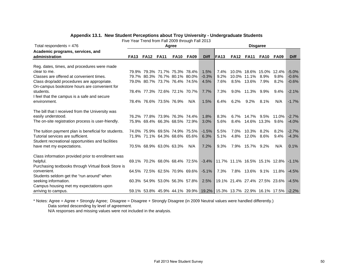| Appendix 13.1. New Student Perceptions about Troy University - Undergraduate Students |  |  |  |  |
|---------------------------------------------------------------------------------------|--|--|--|--|
|---------------------------------------------------------------------------------------|--|--|--|--|

Five Year Trend from Fall 2009 through Fall 2013

| Total respondents = $476$                            | Agree       |                               |             |             |             |                                                                   | <b>Disgaree</b> |                                        |                         |                  |                       |             |  |  |  |
|------------------------------------------------------|-------------|-------------------------------|-------------|-------------|-------------|-------------------------------------------------------------------|-----------------|----------------------------------------|-------------------------|------------------|-----------------------|-------------|--|--|--|
| Academic programs, services, and                     |             |                               |             |             |             |                                                                   |                 |                                        |                         |                  |                       |             |  |  |  |
| administration                                       | <b>FA13</b> | <b>FA12</b>                   | <b>FA11</b> | <b>FA10</b> | <b>FA09</b> | <b>Diff</b>                                                       | <b>FA13</b>     | <b>FA12</b>                            | <b>FA11</b>             | <b>FA10</b>      | <b>FA09</b>           | <b>Diff</b> |  |  |  |
|                                                      |             |                               |             |             |             |                                                                   |                 |                                        |                         |                  |                       |             |  |  |  |
| Reg. dates, times, and procedures were made          |             |                               |             |             |             |                                                                   |                 |                                        |                         |                  |                       |             |  |  |  |
| clear to me.                                         |             | 79.9% 79.3% 71.7% 75.3% 78.4% |             |             |             | 1.5%                                                              | 7.4%            |                                        | 10.0% 18.6% 15.0% 12.4% |                  |                       | $-5.0%$     |  |  |  |
| Classes are offered at convenient times.             |             | 79.7% 80.3% 76.7% 80.1% 80.0% |             |             |             | $-0.3%$                                                           | 9.2%            |                                        | 10.0% 11.1%             | 8.9%             | 9.8%                  | $-0.6%$     |  |  |  |
| Class drop/add procedures are appropriate.           |             | 79.0% 80.7% 73.7% 76.4% 74.5% |             |             |             | 4.5%                                                              | 7.6%            | 8.5%                                   | 13.6%                   | 7.9%             | 8.2%                  | $-0.6%$     |  |  |  |
| On-campus bookstore hours are convenient for         |             |                               |             |             |             |                                                                   |                 |                                        |                         |                  |                       |             |  |  |  |
| students.                                            |             | 78.4% 77.3% 72.6% 72.1% 70.7% |             |             |             | 7.7%                                                              | 7.3%            | $9.0\%$                                | 11.3%                   | $9.9\%$          | $9.4\%$               | $-2.1%$     |  |  |  |
| I feel that the campus is a safe and secure          |             |                               |             |             |             |                                                                   |                 |                                        |                         |                  |                       |             |  |  |  |
| environment.                                         |             | 78.4% 76.6% 73.5% 76.9%       |             |             | N/A         | 1.5%                                                              | 6.4%            | 6.2%                                   | $9.2\%$                 | 8.1%             | N/A                   | $-1.7%$     |  |  |  |
|                                                      |             |                               |             |             |             |                                                                   |                 |                                        |                         |                  |                       |             |  |  |  |
| The bill that I received from the University was     |             |                               |             |             |             |                                                                   |                 |                                        |                         |                  |                       |             |  |  |  |
| easily understood.                                   |             | 76.2% 77.8% 73.9% 76.3% 74.4% |             |             |             | 1.8%                                                              | 8.3%            | 6.7%                                   | 14.7%                   | $9.5\%$          | 11.0%                 | $-2.7%$     |  |  |  |
| The on-site registration process is user-friendly.   |             | 75.9% 69.4% 66.3% 68.5% 72.9% |             |             |             | 3.0%                                                              | 5.6%            | 8.4%                                   |                         | 14.6% 13.3% 9.6% |                       | $-4.0%$     |  |  |  |
|                                                      |             |                               |             |             |             |                                                                   |                 |                                        |                         |                  |                       |             |  |  |  |
| The tuition payment plan is beneficial for students. |             | 74.0% 75.9% 69.5% 74.9% 75.5% |             |             |             | $-1.5%$                                                           | 5.5%            | 7.0%                                   | 10.3% 8.2%              |                  | 8.2%                  | $-2.7%$     |  |  |  |
| Tutorial services are sufficient.                    |             | 71.9% 71.1% 64.3% 68.6% 65.6% |             |             |             | 6.3%                                                              | 5.1%            | 4.8%                                   | 12.0%                   | 8.6%             | 9.4%                  | $-4.3%$     |  |  |  |
| Student recreational opportunities and facilities    |             |                               |             |             |             |                                                                   |                 |                                        |                         |                  |                       |             |  |  |  |
| have met my expectations.                            |             | 70.5% 68.9% 63.0% 63.3%       |             |             | N/A         | 7.2%                                                              | 9.3%            | 7.9%                                   | 15.7% 9.2%              |                  | N/A                   | 0.1%        |  |  |  |
|                                                      |             |                               |             |             |             |                                                                   |                 |                                        |                         |                  |                       |             |  |  |  |
| Class information provided prior to enrollment was   |             |                               |             |             |             |                                                                   |                 |                                        |                         |                  |                       |             |  |  |  |
| helpful.                                             |             | 69.1% 70.2% 68.0% 68.4% 72.5% |             |             |             |                                                                   |                 | $-3.4\%$ 11.7% 11.1% 16.5% 15.1% 12.8% |                         |                  |                       | $-1.1%$     |  |  |  |
| Purchasing textbooks through Virtual Book Store is   |             |                               |             |             |             |                                                                   |                 |                                        |                         |                  |                       |             |  |  |  |
| convenient.                                          |             | 64.5% 72.5% 62.5% 70.9% 69.6% |             |             |             | $-5.1%$                                                           | 7.3%            |                                        |                         |                  | 7.8% 13.6% 9.1% 11.8% | $-4.5%$     |  |  |  |
|                                                      |             |                               |             |             |             |                                                                   |                 |                                        |                         |                  |                       |             |  |  |  |
| Students seldom get the "run around" when            |             |                               |             |             |             |                                                                   |                 |                                        |                         |                  |                       |             |  |  |  |
| seeking information.                                 |             | 60.3% 54.9% 53.0% 56.3% 57.8% |             |             |             | 2.5%                                                              |                 | 19.1% 21.4% 27.4% 27.5% 23.6%          |                         |                  |                       | $-4.5%$     |  |  |  |
| Campus housing met my expectations upon              |             |                               |             |             |             |                                                                   |                 |                                        |                         |                  |                       |             |  |  |  |
| arriving to campus.                                  |             |                               |             |             |             | 59.1% 53.8% 45.9% 44.1% 39.9% 19.2% 15.3% 13.7% 22.9% 16.1% 17.5% |                 |                                        |                         |                  |                       | $-2.2\%$    |  |  |  |

\* Notes: Agree = Agree + Strongly Agree; Disagree = Disagree + Strongly Disagree (in 2009 Neutral values were handled differently.) Data sorted descending by level of agreement.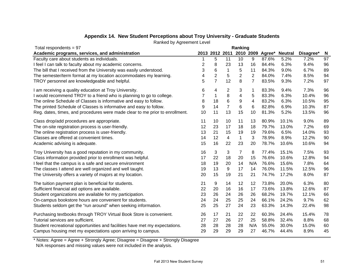| Total respondents = $97$                                                     | Ranking |                |                |                         |                |                                 |                |           |    |
|------------------------------------------------------------------------------|---------|----------------|----------------|-------------------------|----------------|---------------------------------|----------------|-----------|----|
| Academic programs, services, and administration                              |         |                |                |                         |                | 2013 2012 2011 2010 2009 Agree* | <b>Neutral</b> | Disagree* | N  |
| Faculty care about students as individuals.                                  |         | 5              | 11             | 10                      | 9              | 87.6%                           | 5.2%           | 7.2%      | 97 |
| I feel I can talk to faculty about my academic concerns.                     | 2       | 8              | 23             | 13                      | 16             | 84.4%                           | 6.3%           | 9.4%      | 96 |
| The bill that I received from the University was easily understood.          | 3       | 6              | $\mathbf{1}$   | 5                       | 11             | 84.3%                           | 9.0%           | 6.7%      | 89 |
| The semester/term format at my location accommodates my learning.            | 4       | $\overline{c}$ | 5              | $\overline{2}$          | $\overline{2}$ | 84.0%                           | 7.4%           | 8.5%      | 94 |
| TROY personnel are knowledgeable and helpful.                                | 5       | $\overline{7}$ | 12             | 8                       | $\overline{7}$ | 83.5%                           | 9.3%           | 7.2%      | 97 |
| I am receiving a quality education at Troy University.                       | 6       | 4              | 2              | 3                       | 1              | 83.3%                           | 9.4%           | 7.3%      | 96 |
| I would recommend TROY to a friend who is planning to go to college.         |         | 1              | 8              | $\overline{\mathbf{4}}$ | 5              | 83.3%                           | 6.3%           | 10.4%     | 96 |
| The online Schedule of Classes is informative and easy to follow.            | 8       | 18             | $\,6$          | 9                       | 4              | 83.2%                           | 6.3%           | 10.5%     | 95 |
| The printed Schedule of Classes is informative and easy to follow.           | 9       | 14             | $\overline{7}$ | 6                       | 6              | 82.8%                           | 6.9%           | 10.3%     | 87 |
| Reg. dates, times, and procedures were made clear to me prior to enrollment. | 10      | 11             | 13             | 15                      | 10             | 81.3%                           | 5.2%           | 13.5%     | 96 |
| Class drop/add procedures are appropriate.                                   | 11      | 10             | 10             | 11                      | 13             | 80.9%                           | 10.1%          | 9.0%      | 89 |
| The on-site registration process is user-friendly.                           | 12      | 23             | 17             | 18                      | 18             | 79.7%                           | 13.0%          | 7.2%      | 69 |
| The online registration process is user-friendly.                            | 13      | 21             | 15             | 19                      | 19             | 79.6%                           | 6.5%           | 14.0%     | 93 |
| Classes are offered at convenient times.                                     | 14      | 12             | 4              | $\mathbf{1}$            | 3              | 78.9%                           | 8.9%           | 12.2%     | 90 |
| Academic advising is adequate.                                               | 15      | 16             | 22             | 23                      | 20             | 78.7%                           | 10.6%          | 10.6%     | 94 |
| Troy University has a good reputation in my community.                       | 16      | 3              | 3              | $\overline{7}$          | 8              | 77.4%                           | 15.1%          | 7.5%      | 93 |
| Class information provided prior to enrollment was helpful.                  | 17      | 22             | 18             | 20                      | 15             | 76.6%                           | 10.6%          | 12.8%     | 94 |
| I feel that the campus is a safe and secure environment                      | 18      | 19             | 20             | 14                      | N/A            | 76.6%                           | 15.6%          | 7.8%      | 64 |
| The classes I attend are well organized and well taught.                     | 19      | 13             | 9              | 17                      | 14             | 76.0%                           | 11.5%          | 12.5%     | 96 |
| The University offers a variety of majors at my location.                    | 20      | 15             | 19             | 21                      | 21             | 74.7%                           | 17.2%          | 8.0%      | 87 |
| The tuition payment plan is beneficial for students.                         | 21      | 9              | 14             | 12                      | 12             | 73.8%                           | 20.0%          | 6.3%      | 80 |
| Sufficient financial aid options are available.                              | 22      | 20             | 16             | 16                      | 17             | 73.6%                           | 13.8%          | 12.6%     | 87 |
| Student organizations are available for my participation.                    | 23      | 26             | 24             | 26                      | 26             | 68.2%                           | 19.7%          | 12.1%     | 66 |
| On-campus bookstore hours are convenient for students.                       | 24      | 24             | 25             | 25                      | 24             | 66.1%                           | 24.2%          | 9.7%      | 62 |
| Students seldom get the "run around" when seeking information.               | 25      | 25             | 27             | 24                      | 23             | 63.3%                           | 14.3%          | 22.4%     | 98 |
| Purchasing textbooks through TROY Virtual Book Store is convenient.          | 26      | 17             | 21             | 22                      | 22             | 60.3%                           | 24.4%          | 15.4%     | 78 |
| Tutorial services are sufficient.                                            | 27      | 27             | 26             | 27                      | 25             | 58.8%                           | 32.4%          | 8.8%      | 68 |
| Student recreational opportunities and facilities have met my expectations.  | 28      | 28             | 28             | 28                      | N/A            | 55.0%                           | 30.0%          | 15.0%     | 60 |
| Campus housing met my expectations upon arriving to campus.                  | 29      | 29             | 29             | 29                      | 27             | 46.7%                           | 44.4%          | 8.9%      | 45 |

# **Appendix 14. New Student Perceptions about Troy University - Graduate Students**

Ranked by Agreement Level

\* Notes: Agree = Agree + Strongly Agree; Disagree = Disagree + Strongly Disagree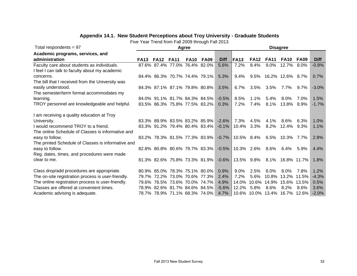# **Appendix 14.1. New Student Perceptions about Troy University - Graduate Students**

Five Year Trend from Fall 2009 through Fall 2013

| Total respondents = $97$                           | Agree       |             |                               |             |                               |             | <b>Disagree</b>               |             |                       |                   |             |             |  |
|----------------------------------------------------|-------------|-------------|-------------------------------|-------------|-------------------------------|-------------|-------------------------------|-------------|-----------------------|-------------------|-------------|-------------|--|
| Academic programs, services, and                   |             |             |                               |             |                               |             |                               |             |                       |                   |             |             |  |
| administration                                     | <b>FA13</b> | <b>FA12</b> | <b>FA11</b>                   | <b>FA10</b> | <b>FA09</b>                   | <b>Diff</b> | <b>FA13</b>                   | <b>FA12</b> | <b>FA11</b>           | <b>FA10</b>       | <b>FA09</b> | <b>Diff</b> |  |
| Faculty care about students as individuals.        |             |             | 87.6% 87.4% 77.0% 76.4% 82.0% |             |                               | 5.6%        | 7.2%                          | 8.4%        | $9.0\%$               | 12.7%             | 8.0%        | $-0.8%$     |  |
| I feel I can talk to faculty about my academic     |             |             |                               |             |                               |             |                               |             |                       |                   |             |             |  |
| concerns.                                          |             |             |                               |             | 84.4% 86.3% 70.7% 74.4% 79.1% | 5.3%        | 9.4%                          |             | 9.5% 16.2% 12.6% 8.7% |                   |             | 0.7%        |  |
| The bill that I received from the University was   |             |             |                               |             |                               |             |                               |             |                       |                   |             |             |  |
| easily understood.                                 |             |             |                               |             | 84.3% 87.1% 87.1% 79.8% 80.8% | 3.5%        | $6.7\%$                       | $3.5\%$     | 3.5%                  | 7.7%              | $9.7\%$     | $-3.0%$     |  |
| The semester/term format accommodates my           |             |             |                               |             |                               |             |                               |             |                       |                   |             |             |  |
| learning.                                          |             |             |                               |             | 84.0% 91.1% 81.7% 84.3% 84.5% | $-0.5\%$    | 8.5%                          | 1.1%        | 5.4%                  | 8.0%              | 7.0%        | 1.5%        |  |
| TROY personnel are knowledgeable and helpful.      |             |             |                               |             | 83.5% 86.3% 75.8% 77.5% 83.2% | 0.3%        | $7.2\%$                       | 7.4%        | 8.1%                  | 13.8% 8.9%        |             | $-1.7%$     |  |
|                                                    |             |             |                               |             |                               |             |                               |             |                       |                   |             |             |  |
| I am receiving a quality education at Troy         |             |             |                               |             |                               |             |                               |             |                       |                   |             |             |  |
| University.                                        |             |             |                               |             | 83.3% 89.9% 83.5% 83.2% 85.9% | $-2.6\%$    | 7.3%                          | 4.5%        | 4.1%                  | 8.6%              | 6.3%        | $1.0\%$     |  |
| I would recommend TROY to a friend.                |             |             |                               |             | 83.3% 91.2% 79.4% 80.4% 83.4% | $-0.1\%$    | 10.4%                         | $3.3\%$     | $8.2\%$               | 12.4%             | 9.3%        | 1.1%        |  |
| The online Schedule of Classes is informative and  |             |             |                               |             |                               |             |                               |             |                       |                   |             |             |  |
| easy to follow.                                    |             |             |                               |             | 83.2% 78.3% 81.5% 77.3% 83.9% |             | $-0.7\%$   10.5% 8.4%         |             | 6.5%                  | 10.3% 7.7%        |             | 2.8%        |  |
| The printed Schedule of Classes is informative and |             |             |                               |             |                               |             |                               |             |                       |                   |             |             |  |
| easy to follow.                                    |             |             |                               |             | 82.8% 80.8% 80.6% 79.7% 83.3% |             | $-0.5\%$ 10.3% 2.6%           |             | 8.6%                  | 6.4%              | 5.9%        | 4.4%        |  |
| Reg. dates, times, and procedures were made        |             |             |                               |             |                               |             |                               |             |                       |                   |             |             |  |
| clear to me.                                       |             |             |                               |             | 81.3% 82.6% 75.8% 73.3% 81.9% |             | $-0.6\%$   13.5% 9.8%         |             | 8.1%                  | 16.8% 11.7%       |             | 1.8%        |  |
|                                                    |             |             |                               |             |                               |             |                               |             |                       |                   |             |             |  |
| Class drop/add procedures are appropriate.         |             |             |                               |             | 80.9% 85.0% 78.3% 75.1% 80.0% | 0.9%        | $9.0\%$                       | 2.5%        | 6.0%                  | $8.0\%$           | 7.8%        | 1.2%        |  |
| The on-site registration process is user-friendly. |             |             |                               |             | 79.7% 72.2% 73.0% 70.6% 77.3% | 2.4%        | $7.2\%$                       | 5.6%        |                       | 10.8% 13.2% 11.5% |             | $-4.3%$     |  |
| The online registration process is user-friendly.  |             |             | 79.6% 76.5% 73.6% 70.0% 74.7% |             |                               | 4.9%        | 14.0%                         | 10.6%       | 14.9%                 | 15.6% 13.5%       |             | 0.5%        |  |
| Classes are offered at convenient times.           |             |             | 78.9% 82.6% 81.7% 84.6% 84.5% |             |                               | $-5.6\%$    | 12.2% 5.8%                    |             | 8.6%                  | $8.2\%$           | 8.6%        | 3.6%        |  |
| Academic advising is adequate.                     |             |             | 78.7% 78.9% 71.1% 68.3% 74.0% |             |                               | 4.7%        | 10.6% 10.0% 13.4% 16.7% 12.6% |             |                       |                   |             | $-2.0%$     |  |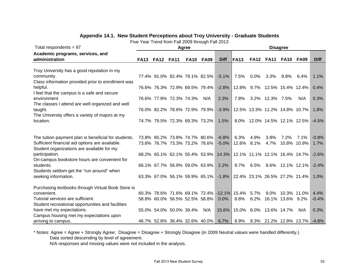|  | Appendix 14.1.  New Student Perceptions about Troy University - Graduate Students |  |  |
|--|-----------------------------------------------------------------------------------|--|--|
|--|-----------------------------------------------------------------------------------|--|--|

Five Year Trend from Fall 2009 through Fall 2013

| Total respondents = $97$                             | Agree       |                                    |  |             |             | <b>Disagree</b>                            |             |         |                               |                  |                  |             |  |
|------------------------------------------------------|-------------|------------------------------------|--|-------------|-------------|--------------------------------------------|-------------|---------|-------------------------------|------------------|------------------|-------------|--|
| Academic programs, services, and                     |             |                                    |  |             |             |                                            |             |         |                               |                  |                  |             |  |
| administration                                       | <b>FA13</b> | <b>FA12 FA11</b>                   |  | <b>FA10</b> | <b>FA09</b> | <b>Diff</b>                                | <b>FA13</b> |         | <b>FA12 FA11</b>              | <b>FA10 FA09</b> |                  | <b>Diff</b> |  |
|                                                      |             |                                    |  |             |             |                                            |             |         |                               |                  |                  |             |  |
| Troy University has a good reputation in my          |             |                                    |  |             |             |                                            |             |         |                               |                  |                  |             |  |
| community.                                           |             | 77.4% 91.0% 82.4% 79.1% 82.5%      |  |             |             | $-5.1%$                                    | 7.5%        | $0.0\%$ | 3.3%                          | $9.8\%$          | 6.4%             | 1.1%        |  |
| Class information provided prior to enrollment was   |             |                                    |  |             |             |                                            |             |         |                               |                  |                  |             |  |
| helpful.                                             |             | 76.6% 76.3% 72.9% 69.5% 79.4%      |  |             |             | $-2.8%$                                    |             |         | 12.8% 9.7% 12.5% 15.4% 12.4%  |                  |                  | 0.4%        |  |
| I feel that the campus is a safe and secure          |             |                                    |  |             |             |                                            |             |         |                               |                  |                  |             |  |
| environment                                          |             | 76.6% 77.8% 72.3% 74.3%            |  |             | N/A         | 2.3%                                       | 7.8%        |         | 3.2% 12.3% 7.5%               |                  | N/A              | 0.3%        |  |
| The classes I attend are well organized and well     |             |                                    |  |             |             |                                            |             |         |                               |                  |                  |             |  |
| taught.                                              |             | 76.0% 82.2% 78.6% 72.9% 79.9%      |  |             |             | $-3.9%$                                    |             |         | 12.5% 13.3% 11.2% 14.8% 10.7% |                  |                  | 1.8%        |  |
| The University offers a variety of majors at my      |             |                                    |  |             |             |                                            |             |         |                               |                  |                  |             |  |
| location.                                            |             | 74.7% 79.5% 72.3% 69.3% 73.2%      |  |             |             | 1.5%                                       |             |         | 8.0% 12.0% 14.5% 12.1% 12.5%  |                  |                  | $-4.5%$     |  |
|                                                      |             |                                    |  |             |             |                                            |             |         |                               |                  |                  |             |  |
|                                                      |             |                                    |  |             |             |                                            |             |         |                               |                  |                  |             |  |
| The tuition payment plan is beneficial for students. |             | 73.8% 85.2% 73.8% 74.7% 80.6%      |  |             |             | $-6.8%$                                    | 6.3%        | 4.9%    | 3.8%                          | $7.2\%$          | $7.1\%$          | $-0.8%$     |  |
| Sufficient financial aid options are available.      |             | 73.6% 76.7% 73.3% 73.2% 78.6%      |  |             |             | $-5.0%$                                    | 12.6%       | 8.1%    | 4.7%                          |                  | 10.8% 10.9%      | 1.7%        |  |
| Student organizations are available for my           |             |                                    |  |             |             |                                            |             |         |                               |                  |                  |             |  |
| participation.                                       |             | 68.2% 65.1% 62.1% 55.4% 53.9%      |  |             |             | 14.3%                                      |             |         | 12.1% 11.1% 12.1% 16.4% 14.7% |                  |                  | $-2.6%$     |  |
| On-campus bookstore hours are convenient for         |             |                                    |  |             |             |                                            |             |         |                               |                  |                  |             |  |
| students.                                            |             | 66.1% 67.7% 56.9% 59.0% 63.9%      |  |             |             | 2.2%                                       | 9.7%        | 6.5%    |                               |                  | 8.6% 12.1% 12.1% | $-2.4%$     |  |
| Students seldom get the "run around" when            |             |                                    |  |             |             |                                            |             |         |                               |                  |                  |             |  |
| seeking information.                                 |             | 63.3% 67.0% 56.1% 59.9% 65.1%      |  |             |             | $-1.8\%$                                   |             |         | 22.4% 23.1% 26.5% 27.2% 21.4% |                  |                  | 1.0%        |  |
| Purchasing textbooks through Virtual Book Store is   |             |                                    |  |             |             |                                            |             |         |                               |                  |                  |             |  |
| convenient.                                          |             |                                    |  |             |             | 60.3% 78.6% 71.6% 69.1% 72.4% -12.1% 15.4% |             | 5.7%    | $9.0\%$                       |                  | 10.3% 11.0%      | 4.4%        |  |
| Tutorial services are sufficient.                    |             | 58.8% 60.0% 56.5% 52.5% 58.8%      |  |             |             | $0.0\%$                                    | 8.8%        | 6.2%    |                               | 16.1% 13.6% 9.2% |                  | $-0.4%$     |  |
| Student recreational opportunities and facilities    |             |                                    |  |             |             |                                            |             |         |                               |                  |                  |             |  |
| have met my expectations.                            |             | 55.0% 54.0% 50.0% 39.4%            |  |             | N/A         | 15.6%                                      |             |         | 15.0% 8.0% 13.6% 14.7%        |                  | N/A              | 0.3%        |  |
| Campus housing met my expectations upon              |             |                                    |  |             |             |                                            |             |         |                               |                  |                  |             |  |
| arriving to campus.                                  |             | 46.7% 52.8% 36.4% 32.6% 40.0% 6.7% |  |             |             |                                            | 8.9%        |         | 8.3% 21.2% 12.8% 13.7%        |                  |                  | $-4.8%$     |  |

\* Notes: Agree = Agree + Strongly Agree; Disagree = Disagree + Strongly Disagree (in 2009 Neutral values were handled differently.)

Data sorted descending by level of agreement.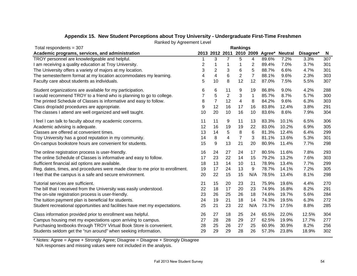| Total respondents = $307$                                                    |    |                |                | <b>Rankings</b> |                |       |                                         |           |     |
|------------------------------------------------------------------------------|----|----------------|----------------|-----------------|----------------|-------|-----------------------------------------|-----------|-----|
| Academic programs, services, and administration                              |    |                |                |                 |                |       | 2013 2012 2011 2010 2009 Agree* Neutral | Disagree* | N   |
| TROY personnel are knowledgeable and helpful.                                | 1  | 3              | 7              | 5               | 4              | 89.6% | 7.2%                                    | 3.3%      | 307 |
| I am receiving a quality education at Troy University.                       | 2  | 1              | 1              | 1               | 2              | 89.4% | 7.0%                                    | 3.7%      | 301 |
| The University offers a variety of majors at my location.                    | 3  | $\overline{c}$ | 3              | 6               | 5              | 88.7% | 6.6%                                    | 4.7%      | 301 |
| The semester/term format at my location accommodates my learning.            | 4  | 4              | 6              | $\overline{c}$  | $\overline{7}$ | 88.1% | 9.6%                                    | 2.3%      | 303 |
| Faculty care about students as individuals.                                  | 5  | 10             | 8              | 12              | 12             | 87.0% | 7.5%                                    | 5.5%      | 307 |
| Student organizations are available for my participation.                    | 6  | 6              | 11             | 9               | 19             | 86.8% | 9.0%                                    | 4.2%      | 288 |
| I would recommend TROY to a friend who is planning to go to college.         | 7  | 5              | $\overline{c}$ | 3               | $\mathbf 1$    | 85.7% | 8.7%                                    | 5.7%      | 300 |
| The printed Schedule of Classes is informative and easy to follow.           | 8  | $\overline{7}$ | 12             | 4               | 8              | 84.2% | 9.6%                                    | 6.3%      | 303 |
| Class drop/add procedures are appropriate.                                   | 9  | 12             | 16             | 17              | 16             | 83.8% | 12.4%                                   | 3.8%      | 291 |
| The classes I attend are well organized and well taught.                     | 10 | 20             | 10             | 16              | 10             | 83.6% | 8.6%                                    | 7.9%      | 304 |
| I feel I can talk to faculty about my academic concerns.                     | 11 | 11             | 9              | 11              | 13             | 83.3% | 10.1%                                   | 6.5%      | 306 |
| Academic advising is adequate.                                               | 12 | 16             | 19             | 19              | 22             | 83.0% | 10.2%                                   | 6.9%      | 305 |
| Classes are offered at convenient times.                                     | 13 | 14             | 5              | 8               | 6              | 81.3% | 12.4%                                   | 6.4%      | 299 |
| Troy University has a good reputation in my community.                       | 14 | 8              | 4              | $\overline{7}$  | 3              | 81.1% | 13.6%                                   | 5.3%      | 301 |
| On-campus bookstore hours are convenient for students.                       | 15 | 9              | 13             | 21              | 20             | 80.9% | 11.4%                                   | 7.7%      | 298 |
| The online registration process is user-friendly.                            | 16 | 24             | 27             | 24              | 17             | 80.5% | 11.6%                                   | 7.8%      | 293 |
| The online Schedule of Classes is informative and easy to follow.            | 17 | 23             | 22             | 14              | 15             | 79.2% | 13.2%                                   | 7.6%      | 303 |
| Sufficient financial aid options are available.                              | 18 | 13             | 14             | 10              | 11             | 78.9% | 13.4%                                   | 7.7%      | 299 |
| Reg. dates, times, and procedures were made clear to me prior to enrollment. | 19 | 17             | 24             | 13              | 9              | 78.7% | 14.1%                                   | 7.2%      | 305 |
| I feel that the campus is a safe and secure environment.                     | 20 | 22             | 15             | 15              | N/A            | 78.5% | 13.4%                                   | 8.1%      | 298 |
| Tutorial services are sufficient.                                            | 21 | 15             | 20             | 23              | 21             | 75.9% | 19.6%                                   | 4.4%      | 270 |
| The bill that I received from the University was easily understood.          | 22 | 18             | 17             | 20              | 23             | 74.9% | 16.8%                                   | 8.2%      | 291 |
| The on-site registration process is user-friendly.                           | 23 | 26             | 25             | 26              | 18             | 74.6% | 19.7%                                   | 5.6%      | 284 |
| The tuition payment plan is beneficial for students.                         | 24 | 19             | 21             | 18              | 14             | 74.3% | 19.5%                                   | 6.3%      | 272 |
| Student recreational opportunities and facilities have met my expectations.  | 25 | 21             | 23             | 22              | N/A            | 73.7% | 17.5%                                   | 8.8%      | 285 |
| Class information provided prior to enrollment was helpful.                  | 26 | 27             | 18             | 25              | 24             | 65.5% | 22.0%                                   | 12.5%     | 304 |
| Campus housing met my expectations upon arriving to campus.                  | 27 | 28             | 28             | 29              | 27             | 62.5% | 19.9%                                   | 17.7%     | 277 |
| Purchasing textbooks through TROY Virtual Book Store is convenient.          | 28 | 25             | 26             | 27              | 25             | 60.9% | 30.9%                                   | 8.2%      | 256 |
| Students seldom get the "run around" when seeking information.               | 29 | 29             | 29             | 28              | 26             | 57.3% | 23.8%                                   | 18.9%     | 302 |

# **Appendix 15. New Student Perceptions about Troy University - Undergraduate First-Time Freshmen**

Ranked by Agreement Level

\* Notes: Agree = Agree + Strongly Agree; Disagree = Disagree + Strongly Disagree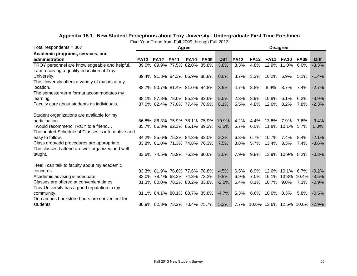| Total respondents = $307$                          | Agree       |             |                               |             |                               |             | <b>Disagree</b> |             |                              |                   |             |             |  |  |
|----------------------------------------------------|-------------|-------------|-------------------------------|-------------|-------------------------------|-------------|-----------------|-------------|------------------------------|-------------------|-------------|-------------|--|--|
| Academic programs, services, and                   |             |             |                               |             |                               |             |                 |             |                              |                   |             |             |  |  |
| administration                                     | <b>FA13</b> | <b>FA12</b> | <b>FA11</b>                   | <b>FA10</b> | <b>FA09</b>                   | <b>Diff</b> | <b>FA13</b>     | <b>FA12</b> | <b>FA11</b>                  | <b>FA10</b>       | <b>FA09</b> | <b>Diff</b> |  |  |
| TROY personnel are knowledgeable and helpful.      |             |             | 89.6% 89.9% 77.5% 82.0% 85.8% |             |                               | 3.8%        | 3.3%            | 4.8%        |                              | 12.9% 11.0%       | 6.6%        | $-3.3%$     |  |  |
| I am receiving a quality education at Troy         |             |             |                               |             |                               |             |                 |             |                              |                   |             |             |  |  |
| University.                                        |             |             |                               |             | 89.4% 91.3% 84.3% 86.9% 88.8% | 0.6%        | 3.7%            |             | 3.3% 10.2% 6.9%              |                   | $5.1\%$     | $-1.4%$     |  |  |
| The University offers a variety of majors at my    |             |             |                               |             |                               |             |                 |             |                              |                   |             |             |  |  |
| location.                                          |             |             |                               |             | 88.7% 90.7% 81.4% 81.0% 84.8% | 3.9%        | 4.7%            |             | 3.8% 8.9% 8.7%               |                   | 7.4%        | $-2.7%$     |  |  |
| The semester/term format accommodates my           |             |             |                               |             |                               |             |                 |             |                              |                   |             |             |  |  |
| learning.                                          |             |             | 88.1% 87.8% 78.0% 85.2% 82.6% |             |                               | 5.5%        | 2.3%            | $3.9\%$     | 10.8%                        | $6.1\%$           | 6.2%        | $-3.9%$     |  |  |
| Faculty care about students as individuals.        |             |             |                               |             | 87.0% 82.4% 77.0% 77.4% 78.9% | 8.1%        | 5.5%            | 4.8%        | 12.6% 8.2%                   |                   | 7.8%        | $-2.3%$     |  |  |
|                                                    |             |             |                               |             |                               |             |                 |             |                              |                   |             |             |  |  |
| Student organizations are available for my         |             |             |                               |             |                               |             |                 |             |                              |                   |             |             |  |  |
| participation.                                     |             |             |                               |             | 86.8% 86.3% 75.9% 78.1% 75.9% | $10.9\%$    | 4.2%            | 4.4%        | 13.8%                        | 7.9%              | 7.6%        | $-3.4%$     |  |  |
| I would recommend TROY to a friend                 |             |             |                               |             | 85.7% 86.8% 82.3% 85.1% 89.2% | $-3.5%$     | 5.7%            | $6.0\%$     | 11.8% 10.1%                  |                   | $5.7\%$     | 0.0%        |  |  |
| The printed Schedule of Classes is informative and |             |             |                               |             |                               |             |                 |             |                              |                   |             |             |  |  |
| easy to follow.                                    |             |             | 84.2% 85.6% 75.2% 84.3% 82.0% |             |                               | 2.2%        | 6.3%            | $6.7\%$     | 10.7%                        | 7.4%              | 8.4%        | $-2.1%$     |  |  |
| Class drop/add procedures are appropriate.         |             |             | 83.8% 81.0% 71.3% 74.8% 76.3% |             |                               | 7.5%        | 3.8%            |             | 5.7% 13.4% 8.3%              |                   | 7.4%        | $-3.6%$     |  |  |
| The classes I attend are well organized and well   |             |             |                               |             |                               |             |                 |             |                              |                   |             |             |  |  |
| taught.                                            |             |             |                               |             | 83.6% 74.5% 75.9% 76.3% 80.6% | 3.0%        | 7.9%            | 9.8%        | 13.9% 10.9% 8.2%             |                   |             | $-0.3%$     |  |  |
|                                                    |             |             |                               |             |                               |             |                 |             |                              |                   |             |             |  |  |
| I feel I can talk to faculty about my academic     |             |             |                               |             |                               |             |                 |             |                              |                   |             |             |  |  |
| concerns.                                          |             |             | 83.3% 81.9% 76.6% 77.6% 78.8% |             |                               | 4.5%        | 6.5%            | 6.9%        |                              | 12.6% 10.1%       | $6.7\%$     | $-0.2%$     |  |  |
| Academic advising is adequate.                     |             |             | 83.0% 78.4% 68.2% 74.3% 73.2% |             |                               | 9.8%        | 6.9%            | $7.0\%$     |                              | 16.1% 13.3% 10.4% |             | $-3.5%$     |  |  |
| Classes are offered at convenient times.           |             |             | 81.3% 80.0% 78.2% 80.2% 83.8% |             |                               | $-2.5%$     | 6.4%            | 8.1%        | 10.7% 9.0%                   |                   | 7.3%        | $-0.9%$     |  |  |
| Troy University has a good reputation in my        |             |             |                               |             |                               |             |                 |             |                              |                   |             |             |  |  |
| community.                                         |             |             |                               |             | 81.1% 84.1% 80.1% 80.7% 85.8% | $-4.7\%$    | 5.3%            | $6.6\%$     | 10.6% 8.3%                   |                   | 5.8%        | $-0.5%$     |  |  |
| On-campus bookstore hours are convenient for       |             |             |                               |             |                               |             |                 |             |                              |                   |             |             |  |  |
| students.                                          |             |             |                               |             | 80.9% 82.8% 73.2% 73.4% 75.7% | 5.2%        |                 |             | 7.7% 10.6% 13.6% 12.5% 10.6% |                   |             | $-2.9%$     |  |  |

# **Appendix 15.1. New Student Perceptions about Troy University - Undergraduate First-Time Freshmen**

Five Year Trend from Fall 2009 through Fall 2013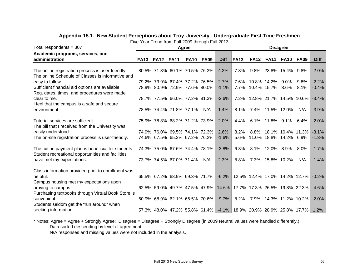| Total respondents = $307$                                                                      | Agree       |                                     |             |             |             | <b>Disagree</b>                                                   |       |             |                              |                  |                   |             |  |
|------------------------------------------------------------------------------------------------|-------------|-------------------------------------|-------------|-------------|-------------|-------------------------------------------------------------------|-------|-------------|------------------------------|------------------|-------------------|-------------|--|
| Academic programs, services, and                                                               |             |                                     |             |             |             |                                                                   |       |             |                              |                  |                   |             |  |
| administration                                                                                 | <b>FA13</b> | <b>FA12</b>                         | <b>FA11</b> | <b>FA10</b> | <b>FA09</b> | <b>Diff</b>                                                       | lFA13 | <b>FA12</b> | <b>FA11</b>                  | FA <sub>10</sub> | FA09              | <b>Diff</b> |  |
|                                                                                                |             |                                     |             |             |             |                                                                   |       |             |                              |                  |                   |             |  |
| The online registration process is user-friendly.                                              |             | 80.5% 71.3% 60.1% 70.5% 76.3%       |             |             |             | 4.2%                                                              | 7.8%  |             | 9.8% 23.8% 15.4% 9.8%        |                  |                   | $-2.0%$     |  |
| The online Schedule of Classes is informative and                                              |             |                                     |             |             |             |                                                                   |       |             |                              |                  |                   |             |  |
| easy to follow.                                                                                |             | 79.2% 73.9% 67.4% 77.2% 76.5%       |             |             |             | 2.7%                                                              | 7.6%  |             | 10.8% 14.2%                  | $9.0\%$          | 9.8%              | $-2.2%$     |  |
| Sufficient financial aid options are available.<br>Reg. dates, times, and procedures were made |             | 78.9% 80.9% 72.9% 77.6% 80.0%       |             |             |             | $-1.1%$                                                           |       |             | 7.7% 10.4% 15.7% 8.6%        |                  | $8.1\%$           | $-0.4%$     |  |
| clear to me.                                                                                   |             | 78.7% 77.5% 66.0% 77.2% 81.3%       |             |             |             | $-2.6%$                                                           |       |             | 7.2% 12.8% 21.7% 14.5% 10.6% |                  |                   | $-3.4%$     |  |
| I feel that the campus is a safe and secure                                                    |             |                                     |             |             |             |                                                                   |       |             |                              |                  |                   |             |  |
| environment                                                                                    |             | 78.5% 74.4% 71.8% 77.1%             |             |             | N/A         | 1.4%                                                              | 8.1%  |             | 7.4% 11.5% 12.0%             |                  | N/A               | $-3.9%$     |  |
|                                                                                                |             |                                     |             |             |             |                                                                   |       |             |                              |                  |                   |             |  |
| Tutorial services are sufficient.                                                              |             | 75.9% 78.8% 68.2% 71.2% 73.9%       |             |             |             | 2.0%                                                              | 4.4%  |             | 6.1% 11.8% 9.1%              |                  | $6.4\%$           | $-2.0%$     |  |
| The bill that I received from the University was                                               |             |                                     |             |             |             |                                                                   |       |             |                              |                  |                   |             |  |
| easily understood.                                                                             |             | 74.9% 76.0% 69.5% 74.1% 72.3%       |             |             |             | 2.6%                                                              | 8.2%  | 8.8%        |                              |                  | 18.1% 10.4% 11.3% | $-3.1%$     |  |
| The on-site registration process is user-friendly.                                             |             | 74.6% 67.5% 65.3% 67.2% 76.2%       |             |             |             | $-1.6%$                                                           | 5.6%  |             | 11.0% 18.8% 14.2% 6.9%       |                  |                   | $-1.3%$     |  |
| The tuition payment plan is beneficial for students.                                           |             | 74.3% 75.0% 67.6% 74.4% 78.1%       |             |             |             | $-3.8%$                                                           | 6.3%  |             | 8.1% 12.0% 8.9%              |                  | $8.0\%$           | $-1.7%$     |  |
| Student recreational opportunities and facilities                                              |             |                                     |             |             |             |                                                                   |       |             |                              |                  |                   |             |  |
| have met my expectations.                                                                      |             | 73.7% 74.5% 67.0% 71.4%             |             |             | N/A         | 2.3%                                                              | 8.8%  |             | 7.3% 15.8% 10.2%             |                  | N/A               | $-1.4%$     |  |
| Class information provided prior to enrollment was                                             |             |                                     |             |             |             |                                                                   |       |             |                              |                  |                   |             |  |
| helpful.                                                                                       |             |                                     |             |             |             | 65.5% 67.2% 68.9% 69.3% 71.7% -6.2% 12.5% 12.4% 17.0% 14.2% 12.7% |       |             |                              |                  |                   | $-0.2\%$    |  |
| Campus housing met my expectations upon                                                        |             |                                     |             |             |             |                                                                   |       |             |                              |                  |                   |             |  |
| arriving to campus.                                                                            |             |                                     |             |             |             | 62.5% 59.0% 49.7% 47.5% 47.9% 14.6% 17.7% 17.3% 26.5% 19.8% 22.3% |       |             |                              |                  |                   | $-4.6%$     |  |
| Purchasing textbooks through Virtual Book Store is                                             |             |                                     |             |             |             |                                                                   |       |             |                              |                  |                   |             |  |
| convenient.                                                                                    |             | 60.9% 68.9% 62.1% 66.5% 70.6% -9.7% |             |             |             |                                                                   | 8.2%  |             | 7.9% 14.3% 11.2% 10.2%       |                  |                   | $-2.0\%$    |  |
| Students seldom get the "run around" when                                                      |             |                                     |             |             |             |                                                                   |       |             |                              |                  |                   |             |  |
| seeking information.                                                                           |             |                                     |             |             |             | 57.3% 48.0% 47.2% 55.8% 61.4% -4.1% 18.9% 20.9% 28.9% 25.8% 17.7% |       |             |                              |                  |                   | $1.2\%$     |  |

# **Appendix 15.1. New Student Perceptions about Troy University - Undergraduate First-Time Freshmen**

Five Year Trend from Fall 2009 through Fall 2013

\* Notes: Agree = Agree + Strongly Agree; Disagree = Disagree + Strongly Disagree (in 2009 Neutral values were handled differently.) Data sorted descending by level of agreement.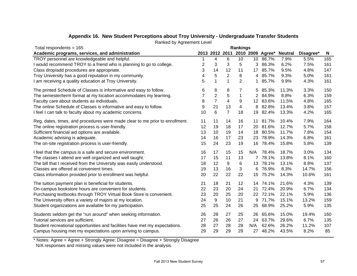| Total respondents = $165$                                                    | <b>Rankings</b> |                  |                |                |                 |          |                          |           |     |
|------------------------------------------------------------------------------|-----------------|------------------|----------------|----------------|-----------------|----------|--------------------------|-----------|-----|
| Academic programs, services, and administration                              |                 | 2013 2012 2011   |                |                |                 |          | 2010 2009 Agree* Neutral | Disagree* | N   |
| TROY personnel are knowledgeable and helpful.                                |                 | 4                | 6              | 10             | 10 <sup>°</sup> | 86.7%    | 7.9%                     | 5.5%      | 165 |
| I would recommend TROY to a friend who is planning to go to college.         | 2               | 3                | 3              | 5              | 3               | 86.3%    | 6.2%                     | 7.5%      | 161 |
| Class drop/add procedures are appropriate.                                   | 3               | 14               | 12             | 11             | 17              | 85.7%    | 9.5%                     | 4.8%      | 147 |
| Troy University has a good reputation in my community.                       | 4               | 5                | $\overline{c}$ | 8              | 4               | 85.7%    | 9.3%                     | 5.0%      | 161 |
| I am receiving a quality education at Troy University.                       | 5               | 1                | $\mathbf{1}$   | $\overline{2}$ |                 | 85.7%    | 9.9%                     | 4.3%      | 161 |
| The printed Schedule of Classes is informative and easy to follow.           | 6               | 8                | 8              | 7              | 5               | 85.3%    | 11.3%                    | 3.3%      | 150 |
| The semester/term format at my location accommodates my learning.            | 7               | $\overline{c}$   | $\mathbf 5$    | $\mathbf{1}$   | 2               | 84.9%    | 8.8%                     | 6.3%      | 159 |
| Faculty care about students as individuals.                                  | 8               | $\overline{7}$   | 4              | 9              |                 | 12 83.6% | 11.5%                    | 4.8%      | 165 |
| The online Schedule of Classes is informative and easy to follow.            | 9               | 21               | 13             | 4              | 8               | 82.8%    | 13.4%                    | 3.8%      | 157 |
| I feel I can talk to faculty about my academic concerns.                     | 10              | 6                | 7              | 18             | 19              | 82.4%    | 13.3%                    | 4.2%      | 165 |
| Reg. dates, times, and procedures were made clear to me prior to enrollment. | 11              | 11               | 14             | 16             | 11              | 81.7%    | 10.4%                    | 7.9%      | 164 |
| The online registration process is user-friendly.                            | 12              | 19               | 18             | 17             | 20              | 81.6%    | 12.7%                    | 5.7%      | 158 |
| Sufficient financial aid options are available.                              | 13              | 10               | 19             | 14             | 18              | 80.5%    | 11.7%                    | 7.8%      | 154 |
| Academic advising is adequate.                                               | 14              | 16               | 17             | 23             | 23              | 78.9%    | 14.3%                    | 6.8%      | 161 |
| The on-site registration process is user-friendly.                           | 15              | 24               | 23             | 19             |                 | 16 78.4% | 15.8%                    | 5.8%      | 139 |
| I feel that the campus is a safe and secure environment.                     | 16              | 17               | 15             | 15             | N/A             | 78.4%    | 18.7%                    | 3.0%      | 134 |
| The classes I attend are well organized and well taught.                     | 17              | 15               | 11             | 13             |                 | 78.1%    | 13.8%                    | 8.1%      | 160 |
| The bill that I received from the University was easily understood.          | 18              | 12               | 9              | 6              |                 | 13 78.1% | 13.1%                    | 8.8%      | 137 |
| Classes are offered at convenient times.                                     | 19              | 13               | 16             | 3              | 6               | 76.9%    | 8.3%                     | 14.7%     | 156 |
| Class information provided prior to enrollment was helpful.                  | 20              | 22               | 22             | 22             | 15              | 75.2%    | 14.3%                    | 10.6%     | 161 |
| The tuition payment plan is beneficial for students.                         | 21              | 18               | 21             | 12             | 14              | 74.1%    | 21.6%                    | 4.3%      | 139 |
| On-campus bookstore hours are convenient for students.                       | 22              | 23               | 20             | 24             |                 | 21 72.4% | 20.9%                    | 6.7%      | 134 |
| Purchasing textbooks through TROY Virtual Book Store is convenient.          | 23              | 20               | 25             | 20             |                 | 22 72.1% | 22.1%                    | 5.9%      | 136 |
| The University offers a variety of majors at my location.                    | 24              | $\boldsymbol{9}$ | 10             | 21             | 9               | 71.7%    | 15.1%                    | 13.2%     | 159 |
| Student organizations are available for my participation.                    | 25              | 25               | 24             | 26             | 25              | 68.9%    | 25.2%                    | 5.9%      | 135 |
| Students seldom get the "run around" when seeking information.               | 26              | 28               | 27             | 25             | 26              | 65.6%    | 15.0%                    | 19.4%     | 160 |
| Tutorial services are sufficient.                                            | 27              | 26               | 26             | 27             | 24              | 63.7%    | 29.6%                    | 6.7%      | 135 |
| Student recreational opportunities and facilities have met my expectations.  | 28              | 27               | 28             | 28             | N/A             | 62.6%    | 26.2%                    | 11.2%     | 107 |
| Campus housing met my expectations upon arriving to campus.                  | 29              | 29               | 29             | 29             | 27              | 48.2%    | 43.5%                    | 8.2%      | 85  |
|                                                                              |                 |                  |                |                |                 |          |                          |           |     |

# **Appendix 16. New Student Perceptions about Troy University - Undergraduate Transfer Students**

Ranked by Agreement Level

\* Notes: Agree = Agree + Strongly Agree; Disagree = Disagree + Strongly Disagree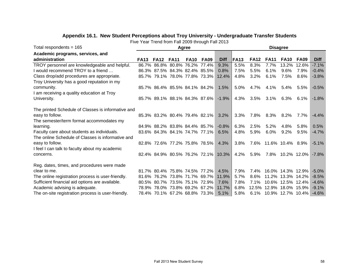| Total respondents = $165$                          | Agree       |             |                                     |             | <b>Disagree</b> |                                     |             |             |             |                         |                |             |
|----------------------------------------------------|-------------|-------------|-------------------------------------|-------------|-----------------|-------------------------------------|-------------|-------------|-------------|-------------------------|----------------|-------------|
| Academic programs, services, and                   |             |             |                                     |             |                 |                                     |             |             |             |                         |                |             |
| administration                                     | <b>FA13</b> | <b>FA12</b> | <b>FA11</b>                         | <b>FA10</b> | <b>FA09</b>     | <b>Diff</b>                         | <b>FA13</b> | <b>FA12</b> | <b>FA11</b> | <b>FA10</b>             | <b>FA09</b>    | <b>Diff</b> |
| TROY personnel are knowledgeable and helpful.      |             |             | 86.7% 86.8% 80.8% 76.2% 77.4%       |             |                 | 9.3%                                | 5.5%        | 8.3%        | 7.7%        | 13.2%                   | 12.6%          | $-7.1%$     |
| I would recommend TROY to a friend                 |             |             | 86.3% 87.5% 84.3% 82.4% 85.5%       |             |                 | 0.8%                                | 7.5%        | 5.5%        | 6.1%        | $9.6\%$                 | 7.9%           | $-0.4%$     |
| Class drop/add procedures are appropriate.         |             |             | 85.7% 79.1% 78.0% 77.8% 73.3% 12.4% |             |                 |                                     | 4.8%        | $3.2\%$     | 6.1%        | 7.5%                    | $8.6\%$        | $-3.8%$     |
| Troy University has a good reputation in my        |             |             |                                     |             |                 |                                     |             |             |             |                         |                |             |
| community.                                         |             |             | 85.7% 86.4% 85.5% 84.1% 84.2%       |             |                 | $1.5\%$                             | 5.0%        | 4.7%        | 4.1%        | $5.4\%$                 | 5.5%           | $-0.5%$     |
| I am receiving a quality education at Troy         |             |             |                                     |             |                 |                                     |             |             |             |                         |                |             |
| University.                                        |             |             | 85.7% 89.1% 88.1% 84.3% 87.6%       |             |                 | $-1.9%$                             | 4.3%        | 3.5%        | 3.1%        | 6.3%                    | $6.1\%$        | $-1.8%$     |
|                                                    |             |             |                                     |             |                 |                                     |             |             |             |                         |                |             |
| The printed Schedule of Classes is informative and |             |             |                                     |             |                 |                                     |             |             |             |                         |                |             |
| easy to follow.                                    |             |             | 85.3% 83.2% 80.4% 79.4% 82.1%       |             |                 | 3.2%                                | 3.3%        | 7.8%        | 8.3%        | $8.2\%$                 | 7.7%           | $-4.4%$     |
| The semester/term format accommodates my           |             |             |                                     |             |                 |                                     |             |             |             |                         |                |             |
| learning.                                          |             |             | 84.9% 88.2% 83.8% 84.4% 85.7%       |             |                 | $-0.8%$                             | 6.3%        | 2.5%        | 5.2%        | 4.8%                    | 5.8%           | 0.5%        |
| Faculty care about students as individuals.        |             |             | 83.6% 84.3% 84.1% 74.7% 77.1%       |             |                 | 6.5%                                | 4.8%        | 5.9%        | 6.0%        | $9.2\%$                 | 9.5%           | $-4.7%$     |
| The online Schedule of Classes is informative and  |             |             |                                     |             |                 |                                     |             |             |             |                         |                |             |
| easy to follow.                                    |             |             | 82.8% 72.6% 77.2% 75.8% 78.5%       |             |                 | 4.3%                                | 3.8%        | 7.6%        |             | 11.6% 10.4% 8.9%        |                | $-5.1%$     |
| I feel I can talk to faculty about my academic     |             |             |                                     |             |                 |                                     |             |             |             |                         |                |             |
| concerns.                                          |             |             |                                     |             |                 | 82.4% 84.9% 80.5% 76.2% 72.1% 10.3% | 4.2%        | 5.9%        | 7.8%        |                         | $10.2\%$ 12.0% | $-7.8%$     |
| Reg. dates, times, and procedures were made        |             |             |                                     |             |                 |                                     |             |             |             |                         |                |             |
| clear to me.                                       |             |             | 81.7% 80.4% 75.8% 74.5% 77.2%       |             |                 | 4.5%                                | 7.9%        | 7.4%        |             | 16.0% 14.3% 12.9%       |                | $-5.0%$     |
| The online registration process is user-friendly.  |             |             | 81.6% 76.2% 73.8% 71.7% 69.7%       |             |                 | 11.9%                               | 5.7%        | 8.6%        |             | 11.2% 13.3% 14.2%       |                | $-8.5%$     |
| Sufficient financial aid options are available.    |             |             | 80.5% 80.7% 73.5% 75.1% 72.9%       |             |                 | 7.6%                                | 7.8%        | 7.1%        |             | 10.6% 12.5% 12.4%       |                | $-4.6%$     |
| Academic advising is adequate.                     |             |             | 78.9% 78.0% 73.8% 69.2% 67.2%       |             |                 | $11.7\%$                            | 6.8%        |             |             | 12.5% 12.9% 18.0% 15.9% |                | $-9.1%$     |
| The on-site registration process is user-friendly. |             |             | 78.4% 70.1% 67.2% 68.8% 73.3%       |             |                 | 5.1%                                | 5.8%        |             |             | 6.1% 10.9% 12.7% 10.4%  |                | $-4.6%$     |

# **Appendix 16.1. New Student Perceptions about Troy University - Undergraduate Transfer Students**

Five Year Trend from Fall 2009 through Fall 2013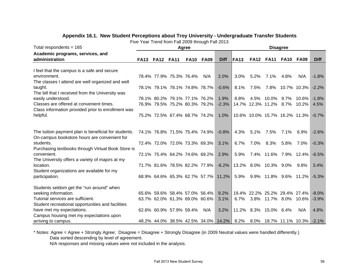| Total respondents = 165                                                                                                                                                                                                                                                                                                                                                                                                                                                                                      | Agree       |                  |                                                                                                                                                             |             | <b>Disagree</b> |                                                                                                                                    |                              |      |                                                                                                                                                                                       |      |                  |                                    |
|--------------------------------------------------------------------------------------------------------------------------------------------------------------------------------------------------------------------------------------------------------------------------------------------------------------------------------------------------------------------------------------------------------------------------------------------------------------------------------------------------------------|-------------|------------------|-------------------------------------------------------------------------------------------------------------------------------------------------------------|-------------|-----------------|------------------------------------------------------------------------------------------------------------------------------------|------------------------------|------|---------------------------------------------------------------------------------------------------------------------------------------------------------------------------------------|------|------------------|------------------------------------|
| Academic programs, services, and                                                                                                                                                                                                                                                                                                                                                                                                                                                                             |             |                  |                                                                                                                                                             |             |                 |                                                                                                                                    |                              |      |                                                                                                                                                                                       |      |                  |                                    |
| administration                                                                                                                                                                                                                                                                                                                                                                                                                                                                                               | <b>FA13</b> | <b>FA12 FA11</b> |                                                                                                                                                             | <b>FA10</b> | <b>FA09</b>     | <b>Diff</b>                                                                                                                        | IFA13                        |      | <b>FA12 FA11</b>                                                                                                                                                                      | FA10 | <b>FA09</b>      | <b>Diff</b>                        |
|                                                                                                                                                                                                                                                                                                                                                                                                                                                                                                              |             |                  |                                                                                                                                                             |             |                 |                                                                                                                                    |                              |      |                                                                                                                                                                                       |      |                  |                                    |
| I feel that the campus is a safe and secure                                                                                                                                                                                                                                                                                                                                                                                                                                                                  |             |                  |                                                                                                                                                             |             |                 |                                                                                                                                    |                              |      |                                                                                                                                                                                       |      |                  |                                    |
| environment.                                                                                                                                                                                                                                                                                                                                                                                                                                                                                                 |             |                  | 78.4% 77.9% 75.3% 76.4%                                                                                                                                     |             | N/A             | 2.0%                                                                                                                               | 3.0%                         | 5.2% | 7.1%                                                                                                                                                                                  | 4.8% | N/A              | $-1.8%$                            |
| The classes I attend are well organized and well                                                                                                                                                                                                                                                                                                                                                                                                                                                             |             |                  |                                                                                                                                                             |             |                 |                                                                                                                                    |                              |      |                                                                                                                                                                                       |      |                  |                                    |
| taught.                                                                                                                                                                                                                                                                                                                                                                                                                                                                                                      |             |                  | 78.1% 79.1% 78.1% 74.8% 78.7%                                                                                                                               |             |                 | $-0.6%$                                                                                                                            | 8.1%                         | 7.5% |                                                                                                                                                                                       |      | 7.8% 10.7% 10.3% | $-2.2%$                            |
| The bill that I received from the University was                                                                                                                                                                                                                                                                                                                                                                                                                                                             |             |                  |                                                                                                                                                             |             |                 |                                                                                                                                    |                              |      |                                                                                                                                                                                       |      |                  |                                    |
| easily understood.                                                                                                                                                                                                                                                                                                                                                                                                                                                                                           |             |                  | 78.1% 80.2% 79.1% 77.1% 76.2%                                                                                                                               |             |                 | 1.9%                                                                                                                               | 8.8%                         | 4.5% | 10.0%                                                                                                                                                                                 | 9.7% | 10.6%            | $-1.8%$                            |
| Classes are offered at convenient times.                                                                                                                                                                                                                                                                                                                                                                                                                                                                     |             |                  | 76.9% 79.5% 75.2% 80.3% 79.2%                                                                                                                               |             |                 | $-2.3%$                                                                                                                            |                              |      | 14.7% 12.3% 11.2% 8.7% 10.2%                                                                                                                                                          |      |                  | 4.5%                               |
| Class information provided prior to enrollment was                                                                                                                                                                                                                                                                                                                                                                                                                                                           |             |                  |                                                                                                                                                             |             |                 |                                                                                                                                    |                              |      |                                                                                                                                                                                       |      |                  |                                    |
|                                                                                                                                                                                                                                                                                                                                                                                                                                                                                                              |             |                  | 75.2% 72.5% 67.4% 68.7% 74.2%                                                                                                                               |             |                 | 1.0%                                                                                                                               |                              |      | 10.6% 10.0% 15.7% 16.2% 11.3%                                                                                                                                                         |      |                  | $-0.7%$                            |
|                                                                                                                                                                                                                                                                                                                                                                                                                                                                                                              |             |                  |                                                                                                                                                             |             |                 |                                                                                                                                    |                              |      |                                                                                                                                                                                       |      |                  |                                    |
|                                                                                                                                                                                                                                                                                                                                                                                                                                                                                                              |             |                  |                                                                                                                                                             |             |                 |                                                                                                                                    |                              |      |                                                                                                                                                                                       |      |                  |                                    |
| The tuition payment plan is beneficial for students.                                                                                                                                                                                                                                                                                                                                                                                                                                                         |             |                  | 74.1% 76.8% 71.5% 75.4% 74.9%                                                                                                                               |             |                 | $-0.8%$                                                                                                                            | 4.3%                         | 5.1% | 7.5%                                                                                                                                                                                  | 7.1% | $6.9\%$          | $-2.6%$                            |
|                                                                                                                                                                                                                                                                                                                                                                                                                                                                                                              |             |                  |                                                                                                                                                             |             |                 |                                                                                                                                    |                              |      |                                                                                                                                                                                       |      |                  |                                    |
| students.                                                                                                                                                                                                                                                                                                                                                                                                                                                                                                    |             |                  | 72.4% 72.0% 72.0% 73.3% 69.3%                                                                                                                               |             |                 |                                                                                                                                    |                              | 7.0% | 8.3%                                                                                                                                                                                  | 5.8% | 7.0%             | $-0.3%$                            |
|                                                                                                                                                                                                                                                                                                                                                                                                                                                                                                              |             |                  |                                                                                                                                                             |             |                 |                                                                                                                                    |                              |      |                                                                                                                                                                                       |      |                  |                                    |
| convenient.                                                                                                                                                                                                                                                                                                                                                                                                                                                                                                  |             |                  |                                                                                                                                                             |             |                 |                                                                                                                                    |                              |      |                                                                                                                                                                                       |      |                  | $-6.5\%$                           |
|                                                                                                                                                                                                                                                                                                                                                                                                                                                                                                              |             |                  |                                                                                                                                                             |             |                 |                                                                                                                                    |                              |      |                                                                                                                                                                                       |      |                  |                                    |
|                                                                                                                                                                                                                                                                                                                                                                                                                                                                                                              |             |                  |                                                                                                                                                             |             |                 |                                                                                                                                    |                              |      |                                                                                                                                                                                       |      |                  |                                    |
|                                                                                                                                                                                                                                                                                                                                                                                                                                                                                                              |             |                  |                                                                                                                                                             |             |                 |                                                                                                                                    |                              |      |                                                                                                                                                                                       |      |                  |                                    |
|                                                                                                                                                                                                                                                                                                                                                                                                                                                                                                              |             |                  |                                                                                                                                                             |             |                 |                                                                                                                                    |                              |      |                                                                                                                                                                                       |      |                  |                                    |
|                                                                                                                                                                                                                                                                                                                                                                                                                                                                                                              |             |                  |                                                                                                                                                             |             |                 |                                                                                                                                    |                              |      |                                                                                                                                                                                       |      |                  |                                    |
|                                                                                                                                                                                                                                                                                                                                                                                                                                                                                                              |             |                  |                                                                                                                                                             |             |                 |                                                                                                                                    |                              |      |                                                                                                                                                                                       |      |                  |                                    |
|                                                                                                                                                                                                                                                                                                                                                                                                                                                                                                              |             |                  |                                                                                                                                                             |             |                 |                                                                                                                                    |                              |      |                                                                                                                                                                                       |      |                  | $-8.0\%$                           |
|                                                                                                                                                                                                                                                                                                                                                                                                                                                                                                              |             |                  |                                                                                                                                                             |             |                 |                                                                                                                                    |                              |      |                                                                                                                                                                                       |      |                  |                                    |
|                                                                                                                                                                                                                                                                                                                                                                                                                                                                                                              |             |                  |                                                                                                                                                             |             |                 |                                                                                                                                    |                              |      |                                                                                                                                                                                       |      |                  |                                    |
|                                                                                                                                                                                                                                                                                                                                                                                                                                                                                                              |             |                  |                                                                                                                                                             |             |                 |                                                                                                                                    |                              |      |                                                                                                                                                                                       |      |                  |                                    |
|                                                                                                                                                                                                                                                                                                                                                                                                                                                                                                              |             |                  |                                                                                                                                                             |             |                 |                                                                                                                                    |                              |      |                                                                                                                                                                                       |      |                  |                                    |
|                                                                                                                                                                                                                                                                                                                                                                                                                                                                                                              |             |                  |                                                                                                                                                             |             |                 |                                                                                                                                    |                              |      |                                                                                                                                                                                       |      |                  |                                    |
| helpful.<br>On-campus bookstore hours are convenient for<br>Purchasing textbooks through Virtual Book Store is<br>The University offers a variety of majors at my<br>location.<br>Student organizations are available for my<br>participation.<br>Students seldom get the "run around" when<br>seeking information.<br>Tutorial services are sufficient.<br>Student recreational opportunities and facilities<br>have met my expectations.<br>Campus housing met my expectations upon<br>arriving to campus. |             |                  | 72.1% 75.4% 64.2% 74.6% 69.2%<br>71.7% 81.6% 78.5% 82.2% 77.9%<br>65.6% 59.6% 58.4% 57.0% 56.4%<br>63.7% 62.0% 61.3% 69.0% 60.6%<br>62.6% 60.9% 57.9% 59.4% |             | N/A             | 3.1%<br>2.9%<br>$-6.2%$<br>68.9% 64.6% 65.3% 62.7% 57.7% 11.2%<br>9.2%<br>3.1%<br>3.2%<br>48.2% 44.0% 38.5% 42.5% 34.0% 14.2% 8.2% | 6.7%<br>5.9%<br>5.9%<br>6.7% |      | 7.4% 11.6% 7.9% 12.4%<br>13.2% 8.0% 10.3%<br>9.9% 11.8% 9.6% 11.2%<br>19.4% 22.2% 25.2% 29.4% 27.4%<br>3.8% 11.7% 8.0% 10.6%<br>11.2% 8.3% 15.0% 6.4%<br>8.0% 18.7% 11.1% 10.3% -2.1% | 9.0% | $9.8\%$<br>N/A   | 3.4%<br>$-5.3%$<br>$-3.9%$<br>4.8% |

# **Appendix 16.1. New Student Perceptions about Troy University - Undergraduate Transfer Students**

Five Year Trend from Fall 2009 through Fall 2013

\* Notes: Agree = Agree + Strongly Agree; Disagree = Disagree + Strongly Disagree (in 2009 Neutral values were handled differently.)

Data sorted descending by level of agreement.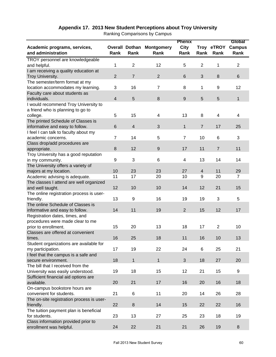|                                           |                |                       |                   | <b>Phenix</b>    |                 |                | Global         |
|-------------------------------------------|----------------|-----------------------|-------------------|------------------|-----------------|----------------|----------------|
| Academic programs, services,              |                | <b>Overall Dothan</b> | <b>Montgomery</b> | <b>City</b>      |                 | Troy eTROY     | <b>Campus</b>  |
| and administration                        | Rank           | Rank                  | Rank              | Rank             | Rank            | Rank           | Rank           |
| TROY personnel are knowledgeable          |                |                       |                   |                  |                 |                |                |
| and helpful.                              | 1              | $\overline{2}$        | 12                | 5                | $\overline{2}$  | 1              | $\overline{c}$ |
| I am receiving a quality education at     |                |                       |                   |                  |                 |                |                |
| Troy University.                          | $\overline{2}$ | $\overline{7}$        | $\overline{2}$    | $6\phantom{1}6$  | $\mathbf{3}$    | 8              | 6              |
| The semester/term format at my            |                |                       |                   |                  |                 |                |                |
| location accommodates my learning.        | 3              | 16                    | $\overline{7}$    | 8                | 1               | 9              | 12             |
| Faculty care about students as            |                |                       |                   |                  |                 |                |                |
| individuals.                              | $\overline{4}$ | 5                     | $\bf 8$           | $\boldsymbol{9}$ | 5               | 5              | $\mathbf{1}$   |
| I would recommend Troy University to      |                |                       |                   |                  |                 |                |                |
| a friend who is planning to go to         |                |                       |                   |                  |                 |                |                |
| college.                                  | 5              | 15                    | 4                 | 13               | 8               | 4              | 4              |
| The printed Schedule of Classes is        |                |                       |                   |                  |                 |                |                |
| informative and easy to follow.           | 6              | $\overline{4}$        | 3                 | $\mathbf{1}$     | $\overline{7}$  | 17             | 25             |
| I feel I can talk to faculty about my     |                |                       |                   |                  |                 |                |                |
| academic concerns.                        | $\overline{7}$ | 14                    | 5                 | $\overline{7}$   | 10              | 6              | 3              |
| Class drop/add procedures are             |                |                       |                   |                  |                 |                |                |
| appropriate.                              | 8              | 12                    | $\overline{9}$    | 17               | 11              | $\overline{7}$ | 11             |
| Troy University has a good reputation     |                |                       |                   |                  |                 |                |                |
|                                           | 9              | 3                     | 6                 | 4                | 13              | 14             | 14             |
| in my community.                          |                |                       |                   |                  |                 |                |                |
| The University offers a variety of        | 10             | 23                    | 23                | 27               | $\overline{4}$  | 11             | 29             |
| majors at my location.                    | 11             | 17                    | 20                | 10               | 9               | 20             | $\overline{7}$ |
| Academic advising is adequate.            |                |                       |                   |                  |                 |                |                |
| The classes I attend are well organized   |                |                       |                   |                  |                 |                |                |
| and well taught.                          | 12             | 10                    | 10                | 14               | 12              | 21             | 15             |
| The online registration process is user-  |                |                       |                   |                  |                 |                |                |
| friendly.                                 | 13             | 9                     | 16                | 19               | 19              | 3              | 5              |
| The online Schedule of Classes is         |                |                       |                   |                  |                 |                |                |
| informative and easy to follow.           | 14             | 11                    | 19                | $\mathbf{2}$     | 15              | 12             | 17             |
| Registration dates, times, and            |                |                       |                   |                  |                 |                |                |
| procedures were made clear to me          |                |                       |                   |                  |                 |                |                |
| prior to enrollment.                      | 15             | 20                    | 13                | 18               | 17              | $\overline{2}$ | 10             |
| Classes are offered at convenient         |                |                       |                   |                  |                 |                |                |
| times.                                    | 16             | 25                    | 18                | 11               | 16              | 10             | 13             |
| Student organizations are available for   |                |                       |                   |                  |                 |                |                |
| my participation.                         | 17             | 19                    | 22                | 24               | $6\phantom{1}6$ | 25             | 21             |
| I feel that the campus is a safe and      |                |                       |                   |                  |                 |                |                |
| secure environment.                       | 18             | $\mathbf{1}$          | $\mathbf{1}$      | 3                | 18              | 27             | 20             |
| The bill that I received from the         |                |                       |                   |                  |                 |                |                |
| University was easily understood.         | 19             | 18                    | 15                | 12               | 21              | 15             | 9              |
| Sufficient financial aid options are      |                |                       |                   |                  |                 |                |                |
| available.                                | 20             | 21                    | 17                | 16               | 20              | 16             | 18             |
| On-campus bookstore hours are             |                |                       |                   |                  |                 |                |                |
| convenient for students.                  | 21             | 6                     | 11                | 20               | 14              | 26             | 28             |
| The on-site registration process is user- |                |                       |                   |                  |                 |                |                |
| friendly.                                 | 22             | 8                     | 14                | 15               | 22              | 22             | 16             |
| The tuition payment plan is beneficial    |                |                       |                   |                  |                 |                |                |
| for students.                             | 23             | 13                    | 27                | 25               | 23              | 18             | 19             |
| Class information provided prior to       |                |                       |                   |                  |                 |                |                |
| enrollment was helpful.                   | 24             | 22                    | 21                | 21               | 26              | 19             | 8              |

# **Appendix 17. 2013 New Student Perceptions about Troy University**

Ranking Comparisons by Campus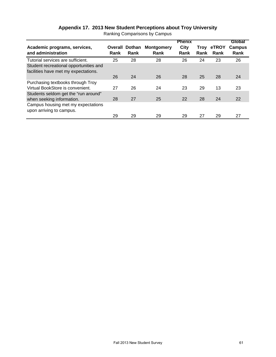| Academic programs, services,<br>and administration                                                                  | Rank | <b>Overall Dothan</b><br>Rank | <b>Montgomery</b><br>Rank | <b>Phenix</b><br>City<br>Rank | Troy<br>Rank | eTROY<br>Rank | Global<br><b>Campus</b><br>Rank |
|---------------------------------------------------------------------------------------------------------------------|------|-------------------------------|---------------------------|-------------------------------|--------------|---------------|---------------------------------|
| Tutorial services are sufficient.<br>Student recreational opportunities and<br>facilities have met my expectations. | 25   | 28                            | 28                        | 26                            | 24           | 23            | 26                              |
|                                                                                                                     | 26   | 24                            | 26                        | 28                            | 25           | 28            | 24                              |
| Purchasing textbooks through Troy<br>Virtual BookStore is convenient.                                               | 27   | 26                            | 24                        | 23                            | 29           | 13            | 23                              |
| Students seldom get the "run around"<br>when seeking information.                                                   | 28   | 27                            | 25                        | 22                            | 28           | 24            | 22                              |
| Campus housing met my expectations<br>upon arriving to campus.                                                      | 29   | 29                            | 29                        | 29                            | 27           | 29            | 27                              |

# **Appendix 17. 2013 New Student Perceptions about Troy University**

Ranking Comparisons by Campus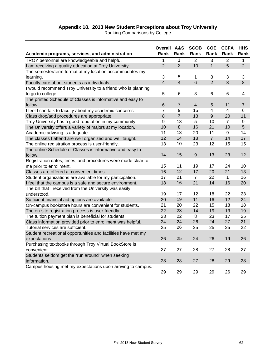# **Appendix 18. 2013 New Student Perceptions about Troy University**

Ranking Comparisons by College

| Academic programs, services, and administration               | <b>Overall A&amp;S</b><br><b>Rank</b> | Rank                    | <b>SCOB</b><br>Rank | <b>COE</b><br>Rank | <b>CCFA</b><br>Rank | <b>HHS</b><br>Rank |
|---------------------------------------------------------------|---------------------------------------|-------------------------|---------------------|--------------------|---------------------|--------------------|
| TROY personnel are knowledgeable and helpful.                 | $\mathbf{1}$                          | $\mathbf 1$             | $\overline{2}$      | $\overline{3}$     | $\overline{2}$      | 1                  |
| I am receiving a quality education at Troy University.        | $\overline{2}$                        | $\overline{2}$          | 10                  | $\mathbf 1$        | 5                   | $\overline{2}$     |
| The semester/term format at my location accommodates my       |                                       |                         |                     |                    |                     |                    |
| learning.                                                     | 3                                     | 5                       | 1                   | 8                  | 3                   | 3                  |
| Faculty care about students as individuals.                   | $\overline{\mathbf{4}}$               | $\overline{\mathbf{4}}$ | $6\phantom{1}$      | $\overline{2}$     | 8                   | 8                  |
| I would recommend Troy University to a friend who is planning |                                       |                         |                     |                    |                     |                    |
| to go to college.                                             | 5                                     | 6                       | 3                   | 6                  | 6                   | 4                  |
| The printed Schedule of Classes is informative and easy to    |                                       |                         |                     |                    |                     |                    |
| follow.                                                       | 6                                     | $\overline{7}$          | $\overline{4}$      | 5                  | 11                  | $\overline{7}$     |
| I feel I can talk to faculty about my academic concerns.      | $\overline{7}$                        | 9                       | 15                  | 4                  | 4                   | 6                  |
| Class drop/add procedures are appropriate.                    | 8                                     | 3                       | 13                  | 9                  | 20                  | 11                 |
| Troy University has a good reputation in my community.        | 9                                     | 18                      | 5                   | 10                 | $\overline{7}$      | 9                  |
| The University offers a variety of majors at my location.     | 10                                    | $\,8\,$                 | 16                  | 21                 | 10                  | 5                  |
| Academic advising is adequate.                                | 11                                    | 13                      | 20                  | 11                 | 9                   | 14                 |
| The classes I attend are well organized and well taught.      | 12                                    | 14                      | 18                  | $\overline{7}$     | 14                  | 17                 |
| The online registration process is user-friendly.             | 13                                    | 10                      | 23                  | 12                 | 15                  | 15                 |
| The online Schedule of Classes is informative and easy to     |                                       |                         |                     |                    |                     |                    |
| follow.                                                       | 14                                    | 15                      | $\overline{9}$      | 13                 | 23                  | 12                 |
| Registration dates, times, and procedures were made clear to  |                                       |                         |                     |                    |                     |                    |
| me prior to enrollment.                                       | 15                                    | 11                      | 19                  | 17                 | 24                  | 10                 |
| Classes are offered at convenient times.                      | 16                                    | 12                      | 17                  | 20                 | 21                  | 13                 |
| Student organizations are available for my participation.     | 17                                    | 21                      | $\overline{7}$      | 22                 | $\mathbf 1$         | 16                 |
| I feel that the campus is a safe and secure environment.      | 18                                    | 16                      | 21                  | 14                 | 16                  | 20                 |
| The bill that I received from the University was easily       |                                       |                         |                     |                    |                     |                    |
| understood.                                                   | 19                                    | 17                      | 12                  | 18                 | 22                  | 23                 |
| Sufficient financial aid options are available.               | 20                                    | 19                      | 11                  | 16                 | 12                  | 24                 |
| On-campus bookstore hours are convenient for students.        | 21                                    | 20                      | 22                  | 15                 | 18                  | 18                 |
| The on-site registration process is user-friendly.            | 22                                    | 23                      | 14                  | 19                 | 13                  | 19                 |
| The tuition payment plan is beneficial for students.          | 23                                    | 22                      | 8                   | 23                 | 17                  | 25                 |
| Class information provided prior to enrollment was helpful.   | 24                                    | 24                      | 26                  | 24                 | 27                  | 21                 |
| Tutorial services are sufficient.                             | 25                                    | 26                      | 25                  | 25                 | 25                  | 22                 |
| Student recreational opportunities and facilities have met my |                                       |                         |                     |                    |                     |                    |
| expectations.                                                 | 26                                    | 25                      | 24                  | 26                 | 19                  | 26                 |
| Purchasing textbooks through Troy Virtual BookStore is        |                                       |                         |                     |                    |                     |                    |
| convenient.                                                   | 27                                    | 27                      | 28                  | 27                 | 28                  | 27                 |
| Students seldom get the "run around" when seeking             |                                       |                         |                     |                    |                     |                    |
| information.                                                  | 28                                    | 28                      | 27                  | 28                 | 29                  | 28                 |
| Campus housing met my expectations upon arriving to campus.   |                                       |                         |                     |                    |                     |                    |
|                                                               | 29                                    | 29                      | 29                  | 29                 | 26                  | 29                 |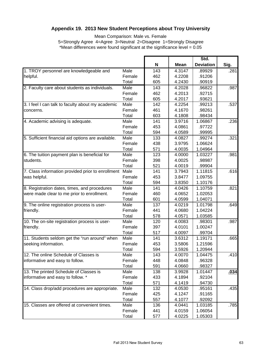# **Appendix 19. 2013 New Student Perceptions about Troy University**

Mean Comparison: Male vs. Female

5=Strongly Agree 4=Agree 3=Neutral 2=Disagree 1=Strongly Disagree \*Mean differences were found significant at the significance level = 0.05

|                                                    |        |     |             | Std.             |      |
|----------------------------------------------------|--------|-----|-------------|------------------|------|
|                                                    |        | N   | <b>Mean</b> | <b>Deviation</b> | Sig. |
| 1. TROY personnel are knowledgeable and            | Male   | 143 | 4.3147      | .89929           | .281 |
| helpful.                                           | Female | 462 | 4.2208      | .91206           |      |
|                                                    | Total  | 605 | 4.2430      | .90919           |      |
| 2. Faculty care about students as individuals.     | Male   | 143 | 4.2028      | .96822           | .987 |
|                                                    | Female | 462 | 4.2013      | .92715           |      |
|                                                    | Total  | 605 | 4.2017      | .93621           |      |
| 3. I feel I can talk to faculty about my academic  | Male   | 142 | 4.2254      | .99213           | .537 |
| concerns.                                          | Female | 461 | 4.1670      | .98261           |      |
|                                                    | Total  | 603 | 4.1808      | .98434           |      |
| 4. Academic advising is adequate.                  | Male   | 141 | 3.9716      | 1.06867          | .236 |
|                                                    | Female | 453 | 4.0861      | .97722           |      |
|                                                    | Total  | 594 | 4.0589      | .99995           |      |
| 5. Sufficient financial aid options are available. | Male   | 133 | 4.0827      | .99274           | .321 |
|                                                    | Female | 438 | 3.9795      | 1.06624          |      |
|                                                    | Total  | 571 | 4.0035      | 1.04964          |      |
| 6. The tuition payment plan is beneficial for      | Male   | 123 | 4.0000      | 1.03227          | .981 |
| students.                                          | Female | 398 | 4.0025      | .98987           |      |
|                                                    | Total  | 521 | 4.0019      | .99904           |      |
| 7. Class information provided prior to enrollment  | Male   | 141 | 3.7943      | 1.11815          | .616 |
| was helpful.                                       | Female | 453 | 3.8477      | 1.09755          |      |
|                                                    | Total  | 594 | 3.8350      | 1.10176          |      |
| 8. Registration dates, times, and procedures       | Male   | 141 | 4.0426      | 1.10759          | .821 |
| were made clear to me prior to enrollment.         | Female | 460 | 4.0652      | 1.02053          |      |
|                                                    | Total  | 601 | 4.0599      | 1.04071          |      |
| 9. The online registration process is user-        | Male   | 137 | 4.0219      | 1.01798          | .649 |
| friendly.                                          | Female | 441 | 4.0680      | 1.04224          |      |
|                                                    | Total  | 578 | 4.0571      | 1.03585          |      |
| 10. The on-site registration process is user-      | Male   | 120 | 4.0083      | .98301           | .987 |
| friendly.                                          | Female | 397 | 4.0101      | 1.00247          |      |
|                                                    | Total  | 517 | 4.0097      | .99704           |      |
| 11. Students seldom get the "run around" when      | Male   | 141 | 3.6312      | 1.19171          | .665 |
| seeking information.                               | Female | 453 | 3.5806      | 1.21596          |      |
|                                                    | Total  | 594 | 3.5926      | 1.20944          |      |
| 12. The online Schedule of Classes is              | Male   | 143 | 4.0070      | 1.04475          | .410 |
| informative and easy to follow.                    | Female | 448 | 4.0848      | .96328           |      |
|                                                    | Total  | 591 | 4.0660      | .98327           |      |
| 13. The printed Schedule of Classes is             | Male   | 138 | 3.9928      | 1.01447          | .034 |
| informative and easy to follow. *                  | Female | 433 | 4.1894      | .92104           |      |
|                                                    | Total  | 571 | 4.1419      | .94730           |      |
| 14. Class drop/add procedures are appropriate.     | Male   | 132 | 4.0530      | .95161           | .435 |
|                                                    | Female | 425 | 4.1247      | .91165           |      |
|                                                    | Total  | 557 | 4.1077      | .92092           |      |
| 15. Classes are offered at convenient times.       | Male   | 136 | 4.0441      | 1.03185          | .785 |
|                                                    | Female | 441 | 4.0159      | 1.06054          |      |
|                                                    | Total  | 577 | 4.0225      | 1.05303          |      |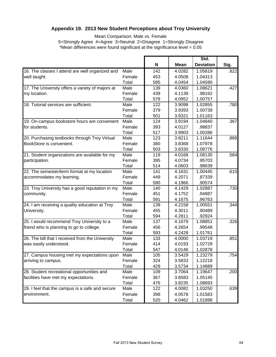# **Appendix 19. 2013 New Student Perceptions about Troy University**

Mean Comparison: Male vs. Female

5=Strongly Agree 4=Agree 3=Neutral 2=Disagree 1=Strongly Disagree \*Mean differences were found significant at the significance level = 0.05

|                                                  |        |     |             | Std.             |      |
|--------------------------------------------------|--------|-----|-------------|------------------|------|
|                                                  |        | N   | <b>Mean</b> | <b>Deviation</b> | Sig. |
| 16. The classes I attend are well organized and  | Male   | 142 | 4.0282      | 1.05819          | .822 |
| well taught.                                     | Female | 453 | 4.0508      | 1.04313          |      |
|                                                  | Total  | 595 | 4.0454      | 1.04590          |      |
| 17. The University offers a variety of majors at | Male   | 139 | 4.0360      | 1.08621          | .427 |
| my location.                                     | Female | 439 | 4.1139      | .98192           |      |
|                                                  | Total  | 578 | 4.0952      | 1.00757          |      |
| 18. Tutorial services are sufficient.            | Male   | 122 | 3.9098      | 1.02855          | .780 |
|                                                  | Female | 379 | 3.9393      | 1.00739          |      |
|                                                  | Total  | 501 | 3.9321      | 1.01163          |      |
| 19. On-campus bookstore hours are convenient     | Male   | 124 | 3.9194      | 1.04840          | .367 |
| for students.                                    | Female | 393 | 4.0127      | .98837           |      |
|                                                  | Total  | 517 | 3.9903      | 1.00286          |      |
| 20. Purchasing textbooks through Troy Virtual    | Male   | 123 | 3.8211      | 1.11644          | .889 |
| BookStore is convenient.                         | Female | 380 | 3.8368      | 1.07978          |      |
|                                                  | Total  | 503 | 3.8330      | 1.08776          |      |
| 21. Student organizations are available for my   | Male   | 119 | 4.0168      | 1.08130          | .584 |
| participation.                                   | Female | 395 | 4.0734      | .95703           |      |
|                                                  | Total  | 514 | 4.0603      | .98639           |      |
| 22. The semester/term format at my location      | Male   | 141 | 4.1631      | 1.00445          | .615 |
| accommodates my learning.                        | Female | 449 | 4.2071      | .87339           |      |
|                                                  | Total  | 590 | 4.1966      | .90574           |      |
| 23. Troy University has a good reputation in my  | Male   | 140 | 4.1429      | 1.02887          | .730 |
| community.                                       | Female | 451 | 4.1752      | .94887           |      |
|                                                  | Total  | 591 | 4.1675      | .96763           |      |
| 24. I am receiving a quality education at Troy   | Male   | 139 | 4.2158      | 1.00551          | .344 |
| University.                                      | Female | 455 | 4.3011      | .90489           |      |
|                                                  | Total  | 594 | 4.2811      | .92924           |      |
| 25. I would recommend Troy University to a       | Male   | 137 | 4.1679      | 1.08851          | .326 |
| friend who is planning to go to college.         | Female | 456 | 4.2654      | .99548           |      |
|                                                  | Total  | 593 | 4.2428      | 1.01761          |      |
| 26. The bill that I received from the University | Male   | 133 | 4.0000      | 1.03719          | .851 |
| was easily understood.                           | Female | 414 | 4.0193      | 1.02729          |      |
|                                                  | Total  | 547 | 4.0146      | 1.02878          |      |
| 27. Campus housing met my expectations upon      | Male   | 105 | 3.5429      | 1.23279          | .754 |
| arriving to campus.                              | Female | 324 | 3.5833      | 1.12218          |      |
|                                                  | Total  | 429 | 3.5734      | 1.14889          |      |
| 28. Student recreational opportunities and       | Male   | 109 | 3.7064      | 1.19647          | .200 |
| facilities have met my expectations.             | Female | 367 | 3.8583      | 1.05145          |      |
|                                                  | Total  | 476 | 3.8235      | 1.08693          |      |
| 29. I feel that the campus is a safe and secure  | Male   | 122 | 4.0082      | 1.03250          | .639 |
| environment.                                     | Female | 398 | 4.0578      | 1.01583          |      |
|                                                  | Total  | 520 | 4.0462      | 1.01898          |      |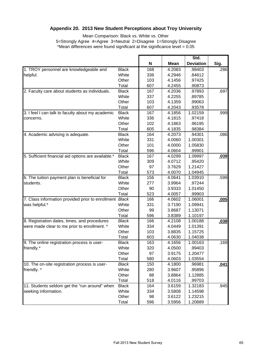# **Appendix 20. 2013 New Student Perceptions about Troy University**

Mean Comparison: Black vs. White vs. Other 5=Strongly Agree 4=Agree 3=Neutral 2=Disagree 1=Strongly Disagree \*Mean differences were found significant at the significance level  $= 0.05$ 

|                                                                                                                                                                                                                                                                                                                                                   |              |     |             | Std.             |             |
|---------------------------------------------------------------------------------------------------------------------------------------------------------------------------------------------------------------------------------------------------------------------------------------------------------------------------------------------------|--------------|-----|-------------|------------------|-------------|
|                                                                                                                                                                                                                                                                                                                                                   |              | N   | <b>Mean</b> | <b>Deviation</b> | Sig.        |
| 1. TROY personnel are knowledgeable and                                                                                                                                                                                                                                                                                                           | <b>Black</b> | 168 | 4.2083      | .98403           | .286        |
| helpful.                                                                                                                                                                                                                                                                                                                                          | White        | 336 | 4.2946      | .84612           |             |
|                                                                                                                                                                                                                                                                                                                                                   | Other        | 103 | 4.1456      | .97425           |             |
|                                                                                                                                                                                                                                                                                                                                                   | Total        | 607 | 4.2455      | .90873           |             |
| 2. Faculty care about students as individuals.                                                                                                                                                                                                                                                                                                    | <b>Black</b> | 167 | 4.2036      | .97893           | .697        |
|                                                                                                                                                                                                                                                                                                                                                   | White        | 337 | 4.2255      | .89785           |             |
|                                                                                                                                                                                                                                                                                                                                                   | Other        | 103 | 4.1359      | .99063           |             |
|                                                                                                                                                                                                                                                                                                                                                   | Total        | 607 | 4.2043      | .93578           |             |
| 3. I feel I can talk to faculty about my academic                                                                                                                                                                                                                                                                                                 | <b>Black</b> | 167 | 4.1856      | 1.02159          | .999        |
| concerns.                                                                                                                                                                                                                                                                                                                                         | White        | 336 | 4.1815      | .97418           |             |
|                                                                                                                                                                                                                                                                                                                                                   | Other        | 102 | 4.1863      | .96195           |             |
|                                                                                                                                                                                                                                                                                                                                                   | Total        | 605 | 4.1835      | .98384           |             |
| 4. Academic advising is adequate.                                                                                                                                                                                                                                                                                                                 | <b>Black</b> | 164 | 4.2073      | .94301           | .086        |
|                                                                                                                                                                                                                                                                                                                                                   | White        | 331 | 4.0060      | 1.00301          |             |
|                                                                                                                                                                                                                                                                                                                                                   | Other        | 101 | 4.0000      | 1.05830          |             |
|                                                                                                                                                                                                                                                                                                                                                   | Total        | 596 | 4.0604      | .99901           |             |
| 5. Sufficient financial aid options are available.*                                                                                                                                                                                                                                                                                               | <b>Black</b> | 167 | 4.0299      | 1.09997          | .039        |
|                                                                                                                                                                                                                                                                                                                                                   | White        | 309 | 4.0712      | .95420           |             |
|                                                                                                                                                                                                                                                                                                                                                   | Other        | 97  | 3.7629      | 1.21427          |             |
|                                                                                                                                                                                                                                                                                                                                                   | Total        | 573 | 4.0070      | 1.04945          |             |
|                                                                                                                                                                                                                                                                                                                                                   | <b>Black</b> | 156 | 4.0641      | 1.03910          | .599        |
| students.                                                                                                                                                                                                                                                                                                                                         | White        | 277 | 3.9964      | .97244           |             |
|                                                                                                                                                                                                                                                                                                                                                   | Other        | 90  | 3.9333      | 1.01450          |             |
|                                                                                                                                                                                                                                                                                                                                                   | Total        | 523 | 4.0057      | .99903           |             |
|                                                                                                                                                                                                                                                                                                                                                   |              | 166 | 4.0602      | 1.06001          | .005        |
|                                                                                                                                                                                                                                                                                                                                                   | White        | 331 | 3.7190      | 1.09941          |             |
|                                                                                                                                                                                                                                                                                                                                                   | Other        | 99  | 3.8687      | 1.13071          |             |
|                                                                                                                                                                                                                                                                                                                                                   | Total        | 596 | 3.8389      | 1.10197          |             |
|                                                                                                                                                                                                                                                                                                                                                   | <b>Black</b> | 166 | 4.2108      | 1.00188          | .038        |
|                                                                                                                                                                                                                                                                                                                                                   | White        | 334 | 4.0449      | 1.01391          |             |
| 6. The tuition payment plan is beneficial for<br>7. Class information provided prior to enrollment Black<br>was helpful.*<br>8. Registration dates, times, and procedures<br>were made clear to me prior to enrollment. *<br>9. The online registration process is user-<br>10. The on-site registration process is user-<br>seeking information. | Other        | 103 | 3.8835      | 1.15725          |             |
|                                                                                                                                                                                                                                                                                                                                                   | Total        | 603 | 4.0630      | 1.04038          |             |
|                                                                                                                                                                                                                                                                                                                                                   | <b>Black</b> | 163 | 4.1656      | 1.00163          | .169        |
| friendly.*                                                                                                                                                                                                                                                                                                                                        | White        | 320 | 4.0500      | .99403           |             |
|                                                                                                                                                                                                                                                                                                                                                   | Other        | 97  | 3.9175      | 1.20477          |             |
|                                                                                                                                                                                                                                                                                                                                                   | Total        | 580 | 4.0603      | 1.03554          |             |
|                                                                                                                                                                                                                                                                                                                                                   | Black        | 150 | 4.1800      | .96981           | <u>.041</u> |
| friendly. *                                                                                                                                                                                                                                                                                                                                       | White        | 280 | 3.9607      | .95896           |             |
|                                                                                                                                                                                                                                                                                                                                                   | Other        | 88  | 3.8864      | 1.12885          |             |
|                                                                                                                                                                                                                                                                                                                                                   | Total        | 518 | 4.0116      | .99703           |             |
| 11. Students seldom get the "run around" when                                                                                                                                                                                                                                                                                                     | <b>Black</b> | 164 | 3.6159      | 1.32183          | .945        |
|                                                                                                                                                                                                                                                                                                                                                   | White        | 334 | 3.5808      | 1.14598          |             |
|                                                                                                                                                                                                                                                                                                                                                   | Other        | 98  | 3.6122      | 1.23215          |             |
|                                                                                                                                                                                                                                                                                                                                                   | Total        | 596 | 3.5956      | 1.20889          |             |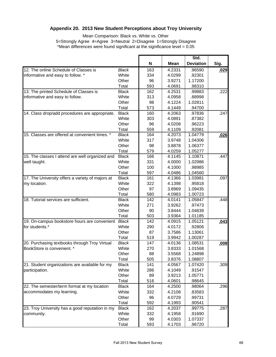# **Appendix 20. 2013 New Student Perceptions about Troy University**

Mean Comparison: Black vs. White vs. Other 5=Strongly Agree 4=Agree 3=Neutral 2=Disagree 1=Strongly Disagree \*Mean differences were found significant at the significance level  $= 0.05$ 

|                                                  |              |     |        | Std.             |      |
|--------------------------------------------------|--------------|-----|--------|------------------|------|
|                                                  |              | N   | Mean   | <b>Deviation</b> | Sig. |
| 12. The online Schedule of Classes is            | <b>Black</b> | 163 | 4.2331 | .96590           | .029 |
| informative and easy to follow. *                | White        | 334 | 4.0299 | .92301           |      |
|                                                  | Other        | 96  | 3.9271 | 1.17200          |      |
|                                                  | Total        | 593 | 4.0691 | .98310           |      |
| 13. The printed Schedule of Classes is           | <b>Black</b> | 162 | 4.2531 | .99883           | .222 |
| informative and easy to follow.                  | White        | 313 | 4.0958 | .88998           |      |
|                                                  | Other        | 98  | 4.1224 | 1.02811          |      |
|                                                  | Total        | 573 | 4.1449 | .94700           |      |
| 14. Class drop/add procedures are appropriate.   | <b>Black</b> | 160 | 4.2063 | .97836           | .247 |
|                                                  | White        | 303 | 4.0891 | .87382           |      |
|                                                  | Other        | 96  | 4.0208 | .96223           |      |
|                                                  | Total        | 559 | 4.1109 | .92081           |      |
| 15. Classes are offered at convenient times. *   | <b>Black</b> | 164 | 4.2073 | 1.04779          | .026 |
|                                                  | White        | 317 | 3.9748 | 1.04306          |      |
|                                                  | Other        | 98  | 3.8878 | 1.06377          |      |
|                                                  | Total        | 579 | 4.0259 | 1.05277          |      |
| 15. The classes I attend are well organized and  | <b>Black</b> | 166 | 4.1145 | 1.10871          | .447 |
| well taught.                                     | White        | 331 | 4.0000 | 1.02986          |      |
|                                                  | Other        | 100 | 4.1000 | .98985           |      |
|                                                  | Total        | 597 | 4.0486 | 1.04560          |      |
| 17. The University offers a variety of majors at | <b>Black</b> | 161 | 4.1366 | 1.03981          | .097 |
| my location.                                     | White        | 322 | 4.1398 | .95818           |      |
|                                                  | Other        | 97  | 3.8969 | 1.09435          |      |
|                                                  | Total        | 580 | 4.0983 | 1.00723          |      |
| 18. Tutorial services are sufficient.            | <b>Black</b> | 142 | 4.0141 | 1.05847          | .448 |
|                                                  | White        | 271 | 3.9262 | .97473           |      |
|                                                  | Other        | 90  | 3.8444 | 1.04839          |      |
|                                                  | Total        | 503 | 3.9364 | 1.01185          |      |
| 19. On-campus bookstore hours are convenient     | <b>Black</b> | 142 | 4.0915 | 1.05121          | .043 |
| for students.*                                   | White        | 290 | 4.0172 | .92806           |      |
|                                                  | Other        | 87  | 3.7586 | 1.13061          |      |
|                                                  | Total        | 519 | 3.9942 | 1.00287          |      |
| 20. Purchasing textbooks through Troy Virtual    | <b>Black</b> | 147 | 4.0136 | 1.08531          | .008 |
| BookStore is convenient. *                       | White        | 270 | 3.8333 | 1.01568          |      |
|                                                  | Other        | 88  | 3.5568 | 1.24898          |      |
|                                                  | Total        | 505 | 3.8376 | 1.08807          |      |
| 21. Student organizations are available for my   | <b>Black</b> | 141 | 4.0567 | 1.07420          | .309 |
| participation.                                   | White        | 286 | 4.1049 | .91547           |      |
|                                                  | Other        | 89  | 3.9213 | 1.05771          |      |
|                                                  | Total        | 516 | 4.0601 | .98645           |      |
| 22. The semester/term format at my location      | <b>Black</b> | 164 | 4.2500 | .98064           | .296 |
| accommodates my learning.                        | White        | 332 | 4.2108 | .83583           |      |
|                                                  | Other        | 96  | 4.0729 | .99731           |      |
|                                                  | Total        | 592 | 4.1993 | .90541           |      |
| 23. Troy University has a good reputation in my  | <b>Black</b> | 162 | 4.2037 | .99775           | .287 |
| community.                                       | White        | 332 | 4.1958 | .91690           |      |
|                                                  | Other        | 99  | 4.0303 | 1.07337          |      |
|                                                  | Total        | 593 | 4.1703 | .96720           |      |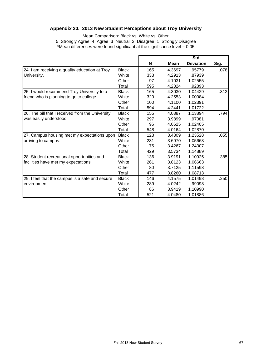# **Appendix 20. 2013 New Student Perceptions about Troy University**

Mean Comparison: Black vs. White vs. Other 5=Strongly Agree 4=Agree 3=Neutral 2=Disagree 1=Strongly Disagree \*Mean differences were found significant at the significance level  $= 0.05$ 

|                                                  |              |     |             | Std.             |      |
|--------------------------------------------------|--------------|-----|-------------|------------------|------|
|                                                  |              | N   | <b>Mean</b> | <b>Deviation</b> | Sig. |
| 24. I am receiving a quality education at Troy   | <b>Black</b> | 165 | 4.3697      | .95779           | .078 |
| University.                                      | White        | 333 | 4.2913      | .87939           |      |
|                                                  | Other        | 97  | 4.1031      | 1.02555          |      |
|                                                  | Total        | 595 | 4.2824      | .92893           |      |
| 25. I would recommend Troy University to a       | <b>Black</b> | 165 | 4.3030      | 1.04429          | .312 |
| friend who is planning to go to college.         | White        | 329 | 4.2553      | 1.00084          |      |
|                                                  | Other        | 100 | 4.1100      | 1.02391          |      |
|                                                  | Total        | 594 | 4.2441      | 1.01722          |      |
| 26. The bill that I received from the University | <b>Black</b> | 155 | 4.0387      | 1.13894          | .794 |
| was easily understood.                           | White        | 297 | 3.9899      | .97081           |      |
|                                                  | Other        | 96  | 4.0625      | 1.02405          |      |
|                                                  | Total        | 548 | 4.0164      | 1.02870          |      |
| 27. Campus housing met my expectations upon      | <b>Black</b> | 123 | 3.4309      | 1.23528          | .055 |
| arriving to campus.                              | White        | 231 | 3.6970      | 1.05663          |      |
|                                                  | Other        | 75  | 3.4267      | 1.24307          |      |
|                                                  | Total        | 429 | 3.5734      | 1.14889          |      |
| 28. Student recreational opportunities and       | <b>Black</b> | 136 | 3.9191      | 1.10925          | .385 |
| facilities have met my expectations.             | White        | 261 | 3.8123      | 1.06663          |      |
|                                                  | Other        | 80  | 3.7125      | 1.11598          |      |
|                                                  | Total        | 477 | 3.8260      | 1.08713          |      |
| 29. I feel that the campus is a safe and secure  | <b>Black</b> | 146 | 4.1575      | 1.01498          | .250 |
| environment.                                     | White        | 289 | 4.0242      | .99098           |      |
|                                                  | Other        | 86  | 3.9419      | 1.10990          |      |
|                                                  | Total        | 521 | 4.0480      | 1.01886          |      |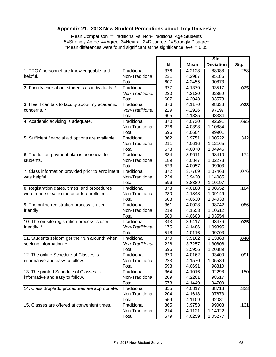# **Appendix 21. 2013 New Student Perceptions about Troy University**

Mean Comparison: \*\*Traditional vs. Non-Traditional Age Students 5=Strongly Agree 4=Agree 3=Neutral 2=Disagree 1=Strongly Disagree \*Mean differences were found significant at the significance level = 0.05

|                                                    |                 |     |             | Std.             |      |
|----------------------------------------------------|-----------------|-----|-------------|------------------|------|
|                                                    |                 | N   | <b>Mean</b> | <b>Deviation</b> | Sig. |
| 1. TROY personnel are knowledgeable and            | Traditional     | 376 | 4.2128      | .88088           | .258 |
| helpful.                                           | Non-Traditional | 231 | 4.2987      | .95186           |      |
|                                                    | Total           | 607 | 4.2455      | .90873           |      |
| 2. Faculty care about students as individuals. *   | Traditional     | 377 | 4.1379      | .93517           | .025 |
|                                                    | Non-Traditional | 230 | 4.3130      | .92859           |      |
|                                                    | Total           | 607 | 4.2043      | .93578           |      |
| 3. I feel I can talk to faculty about my academic  | Traditional     | 376 | 4.1170      | .98638           | .033 |
| concerns.*                                         | Non-Traditional | 229 | 4.2926      | .97197           |      |
|                                                    | Total           | 605 | 4.1835      | .98384           |      |
| 4. Academic advising is adequate.                  | Traditional     | 370 | 4.0730      | .92691           | .695 |
|                                                    | Non-Traditional | 226 | 4.0398      | 1.10884          |      |
|                                                    | Total           | 596 | 4.0604      | .99901           |      |
| 5. Sufficient financial aid options are available. | Traditional     | 362 | 3.9751      | 1.00522          | .342 |
|                                                    | Non-Traditional | 211 | 4.0616      | 1.12165          |      |
|                                                    | Total           | 573 | 4.0070      | 1.04945          |      |
| 6. The tuition payment plan is beneficial for      | Traditional     | 334 | 3.9611      | .98410           | .174 |
| students.                                          | Non-Traditional | 189 | 4.0847      | 1.02273          |      |
|                                                    | Total           | 523 | 4.0057      | .99903           |      |
| 7. Class information provided prior to enrollment  | Traditional     | 372 | 3.7769      | 1.07468          | .076 |
| was helpful.                                       | Non-Traditional | 224 | 3.9420      | 1.14085          |      |
|                                                    | Total           | 596 | 3.8389      | 1.10197          |      |
| 8. Registration dates, times, and procedures       | Traditional     | 373 | 4.0188      | 1.00652          | .184 |
| were made clear to me prior to enrollment.         | Non-Traditional | 230 | 4.1348      | 1.09149          |      |
|                                                    | Total           | 603 | 4.0630      | 1.04038          |      |
| 9. The online registration process is user-        | Traditional     | 361 | 4.0028      | .98742           | .086 |
| friendly.                                          | Non-Traditional | 219 | 4.1553      | 1.10612          |      |
|                                                    | Total           | 580 | 4.0603      | 1.03554          |      |
| 10. The on-site registration process is user-      | Traditional     | 343 | 3.9417      | .93476           | .025 |
| friendly. *                                        | Non-Traditional | 175 | 4.1486      | 1.09895          |      |
|                                                    | Total           | 518 | 4.0116      | .99703           |      |
| 11. Students seldom get the "run around" when      | Traditional     | 370 | 3.5162      | 1.13863          | .040 |
| seeking information. *                             | Non-Traditional | 226 | 3.7257      | 1.30808          |      |
|                                                    | Total           | 596 | 3.5956      | 1.20889          |      |
| 12. The online Schedule of Classes is              | Traditional     | 370 | 4.0162      | .93400           | .091 |
| informative and easy to follow.                    | Non-Traditional | 223 | 4.1570      | 1.05589          |      |
|                                                    | Total           | 593 | 4.0691      | .98310           |      |
| 13. The printed Schedule of Classes is             | Traditional     | 364 | 4.1016      | .92298           | .150 |
| informative and easy to follow.                    | Non-Traditional | 209 | 4.2201      | .98517           |      |
|                                                    | Total           | 573 | 4.1449      | .94700           |      |
| 14. Class drop/add procedures are appropriate.     | Traditional     | 355 | 4.0817      | .88718           | .323 |
|                                                    | Non-Traditional | 204 | 4.1618      | .97673           |      |
|                                                    | Total           | 559 | 4.1109      | .92081           |      |
| 15. Classes are offered at convenient times.       | Traditional     | 365 | 3.9753      | .99003           | .131 |
|                                                    | Non-Traditional | 214 | 4.1121      | 1.14922          |      |
|                                                    | Total           | 579 | 4.0259      | 1.05277          |      |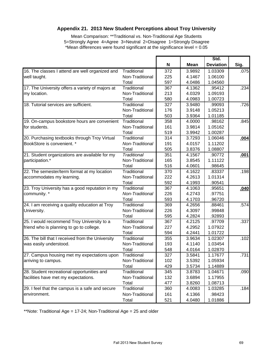# **Appendix 21. 2013 New Student Perceptions about Troy University**

Mean Comparison: \*\*Traditional vs. Non-Traditional Age Students 5=Strongly Agree 4=Agree 3=Neutral 2=Disagree 1=Strongly Disagree \*Mean differences were found significant at the significance level = 0.05

|                                                  |                 |     |             | Std.             |      |
|--------------------------------------------------|-----------------|-----|-------------|------------------|------|
|                                                  |                 | N   | <b>Mean</b> | <b>Deviation</b> | Sig. |
| 16. The classes I attend are well organized and  | Traditional     | 372 | 3.9892      | 1.03309          | .075 |
| well taught.                                     | Non-Traditional | 225 | 4.1467      | 1.06100          |      |
|                                                  | Total           | 597 | 4.0486      | 1.04560          |      |
| 17. The University offers a variety of majors at | Traditional     | 367 | 4.1362      | .95412           | .234 |
| my location.                                     | Non-Traditional | 213 | 4.0329      | 1.09193          |      |
|                                                  | Total           | 580 | 4.0983      | 1.00723          |      |
| 18. Tutorial services are sufficient.            | Traditional     | 327 | 3.9480      | .99093           | .726 |
|                                                  | Non-Traditional | 176 | 3.9148      | 1.05213          |      |
|                                                  | Total           | 503 | 3.9364      | 1.01185          |      |
| 19. On-campus bookstore hours are convenient     | Traditional     | 358 | 4.0000      | .98162           | .845 |
| for students.                                    | Non-Traditional | 161 | 3.9814      | 1.05162          |      |
|                                                  | Total           | 519 | 3.9942      | 1.00287          |      |
| 20. Purchasing textbooks through Troy Virtual    | Traditional     | 314 | 3.7293      | 1.06046          | .004 |
| BookStore is convenient. *                       | Non-Traditional | 191 | 4.0157      | 1.11202          |      |
|                                                  | Total           | 505 | 3.8376      | 1.08807          |      |
| 21. Student organizations are available for my   | Traditional     | 351 | 4.1567      | .90772           | .001 |
| participation.*                                  | Non-Traditional | 165 | 3.8545      | 1.11122          |      |
|                                                  | Total           | 516 | 4.0601      | .98645           |      |
| 22. The semester/term format at my location      | Traditional     | 370 | 4.1622      | .83337           | .198 |
| accommodates my learning.                        | Non-Traditional | 222 | 4.2613      | 1.01314          |      |
|                                                  | Total           | 592 | 4.1993      | .90541           |      |
| 23. Troy University has a good reputation in my  | Traditional     | 367 | 4.1063      | .95651           | .040 |
| community. *                                     | Non-Traditional | 226 | 4.2743      | .97751           |      |
|                                                  | Total           | 593 | 4.1703      | .96720           |      |
| 24. I am receiving a quality education at Troy   | Traditional     | 369 | 4.2656      | .88461           | .574 |
| University.                                      | Non-Traditional | 226 | 4.3097      | .99848           |      |
|                                                  | Total           | 595 | 4.2824      | .92893           |      |
| 25. I would recommend Troy University to a       | Traditional     | 367 | 4.2125      | .97709           | .337 |
| friend who is planning to go to college.         | Non-Traditional | 227 | 4.2952      | 1.07922          |      |
|                                                  | Total           | 594 | 4.2441      | 1.01722          |      |
| 26. The bill that I received from the University | Traditional     | 355 | 3.9634      | 1.02307          | .102 |
| was easily understood.                           | Non-Traditional | 193 | 4.1140      | 1.03454          |      |
|                                                  | Total           | 548 | 4.0164      | 1.02870          |      |
| 27. Campus housing met my expectations upon      | Traditional     | 327 | 3.5841      | 1.17677          | .731 |
| arriving to campus.                              | Non-Traditional | 102 | 3.5392      | 1.05934          |      |
|                                                  | Total           | 429 | 3.5734      | 1.14889          |      |
| 28. Student recreational opportunities and       | Traditional     | 345 | 3.8783      | 1.04671          | .090 |
| facilities have met my expectations.             | Non-Traditional | 132 | 3.6894      | 1.17955          |      |
|                                                  | Total           | 477 | 3.8260      | 1.08713          |      |
| 29. I feel that the campus is a safe and secure  | Traditional     | 360 | 4.0083      | 1.03285          | .184 |
| environment.                                     | Non-Traditional | 161 | 4.1366      | .98423           |      |
|                                                  | Total           | 521 | 4.0480      | 1.01886          |      |

\*\*Note: Traditional Age = 17-24; Non-Traditional Age = 25 and older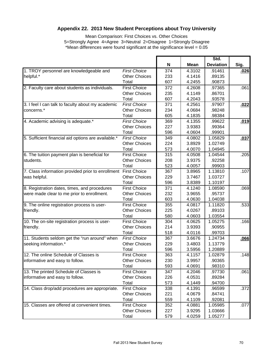# **Appendix 22. 2013 New Student Perceptions about Troy University**

Mean Comparison: First Choices vs. Other Choices 5=Strongly Agree 4=Agree 3=Neutral 2=Disagree 1=Strongly Disagree \*Mean differences were found significant at the significance level = 0.05

|                                                                |                      | N<br><b>Mean</b> | Std.   |                  |      |
|----------------------------------------------------------------|----------------------|------------------|--------|------------------|------|
|                                                                |                      |                  |        | <b>Deviation</b> | Sig. |
| 1. TROY personnel are knowledgeable and                        | <b>First Choice</b>  | 374              | 4.3102 | .91461           | .026 |
| helpful.*                                                      | <b>Other Choices</b> | 233              | 4.1416 | .89135           |      |
|                                                                | Total                | 607              | 4.2455 | .90873           |      |
| 2. Faculty care about students as individuals.                 | <b>First Choice</b>  | 372              | 4.2608 | .97365           | .061 |
|                                                                | <b>Other Choices</b> | 235              | 4.1149 | .86701           |      |
|                                                                | Total                | 607              | 4.2043 | .93578           |      |
| 3. I feel I can talk to faculty about my academic              | <b>First Choice</b>  | 371              | 4.2561 | .97907           | .022 |
| concerns.*                                                     | <b>Other Choices</b> | 234              | 4.0684 | .98248           |      |
|                                                                | Total                | 605              | 4.1835 | .98384           |      |
| 4. Academic advising is adequate.*                             | <b>First Choice</b>  | 369              | 4.1355 | .99622           | .019 |
|                                                                | <b>Other Choices</b> | 227              | 3.9383 | .99364           |      |
|                                                                | Total                | 596              | 4.0604 | .99901           |      |
| 5. Sufficient financial aid options are available.*            | <b>First Choice</b>  | 349              | 4.0802 | 1.05829          | .037 |
|                                                                | <b>Other Choices</b> | 224              | 3.8929 | 1.02749          |      |
|                                                                | Total                | 573              | 4.0070 | 1.04945          |      |
| 6. The tuition payment plan is beneficial for                  | <b>First Choice</b>  | 315              | 4.0508 | 1.04544          | .205 |
| students.                                                      | <b>Other Choices</b> | 208              | 3.9375 | .92258           |      |
|                                                                | Total                | 523              | 4.0057 | .99903           |      |
| 7. Class information provided prior to enrollment First Choice |                      | 367              | 3.8965 | 1.13810          | .107 |
| was helpful.                                                   | <b>Other Choices</b> | 229              | 3.7467 | 1.03727          |      |
|                                                                | Total                | 596              | 3.8389 | 1.10197          |      |
| 8. Registration dates, times, and procedures                   | <b>First Choice</b>  | 371              | 4.1240 | 1.08590          | .069 |
| were made clear to me prior to enrollment.                     | <b>Other Choices</b> | 232              | 3.9655 | .95737           |      |
|                                                                | Total                | 603              | 4.0630 | 1.04038          |      |
| 9. The online registration process is user-                    | <b>First Choice</b>  | 355              | 4.0817 | 1.11820          | .533 |
| friendly.                                                      | <b>Other Choices</b> | 225              | 4.0267 | .89103           |      |
|                                                                | Total                | 580              | 4.0603 | 1.03554          |      |
| 10. The on-site registration process is user-                  | <b>First Choice</b>  | 304              | 4.0625 | 1.05275          | .166 |
| friendly.                                                      | <b>Other Choices</b> | 214              | 3.9393 | .90955           |      |
|                                                                | Total                | 518              | 4.0116 | .99703           |      |
| 11. Students seldom get the "run around" when                  | <b>First Choice</b>  | 367              | 3.6676 | 1.24734          | .066 |
| seeking information.*                                          | <b>Other Choices</b> | 229              | 3.4803 | 1.13779          |      |
|                                                                | Total                | 596              | 3.5956 | 1.20889          |      |
| 12. The online Schedule of Classes is                          | <b>First Choice</b>  | 363              | 4.1157 | 1.02879          | .148 |
| informative and easy to follow.                                | <b>Other Choices</b> | 230              | 3.9957 | .90365           |      |
|                                                                | Total                | 593              | 4.0691 | .98310           |      |
| 13. The printed Schedule of Classes is                         | <b>First Choice</b>  | 347              | 4.2046 | .97730           | .061 |
| informative and easy to follow.                                | <b>Other Choices</b> | 226              | 4.0531 | .89284           |      |
|                                                                | Total                | 573              | 4.1449 | .94700           |      |
| 14. Class drop/add procedures are appropriate.                 | <b>First Choice</b>  | 338              | 4.1391 | .96599           | .372 |
|                                                                | <b>Other Choices</b> | 221              | 4.0679 | .84741           |      |
|                                                                | Total                | 559              | 4.1109 | .92081           |      |
| 15. Classes are offered at convenient times.                   | <b>First Choice</b>  | 352              | 4.0881 | 1.05985          | .077 |
|                                                                | <b>Other Choices</b> | 227              | 3.9295 | 1.03666          |      |
|                                                                | Total                | 579              | 4.0259 | 1.05277          |      |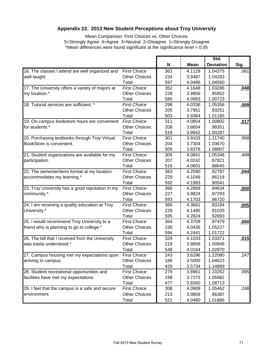# **Appendix 22. 2013 New Student Perceptions about Troy University**

Mean Comparison: First Choices vs. Other Choices 5=Strongly Agree 4=Agree 3=Neutral 2=Disagree 1=Strongly Disagree \*Mean differences were found significant at the significance level = 0.05

|                                                  |                      | N<br><b>Mean</b> |        | Std.<br><b>Deviation</b> | Sig. |
|--------------------------------------------------|----------------------|------------------|--------|--------------------------|------|
|                                                  |                      |                  |        |                          |      |
| 16. The classes I attend are well organized and  | <b>First Choice</b>  | 363              | 4.1129 | 1.04375                  | .061 |
| well taught.                                     | <b>Other Choices</b> | 234              | 3.9487 | 1.04283                  |      |
|                                                  | Total                | 597              | 4.0486 | 1.04560                  |      |
| 17. The University offers a variety of majors at | <b>First Choice</b>  | 352              | 4.1648 | 1.03286                  | .048 |
| my location.*                                    | <b>Other Choices</b> | 228              | 3.9956 | .95952                   |      |
|                                                  | Total                | 580              | 4.0983 | 1.00723                  |      |
| 18. Tutorial services are sufficient. *          | <b>First Choice</b>  | 298              | 4.0336 | 1.05356                  | .009 |
|                                                  | <b>Other Choices</b> | 205              | 3.7951 | .93251                   |      |
|                                                  | Total                | 503              | 3.9364 | 1.01185                  |      |
| 19. On-campus bookstore hours are convenient     | <b>First Choice</b>  | 311              | 4.0804 | 1.00802                  | .017 |
| for students.*                                   | <b>Other Choices</b> | 208              | 3.8654 | .98351                   |      |
|                                                  | Total                | 519              | 3.9942 | 1.00287                  |      |
| 20. Purchasing textbooks through Troy Virtual    | <b>First Choice</b>  | 301              | 3.9103 | 1.11740                  | .068 |
| BookStore is convenient.                         | <b>Other Choices</b> | 204              | 3.7304 | 1.03670                  |      |
|                                                  | Total                | 505              | 3.8376 | 1.08807                  |      |
| 21. Student organizations are available for my   | <b>First Choice</b>  | 309              | 4.0841 | 1.05346                  | .499 |
| participation.                                   | <b>Other Choices</b> | 207              | 4.0242 | .87821                   |      |
|                                                  | Total                | 516              | 4.0601 | .98645                   |      |
| 22. The semester/term format at my location      | <b>First Choice</b>  | 363              | 4.2590 | .92787                   | .044 |
| accommodates my learning.*                       | <b>Other Choices</b> | 229              | 4.1048 | .86218                   |      |
|                                                  | Total                | 592              | 4.1993 | .90541                   |      |
| 23. Troy University has a good reputation in my  | <b>First Choice</b>  | 366              | 4.2869 | .94634                   | .000 |
| community.*                                      | <b>Other Choices</b> | 227              | 3.9824 | .97293                   |      |
|                                                  | Total                | 593              | 4.1703 | .96720                   |      |
| 24. I am receiving a quality education at Troy   | <b>First Choice</b>  | 366              | 4.3661 | .93184                   | .005 |
| University.*                                     | <b>Other Choices</b> | 229              | 4.1485 | .91035                   |      |
|                                                  | Total                | 595              | 4.2824 | .92893                   |      |
| 25. I would recommend Troy University to a       | <b>First Choice</b>  | 364              | 4.3709 | .97479                   | .000 |
| friend who is planning to go to college.*        | <b>Other Choices</b> | 230              | 4.0435 | 1.05227                  |      |
|                                                  | Total                | 594              | 4.2441 | 1.01722                  |      |
| 26. The bill that I received from the University | <b>First Choice</b>  | 329              | 4.1033 | 1.03371                  | .015 |
| was easily understood.*                          | <b>Other Choices</b> | 219              | 3.8858 | 1.00946                  |      |
|                                                  | Total                | 548              | 4.0164 | 1.02870                  |      |
| 27. Campus housing met my expectations upon      | <b>First Choice</b>  | 243              | 3.6296 | 1.22080                  | .247 |
| arriving to campus.                              | Other Choices        | 186              | 3.5000 | 1.04623                  |      |
|                                                  | Total                | 429              | 3.5734 | 1.14889                  |      |
| 28. Student recreational opportunities and       | <b>First Choice</b>  | 279              | 3.8961 | 1.10262                  | .095 |
| facilities have met my expectations.             | <b>Other Choices</b> | 198              | 3.7273 | 1.05982                  |      |
|                                                  | Total                | 477              | 3.8260 | 1.08713                  |      |
| 29. I feel that the campus is a safe and secure  | <b>First Choice</b>  | 308              | 4.0909 | 1.05462                  | .248 |
| environment.                                     | <b>Other Choices</b> | 213              | 3.9859 | .96387                   |      |
|                                                  | Total                | 521              | 4.0480 | 1.01886                  |      |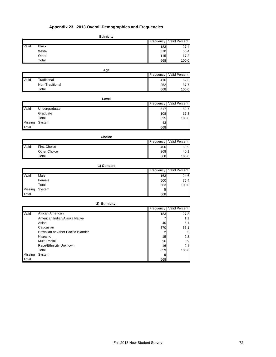# **Appendix 23. 2013 Overall Demographics and Frequencies**

|       |              | <b>Ethnicity</b> |           |               |
|-------|--------------|------------------|-----------|---------------|
|       |              |                  | Frequency | Valid Percent |
| Valid | <b>Black</b> |                  | 183       | 27.4          |
|       | White        |                  | 370       | 55.4          |
|       | Other        |                  | 115       | 17.2          |
|       | Total        |                  | 668       | 100.0         |

|       |                 | Age       |                      |
|-------|-----------------|-----------|----------------------|
|       |                 | Frequency | <b>Valid Percent</b> |
| Valid | Traditional     | 416       | 62.3                 |
|       | Non-Traditional | 252       | 37.7                 |
|       | Total           | 668       | 100.0                |

|         | Level         |           |               |  |
|---------|---------------|-----------|---------------|--|
|         |               | Frequency | Valid Percent |  |
| Valid   | Undergraduate | 517       | 82.7          |  |
|         | Graduate      | 108       | 17.3          |  |
|         | Total         | 625       | 100.0         |  |
| Missing | System        | 43        |               |  |
| Total   |               | 668       |               |  |

|       | <b>Choice</b>       |           |               |
|-------|---------------------|-----------|---------------|
|       |                     | Frequency | Valid Percent |
| Valid | <b>First Choice</b> | 400       | 59.9          |
|       | Other Choice        | 268       | 40.1          |
|       | Total               | 668       | 100.0         |

|         |        | 1) Gender: |           |               |
|---------|--------|------------|-----------|---------------|
|         |        |            | Frequency | Valid Percent |
| Valid   | Male   |            | 163       | 24.6          |
|         | Female |            | 500       | 75.4          |
|         | Total  |            | 663       | 100.0         |
| Missing | System |            | 5         |               |
| Total   |        |            | 668       |               |

|         | 2) Ethnicity:                      |           |     |               |
|---------|------------------------------------|-----------|-----|---------------|
|         |                                    | Frequency |     | Valid Percent |
| Valid   | African American                   |           | 183 | 27.8          |
|         | American Indian/Alaska Native      |           |     | 1.1           |
|         | Asian                              |           | 40  | 6.1           |
|         | Caucasian                          |           | 370 | 56.1          |
|         | Hawaiian or Other Pacific Islander |           |     | .3            |
|         | Hispanic                           |           | 15  | 2.3           |
|         | Multi-Racial                       |           | 26  | 3.9           |
|         | Race/Ethnicity Unknown             |           | 16  | 2.4           |
|         | Total                              |           | 659 | 100.0         |
| Missing | System                             |           | 9   |               |
| Total   |                                    |           | 668 |               |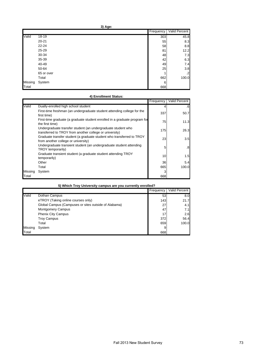|         |            | Frequency | Valid Percent |
|---------|------------|-----------|---------------|
| Valid   | $18 - 19$  | 303       | 45.8          |
|         | $20 - 21$  | 55        | 8.3           |
|         | $22 - 24$  | 58        | 8.8           |
|         | 25-29      | 81        | 12.2          |
|         | 30-34      | 48        | 7.3           |
|         | 35-39      | 42        | 6.3           |
|         | 40-49      | 49        | 7.4           |
|         | 50-64      | 25        | 3.8           |
|         | 65 or over |           | $\cdot$ 2     |
|         | Total      | 662       | 100.0         |
| Missing | System     | 6         |               |
| Total   |            | 668       |               |

# **4) Enrollment Status:**

|         |                                                                                                                         | Frequency | Valid Percent |
|---------|-------------------------------------------------------------------------------------------------------------------------|-----------|---------------|
| Valid   | Dually-enrolled high school student                                                                                     |           | .6            |
|         | First-time freshman (an undergraduate student attending college for the<br>first time)                                  | 337       | 50.7          |
|         | First-time graduate (a graduate student enrolled in a graduate program for<br>the first time)                           | 75        | 11.3          |
|         | Undergraduate transfer student (an undergraduate student who<br>transferred to TROY from another college or university) | 175       | 26.3          |
|         | Graduate transfer student (a graduate student who transferred to TROY<br>from another college or university)            | 23        | 3.5           |
|         | Undergraduate transient student (an undergraduate student attending<br>TROY temporarily)                                | 5         | .8            |
|         | Graduate transient student (a graduate student attending TROY<br>temporarily)                                           | 10        | 1.5           |
|         | Other                                                                                                                   | 36        | 5.4           |
|         | Total                                                                                                                   | 665       | 100.0         |
| Missing | System                                                                                                                  |           |               |
| Total   |                                                                                                                         | 668       |               |

| 5) Which Troy University campus are you currently enrolled? |
|-------------------------------------------------------------|
|-------------------------------------------------------------|

|         |                                                      | Frequency | Valid Percent |
|---------|------------------------------------------------------|-----------|---------------|
| Valid   | Dothan Campus                                        | 53        | 8.0           |
|         | eTROY (Taking online courses only)                   | 143       | 21.7          |
|         | Global Campus (Campuses or sites outside of Alabama) | 27        | 4.1           |
|         | <b>Montgomery Campus</b>                             | 47        | 7.1           |
|         | <b>Phenix City Campus</b>                            | 17        | 2.6           |
|         | <b>Troy Campus</b>                                   | 372       | 56.4          |
|         | Total                                                | 659       | 100.0         |
| Missing | System                                               |           |               |
| Total   |                                                      | 668       |               |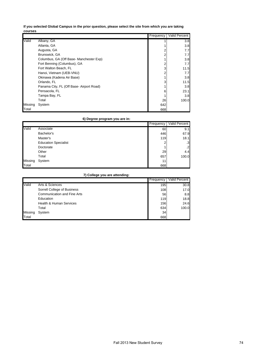**If you selected Global Campus in the prior question, please select the site from which you are taking courses**

|         |                                          | Frequency | <b>Valid Percent</b> |
|---------|------------------------------------------|-----------|----------------------|
| Valid   | Albany, GA                               |           | 3.8                  |
|         | Atlanta, GA                              |           | 3.8                  |
|         | Augusta, GA                              |           | 7.7                  |
|         | Brunswick, GA                            |           | 7.7                  |
|         | Columbus, GA (Off Base- Manchester Exp)  |           | 3.8                  |
|         | Fort Benning (Columbus), GA              |           | 7.7                  |
|         | Fort Walton Beach, FL                    | 3         | 11.5                 |
|         | Hanoi, Vietnam (UEB-VNU)                 |           | 7.7                  |
|         | Okinawa (Kadena Air Base)                |           | 3.8                  |
|         | Orlando, FL                              |           | 11.5                 |
|         | Panama City, FL (Off Base- Airport Road) |           | 3.8                  |
|         | Pensacola, FL                            | 6         | 23.1                 |
|         | Tampa Bay, FL                            |           | 3.8                  |
|         | Total                                    | 26        | 100.0                |
| Missing | System                                   | 642       |                      |
| Total   |                                          | 668       |                      |

# **6) Degree program you are in:**

|         |                             | Frequency | Valid Percent |
|---------|-----------------------------|-----------|---------------|
| Valid   | Associate                   | 60        | 9.1           |
|         | Bachelor's                  | 446       | 67.9          |
|         | Master's                    | 119       | 18.1          |
|         | <b>Education Specialist</b> | ົ         | .3            |
|         | Doctorate                   |           | $\mathbf{2}$  |
|         | Other                       | 29        | 4.4           |
|         | Total                       | 657       | 100.0         |
| Missing | System                      | 11        |               |
| Total   |                             | 668       |               |

# **7) College you are attending:**

|              |                                    | Frequency | Valid Percent I |
|--------------|------------------------------------|-----------|-----------------|
| Valid        | Arts & Sciences                    | 195       | 30.8            |
|              | Sorrell College of Business        | 108       | 17.0            |
|              | <b>Communication and Fine Arts</b> | 56        | 8.8             |
|              | Education                          | 119       | 18.8            |
|              | <b>Health &amp; Human Services</b> | 156       | 24.6            |
|              | Total                              | 634       | 100.0           |
| Missing      | System                             | 34        |                 |
| <b>Total</b> |                                    | 668       |                 |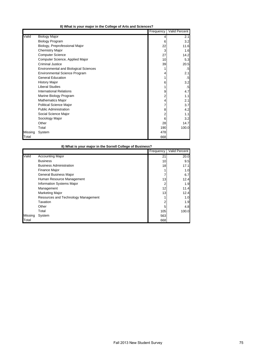|  |  |  |  |  |  | 8) What is your major in the College of Arts and Sciences? |
|--|--|--|--|--|--|------------------------------------------------------------|
|--|--|--|--|--|--|------------------------------------------------------------|

|         |                                              | Frequency | Valid Percent |
|---------|----------------------------------------------|-----------|---------------|
| Valid   | <b>Biology Major</b>                         |           | 2.1           |
|         | <b>Biology Program</b>                       | 6         | 3.2           |
|         | Biology, Preprofessional Major               | 22        | 11.6          |
|         | <b>Chemistry Major</b>                       | 3         | 1.6           |
|         | <b>Computer Science</b>                      | 27        | 14.2          |
|         | Computer Science, Applied Major              | 10        | 5.3           |
|         | <b>Criminal Justice</b>                      | 39        | 20.5          |
|         | <b>Environmental and Biological Sciences</b> |           | .5            |
|         | <b>Environmental Science Program</b>         |           | 2.1           |
|         | <b>General Education</b>                     |           | .5            |
|         | <b>History Major</b>                         | 6         | 3.2           |
|         | <b>Liberal Studies</b>                       |           | .5            |
|         | <b>International Relations</b>               | 9         | 4.7           |
|         | Marine Biology Program                       | 2         | 1.1           |
|         | <b>Mathematics Major</b>                     |           | 2.1           |
|         | <b>Political Science Major</b>               |           | 3.7           |
|         | <b>Public Administration</b>                 | 8         | 4.2           |
|         | Social Science Major                         | 2         | 1.1           |
|         | Sociology Major                              | 6         | 3.2           |
|         | Other                                        | 28        | 14.7          |
|         | Total                                        | 190       | 100.0         |
| Missing | System                                       | 478       |               |
| Total   |                                              | 668       |               |

| 8) What is your major in the Sorrell College of Business? |                                     |           |                      |  |
|-----------------------------------------------------------|-------------------------------------|-----------|----------------------|--|
|                                                           |                                     | Frequency | <b>Valid Percent</b> |  |
| Valid                                                     | <b>Accounting Major</b>             | 21        | 20.0                 |  |
|                                                           | <b>Business</b>                     | 10        | 9.5                  |  |
|                                                           | <b>Business Administration</b>      | 18        | 17.1                 |  |
|                                                           | <b>Finance Major</b>                |           | 1.0                  |  |
|                                                           | <b>General Business Major</b>       |           | 6.7                  |  |
|                                                           | Human Resource Management           | 13        | 12.4                 |  |
|                                                           | <b>Information Systems Major</b>    | 2         | 1.9                  |  |
|                                                           | Management                          | 12        | 11.4                 |  |
|                                                           | <b>Marketing Major</b>              | 13        | 12.4                 |  |
|                                                           | Resources and Technology Management |           | 1.0                  |  |
|                                                           | Taxation                            |           | 1.9                  |  |
|                                                           | Other                               | 5         | 4.8                  |  |
|                                                           | Total                               | 105       | 100.0                |  |
| Missing                                                   | System                              | 563       |                      |  |
| Total                                                     |                                     | 668       |                      |  |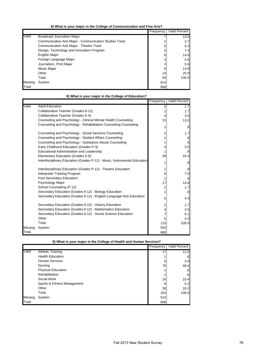**8) What is your major in the College of Communication and Fine Arts?**

|         |                                                        | Frequency | Valid Percent |
|---------|--------------------------------------------------------|-----------|---------------|
| Valid   | Broadcast Journalism Major                             |           | 13.0          |
|         | Communication Arts Major - Communication Studies Track |           | 3.7           |
|         | Communication Arts Major - Theatre Track               | 5         | 9.3           |
|         | Design, Technology and Innovation Program              |           | 7.4           |
|         | <b>English Major</b>                                   | 8         | 14.8          |
|         | Foreign Language Major                                 | 3         | 5.6           |
|         | Journalism, Print Major                                | 3         | 5.6           |
|         | Music Major                                            | 8         | 14.8          |
|         | Other                                                  | 14        | 25.9          |
|         | Total                                                  | 54        | 100.0         |
| Missing | System                                                 | 614       |               |
| Total   |                                                        | 668       |               |

|         | 8) What is your major in the College of Education?                        |           |               |  |  |  |
|---------|---------------------------------------------------------------------------|-----------|---------------|--|--|--|
|         |                                                                           | Frequency | Valid Percent |  |  |  |
| Valid   | <b>Adult Education</b>                                                    | 2         | 1.7           |  |  |  |
|         | Collaborative Teacher (Grades 6-12)                                       | 2         | 1.7           |  |  |  |
|         | Collaborative Teacher (Grades K-6)                                        | 4         | 3.5           |  |  |  |
|         | Counseling and Psychology - Clinical Mental Health Counseling             | 15        | 13.0          |  |  |  |
|         | Counseling and Psychology - Rehabilitation Counseling Counseling          | 1         | .9            |  |  |  |
|         | Counseling and Psychology - Social Services Counseling                    | 2         | 1.7           |  |  |  |
|         | Counseling and Psychology - Student Affairs Counseling                    |           | .9            |  |  |  |
|         | Counseling and Psychology - Substance Abuse Counseling                    |           | .9            |  |  |  |
|         | Early Childhood Education (Grades P-3)                                    | 4         | 3.5           |  |  |  |
|         | Educational Administration and Leadership                                 |           | .9            |  |  |  |
|         | Elementary Education (Grades K-6)                                         | 28        | 24.3          |  |  |  |
|         | Interdisciplinary Education (Grades P-12) - Music, Instrumental Education |           | .9            |  |  |  |
|         | Interdisciplinary Education (Grades P-12) - Theatre Education             |           | .9            |  |  |  |
|         | Interpreter Training Program                                              | 8         | 7.0           |  |  |  |
|         | Post Secondary Education                                                  |           | .9            |  |  |  |
|         | Psychology Major                                                          | 17        | 14.8          |  |  |  |
|         | School Counseling (P-12)                                                  | 2         | 1.7           |  |  |  |
|         | Secondary Education (Grades 6-12) - Biology Education                     |           | .9            |  |  |  |
|         | Secondary Education (Grades 6-12) - English-Language Arts Education       | 5         | 4.3           |  |  |  |
|         | Secondary Education (Grades 6-12) - History Education                     | 2         | 1.7           |  |  |  |
|         | Secondary Education (Grades 6-12) - Mathematics Education                 | 4         | 3.5           |  |  |  |
|         | Secondary Education (Grades 6-12) - Social Science Education              |           | 6.1           |  |  |  |
|         | Other                                                                     | 5         | 4.3           |  |  |  |
|         | Total                                                                     | 115       | 100.0         |  |  |  |
| Missing | System                                                                    | 553       |               |  |  |  |
| Total   |                                                                           | 668       |               |  |  |  |

|         |                             | Frequency | Valid Percent |
|---------|-----------------------------|-----------|---------------|
| Valid   | <b>Athletic Training</b>    | 17        | 11.0          |
|         | <b>Health Education</b>     |           | .6            |
|         | <b>Human Services</b>       | 6         | 3.9           |
|         | Nursing                     | 76        | 49.4          |
|         | <b>Physical Education</b>   |           | $.6\,$        |
|         | Rehabilitation              |           | $.6\,$        |
|         | Social Work                 | 16        | 10.4          |
|         | Sports & Fitness Management | 8         | 5.2           |
|         | Other                       | 28        | 18.2          |
|         | Total                       | 154       | 100.0         |
| Missing | System                      | 514       |               |
| Total   |                             | 668       |               |

|  |  |  | 8) What is your major in the College of Health and Human Services? |  |
|--|--|--|--------------------------------------------------------------------|--|
|  |  |  |                                                                    |  |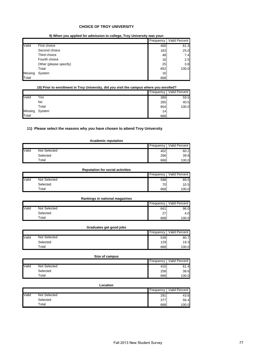### **CHOICE OF TROY UNIVERSITY**

**9) When you applied for admission to college, Troy University was your:**

|         |                        | Frequency | <b>Valid Percent</b> |
|---------|------------------------|-----------|----------------------|
| Valid   | First choice           | 400       | 61.3                 |
|         | Second choice          | 163       | 25.0                 |
|         | Third choice           | 48        | 7.4                  |
|         | Fourth choice          | 16        | 2.5                  |
|         | Other (please specify) | 25        | 3.8                  |
|         | Total                  | 652       | 100.0                |
| Missing | System                 | 16        |                      |
| Total   |                        | 668       |                      |

| 10) Prior to enrollment in Troy University, did you visit the campus where you enrolled? |  |  |
|------------------------------------------------------------------------------------------|--|--|
|                                                                                          |  |  |
|                                                                                          |  |  |

|         |        | Frequency       | Valid Percent |
|---------|--------|-----------------|---------------|
| Valid   | Yes    | 389             | 59.5          |
|         | No     | 265             | 40.5          |
|         | Total  | 654             | 100.0         |
| Missing | System | 14 <sub>1</sub> |               |
| Total   |        | 668             |               |

# **11) Please select the reasons why you have chosen to attend Troy University**

### **Academic reputation**

|       |              | Frequency | Valid Percent |
|-------|--------------|-----------|---------------|
| Valid | Not Selected | 402       | 60.2          |
|       | Selected     | 266       | 39.8          |
|       | $\tau$ otal  | 668       | 100.0         |

# **Reputation for social activities**

|       |              | Frequency       | Valid Percent |
|-------|--------------|-----------------|---------------|
| Valid | Not Selected | 598             | 89.5          |
|       | Selected     | 70 <sub>1</sub> | 10.5          |
|       | $\tau$ otal  | 668             | 100.0         |

#### **Rankings in national magazines**

|       |              | Frequency        | Valid Percent |
|-------|--------------|------------------|---------------|
| Valid | Not Selected | 641              | 96.0          |
|       | Selected     | 27<br>$\epsilon$ | 4.0           |
|       | $\tau$ otal  | 668              | 100.0         |

### **Graduates get good jobs**

|       |              | Frequency | Valid Percent |
|-------|--------------|-----------|---------------|
| Valid | Not Selected | 539       | 80.7          |
|       | Selected     | 129       | 19.3          |
|       | $\tau$ otal  | 668       | 100.0         |

|       | Size of campus |           |               |  |
|-------|----------------|-----------|---------------|--|
|       |                | Frequency | Valid Percent |  |
| Valid | Not Selected   | 410       | 61.4          |  |
|       | Selected       | 258       | 38.6          |  |
|       | Total          | 668       | 100.0         |  |

# **Location**

|       |              | Frequency I | Valid Percent |
|-------|--------------|-------------|---------------|
| Valid | Not Selected | 291         | 43.6          |
|       | Selected     | 377         | 56.4          |
|       | $\tau$ otal  | 668         | 100.0         |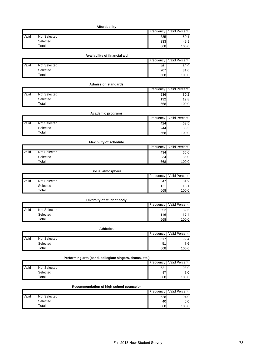# **Affordability**

|       |                     | Frequency | Valid Percent |
|-------|---------------------|-----------|---------------|
| Valid | <b>Not Selected</b> | 335       | 50.1          |
|       | Selected            | 333       | 49.9          |
|       | Total               | 668       | 100.0         |

# **Availability of financial aid**

|       |              | Frequency | Valid Percent |
|-------|--------------|-----------|---------------|
| Valid | Not Selected | 461       | 69.0          |
|       | Selected     | 207       | 31.0          |
|       | Total        | 668       | 100.0         |

#### Frequency Valid Percent Not Selected 536 80.2<br>Selected 536 80.2<br>132 19.8 Selected 132 19.8 Total 668 100.0 **Admission standards** Valid

|       | Academic programs |           |               |  |
|-------|-------------------|-----------|---------------|--|
|       |                   | Frequency | Valid Percent |  |
| Valid | Not Selected      | 424       | 63.5          |  |
|       | Selected          | 244       | 36.5          |  |
|       | Total             | 668       | 100.0         |  |

|       | <b>Flexibility of schedule</b> |             |               |  |
|-------|--------------------------------|-------------|---------------|--|
|       |                                | Frequency I | Valid Percent |  |
| Valid | <b>Not Selected</b>            | 434         | 65.0          |  |
|       | Selected                       | 234         | 35.0          |  |
|       | Total                          | 668         | 100.0         |  |

|       | Social atmosphere |             |               |  |
|-------|-------------------|-------------|---------------|--|
|       |                   | Frequency I | Valid Percent |  |
| Valid | Not Selected      | 547         | 81.9          |  |
|       | Selected          | 121         | 18.1          |  |
|       | Total             | 668         | 100.0         |  |

|       | Diversity of student body |           |               |
|-------|---------------------------|-----------|---------------|
|       |                           | Frequency | Valid Percent |
| Valid | Not Selected              | 552       | 82.6          |
|       | Selected                  | 116       | 17.4          |
|       | Total                     | 668       | 100.0         |

| Athletics |
|-----------|
|-----------|

|              |              | Frequency | Valid Percent |
|--------------|--------------|-----------|---------------|
| <b>Valid</b> | Not Selected | 617       | 92.4          |
|              | Selected     | гA<br>5   | 7.6           |
|              | $\tau$ otal  | 668       | 100.0         |

|       | Performing arts (band, collegiate singers, drama, etc.) |  |     |       |  |
|-------|---------------------------------------------------------|--|-----|-------|--|
|       | <b>Valid Percent</b><br>Frequency                       |  |     |       |  |
| Valid | Not Selected                                            |  | 621 | 93.0  |  |
|       | Selected                                                |  | 47  | 7.0   |  |
|       | Total                                                   |  | 668 | 100.0 |  |

# **Recommendation of high school counselor**

|       |              | Frequency | Valid Percent |
|-------|--------------|-----------|---------------|
| Valid | Not Selected | 628       | 94.0          |
|       | Selected     | 40I       | 6.0           |
|       | Total        | 668       | 100.0         |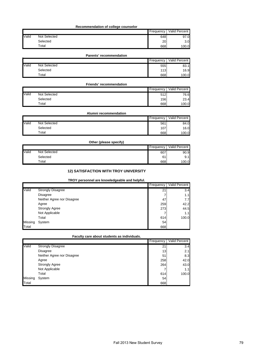### **Recommendation of college counselor**

|       |              | Frequency | Valid Percent    |
|-------|--------------|-----------|------------------|
| Valid | Not Selected | 648       | 97.0             |
|       | Selected     | 20        | 3.0 <sub>1</sub> |
|       | $\tau$ otal  | 668       | 100.0            |

#### **Parents' recommendation**

|       |              | Frequency | Valid Percent |
|-------|--------------|-----------|---------------|
| Valid | Not Selected | 555       | 83.1          |
|       | Selected     | 113       | 16.9          |
|       | Total        | 668       | 100.0         |

#### Frequency Valid Percent Not Selected 512 76.6<br>Selected 512 76.6<br>3.4 56 23.4 Selected 23.4 Total 668 100.0 **Friends' recommendation** Valid

# **Alumni recommendation**

|       |              | Frequency | Valid Percent |
|-------|--------------|-----------|---------------|
| Valid | Not Selected | 561       | 84.0          |
|       | Selected     | 107       | 16.0          |
|       | Total        | 668       | 100.0         |

# **Other (please specify)**

|       |              | Frequency | Valid Percent |
|-------|--------------|-----------|---------------|
| Valid | Not Selected | 607       | 90.9          |
|       | Selected     | 61        | 9.1           |
|       | $\tau$ otal  | 668       | 100.0         |

# **12) SATISFACTION WITH TROY UNIVERSITY**

### **TROY personnel are knowledgeable and helpful.**

|         |                            | Frequency | <b>Valid Percent</b> |
|---------|----------------------------|-----------|----------------------|
| Valid   | <b>Strongly Disagree</b>   | 21        | 3.4                  |
|         | <b>Disagree</b>            |           | 1.1                  |
|         | Neither Agree nor Disagree | 47        | 7.7                  |
|         | Agree                      | 259       | 42.2                 |
|         | <b>Strongly Agree</b>      | 273       | 44.5                 |
|         | Not Applicable             |           | 1.1                  |
|         | Total                      | 614       | 100.0                |
| Missing | System                     | 54        |                      |
| Total   |                            | 668       |                      |

### **Faculty care about students as individuals.**

|         |                            | Frequency       | Valid Percent |
|---------|----------------------------|-----------------|---------------|
| Valid   | <b>Strongly Disagree</b>   | 21              | 3.4           |
|         | <b>Disagree</b>            | 13 <sub>1</sub> | 2.1           |
|         | Neither Agree nor Disagree | 51              | 8.3           |
|         | Agree                      | 258             | 42.0          |
|         | <b>Strongly Agree</b>      | 264             | 43.0          |
|         | Not Applicable             |                 | 1.1           |
|         | Total                      | 614             | 100.0         |
| Missing | System                     | 54              |               |
| Total   |                            | 668             |               |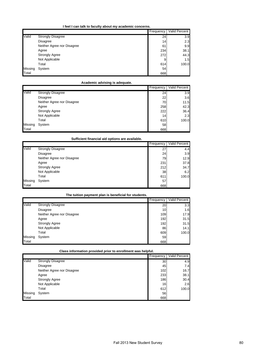|         |                            | Frequency       | Valid Percent |
|---------|----------------------------|-----------------|---------------|
| Valid   | <b>Strongly Disagree</b>   | 24              | 3.9           |
|         | Disagree                   | 14 <sub>1</sub> | 2.3           |
|         | Neither Agree nor Disagree | 61              | 9.9           |
|         | Agree                      | 234             | 38.1          |
|         | <b>Strongly Agree</b>      | 272             | 44.3          |
|         | Not Applicable             | 9               | 1.5           |
|         | Total                      | 614             | 100.0         |
| Missing | System                     | 54              |               |
| Total   |                            | 668             |               |

# **Academic advising is adequate.**

|         |                            | Frequency       | Valid Percent |
|---------|----------------------------|-----------------|---------------|
| Valid   | <b>Strongly Disagree</b>   | 24 <sub>1</sub> | 3.9           |
|         | Disagree                   | 22              | 3.6           |
|         | Neither Agree nor Disagree | 70              | 11.5          |
|         | Agree                      | 258             | 42.3          |
|         | <b>Strongly Agree</b>      | 222             | 36.4          |
|         | Not Applicable             | 14              | 2.3           |
|         | Total                      | 610             | 100.0         |
| Missing | System                     | 58              |               |
| Total   |                            | 668             |               |

# **Sufficient financial aid options are available.**

|         |                            | Frequency | <b>Valid Percent</b> |
|---------|----------------------------|-----------|----------------------|
| Valid   | <b>Strongly Disagree</b>   | 27        | 4.4                  |
|         | Disagree                   | 24        | 3.9                  |
|         | Neither Agree nor Disagree | 79        | 12.9                 |
|         | Agree                      | 231       | 37.8                 |
|         | <b>Strongly Agree</b>      | 212       | 34.7                 |
|         | Not Applicable             | 38        | 6.2                  |
|         | Total                      | 611       | 100.0                |
| Missing | System                     | 57        |                      |
| Total   |                            | 668       |                      |

### **The tuition payment plan is beneficial for students.**

|         |                            | Frequency       | Valid Percent |
|---------|----------------------------|-----------------|---------------|
| Valid   | <b>Strongly Disagree</b>   | 20              | 3.3           |
|         | Disagree                   | 10 <sub>1</sub> | 1.6           |
|         | Neither Agree nor Disagree | 109             | 17.9          |
|         | Agree                      | 192             | 31.5          |
|         | <b>Strongly Agree</b>      | 192             | 31.5          |
|         | Not Applicable             | 86              | 14.1          |
|         | Total                      | 609             | 100.0         |
| Missing | System                     | 59              |               |
| Total   |                            | 668             |               |

**Class information provided prior to enrollment was helpful.**

|         |                            | Frequency | <b>Valid Percent</b> |
|---------|----------------------------|-----------|----------------------|
| Valid   | <b>Strongly Disagree</b>   | 30        | 4.9                  |
|         | <b>Disagree</b>            | 45        | 7.4                  |
|         | Neither Agree nor Disagree | 102       | 16.7                 |
|         | Agree                      | 233       | 38.1                 |
|         | <b>Strongly Agree</b>      | 186       | 30.4                 |
|         | Not Applicable             | 16        | 2.6                  |
|         | Total                      | 612       | 100.0                |
| Missing | System                     | 56        |                      |
| Total   |                            | 668       |                      |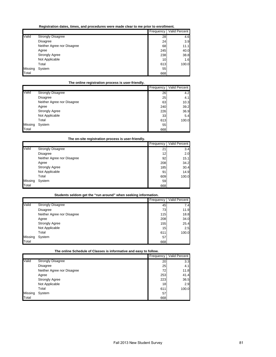| Registration dates, times, and procedures were made clear to me prior to enrollment. |  |
|--------------------------------------------------------------------------------------|--|
|--------------------------------------------------------------------------------------|--|

|         |                            | Frequency | Valid Percent |
|---------|----------------------------|-----------|---------------|
| Valid   | <b>Strongly Disagree</b>   | 28        | 4.6           |
|         | Disagree                   | 24        | 3.9           |
|         | Neither Agree nor Disagree | 68        | 11.1          |
|         | Agree                      | 245       | 40.0          |
|         | <b>Strongly Agree</b>      | 238       | 38.8          |
|         | Not Applicable             | 10        | 1.6           |
|         | Total                      | 613       | 100.0         |
| Missing | System                     | 55        |               |
| Total   |                            | 668       |               |

# **The online registration process is user-friendly.**

|         |                            | <b>Frequency</b> | <b>Valid Percent</b> |
|---------|----------------------------|------------------|----------------------|
| Valid   | <b>Strongly Disagree</b>   | 26               | 4.2                  |
|         | Disagree                   | 25               | 4.1                  |
|         | Neither Agree nor Disagree | 63               | 10.3                 |
|         | Agree                      | 240              | 39.2                 |
|         | <b>Strongly Agree</b>      | 226              | 36.9                 |
|         | Not Applicable             | 33 <sub>1</sub>  | 5.4                  |
|         | Total                      | 613              | 100.0                |
| Missing | System                     | 55               |                      |
| Total   |                            | 668              |                      |

# **The on-site registration process is user-friendly.**

|         |                            | Frequency       | <b>Valid Percent</b> |
|---------|----------------------------|-----------------|----------------------|
| Valid   | <b>Strongly Disagree</b>   | 21              | 3.4                  |
|         | Disagree                   | 12 <sub>1</sub> | 2.0                  |
|         | Neither Agree nor Disagree | 92              | 15.1                 |
|         | Agree                      | 208             | 34.2                 |
|         | <b>Strongly Agree</b>      | 185             | 30.4                 |
|         | Not Applicable             | 91              | 14.9                 |
|         | Total                      | 609             | 100.0                |
| Missing | System                     | 59              |                      |
| Total   |                            | 668             |                      |

#### **Students seldom get the "run around" when seeking information.**

|         |                            | Frequency | <b>Valid Percent</b> |
|---------|----------------------------|-----------|----------------------|
| Valid   | <b>Strongly Disagree</b>   | 45        | 7.4                  |
|         | Disagree                   | 73        | 11.9                 |
|         | Neither Agree nor Disagree | 115       | 18.8                 |
|         | Agree                      | 208       | 34.0                 |
|         | <b>Strongly Agree</b>      | 155       | 25.4                 |
|         | Not Applicable             | 15        | 2.5                  |
|         | Total                      | 611       | 100.0                |
| Missing | System                     | 57        |                      |
| Total   |                            | 668       |                      |

**The online Schedule of Classes is informative and easy to follow.**

|         |                            | Frequency       | Valid Percent |
|---------|----------------------------|-----------------|---------------|
| Valid   | <b>Strongly Disagree</b>   | 20              | 3.3           |
|         | Disagree                   | 25              | 4.1           |
|         | Neither Agree nor Disagree | 72I             | 11.8          |
|         | Agree                      | 253             | 41.4          |
|         | <b>Strongly Agree</b>      | 223             | 36.5          |
|         | Not Applicable             | 18 <sup>l</sup> | 2.9           |
|         | Total                      | 611             | 100.0         |
| Missing | System                     | 57              |               |
| Total   |                            | 668             |               |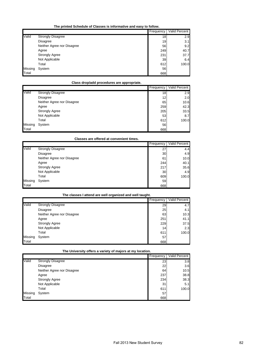**The printed Schedule of Classes is informative and easy to follow.**

|         |                            | Frequency | Valid Percent |
|---------|----------------------------|-----------|---------------|
| Valid   | <b>Strongly Disagree</b>   | 18        | 2.9           |
|         | Disagree                   | 19        | 3.1           |
|         | Neither Agree nor Disagree | 56        | 9.2           |
|         | Agree                      | 249       | 40.7          |
|         | <b>Strongly Agree</b>      | 231       | 37.7          |
|         | Not Applicable             | 39        | 6.4           |
|         | Total                      | 612       | 100.0         |
| Missing | System                     | 56        |               |
| Total   |                            | 668       |               |

# **Class drop/add procedures are appropriate.**

|         |                            | Frequency | Valid Percent |
|---------|----------------------------|-----------|---------------|
| Valid   | <b>Strongly Disagree</b>   | 18        | 2.9           |
|         | Disagree                   | 12        | 2.0           |
|         | Neither Agree nor Disagree | 65        | 10.6          |
|         | Agree                      | 259       | 42.3          |
|         | <b>Strongly Agree</b>      | 205       | 33.5          |
|         | Not Applicable             | 53        | 8.7           |
|         | Total                      | 612       | 100.0         |
| Missing | System                     | 56        |               |
| Total   |                            | 668       |               |

### **Classes are offered at convenient times.**

|         |                            | Frequency | <b>Valid Percent</b> |
|---------|----------------------------|-----------|----------------------|
| Valid   | <b>Strongly Disagree</b>   | 27        | 4.4                  |
|         | Disagree                   | 30        | 4.9                  |
|         | Neither Agree nor Disagree | 61        | 10.0                 |
|         | Agree                      | 244       | 40.1                 |
|         | <b>Strongly Agree</b>      | 217       | 35.6                 |
|         | Not Applicable             | 30        | 4.9                  |
|         | Total                      | 609       | 100.0                |
| Missing | System                     | 59        |                      |
| Total   |                            | 668       |                      |

#### **The classes I attend are well organized and well taught.**

|         |                            | Frequency | Valid Percent |
|---------|----------------------------|-----------|---------------|
| Valid   | <b>Strongly Disagree</b>   | 29        | 4.7           |
|         | <b>Disagree</b>            | 25        | 4.1           |
|         | Neither Agree nor Disagree | 63        | 10.3          |
|         | Agree                      | 251       | 41.1          |
|         | <b>Strongly Agree</b>      | 229       | 37.5          |
|         | Not Applicable             | 14        | 2.3           |
|         | Total                      | 611       | 100.0         |
| Missing | System                     | 57        |               |
| Total   |                            | 668       |               |

**The University offers a variety of majors at my location.**

|         |                            | Frequency | <b>Valid Percent</b> |
|---------|----------------------------|-----------|----------------------|
| Valid   | <b>Strongly Disagree</b>   | 23        | 3.8                  |
|         | <b>Disagree</b>            | 22        | 3.6                  |
|         | Neither Agree nor Disagree | 64        | 10.5                 |
|         | Agree                      | 237       | 38.8                 |
|         | <b>Strongly Agree</b>      | 234       | 38.3                 |
|         | Not Applicable             | 31        | 5.1                  |
|         | Total                      | 611       | 100.0                |
| Missing | System                     | 57        |                      |
| Total   |                            | 668       |                      |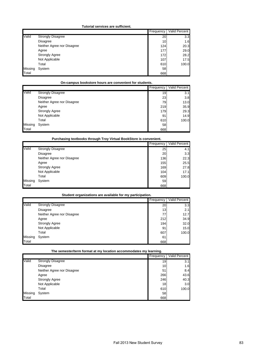#### **Tutorial services are sufficient.**

|         |                            | Frequency       | Valid Percent |
|---------|----------------------------|-----------------|---------------|
| Valid   | <b>Strongly Disagree</b>   | 20              | 3.3           |
|         | <b>Disagree</b>            | 10 <sub>1</sub> | 1.6           |
|         | Neither Agree nor Disagree | 124             | 20.3          |
|         | Agree                      | 177             | 29.0          |
|         | <b>Strongly Agree</b>      | 172             | 28.2          |
|         | Not Applicable             | 107             | 17.5          |
|         | Total                      | 610             | 100.0         |
| Missing | System                     | 58              |               |
| Total   |                            | 668             |               |

# **On-campus bookstore hours are convenient for students.**

|         |                            | Frequency | <b>Valid Percent</b> |
|---------|----------------------------|-----------|----------------------|
| Valid   | <b>Strongly Disagree</b>   | 19        | 3.1                  |
|         | Disagree                   | 23        | 3.8                  |
|         | Neither Agree nor Disagree | 79        | 13.0                 |
|         | Agree                      | 219       | 35.9                 |
|         | <b>Strongly Agree</b>      | 179       | 29.3                 |
|         | Not Applicable             | 91        | 14.9                 |
|         | Total                      | 610       | 100.0                |
| Missing | System                     | 58        |                      |
| Total   |                            | 668       |                      |

# **Purchasing textbooks through Troy Virtual BookStore is convenient.**

|         |                            | Frequency | Valid Percent |
|---------|----------------------------|-----------|---------------|
| Valid   | <b>Strongly Disagree</b>   | 25        | 4.1           |
|         | Disagree                   | 20        | 3.3           |
|         | Neither Agree nor Disagree | 136       | 22.3          |
|         | Agree                      | 155       | 25.5          |
|         | <b>Strongly Agree</b>      | 169       | 27.8          |
|         | Not Applicable             | 104       | 17.1          |
|         | Total                      | 609       | 100.0         |
| Missing | System                     | 59        |               |
| Total   |                            | 668       |               |

#### **Student organizations are available for my participation.**

|         |                            | Frequency | Valid Percent |
|---------|----------------------------|-----------|---------------|
| Valid   | <b>Strongly Disagree</b>   | 20        | 3.3           |
|         | <b>Disagree</b>            | 13        | 2.1           |
|         | Neither Agree nor Disagree | 77        | 12.7          |
|         | Agree                      | 212       | 34.9          |
|         | <b>Strongly Agree</b>      | 194       | 32.0          |
|         | Not Applicable             | 91        | 15.0          |
|         | Total                      | 607       | 100.0         |
| Missing | System                     | 61        |               |
| Total   |                            | 668       |               |

**The semester/term format at my location accommodates my learning.**

|         |                            | ------    |               |
|---------|----------------------------|-----------|---------------|
|         |                            | Frequency | Valid Percent |
| Valid   | <b>Strongly Disagree</b>   | 19        | 3.1           |
|         | <b>Disagree</b>            | 10        | 1.6           |
|         | Neither Agree nor Disagree | 51        | 8.4           |
|         | Agree                      | 266       | 43.6          |
|         | <b>Strongly Agree</b>      | 246       | 40.3          |
|         | Not Applicable             | 18        | 3.0           |
|         | Total                      | 610       | 100.0         |
| Missing | System                     | 58        |               |
| Total   |                            | 668       |               |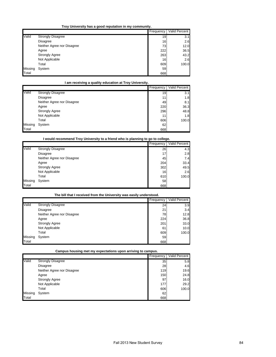| Troy University has a good reputation in my community. |
|--------------------------------------------------------|
|--------------------------------------------------------|

|         |                            | Frequency | Valid Percent |
|---------|----------------------------|-----------|---------------|
| Valid   | <b>Strongly Disagree</b>   | 19        | 3.1           |
|         | <b>Disagree</b>            | 16        | 2.6           |
|         | Neither Agree nor Disagree | 73        | 12.0          |
|         | Agree                      | 222       | 36.5          |
|         | <b>Strongly Agree</b>      | 263       | 43.2          |
|         | Not Applicable             | 16        | 2.6           |
|         | Total                      | 609       | 100.0         |
| Missing | System                     | 59        |               |
| Total   |                            | 668       |               |

# **I am receiving a quality education at Troy University.**

|         |                            | Frequency | Valid Percent |
|---------|----------------------------|-----------|---------------|
| Valid   | <b>Strongly Disagree</b>   | 19        | 3.1           |
|         | Disagree                   | 11        | 1.8           |
|         | Neither Agree nor Disagree | 49        | 8.1           |
|         | Agree                      | 220       | 36.3          |
|         | <b>Strongly Agree</b>      | 296       | 48.8          |
|         | Not Applicable             | 11        | 1.8           |
|         | Total                      | 606       | 100.0         |
| Missing | System                     | 62        |               |
| Total   |                            | 668       |               |

**I would recommend Troy University to a friend who is planning to go to college.**

|         |                            | Frequency | <b>Valid Percent</b> |
|---------|----------------------------|-----------|----------------------|
| Valid   | <b>Strongly Disagree</b>   | 26        | 4.3                  |
|         | Disagree                   | 17        | 2.8                  |
|         | Neither Agree nor Disagree | 45        | 7.4                  |
|         | Agree                      | 204       | 33.4                 |
|         | <b>Strongly Agree</b>      | 302       | 49.5                 |
|         | Not Applicable             | 16        | 2.6                  |
|         | Total                      | 610       | 100.0                |
| Missing | System                     | 58        |                      |
| Total   |                            | 668       |                      |

#### **The bill that I received from the University was easily understood.**

|         |                            | Frequency | <b>Valid Percent</b> |
|---------|----------------------------|-----------|----------------------|
| Valid   | <b>Strongly Disagree</b>   | 24        | 3.9                  |
|         | Disagree                   | 21        | 3.4                  |
|         | Neither Agree nor Disagree | 78        | 12.8                 |
|         | Agree                      | 224       | 36.8                 |
|         | <b>Strongly Agree</b>      | 201       | 33.0                 |
|         | Not Applicable             | 61        | 10.0                 |
|         | Total                      | 609       | 100.0                |
| Missing | System                     | 59        |                      |
| Total   |                            | 668       |                      |

**Campus housing met my expectations upon arriving to campus.**

|         |                            | Frequency | Valid Percent |
|---------|----------------------------|-----------|---------------|
| Valid   | <b>Strongly Disagree</b>   | 35        | 5.8           |
|         | <b>Disagree</b>            | 28        | 4.6           |
|         | Neither Agree nor Disagree | 119       | 19.6          |
|         | Agree                      | 150       | 24.8          |
|         | <b>Strongly Agree</b>      | 97        | 16.0          |
|         | Not Applicable             | 177       | 29.2          |
|         | Total                      | 606       | 100.0         |
| Missing | System                     | 62        |               |
| Total   |                            | 668       |               |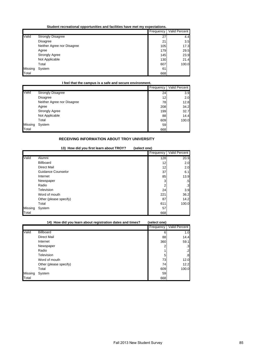**Student recreational opportunities and facilities have met my expectations.**

|         |                            | Frequency | Valid Percent |
|---------|----------------------------|-----------|---------------|
| Valid   | <b>Strongly Disagree</b>   | 27        | 4.4           |
|         | Disagree                   | 21        | 3.5           |
|         | Neither Agree nor Disagree | 105       | 17.3          |
|         | Agree                      | 179       | 29.5          |
|         | <b>Strongly Agree</b>      | 145       | 23.9          |
|         | Not Applicable             | 130       | 21.4          |
|         | Total                      | 607       | 100.0         |
| Missing | System                     | 61        |               |
| Total   |                            | 668       |               |

**I feel that the campus is a safe and secure environment.**

|         |                            | Frequency | Valid Percent |
|---------|----------------------------|-----------|---------------|
| Valid   | <b>Strongly Disagree</b>   | 24        | 3.9           |
|         | Disagree                   | 12        | 2.0           |
|         | Neither Agree nor Disagree | 78        | 12.8          |
|         | Agree                      | 208       | 34.2          |
|         | <b>Strongly Agree</b>      | 199       | 32.7          |
|         | Not Applicable             | 88        | 14.4          |
|         | Total                      | 609       | 100.0         |
| Missing | System                     | 59        |               |
| Total   |                            | 668       |               |

# **RECEIVING INFORMATION ABOUT TROY UNIVERSITY**

|         | 13) How did you first learn about TROY?<br>(select one) |           |               |  |  |
|---------|---------------------------------------------------------|-----------|---------------|--|--|
|         |                                                         | Frequency | Valid Percent |  |  |
| Valid   | Alumni                                                  | 128       | 20.9          |  |  |
|         | <b>Billboard</b>                                        | 12        | 2.0           |  |  |
|         | <b>Direct Mail</b>                                      | 12        | 2.0           |  |  |
|         | Guidance Counselor                                      | 37        | 6.1           |  |  |
|         | Internet                                                | 85        | 13.9          |  |  |
|         | Newspaper                                               | 3         | .5            |  |  |
|         | Radio                                                   | 2         | $\cdot$ 3     |  |  |
|         | Television                                              | 24        | 3.9           |  |  |
|         | Word of mouth                                           | 221       | 36.2          |  |  |
|         | Other (please specify)                                  | 87        | 14.2          |  |  |
|         | Total                                                   | 611       | 100.0         |  |  |
| Missing | System                                                  | 57        |               |  |  |
| Total   |                                                         | 668       |               |  |  |

|         | 14) How did you learn about registration dates and times? | (select one) |               |
|---------|-----------------------------------------------------------|--------------|---------------|
|         |                                                           | Frequency    | Valid Percent |
| Valid   | <b>Billboard</b>                                          | 6            | 1.0           |
|         | <b>Direct Mail</b>                                        | 88           | 14.4          |
|         | Internet                                                  | 360          | 59.1          |
|         | Newspaper                                                 |              | .3            |
|         | Radio                                                     |              | $\cdot$       |
|         | Television                                                | 5            | .8            |
|         | Word of mouth                                             | 73           | 12.0          |
|         | Other (please specify)                                    | 74           | 12.2          |
|         | Total                                                     | 609          | 100.0         |
| Missing | System                                                    | 59           |               |
| Total   |                                                           | 668          |               |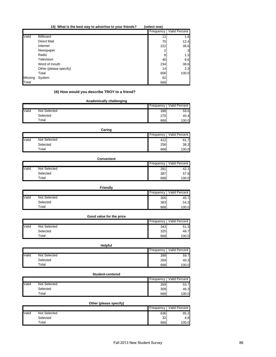|         | 15) What is the best way to advertise to your friends? | (select one)    |               |
|---------|--------------------------------------------------------|-----------------|---------------|
|         |                                                        | Frequency       | Valid Percent |
| Valid   | Billboard                                              | 11              | 1.8           |
|         | Direct Mail                                            | 75              | 12.4          |
|         | Internet                                               | 222             | 36.6          |
|         | Newspaper                                              |                 | $\mathbf{3}$  |
|         | Radio                                                  | 8               | 1.3           |
|         | Television                                             | 40              | 6.6           |
|         | Word of mouth                                          | 234             | 38.6          |
|         | Other (please specify)                                 | 14 <sub>1</sub> | 2.3           |
|         | Total                                                  | 606             | 100.0         |
| Missing | System                                                 | 62              |               |
| Total   |                                                        | 668             |               |

# **16) How would you describe TROY to a friend?**

|       | <b>Academically challenging</b> |           |               |  |
|-------|---------------------------------|-----------|---------------|--|
|       |                                 | Frequency | Valid Percent |  |
| Valid | Not Selected                    | 398       | 59.6          |  |
|       | Selected                        | 270       | 40.4          |  |
|       | Total                           | 668       | 100.0         |  |

|       | Caring       |           |               |  |  |
|-------|--------------|-----------|---------------|--|--|
|       |              | Frequency | Valid Percent |  |  |
| Valid | Not Selected | 412       | 61.7          |  |  |
|       | Selected     | 256       | 38.3          |  |  |
|       | Total        | 668       | 100.0         |  |  |

|       | <b>Convenient</b> |           |               |
|-------|-------------------|-----------|---------------|
|       |                   | Frequency | Valid Percent |
| Valid | Not Selected      | 281       | 42.1          |
|       | Selected          | 387       | 57.9          |
|       | Total             | 668       | 100.0         |

|       | <b>Friendly</b> |           |               |  |
|-------|-----------------|-----------|---------------|--|
|       |                 | Frequency | Valid Percent |  |
| Valid | Not Selected    | 305       | 45.7          |  |
|       | Selected        | 363       | 54.3          |  |
|       | $\tau$ otal     | 668       | 100.0         |  |

|       | Good value for the price |           |               |
|-------|--------------------------|-----------|---------------|
|       |                          | Frequency | Valid Percent |
| Valid | Not Selected             | 343       | 51.3          |
|       | Selected                 | 325       | 48.7          |
|       | Total                    | 668       | 100.0         |

|       | <b>Helpful</b> |           |               |  |  |
|-------|----------------|-----------|---------------|--|--|
|       |                | Frequency | Valid Percent |  |  |
| Valid | Not Selected   | 399       | 59.7          |  |  |
|       | Selected       | 269       | 40.3          |  |  |
|       | $\tau$ otal    | 668       | 100.0         |  |  |

|       | Student-centered |           |               |  |  |  |
|-------|------------------|-----------|---------------|--|--|--|
|       |                  | Frequency | Valid Percent |  |  |  |
| Valid | Not Selected     | 359       | 53.7          |  |  |  |
|       | Selected         | 309       | 46.3          |  |  |  |
|       | Total            | 668       | 100.0         |  |  |  |

|       | Other (please specify) |                 |               |  |  |
|-------|------------------------|-----------------|---------------|--|--|
|       |                        | Frequency       | Valid Percent |  |  |
| Valid | Not Selected           | 636             | 95.2          |  |  |
|       | Selected               | 32 <sub>l</sub> | 4.8           |  |  |
|       | Total                  | 668             | 100.0         |  |  |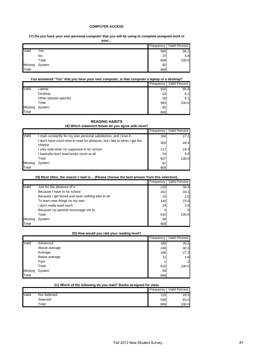#### **COMPUTER ACCESS**

# **17) Do you have your own personal computer that you will be using to complete assigned work in**

| vour… |
|-------|
|-------|

|         |        | Frequency | Valid Percent |
|---------|--------|-----------|---------------|
| Valid   | Yes    | 585       | 96.2          |
|         | No     | 23        | 3.8           |
|         | Total  | 608       | 100.0         |
| Missing | System | 60        |               |
| Total   |        | 668       |               |

#### **You answered "Yes" that you have your own computer, is that computer a laptop or a desktop?**

|         |                        | Frequency | Valid Percent |
|---------|------------------------|-----------|---------------|
| Valid   | Laptop                 | 500       | 85.8          |
|         | Desktop                | 53        | 9.1           |
|         | Other (please specify) | 30        | 5.1           |
|         | Total                  | 583       | 100.0         |
| Missing | System                 | 85        |               |
| Total   |                        | 668       |               |

# **READING HABITS**

**18) Which statement below do you agree with most?**

|         |                                                                                      | Frequency | Valid Percent |
|---------|--------------------------------------------------------------------------------------|-----------|---------------|
| Valid   | I read constantly for my own personal satisfaction, and I love it.                   | 166       | 27.3          |
|         | I don't have much time to read for pleasure, but I like to when I get the<br>chance. | 300       | 49.4          |
|         | I only read what I'm supposed to for school.                                         | 117       | 19.3          |
|         | I basically don't read books much at all.                                            | 24        | 4.0           |
|         | Total                                                                                | 607       | 100.0         |
| Missing | System                                                                               | 61        |               |
| Total   |                                                                                      | 668       |               |

#### **19) Most often, the reason I read is… (Please choose the best answer from this selection).**

|         |                                                 | Frequency | Valid Percent |
|---------|-------------------------------------------------|-----------|---------------|
| Valid   | Just for the pleasure of it                     | 225       | 36.9          |
|         | Because I have to for school                    | 202       | 33.1          |
|         | Because I get bored and have nothing else to do | 16        | 2.6           |
|         | To learn new things on my own                   | 140       | 23.0          |
|         | I don't really read much                        | 24        | 3.9           |
|         | Because my parents encourage me to              |           | .5            |
|         | Total                                           | 610       | 100.0         |
| Missing | System                                          | 58        |               |
| Total   |                                                 | 668       |               |

#### **20) How would you rate your reading level?**

|         |               | Frequency | Valid Percent  |
|---------|---------------|-----------|----------------|
| Valid   | Advanced      | 186       | 30.5           |
|         | Above average | 246       | 40.3           |
|         | Average       | 166       | 27.2           |
|         | Below average | 11        | 1.8            |
|         | Poor          |           | $\overline{2}$ |
|         | Total         | 610       | 100.0          |
| Missing | System        | 58        |                |
| Total   |               | 668       |                |

### **21) Which of the following do you read? Books assigned for class**

|       |              | Frequency | Valid Percent |
|-------|--------------|-----------|---------------|
| Valid | Not Selected | 110       | 16.5          |
|       | Selected     | 558       | 83.5          |
|       | Total        | 668       | 100.0         |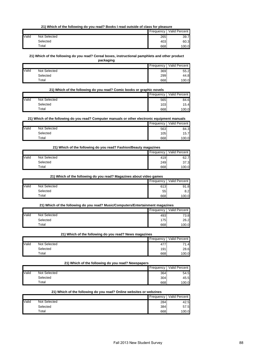### **21) Which of the following do you read? Books I read outside of class for pleasure**

|       |              | Frequency | Valid Percent |
|-------|--------------|-----------|---------------|
| Valid | Not Selected | 265       | 39.7          |
|       | Selected     | 403       | 60.3          |
|       | $\tau$ otal  | 668       | 100.0         |

#### **21) Which of the following do you read? Cereal boxes, instructional pamphlets and other product**

**packaging**

|       |                     | Frequency | Valid Percent |
|-------|---------------------|-----------|---------------|
| Valid | <b>Not Selected</b> | 369       | 55.2          |
|       | Selected            | 299       | 44.8          |
|       | $\tau$ otal         | 668       | 100.0         |

### **21) Which of the following do you read? Comic books or graphic novels**

|       |              | Frequency I | Valid Percent |
|-------|--------------|-------------|---------------|
| Valid | Not Selected | 565         | 84.6          |
|       | Selected     | 103         | 15.4          |
|       | $\tau$ otal  | 668         | 100.0         |

#### **21) Which of the following do you read? Computer manuals or other electronic equipment manuals**

|       |                            |     | Frequency   Valid Percent |
|-------|----------------------------|-----|---------------------------|
| Valid | Not Selected               | 563 | 84.3                      |
|       | Selected                   | 105 | 15.7                      |
|       | $\mathsf{r}_\mathsf{otal}$ | 668 | 100.0                     |

#### **21) Which of the following do you read? Fashion/Beauty magazines**

|       |              | Frequency I | <b>Valid Percent</b> |
|-------|--------------|-------------|----------------------|
| Valid | Not Selected | 419         | 62.7                 |
|       | Selected     | 249         | 37.3                 |
|       | Total        | 668         | 100.0                |

**21) Which of the following do you read? Magazines about video games**

|       |              | Frequency | Valid Percent |
|-------|--------------|-----------|---------------|
| Valid | Not Selected | 613       | 91.8          |
|       | Selected     | 55        | 8.2           |
|       | Total        | 668       | 100.0         |

### **21) Which of the following do you read? Music/Computers/Entertainment magazines**

|       |              | Frequency | Valid Percent |
|-------|--------------|-----------|---------------|
| Valid | Not Selected | 493       | 73.8          |
|       | Selected     | 1751      | 26.2          |
|       | $\tau$ otal  | 668       | 100.0         |

#### **21) Which of the following do you read? News magazines**

|       |              | Frequency       | Valid Percent |
|-------|--------------|-----------------|---------------|
| Valid | Not Selected | 47 <sup>7</sup> | 71.4          |
|       | Selected     | 191             | 28.6          |
|       | Total        | 668             | 100.0         |

# **21) Which of the following do you read? Newspapers**

|       |              | Frequency I | Valid Percent |
|-------|--------------|-------------|---------------|
| Valid | Not Selected | 364         | 54.5          |
|       | Selected     | 304         | 45.5          |
|       | $\tau$ otal  | 668         | 100.0         |

#### **21) Which of the following do you read? Online websites or webzines**

|       |              | Frequency | <b>Valid Percent</b> |
|-------|--------------|-----------|----------------------|
| Valid | Not Selected | 284       | 42.5                 |
|       | Selected     | 384       | 57.5                 |
|       | $\tau$ otal  | 668       | 100.0                |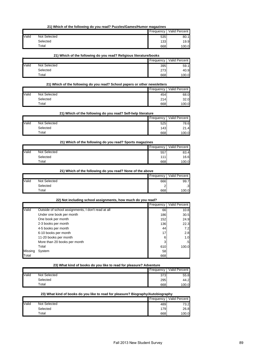**21) Which of the following do you read? Puzzles/Games/Humor magazines**

|       |              | Frequency | Valid Percent |
|-------|--------------|-----------|---------------|
| Valid | Not Selected | 535       | 80.1          |
|       | Selected     | 1331      | 19.9          |
|       | Total        | 668       | 100.0         |

**21) Which of the following do you read? Religious literature/books**

| Valid<br>Not Selected<br>395<br>Selected<br>273<br>$\tau$ otal |  | Frequency | <b>Valid Percent</b> |
|----------------------------------------------------------------|--|-----------|----------------------|
|                                                                |  |           | 59.1                 |
|                                                                |  |           | 40.9                 |
|                                                                |  | 668       | 100.0                |

### **21) Which of the following do you read? School papers or other newsletters**

|       |              | Frequency | Valid Percent |
|-------|--------------|-----------|---------------|
| Valid | Not Selected | 454       | 68.0          |
|       | Selected     | 214       | 32.0          |
|       | Total        | 668       | 100.0         |

# **21) Which of the following do you read? Self-help literature**

|       |                     | Frequency | Valid Percent |
|-------|---------------------|-----------|---------------|
| Valid | <b>Not Selected</b> | 525       | 78.6          |
|       | Selected            | 143       | 21.4          |
|       | $\tau$ otal         | 668       | 100.0         |

### **21) Which of the following do you read? Sports magazines**

|       |              | Frequency | Valid Percent |
|-------|--------------|-----------|---------------|
| Valid | Not Selected | 557       | 83.4          |
|       | Selected     | 111       | 16.6          |
|       | $\tau$ otal  | 668       | 100.0         |

### **21) Which of the following do you read? None of the above**

|       |              | Frequency | Valid Percent |
|-------|--------------|-----------|---------------|
| Valid | Not Selected | 666       | 99.7          |
|       | Selected     |           | $\cdot$ 3     |
|       | Total        | 668       | 100.0         |

#### **22) Not including school assignments, how much do you read?**

|         |                                                    | Frequency | Valid Percent   |
|---------|----------------------------------------------------|-----------|-----------------|
| Valid   | Outside of school assignments, I don't read at all | 66        | 10.8            |
|         | Under one book per month                           | 186       | 30.5            |
|         | One book per month                                 | 152       | 24.9            |
|         | 2-3 books per month                                | 136       | 22.3            |
|         | 4-5 books per month                                | 44        | 7.21            |
|         | 6-10 books per month                               | 17        | 2.8             |
|         | 11-20 books per month                              | 6         | 1.0             |
|         | More than 20 books per month                       | 3         | .5 <sub>1</sub> |
|         | Total                                              | 610       | 100.0           |
| Missing | System                                             | 58        |                 |
| Total   |                                                    | 668       |                 |

#### **23) What kind of books do you like to read for pleasure? Adventure**

|       |              | Frequency | <b>Valid Percent</b> |
|-------|--------------|-----------|----------------------|
| Valid | Not Selected | 373       | 55.8                 |
|       | Selected     | 295       | 44.2                 |
|       | $\tau$ otal  | 668       | 100.0                |

### **23) What kind of books do you like to read for pleasure? Biography/Autobiography**

|       |              | <b>Frequency</b> | <b>Valid Percent</b> |
|-------|--------------|------------------|----------------------|
| Valid | Not Selected | 489              | 73.2                 |
|       | Selected     | 179              | 26.8                 |
|       | $\tau$ otal  | 668              | 100.0                |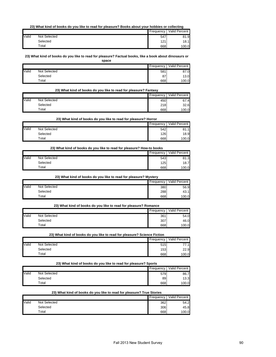### **23) What kind of books do you like to read for pleasure? Books about your hobbies or collecting**

|              |              | Frequency | Valid Percent |
|--------------|--------------|-----------|---------------|
| <b>Valid</b> | Not Selected | 547       | 81.9          |
|              | Selected     | 121       | 18.1          |
|              | $\tau$ otal  | 668       | 100.0         |

**23) What kind of books do you like to read for pleasure? Factual books, like a book about dinosaurs or space**

|       |              | Frequency | Valid Percent |
|-------|--------------|-----------|---------------|
| Valid | Not Selected | 581       | 87.0          |
|       | Selected     | 87        | 13.0          |
|       | Total        | 668       | 100.0         |

#### **23) What kind of books do you like to read for pleasure? Fantasy**

|       |              | Frequency | Valid Percent |
|-------|--------------|-----------|---------------|
| Valid | Not Selected | 450       | 67.4          |
|       | Selected     | 218       | 32.6          |
|       | $\tau$ otal  | 668       | 100.0         |

#### **23) What kind of books do you like to read for pleasure? Horror**

|       |              | Frequency | Valid Percent |
|-------|--------------|-----------|---------------|
| Valid | Not Selected | 542       | 81.1          |
|       | Selected     | 1261      | 18.9          |
|       | Total        | 668       | 100.0         |

### **23) What kind of books do you like to read for pleasure? How-to books**

|       |              | Frequency        | Valid Percent |
|-------|--------------|------------------|---------------|
| Valid | Not Selected | 543              | 81.3          |
|       | Selected     | 125 <sup>1</sup> | 18.7          |
|       | Total        | 668              | 100.0         |

### **23) What kind of books do you like to read for pleasure? Mystery**

|       |              | Frequency | Valid Percent |
|-------|--------------|-----------|---------------|
| Valid | Not Selected | 380       | 56.9          |
|       | Selected     | 288       | 43.1          |
|       | $\tau$ otal  | 668       | 100.0         |

#### **23) What kind of books do you like to read for pleasure? Romance**

|       |              | Frequency | Valid Percent |
|-------|--------------|-----------|---------------|
| Valid | Not Selected | 361       | 54.0          |
|       | Selected     | 307       | 46.0          |
|       | $\tau$ otal  | 668       | 100.0         |

### **23) What kind of books do you like to read for pleasure? Science Fiction**

|       |              | Frequency | Valid Percent |
|-------|--------------|-----------|---------------|
| Valid | Not Selected | 515       | 77 1<br>.     |
|       | Selected     | 153       | 22.9          |
|       | $\tau$ otal  | 668       | 100.0         |

### **23) What kind of books do you like to read for pleasure? Sports**

|       |              | Frequency | Valid Percent |
|-------|--------------|-----------|---------------|
| Valid | Not Selected | 579       | 86.7          |
|       | Selected     | 89        | 13.3          |
|       | Total        | 668       | 100.0         |

### **23) What kind of books do you like to read for pleasure? True Stories**

|       |              | Frequency I | <b>Valid Percent</b> |
|-------|--------------|-------------|----------------------|
| Valid | Not Selected | 362         | 54.2                 |
|       | Selected     | 306         | 45.8                 |
|       | $\tau$ otal  | 668         | 100.0                |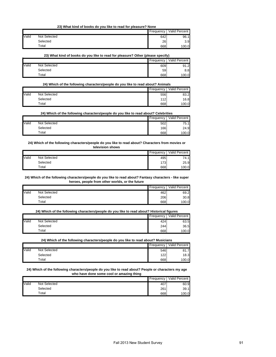**23) What kind of books do you like to read for pleasure? None**

|              |              | Frequency | Valid Percent |
|--------------|--------------|-----------|---------------|
| <b>Valid</b> | Not Selected | 642       | 96.1          |
|              | Selected     | 26        | 3.9           |
|              | $\tau$ otal  | 668       | 100.0         |

**23) What kind of books do you like to read for pleasure? Other (please specify)**

|       |              | Frequency | Valid Percent |
|-------|--------------|-----------|---------------|
| Valid | Not Selected | 609       | 91.2          |
|       | Selected     | 59        | 8.8           |
|       | $\tau$ otal  | 668       | 100.0         |

**24) Which of the following characters/people do you like to read about? Animals**

|       |              | Frequency | Valid Percent |
|-------|--------------|-----------|---------------|
| Valid | Not Selected | 556       | 83.2          |
|       | Selected     | 112       | 16.8          |
|       | $\tau$ otal  | 668       | 100.0         |

**24) Which of the following characters/people do you like to read about? Celebrities**

|       |              |     | Frequency   Valid Percent |
|-------|--------------|-----|---------------------------|
| Valid | Not Selected | 502 | 75.1                      |
|       | Selected     | 166 | 24.9                      |
|       | $\tau$ otal  | 668 | 100.0                     |

**24) Which of the following characters/people do you like to read about? Characters from movies or television shows**

|       |              | Frequency | <b>Valid Percent</b> |
|-------|--------------|-----------|----------------------|
| Valid | Not Selected | 495       | 74.1                 |
|       | Selected     | 173       | 25.9                 |
|       | Total        | 668       | 100.0                |

**24) Which of the following characters/people do you like to read about? Fantasy characters - like super heroes, people from other worlds, or the future**

|       |              | Frequency | Valid Percent |
|-------|--------------|-----------|---------------|
| Valid | Not Selected | 462       | 69.2          |
|       | Selected     | 206       | 30.8          |
|       | Total        | 668       | 100.0         |

**24) Which of the following characters/people do you like to read about? Historical figures**

|       |              | Frequency | Valid Percent |
|-------|--------------|-----------|---------------|
| Valid | Not Selected | 424       | 63.5          |
|       | Selected     | 244       | 36.5          |
|       | Total        | 668       | 100.0         |

**24) Which of the following characters/people do you like to read about? Musicians**

|       |                     | Frequency | Valid Percent |
|-------|---------------------|-----------|---------------|
| Valid | <b>Not Selected</b> | 546       | 81.7          |
|       | Selected            | 122       | 18.3          |
|       | Total               | 668       | 100.0         |

#### **24) Which of the following characters/people do you like to read about? People or characters my age who have done some cool or amazing thing**

|       |              | Frequency | Valid Percent |
|-------|--------------|-----------|---------------|
| Valid | Not Selected | 407       | 60.9          |
|       | Selected     | 261       | 39.1          |
|       | Total        | 668       | 100.0         |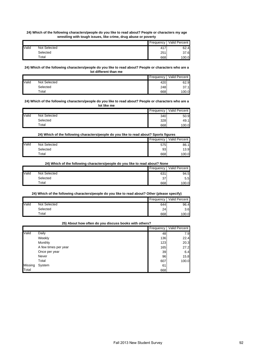#### **24) Which of the following characters/people do you like to read about? People or characters my age wrestling with tough issues, like crime, drug abuse or poverty**

|       |              | Frequency | Valid Percent |
|-------|--------------|-----------|---------------|
| Valid | Not Selected | 417       | 62.4          |
|       | Selected     | 251       | 37.6          |
|       | $\tau$ otal  | 668       | 100.0         |

#### **24) Which of the following characters/people do you like to read about? People or characters who are a lot different than me**

|       |              | Frequency | Valid Percent |
|-------|--------------|-----------|---------------|
| Valid | Not Selected | 420       | 62.9          |
|       | Selected     | 248       | 37.1          |
|       | Total        | 668       | 100.0         |

#### **24) Which of the following characters/people do you like to read about? People or characters who are a lot like me**

|       |              | Frequency | Valid Percent |
|-------|--------------|-----------|---------------|
| Valid | Not Selected | 340       | 50.9          |
|       | Selected     | 328       | 49.1          |
|       | $\tau$ otal  | 668       | 100.0         |

### **24) Which of the following characters/people do you like to read about? Sports figures**

|              |              | Frequency | Valid Percent |
|--------------|--------------|-----------|---------------|
| <b>Valid</b> | Not Selected | 575       | 86.1          |
|              | Selected     | 93        | 13.9          |
|              | $\tau$ otal  | 668       | 100.0         |

# **24) Which of the following characters/people do you like to read about? None**

|       |              | Frequency | Valid Percent |
|-------|--------------|-----------|---------------|
| Valid | Not Selected | 631       | 94.5          |
|       | Selected     | 37        | 5.5           |
|       | Total        | 668       | 100.0         |

### **24) Which of the following characters/people do you like to read about? Other (please specify)**

|       |              | Frequency | Valid Percent |
|-------|--------------|-----------|---------------|
| Valid | Not Selected | 644       | 96.4          |
|       | Selected     | 24        | 3.6           |
|       | Total        | 668       | 100.0         |

### **25) About how often do you discuss books with others?**

|         |                      | Frequency | Valid Percent |
|---------|----------------------|-----------|---------------|
| Valid   | Daily                | 48        | 7.9           |
|         | Weekly               | 136       | 22.4          |
|         | Monthly              | 123       | 20.3          |
|         | A few times per year | 165       | 27.2          |
|         | Once per year        | 39        | 6.4           |
|         | Never                | 96        | 15.8          |
|         | Total                | 607       | 100.0         |
| Missing | System               | 61        |               |
| Total   |                      | 668       |               |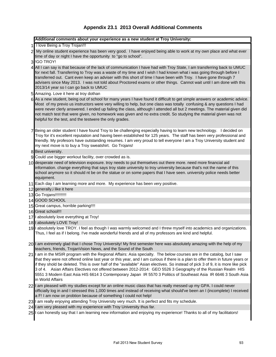# **Appendix 23.1 2013 Overall Additional Comments**

| Additional comments about your experience as a new student at Troy University:                                                                                                                                                                                                                                                                                                                                                                                                                                                                                                                                                                     |
|----------------------------------------------------------------------------------------------------------------------------------------------------------------------------------------------------------------------------------------------------------------------------------------------------------------------------------------------------------------------------------------------------------------------------------------------------------------------------------------------------------------------------------------------------------------------------------------------------------------------------------------------------|
| 1 I love Being a Troy Trojan!!!                                                                                                                                                                                                                                                                                                                                                                                                                                                                                                                                                                                                                    |
| 2 My online student experience has been very good. I have enjoyed being able to work at my own place and what ever                                                                                                                                                                                                                                                                                                                                                                                                                                                                                                                                 |
| time of day or night I have the opportunity to "go to school".                                                                                                                                                                                                                                                                                                                                                                                                                                                                                                                                                                                     |
| 3 IGO TROY!                                                                                                                                                                                                                                                                                                                                                                                                                                                                                                                                                                                                                                        |
| 4 All I can say is that because of the lack of communication I have had with Troy State, I am transferring back to UMUC<br>for next fall. Transferring to Troy was a waste of my time and I wish I had known what i was going through before I<br>transferred out. Cant even keep an adviser with this short of time I have been with Troy. I have gone through 7<br>advisers since May 2013. I was not told about Proctored exams or other things. Cannot wait until I am done with this<br>2013/14 year so I can go back to UMUC                                                                                                                 |
| 5 Amazing. Love it here at troy dothan                                                                                                                                                                                                                                                                                                                                                                                                                                                                                                                                                                                                             |
| 6 As a new student, being out of school for many years I have found it difficult to get simple answers or academic advice.<br>Most of my previo us instructors were very willing to help, but one class was totally confusing & any questions I had<br>were never clerly answered. I ended up failing the class, although I attended all but 2 meetings. The material given did<br>not match test that were given, no homework was given and no extra credit. So studying the material given was not<br>helpful for the test, and the testwere the only grades.                                                                                    |
| 7 Being an older student I have found Troy to be challenging especially having to learn new technology. I decided on<br>Troy for it's excellent reputation and having been established for 125 years. The staff has been very professional and<br>friendly. My profesors have outstanding resumes. I am very proud to tell everyone I am a Troy University student and<br>my next move is to buy a Troy sweatshirt. Go Trojans!                                                                                                                                                                                                                    |
| 8 Best university.                                                                                                                                                                                                                                                                                                                                                                                                                                                                                                                                                                                                                                 |
| 9 Could use bigger workout facility, over crowded as is.                                                                                                                                                                                                                                                                                                                                                                                                                                                                                                                                                                                           |
| 10 desperate need of television exposure. troy needs to put themselves out there more. need more financial aid<br>information. change everything that says troy state university to troy university because that's not the name of this<br>school anymore so it should nt be on the statue or on some papers that I have seen. university police needs better<br>equipment.                                                                                                                                                                                                                                                                        |
| 11 Each day I am learning more and more. My experience has been very positive.                                                                                                                                                                                                                                                                                                                                                                                                                                                                                                                                                                     |
| 12 generally, i like it here                                                                                                                                                                                                                                                                                                                                                                                                                                                                                                                                                                                                                       |
| 13 Go Trojans!!!!!!!!!!                                                                                                                                                                                                                                                                                                                                                                                                                                                                                                                                                                                                                            |
| 14 GOOD SCHOOL                                                                                                                                                                                                                                                                                                                                                                                                                                                                                                                                                                                                                                     |
| 15 Great campus, horrible parking!!!!                                                                                                                                                                                                                                                                                                                                                                                                                                                                                                                                                                                                              |
| 16 Great school!!!                                                                                                                                                                                                                                                                                                                                                                                                                                                                                                                                                                                                                                 |
| 17 I absolutely love everything at Troy!                                                                                                                                                                                                                                                                                                                                                                                                                                                                                                                                                                                                           |
| 18   absolutely LOVE Troy!                                                                                                                                                                                                                                                                                                                                                                                                                                                                                                                                                                                                                         |
| 19 I absolutely love TROY. I feel as though I was warmly welcomed and I threw myself into academics and organizations.<br>Thus, I feel as if I belong. I've made wonderful friends and all of my professors are kind and helpful.                                                                                                                                                                                                                                                                                                                                                                                                                  |
| 20 I am extremely glad that I chose Troy University! My first semester here was absolutely amazing with the help of my<br>teachers, friends, TrojanVision News, and the Sound of the South                                                                                                                                                                                                                                                                                                                                                                                                                                                         |
| 21 I am in the MSIR program with the Regional Affairs: Asia specialty. The below courses are in the catalog, but I saw<br>that they were not offered online last year or this year, and I am curious if there is a plan to offer them in future years or<br>if they shold be deleted. This is over half of the "available" Asian electives. So instead of pick 3 of 9, it is more like pick<br>3 of 4. Asian Affairs Electives not offered between 2012-2014: GEO 5526 3 Geography of the Russian Realm HIS<br>5551 3 Modern East Asia HIS 6614 3 Contemporary Japan IR 5570 3 Politics of Southeast Asia IR 6646 3 South Asia<br>in World Affairs |
| 22 I am pleased with my studies except for an online music class that has really messed up my GPA. I could never<br>officially log in and I stressed this 1,000 times and instead of receiving what should've been an I (incomplete) I received<br>a F! I am now on probtion because of something I could not help!                                                                                                                                                                                                                                                                                                                                |
| 23 I am really enjoying attending Troy University very much. It is perfect and fits my schedule.                                                                                                                                                                                                                                                                                                                                                                                                                                                                                                                                                   |
| 24 I am very pleased with my experience with Troy University thus far.                                                                                                                                                                                                                                                                                                                                                                                                                                                                                                                                                                             |

25 I can honestly say that I am learning new information and enjoying my experience! Thanks to all of my facilitators!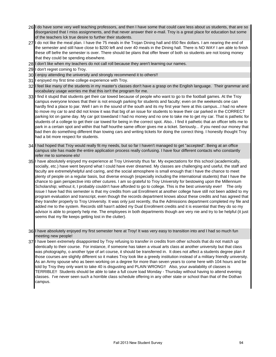- 26 I do have some very well teaching professors, and then I have some that could care less about us students, that are so disorganized that I miss assignments, and that never answer their e-mail. Troy is a great place for education but some of the teachers lck true desire to further their students.
- 27 I do not like the meal plan. I have the 75 meals in the Trojan Dining hall and 650 flex dollars. I am nearing the end of the semester and still have close to \$200 left and over 40 meals in the Dining hall. There is NO WAY I am able to finish these off befre the semester is over. There should be plans that offer fewer of both so students are not losing money that they could be spending elsewhere.
- 28 I don't like when my teachers do not call roll because they aren't learning our names.
- 29 I don't regret coming to Troy.
- 30 I enjoy attending the university and strongly recommend it to others!!
- 31 I enjoyed my first time college experience with Troy.
- 32 I feel like many of the students in my master's classes don't have a grasp on the English language. Their grammar and vocabulary usage worries me that this isn't the program for me.
- 33 I find it stupid that students get their car towed because of people who want to go to the football games. At the Troy campus everyone knows that their is not enough parking for students and faculty; even on the weekends one can hardly find a place to par. Well I am in the sound of the south and its my first year here at this campus...I had no where to move my car to and did not know it was that big of an issue for students to leave their car parked in the CORRECT parking lot on game day. My car got towedand I had no money and no one to take me to get my car. That is pathetic for students of a college to get their car towed for being in the correct spot. Also.. I find it pathetic that an officer tells me to park in a certain spot and within that half hourthe same officer gives me a ticket. Seriously... if you need our money that bad then do something different than towing cars and writing tickets for doing the correct thing. I honestly thought Troy had a bit more respect for students.
- 34 I had hoped that Troy would really fit my needs, but so far I haven't managed to get "accepted". Being at an office campus site has made the entire application process really confusing. I have four different contacts who constantly refer me to someone els!
- 35 I have absolutely enjoyed my experience at Troy University thus far. My expectations for this school (academically, socially, etc.) have went beyond what I could have ever dreamed. My classes are challenging and useful, the staff and faculty are extremelyhelpful and caring, and the social atmosphere is small enough that I have the chance to meet plenty of people on a regular basis, but diverse enough (especially including the international students) that I have the chance to gain perspective into other cutures. I am so grateful to Troy University for bestowing upon the Millennium Scholarship; without it, I probably couldn't have afforded to go to college. This is the best university ever! The only issue I have had this semester is that my credits from ual Enrollment at another college have still not been added to my program evaluation and transcript, even though the records department knows about these credits and has agreed that they transfer properly to Troy University. It was only just recently, tha the Admissions department completed my file and added me to the system. Records still hasn't added my Dual Enrollment credits and it is essential that they do so my advisor is able to properly help me. The employees in both departments though are very nie and try to be helpful (it just seems that my file keeps getting lost in the clutter).
- 36 I have absolutely enjoyed my first semester here at Troy! It was very easy to transition into and I had so much fun meeting new people!
- 37 I have been extremely disappointed by Troy refusing to transfer in credits from other schools that do not match up identically to their course. For instance, if someone has taken a visual arts class at another university but that class was photography, o another type of art course, it should be transferred in. It does not affect a students degree plan if those courses are slightly different so it makes Troy look like a greedy institution instead of a military friendly university. As an Army spouse who as been working on a degree for more than seven years to come here with 104 hours and be told by Troy they only want to take 40 is disgusting and PLAIN WRONG!! Also, your availability of classes is TERRIBLE!! Students should be able to take a full coure load Monday - Thursday without having to attend evening classes. I've never seen such a horrible class schedule offering in any other state or school than that of the Dothan campus.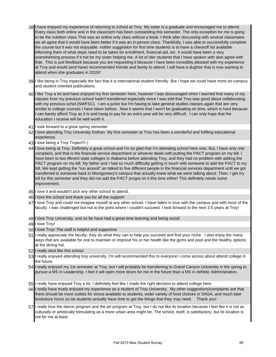- 38 I have enjoyed my experience of returning to school at Troy. My sister is a graduate and encouraged me to attend. Every class both online and in the classroom has been outstanding this semester. The only exception for me is going to be the nutrition class That was an online only class without a book. I think after discussing with several classmates we all agree that it would have been better if it was an in-person class. Thankfully, I was able to successfully complete the course but it was not enjoyable. nother suggestion for first time students is to have a checkoff list available informing them of what steps need to be taken for enrollment, financial aid, etc. It would have been a very overwhelming process if it not for my sister helping me. A lot of oter students that I have spoken with also agree with that. This is just feedback because you are requesting it because I have been incredibly pleased with my experience at Troy and would (and have) recommended friends and family to attend. I will have a dughter that is now wanting to attend when she graduates in 2015!!
- 39 I like being in Troy especially the fact that it is international student friendly. But I hope we could have more on-campus and student oriented publications.
- 40 I like Troy a lot and have enjoyed my first semester here, however I was discouraged when I learned that many of my classes from my previous school hadn't transferred especially since I was told that Troy was good about collaborating with my previous schol (NWFSC). I am a junior but I'm having to take general studies classes again that are very similar to college courses I have taken before. Now it seems that I won't be graduating on time, which is hard because can barely afford Troy as it is and havig to pay for an extra year will be very difficult. I can only hope that the education I receive will be well worth it.
- 41 I look forward to a great spring semester
- 42 I love attending Troy University Dothan. My first semester at Troy has been a wonderful and fufilling educational experience.
- 43 I love being a Troy Trojan!!!! (:
- 44 I love being at Troy. Definitely a great school and I'm so glad that I'm attending school here now. But, I have only one complaint, and that is the financial service department or whoever deals with putting the PACT program on my bill. I have been to two ifferent state colleges in Alabama before attending Troy, and they had no problem with adding the PACT program on my bill. My father and I had so much difficulty getting in touch with someone to add the PACT to my bill. We kept getting the "run around" an talked to five different people in the financial services department until we got transferred to someone back in Montgomery's campus that actually knew what we were talking about. Then, I get my bill for this semester and they did not add the PACT progra on it this time either! This definitely needs some improvement.
- 45 I love it and wouldn't pick any other school to attend.
- 46 I love the school and thank you for all the support!
- 47 I love Troy and could not imagine myself at any other school. I have fallen in love with the campus and with most of the faculty. I was challenged but not to the point where I couldn't succeed. I look forward to the next 3.5 years at Troy!
- 48 I love Troy University, and so far have had a great time learning and being social
- 49 I love Troy!
- 50 I love Troy! The staff is helpful and supportive
- 51 I really appreciate the faculty; they do what they can to help you succeed and find your niche. I also enjoy the many ways that are available for one to maintain or improve his or her health like the gyms and pool and the healthy options at the dining hal.
- 52 I really dont like this school.
- 53 I really enjoyed attending troy university, I'm will recommended this to everyone I come across about attend college in the future.
- 54 I really enjoyed my 1st semester at Troy, but I will probably be transferring to Grand Canyon University in the spring to pursue a MS in Leadership. I feel it will open more doors for me in the future than a MS in Athletic Administration.
- 55 I really have enjoyed Troy a lot. I definitely feel like I made the right decision to attend college here.
- 56 I really have truely enjoyed my experience as a student of Troy University. My other suggestions/complaints are that there should be more outlets for stress available to students, wider variety of food choices in SAGA, and much later bookstore hours so tat students actually have time to get the things that they may need. Thank you!
- 57 I really love the dance program and the art program at Troy, but I do not like its location because I feel like it is not as culturally or artistically stimulating as a more urban area might be. The school, itself, is satisfactory, but its location is not for me at least.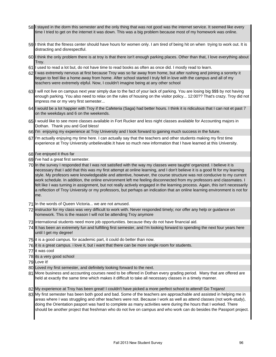- 58 I stayed in the dorm this semester and the only thing that was not good was the internet service. It seemed like every time I tried to get on the internet it was down. This was a big problem because most of my homework was online.
- 59 I think that the fitness center should have hours for women only. I am tired of being hit on when trying to work out. It is distracting and disrespectful.
- 60 I think the only problem there is at troy is that there isn't enough parking places. Other than that, I love everything about Troy.
- 61 I used to read a lot but, do not have time to read books as often as once did. I mostly read to learn.
- 62 I was extremely nervous at first because Troy was so far away from home, but after rushing and joining a sorority it began to feel like a home away from home. After school started I truly fell in love with the campus and all of my teachers were extremely elpful. Now, I couldn't imagine being at any other school
- 63 I will not live on campus next year simply due to the fact of your lack of parking. You are losing big \$\$\$ by not having enough parking. You also need to relax on the rules of housing on the visitor policy... 12:00?? That's crazy. Troy did not impress me or my very first semester...
- 64 I would be a lot happier with Troy if the Cafeteria (Saga) had better hours. I think it is ridiculous that I can not et past 7 on the weekdays and 6 on the weekends.
- 65 I would like to see more classes available in Fort Rucker and less night classes available for Accounting majors in Dothan. Thank you and God bless!
- 66 I'm enjoying my experience at Troy University and I look forward to gaining much success in the future.
- 67 I'm actually enjoying my time here. I can actually say that the teachers and other students making my first time experience at Troy University unbelievable.It have so much new information that I have learned at this University.
- 68 I've enjoyed it thus far
- 69 I've had a great first semester.
- 70 In the survey I responded that I was not satisfied with the way my classes were taught/ organized. I believe it is necessary that I add that this was my first attempt at online learning, and I don't believe it is a good fit for my learning style. My profesors were knowledgeable and attentive, however, the course structure was not conducive to my current work schedule. In addition, the online environment left me feeling disconnected from my professors and classmates. I felt like I was turning in assignment, but not really actively engaged in the learning process. Again, this isn't necessarily a reflection of Troy University or my professors, but perhaps an indication that an online learning environment is not for me.
- 71 In the words of Queen Victoria... we are not amused.
- 72 instructor for my class was very difficult to work with. Never responded timely; nor offer any help or guidance on homework. This is the reason I will not be attending Troy anymore
- 73 international students need more job opportunities. because they do not have financial aid.
- 74 It has been an extremely fun and fulfilling first semester, and I'm looking forward to spending the next four years here until I get my degree!
- 75 it is a good campus. for academic part, it could do better than now.
- 76 it is a great campus. i love it, but i want that there can be more single room for students.
- 77 it was cool
- 78 its a very good school
- 79 Love it!
- 80 Loved my first semester, and definitely looking forward to the next.
- 81 More business and accounting courses need to be offered in Dothan every grading period. Many that are offered are held at exactly the same time which makes it difficult to take all necessary classes in a timely manner.
- 82 My experience at Troy has been great! I couldn't have picked a more perfect school to attend! Go Trojans!
- 83 My first semester has been both good and bad. Some of the teachers are approachable and assisted in helping me in areas where I was struggling and other teachers were not. Because I work as well as attend classes (not work-study), doing the Orientation pasport was hard to complete as many activities were during the hours that I worked. There should be another project that freshman who do not live on campus and who work can do besides the Passport project.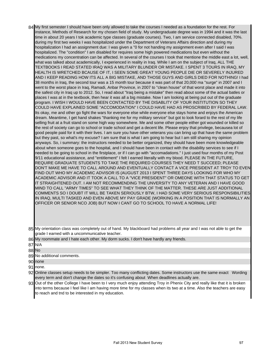- 84 My first semester I should have been only allowed to take the courses I needed as a foundation for the rest. For instance, Methods of Research for my chosen field of study. My undergraduate degree was in 1994 and it was the last time in about 20 years I tok academic type classes (graduate courses). Two, I am service connected disabled, 70%. during my first two weeks I was hospitalized under the Department of Veterans Affairs direction and during my hospitalization I had an assignment due: I was given a "0 for not handing my assignment even after I said I was hospitalized. The "condition" I am disabled for requires some high powered medications but even without the medications my concentration can be affected. In several of the courses I took that mentione the middle east a lot, well, what was talked about academically, I experienced in reality in Iraq. While I am on the subject of Iraq, ALL THE TEXTBOOKS I READ STATED IRAQ WAS A MILITARY BLUNDER OR MISTAKE. I SPENT 3 TOURS IN IRAQ, MY HEALTH IS WRETCHED BCAUSE OF IT, I SEEN SOME GREAT YOUNG PEOPLE DIE OR SEVERELY INJURED AND I KEEP READING HOW ITS ALL A BIG MISTAKE, AND THOSE GUYS AND GIRLS DIED FOR NOTHING! I had 38 months in Iraq, the second tour was a 15 month tour because it was part of that 20,000 ma "surge" in 2007 and I went to the worst place in Iraq, Ramadi, Anbar Province, in 2007 to "clean house" of that worst place and made it into the safest city in Iraq up to 2012. So, I read about "Iraq being a mistake" then read about some of the actual batles or places I was at in the textbook, then hear it was all a big mistake. Now I am looking at being put out of the graduate program. I WISH I WOULD HAVE BEEN CONTACTED BY THE DISABLITY OF YOUR INSTITUTION SO THEY COULD HAVE EXPLAINED SOME "ACCOMODATION" I COULD HAVE HAD AS PROSCRIBED BY FEDERAL LAW. Its okay, me and other go fight the wars for everyone else while everyone else stays home and enjoys the American dream. Meantime, I get hand shakes "thanking me for my military service" but got to look forard to the rest of my life selling fruit at a fruit stand on some high way somewhere. Me and some other people either got wounded or killed so the rest of society can go to school or trade school and get a decent life. Please enjoy that privilege, becausea lot of good people paid for it with their lives. I am sure you have other veterans you can bring up that have the same problem but they past, so what's my excuse? I am sure that is what I am going to hear but I am still sharing my opinion anyways. So, i summary: the instructors needed to be better organized, they should have been more knowledgeable about when someone goes to the hospital, and I should have been in contact with the disability services to see if I needed to be going to school in the firstplace, or if I can go with "accomadations." I just used four months of my Post 9/11 educational assistance, and "entitlement" I felt I earned literally with my blood. PLEASE IN THE FUTURE, REQUIRE GRADUATE STUDENTS TO TAKE THE REQUIRED COURSES THEY NEED T SUCCEED; PLEASE DON'T MAKE ME HAVE TO CALL AROUND AND EVENTUALLY CONTACT A VICE PRESIDENT AT TROY TO EVEN FIND OUT WHO MY ACADEMIC ADVISOR IS (AUGUST 2013 I SPENT THREE DAYS LOOKING FOR WHO MY ACADEMIC ADVISOR AND IT TOOK A CALL TO A "VICE PRESIDENT" OR OMEONE WITH THAT STATUS TO GET IT STRAIGHTENED OUT. I AM NOT RECOMMENDING THE UNVERSITY TO ANY VETERAN AND I HAVE GOOD MIND TO CALL "ARMY TIMES" TO SEE WHAT THEY THINK OF THE MATTER. THESE ARE JUST ADDITIONAL COMMENTS SO I DOUBT IT WILL BE TAKEN SERIOUSLY BTW, I HAD SOME VERY SERIOUS RESPONSIBILITIES IN IRAQ, MULTI TASKED AND EVEN ABOVE MY PAY GRADE (WORKING IN A POSITION THAT IS NORMALLY AN OFFICER OR SENIOR NCO JOB) BUT NOW I CANT GO TO SCHOOL TO HAVE A NORMAL LIFE!
- 85 My orientation class was completely out of hand. My blackboard had problems all year and I was not able to get the grade I earned with a uncommunicative teacher.
- 86 My roommate and I hate each other. My dorm sucks. I don't have hardly any friends.

- 89 No additional comments.
- 90 none
- 91 none.
- 92 Online classes setup needs to be simpler. Too many conflicting dates. Some instructors use the same exact Wording every term and don't change the dates so it's confusing about When deadlines actually are.
- 93 Out of the other College I have been to I very much enjoy attending Troy in Phenix City and really like that it is broken into terms because I feel like I am having more time for my classes when its two at a time. Also the teachers are easy to reach and tnd to be interested in my education.

<sup>87</sup> N/A

<sup>88</sup> No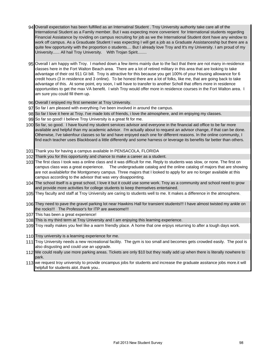- 94 Overall expectation has been fulfilled as an Internatinal Student . Troy University authority take care all of the International Student as a Family member. But I was expecting more convenient for International students regarding Financial Assiatance by roviding on campus recruiting for job as we the International Student dont have any window to work off campus. As a Grauduate Student I was expecting I will get a job as a Graduate Assistanceship but there are a quite few opportunity with the proportion o students.... But I already love Troy and It's my University. I am proud of my University...... All hail Troy University. With Trojan Spirit........
- 95 Overall I am happy with Troy. I marked down a few items mainly due to the fact that there are not many in-residence classes here in the Fort Walton Beach area. There are a lot of retired military in this area that are looking to take advantage of their ost 911 GI bill. Troy is attractive for this because you get 100% of your Housing allowance for 6 credit hours (3 in residence and 3 online). To be honest there are a lot of folks, like me, that are going back to take advantage of this. At some point, ery soon, I will have to transfer to another Scholl that offers more in residence opportunities to get the max VA benefit. I wish Troy would offer more in residence courses in the Fort Walton area. I am sure you could fill them up.
- 96 Overall I enjoyed my first semester at Troy University.
- 97 So far I am pleased with everything I've been involved in around the campus.
- 98 So far I love it here at Troy. I've made lots of friends, i love the atmosphere, and im enjoying my classes.
- 99 So far so good! I believe Troy University is a great fit for me.
- 100 So far, so good. I have found my student services advisor and everyone in the financial aid office to be far more available and helpful than my academic advisor. I'm actually about to request an advisor change, if that can be done. Otherwise, I've takenfour classes so far and have enjoyed each one for different reasons. In the online community, I find each teacher uses Blackboard a little differently and some harness or leverage its benefits far better than others.
- 101 Thank you for having a campus available In PENSACOLA, FLORIDA
- 102 Thank you for this opportunity and chance to make a career as a student.
- 103 The first class I took was a online class and it was difficult for me. Reply to students was slow, or none. The first on campus class was a great experience. The undergraduate catalog and the online catalog of majors that are showing are not availablefor the Montgomery campus. Three majors that I looked to apply for are no longer available at this campus according to the advisor that was very disappointing.
- 104 The school itself is a great school, I love it but it could use some work. Troy as a community and school need to grow and provide more activities for college students to keep themselves entertained.
- 105 They faculty and staff at Troy University are caring to students well to me. It makes a difference in the atmosphere.
- 106 They need to pave the gravel parking lot near Hawkins Hall for transient students!!! I have almost twisted my ankle on the rocks!!! The Professor's for ITP are awesome!!!
- 107 This has been a great experience!
- 108 This is my third term at Troy University and I am enjoying this learning experience.
- 109 Troy really makes you feel like a warm friendly place. A home that one enjoys returning to after a tough days work.
- 110 Troy university is a learning experience for me.
- 111 Troy University needs a new recreational facility. The gym is too small and becomes gets crowded easily. The pool is also disgusting and could use an upgrade.
- 112 We could really use more parking areas. Tickets are only \$10 but they really add up when there is literally nowhere to park.
- 113 we request troy university to provide oncampus jobs for students and increase the graduate assitance jobs more.it will helpfull for students alot..thank you..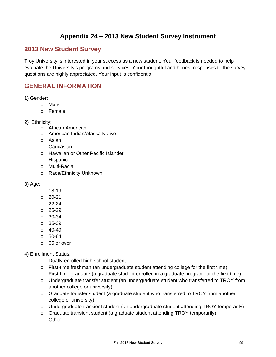# **Appendix 24 – 2013 New Student Survey Instrument**

# **2013 New Student Survey**

Troy University is interested in your success as a new student. Your feedback is needed to help evaluate the University's programs and services. Your thoughtful and honest responses to the survey questions are highly appreciated. Your input is confidential.

# **GENERAL INFORMATION**

- 1) Gender:
	- o Male
	- o Female
- 2) Ethnicity:
	- o African American
	- o American Indian/Alaska Native
	- o Asian
	- o Caucasian
	- o Hawaiian or Other Pacific Islander
	- o Hispanic
	- o Multi-Racial
	- o Race/Ethnicity Unknown

# 3) Age:

- o 18-19
- o 20-21
- o 22-24
- o 25-29
- o 30-34
- o 35-39
- $O$  40-49
- o 50-64
- o 65 or over

# 4) Enrollment Status:

- o Dually-enrolled high school student
- $\circ$  First-time freshman (an undergraduate student attending college for the first time)
- $\circ$  First-time graduate (a graduate student enrolled in a graduate program for the first time)
- o Undergraduate transfer student (an undergraduate student who transferred to TROY from another college or university)
- o Graduate transfer student (a graduate student who transferred to TROY from another college or university)
- o Undergraduate transient student (an undergraduate student attending TROY temporarily)
- o Graduate transient student (a graduate student attending TROY temporarily)
- o Other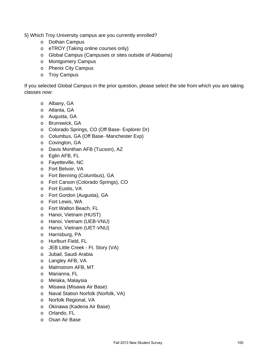5) Which Troy University campus are you currently enrolled?

- o Dothan Campus
- o eTROY (Taking online courses only)
- o Global Campus (Campuses or sites outside of Alabama)
- o Montgomery Campus
- o Phenix City Campus
- o Troy Campus

If you selected Global Campus in the prior question, please select the site from which you are taking classes now:

- o Albany, GA
- o Atlanta, GA
- o Augusta, GA
- o Brunswick, GA
- o Colorado Springs, CO (Off Base- Explorer Dr)
- o Columbus, GA (Off Base- Manchester Exp)
- o Covington, GA
- o Davis Monthan AFB (Tucson), AZ
- o Eglin AFB, FL
- o Fayetteville, NC
- o Fort Belvoir, VA
- o Fort Benning (Columbus), GA
- o Fort Carson (Colorado Springs), CO
- o Fort Eustis, VA
- o Fort Gordon (Augusta), GA
- o Fort Lewis, WA
- o Fort Walton Beach, FL
- o Hanoi, Vietnam (HUST)
- o Hanoi, Vietnam (UEB-VNU)
- o Hanoi, Vietnam (UET-VNU)
- o Harrisburg, PA
- o Hurlburt Field, FL
- o JEB Little Creek Ft. Story (VA)
- o Jubail, Saudi Arabia
- o Langley AFB, VA
- o Malmstrom AFB, MT
- o Marianna, FL
- o Melaka, Malaysia
- o Misawa (Misawa Air Base)
- o Naval Station Norfolk (Norfolk, VA)
- o Norfolk Regional, VA
- o Okinawa (Kadena Air Base)
- o Orlando, FL
- o Osan Air Base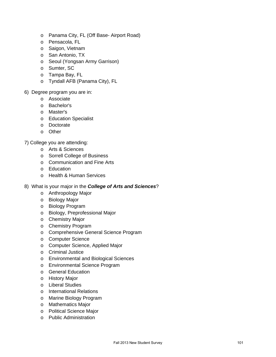- o Panama City, FL (Off Base- Airport Road)
- o Pensacola, FL
- o Saigon, Vietnam
- o San Antonio, TX
- o Seoul (Yongsan Army Garrison)
- o Sumter, SC
- o Tampa Bay, FL
- o Tyndall AFB (Panama City), FL
- 6) Degree program you are in:
	- o Associate
	- o Bachelor's
	- o Master's
	- o Education Specialist
	- o Doctorate
	- o Other

7) College you are attending:

- o Arts & Sciences
- o Sorrell College of Business
- o Communication and Fine Arts
- o Education
- o Health & Human Services
- 8) What is your major in the *College of Arts and Sciences*?
	- o Anthropology Major
	- o Biology Major
	- o Biology Program
	- o Biology, Preprofessional Major
	- o Chemistry Major
	- o Chemistry Program
	- o Comprehensive General Science Program
	- o Computer Science
	- o Computer Science, Applied Major
	- o Criminal Justice
	- o Environmental and Biological Sciences
	- o Environmental Science Program
	- o General Education
	- o History Major
	- o Liberal Studies
	- o International Relations
	- o Marine Biology Program
	- o Mathematics Major
	- o Political Science Major
	- o Public Administration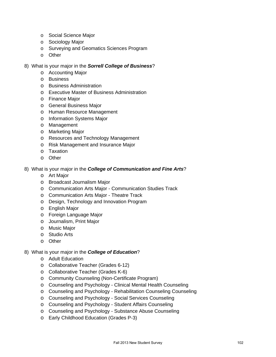- o Social Science Major
- o Sociology Major
- o Surveying and Geomatics Sciences Program
- o Other
- 8) What is your major in the *Sorrell College of Business*?
	- o Accounting Major
	- o Business
	- o Business Administration
	- o Executive Master of Business Administration
	- o Finance Major
	- o General Business Major
	- o Human Resource Management
	- o Information Systems Major
	- o Management
	- o Marketing Major
	- o Resources and Technology Management
	- o Risk Management and Insurance Major
	- o Taxation
	- o Other
- 8) What is your major in the *College of Communication and Fine Arts*?
	- o Art Major
	- o Broadcast Journalism Major
	- o Communication Arts Major Communication Studies Track
	- o Communication Arts Major Theatre Track
	- o Design, Technology and Innovation Program
	- o English Major
	- o Foreign Language Major
	- o Journalism, Print Major
	- o Music Major
	- o Studio Arts
	- o Other
- 8) What is your major in the *College of Education*?
	- o Adult Education
	- o Collaborative Teacher (Grades 6-12)
	- o Collaborative Teacher (Grades K-6)
	- o Community Counseling (Non-Certificate Program)
	- o Counseling and Psychology Clinical Mental Health Counseling
	- o Counseling and Psychology Rehabilitation Counseling Counseling
	- o Counseling and Psychology Social Services Counseling
	- o Counseling and Psychology Student Affairs Counseling
	- o Counseling and Psychology Substance Abuse Counseling
	- o Early Childhood Education (Grades P-3)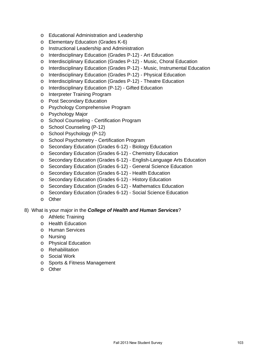- o Educational Administration and Leadership
- o Elementary Education (Grades K-6)
- o Instructional Leadership and Administration
- o Interdisciplinary Education (Grades P-12) Art Education
- o Interdisciplinary Education (Grades P-12) Music, Choral Education
- o Interdisciplinary Education (Grades P-12) Music, Instrumental Education
- o Interdisciplinary Education (Grades P-12) Physical Education
- o Interdisciplinary Education (Grades P-12) Theatre Education
- o Interdisciplinary Education (P-12) Gifted Education
- o Interpreter Training Program
- o Post Secondary Education
- o Psychology Comprehensive Program
- o Psychology Major
- o School Counseling Certification Program
- o School Counseling (P-12)
- o School Psychology (P-12)
- o School Psychometry Certification Program
- o Secondary Education (Grades 6-12) Biology Education
- o Secondary Education (Grades 6-12) Chemistry Education
- o Secondary Education (Grades 6-12) English-Language Arts Education
- o Secondary Education (Grades 6-12) General Science Education
- o Secondary Education (Grades 6-12) Health Education
- o Secondary Education (Grades 6-12) History Education
- o Secondary Education (Grades 6-12) Mathematics Education
- o Secondary Education (Grades 6-12) Social Science Education
- o Other

# 8) What is your major in the *College of Health and Human Services*?

- o Athletic Training
- o Health Education
- o Human Services
- o Nursing
- o Physical Education
- o Rehabilitation
- o Social Work
- o Sports & Fitness Management
- o Other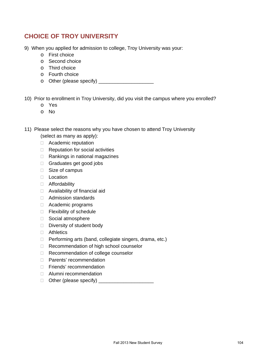# **CHOICE OF TROY UNIVERSITY**

- 9) When you applied for admission to college, Troy University was your:
	- o First choice
	- o Second choice
	- o Third choice
	- o Fourth choice
	- o Other (please specify) \_\_\_\_\_\_\_\_\_\_\_\_\_\_\_\_\_\_\_\_

10) Prior to enrollment in Troy University, did you visit the campus where you enrolled?

- o Yes
- o No
- 11) Please select the reasons why you have chosen to attend Troy University
	- (select as many as apply):
	- Academic reputation
	- $\Box$  Reputation for social activities
	- $\Box$  Rankings in national magazines
	- Graduates get good jobs
	- □ Size of campus
	- □ Location
	- Affordability
	- □ Availability of financial aid
	- □ Admission standards
	- Academic programs
	- □ Flexibility of schedule
	- □ Social atmosphere
	- Diversity of student body
	- □ Athletics
	- □ Performing arts (band, collegiate singers, drama, etc.)
	- □ Recommendation of high school counselor
	- □ Recommendation of college counselor
	- □ Parents' recommendation
	- □ Friends' recommendation
	- Alumni recommendation
	- $\Box$  Other (please specify)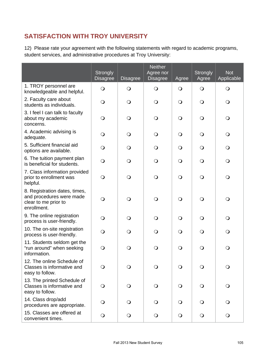# **SATISFACTION WITH TROY UNIVERSITY**

12) Please rate your agreement with the following statements with regard to academic programs, student services, and administrative procedures at Troy University:

|                                                                                                  | Strongly<br><b>Disagree</b> | <b>Disagree</b> | <b>Neither</b><br>Agree nor<br><b>Disagree</b> | Agree      | <b>Strongly</b><br>Agree | <b>Not</b><br>Applicable |
|--------------------------------------------------------------------------------------------------|-----------------------------|-----------------|------------------------------------------------|------------|--------------------------|--------------------------|
| 1. TROY personnel are<br>knowledgeable and helpful.                                              | $\bigcirc$                  | $\bigcirc$      | $\bigcirc$                                     | $\bigcirc$ | $\bigcirc$               | $\bigcirc$               |
| 2. Faculty care about<br>students as individuals.                                                | $\bigcirc$                  | $\mathbf{O}$    | $\bigcirc$                                     | $\bigcirc$ | $\bigcirc$               | $\bigcirc$               |
| 3. I feel I can talk to faculty<br>about my academic<br>concerns.                                | $\bigcirc$                  | $\mathsf{O}$    | $\bigcirc$                                     | $\circ$    | $\mathsf{O}$             | $\bigcirc$               |
| 4. Academic advising is<br>adequate.                                                             | $\bigcirc$                  | $\mathsf{O}$    | $\bigcirc$                                     | $\circ$    | $\mathsf{O}$             | $\bigcirc$               |
| 5. Sufficient financial aid<br>options are available.                                            | $\bigcirc$                  | $\Omega$        | $\bigcirc$                                     | $\Omega$   | O                        | $\bigcirc$               |
| 6. The tuition payment plan<br>is beneficial for students.                                       | $\bigcirc$                  | Q               | $\bigcirc$                                     | $\bigcirc$ | $\Omega$                 | $\bigcirc$               |
| 7. Class information provided<br>prior to enrollment was<br>helpful.                             | $\bigcirc$                  | $\Omega$        | $\bigcirc$                                     | $\bigcirc$ | $\mathsf{O}$             | $\bigcirc$               |
| 8. Registration dates, times,<br>and procedures were made<br>clear to me prior to<br>enrollment. | $\bigcirc$                  | $\Omega$        | $\mathsf{O}$                                   | $\bigcirc$ | $\mathsf{O}$             | $\bigcirc$               |
| 9. The online registration<br>process is user-friendly.                                          | $\bigcirc$                  | Q               | $\Omega$                                       | $\Omega$   | $\Omega$                 | $\bigcirc$               |
| 10. The on-site registration<br>process is user-friendly.                                        | $\bigcirc$                  | Q               | $\mathsf{O}$                                   | $\Omega$   | $\Omega$                 | $\bigcirc$               |
| 11. Students seldom get the<br>"run around" when seeking<br>information.                         | $\bigcirc$                  | O               | $\bigcirc$                                     | $\bigcirc$ | $\mathsf{O}$             | $\bigcirc$               |
| 12. The online Schedule of<br>Classes is informative and<br>easy to follow.                      | $\circ$                     | $\circ$         |                                                | $\circ$    | $\circ$                  | $\circ$                  |
| 13. The printed Schedule of<br>Classes is informative and<br>easy to follow.                     | $\bigcirc$                  | $\bigcirc$      | $\bigcirc$                                     | $\bigcirc$ | $\bigcirc$               | $\bigcirc$               |
| 14. Class drop/add<br>procedures are appropriate.                                                | $\bigcirc$                  | Q               | $\bigcirc$                                     | $\circ$    | $\Omega$                 | $\bigcirc$               |
| 15. Classes are offered at<br>convenient times.                                                  | $\bigcirc$                  | $\bigcirc$      | $\bigcirc$                                     | $\bigcirc$ | $\bigcirc$               | $\bigcirc$               |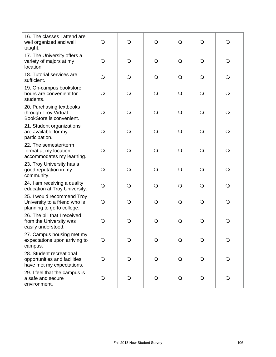| 16. The classes I attend are<br>well organized and well<br>taught.                        | $\bigcirc$ | $\bigcirc$ | $\bigcirc$ | $\bigcirc$ | $\circ$    | $\bigcirc$   |
|-------------------------------------------------------------------------------------------|------------|------------|------------|------------|------------|--------------|
| 17. The University offers a<br>variety of majors at my<br>location.                       | $\bigcirc$ | $\bigcirc$ | $\bigcirc$ | $\bigcirc$ | $\bigcirc$ | $\bigcirc$   |
| 18. Tutorial services are<br>sufficient.                                                  | $\bigcirc$ | $\bigcirc$ | $\bigcirc$ | $\bigcirc$ | $\bigcirc$ | $\bigcirc$   |
| 19. On-campus bookstore<br>hours are convenient for<br>students.                          | $\bigcirc$ | $\bigcirc$ | $\bigcirc$ | $\bigcirc$ | $\bigcirc$ | $\bigcirc$   |
| 20. Purchasing textbooks<br>through Troy Virtual<br>BookStore is convenient.              | $\bigcirc$ | $\Omega$   | $\bigcirc$ | $\bigcirc$ | $\bigcirc$ | $\bigcirc$   |
| 21. Student organizations<br>are available for my<br>participation.                       | $\bigcirc$ | $\bigcirc$ | $\bigcirc$ | $\bigcirc$ | $\bigcirc$ | $\bigcirc$   |
| 22. The semester/term<br>format at my location<br>accommodates my learning.               | $\bigcirc$ | $\Omega$   | $\bigcirc$ | $\bigcirc$ | $\bigcirc$ | $\bigcirc$   |
| 23. Troy University has a<br>good reputation in my<br>community.                          | $\bigcirc$ | $\Omega$   | $\bigcirc$ | $\bigcirc$ | $\bigcirc$ | $\bigcirc$   |
| 24. I am receiving a quality<br>education at Troy University.                             | $\bigcirc$ | $\Omega$   | $\bigcirc$ | $\bigcirc$ | $\bigcirc$ | $\bigcirc$   |
| 25. I would recommend Troy<br>University to a friend who is<br>planning to go to college. | $\bigcirc$ | $\Omega$   | $\bigcirc$ | $\bigcirc$ | $\bigcirc$ | $\bigcirc$   |
| 26. The bill that I received<br>from the University was<br>easily understood.             | $\circ$    | O          | $\bigcirc$ | $\bigcirc$ | $\bigcirc$ | $\mathsf{O}$ |
| 27. Campus housing met my<br>expectations upon arriving to<br>campus.                     | $\bigcirc$ | $\bigcirc$ | $\bigcirc$ | $\bigcirc$ | $\bigcirc$ | $\bigcirc$   |
| 28. Student recreational<br>opportunities and facilities<br>have met my expectations.     | $\bigcirc$ | $\bigcirc$ | $\bigcirc$ | $\bigcirc$ | $\bigcirc$ | $\bigcirc$   |
| 29. I feel that the campus is<br>a safe and secure<br>environment.                        | $\bigcirc$ | $\bigcirc$ | $\bigcirc$ | $\bigcirc$ | $\bigcirc$ | $\bigcirc$   |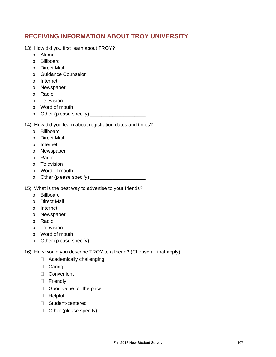# **RECEIVING INFORMATION ABOUT TROY UNIVERSITY**

- 13) How did you first learn about TROY?
	- o Alumni
	- o Billboard
	- o Direct Mail
	- o Guidance Counselor
	- o Internet
	- o Newspaper
	- o Radio
	- o Television
	- o Word of mouth
	- o Other (please specify) \_\_\_\_\_\_\_\_\_\_\_\_\_\_\_\_\_\_\_\_

14) How did you learn about registration dates and times?

- o Billboard
- o Direct Mail
- o Internet
- o Newspaper
- o Radio
- o Television
- o Word of mouth
- o Other (please specify) \_\_\_\_\_\_\_\_\_\_\_\_\_\_\_\_\_\_\_\_

15) What is the best way to advertise to your friends?

- o Billboard
- o Direct Mail
- o Internet
- o Newspaper
- o Radio
- o Television
- o Word of mouth
- o Other (please specify) \_\_\_\_\_\_\_\_\_\_\_\_\_\_\_\_\_\_\_\_

16) How would you describe TROY to a friend? (Choose all that apply)

- □ Academically challenging
- □ Caring
- Convenient
- **D** Friendly
- $\Box$  Good value for the price
- Helpful
- □ Student-centered
- Other (please specify) \_\_\_\_\_\_\_\_\_\_\_\_\_\_\_\_\_\_\_\_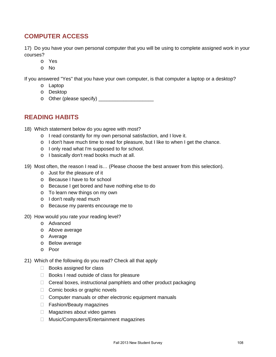## **COMPUTER ACCESS**

17) Do you have your own personal computer that you will be using to complete assigned work in your courses?

- o Yes
- o No

If you answered "Yes" that you have your own computer, is that computer a laptop or a desktop?

- o Laptop
- o Desktop
- o Other (please specify) \_\_\_\_\_\_\_\_\_\_\_\_\_\_\_\_\_\_\_\_

## **READING HABITS**

- 18) Which statement below do you agree with most?
	- o I read constantly for my own personal satisfaction, and I love it.
	- o I don't have much time to read for pleasure, but I like to when I get the chance.
	- o I only read what I'm supposed to for school.
	- o I basically don't read books much at all.
- 19) Most often, the reason I read is… (Please choose the best answer from this selection).
	- o Just for the pleasure of it
	- o Because I have to for school
	- o Because I get bored and have nothing else to do
	- o To learn new things on my own
	- o I don't really read much
	- o Because my parents encourage me to
- 20) How would you rate your reading level?
	- o Advanced
	- o Above average
	- o Average
	- o Below average
	- o Poor

21) Which of the following do you read? Check all that apply

- $\Box$  Books assigned for class
- $\Box$  Books I read outside of class for pleasure
- $\Box$  Cereal boxes, instructional pamphlets and other product packaging
- $\Box$  Comic books or graphic novels
- $\Box$  Computer manuals or other electronic equipment manuals
- □ Fashion/Beauty magazines
- □ Magazines about video games
- □ Music/Computers/Entertainment magazines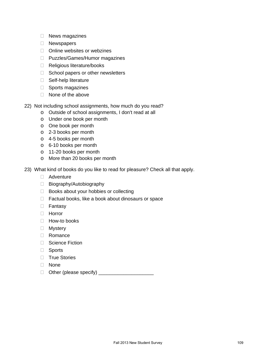- $\Box$  News magazines
- D Newspapers
- □ Online websites or webzines
- □ Puzzles/Games/Humor magazines
- □ Religious literature/books
- $\Box$  School papers or other newsletters
- □ Self-help literature
- $\Box$  Sports magazines
- $\Box$  None of the above
- 22) Not including school assignments, how much do you read?
	- o Outside of school assignments, I don't read at all
	- o Under one book per month
	- o One book per month
	- o 2-3 books per month
	- o 4-5 books per month
	- o 6-10 books per month
	- o 11-20 books per month
	- o More than 20 books per month
- 23) What kind of books do you like to read for pleasure? Check all that apply.
	- Adventure
	- □ Biography/Autobiography
	- $\Box$  Books about your hobbies or collecting
	- $\Box$  Factual books, like a book about dinosaurs or space
	- Fantasy
	- Horror
	- $\Box$  How-to books
	- **D** Mystery
	- Romance
	- □ Science Fiction
	- Sports
	- **True Stories**
	- None
	- $\Box$  Other (please specify)  $\Box$